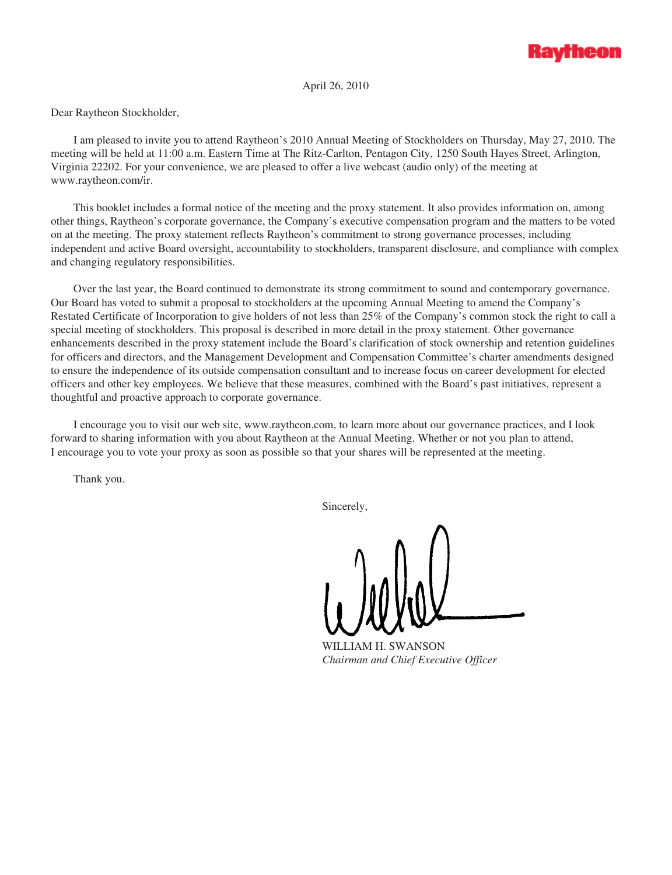

April 26, 2010

Dear Raytheon Stockholder,

I am pleased to invite you to attend Raytheon's 2010 Annual Meeting of Stockholders on Thursday, May 27, 2010. The meeting will be held at 11:00 a.m. Eastern Time at The Ritz-Carlton, Pentagon City, 1250 South Hayes Street, Arlington, Virginia 22202. For your convenience, we are pleased to offer a live webcast (audio only) of the meeting at www.raytheon.com/ir.

This booklet includes a formal notice of the meeting and the proxy statement. It also provides information on, among other things, Raytheon's corporate governance, the Company's executive compensation program and the matters to be voted on at the meeting. The proxy statement reflects Raytheon's commitment to strong governance processes, including independent and active Board oversight, accountability to stockholders, transparent disclosure, and compliance with complex and changing regulatory responsibilities.

Over the last year, the Board continued to demonstrate its strong commitment to sound and contemporary governance. Our Board has voted to submit a proposal to stockholders at the upcoming Annual Meeting to amend the Company's Restated Certificate of Incorporation to give holders of not less than 25% of the Company's common stock the right to call a special meeting of stockholders. This proposal is described in more detail in the proxy statement. Other governance enhancements described in the proxy statement include the Board's clarification of stock ownership and retention guidelines for officers and directors, and the Management Development and Compensation Committee's charter amendments designed to ensure the independence of its outside compensation consultant and to increase focus on career development for elected officers and other key employees. We believe that these measures, combined with the Board's past initiatives, represent a thoughtful and proactive approach to corporate governance.

I encourage you to visit our web site, www.raytheon.com, to learn more about our governance practices, and I look forward to sharing information with you about Raytheon at the Annual Meeting. Whether or not you plan to attend, I encourage you to vote your proxy as soon as possible so that your shares will be represented at the meeting.

Thank you.

Sincerely,

WILLIAM H. SWANSON *Chairman and Chief Executive Officer*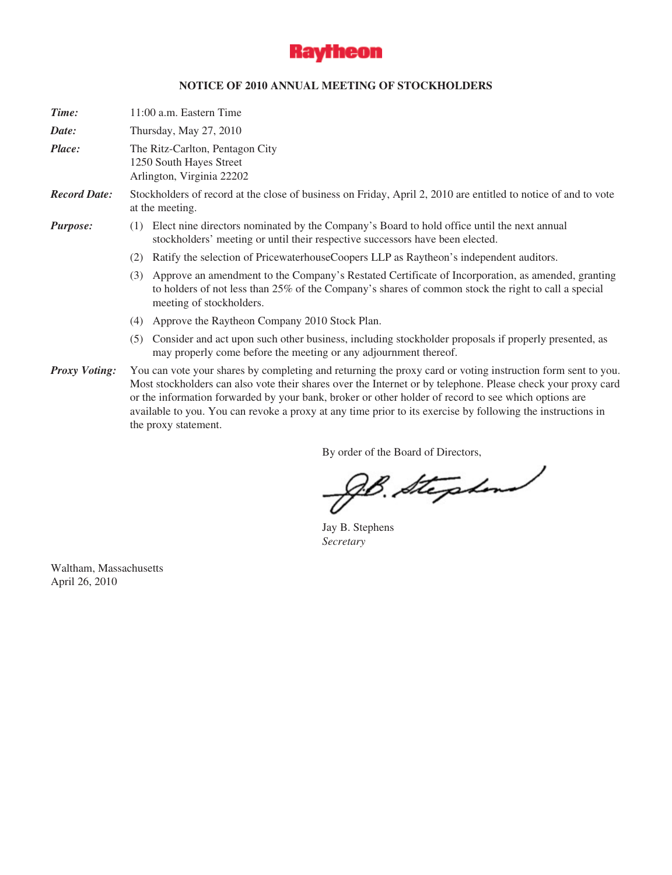

## **NOTICE OF 2010 ANNUAL MEETING OF STOCKHOLDERS**

*Time:* 11:00 a.m. Eastern Time

*Date:* Thursday, May 27, 2010

*Place:* The Ritz-Carlton, Pentagon City 1250 South Hayes Street Arlington, Virginia 22202

*Record Date:* Stockholders of record at the close of business on Friday, April 2, 2010 are entitled to notice of and to vote at the meeting.

## *Purpose:* (1) Elect nine directors nominated by the Company's Board to hold office until the next annual stockholders' meeting or until their respective successors have been elected.

- (2) Ratify the selection of PricewaterhouseCoopers LLP as Raytheon's independent auditors.
- (3) Approve an amendment to the Company's Restated Certificate of Incorporation, as amended, granting to holders of not less than 25% of the Company's shares of common stock the right to call a special meeting of stockholders.
- (4) Approve the Raytheon Company 2010 Stock Plan.
- (5) Consider and act upon such other business, including stockholder proposals if properly presented, as may properly come before the meeting or any adjournment thereof.
- *Proxy Voting:* You can vote your shares by completing and returning the proxy card or voting instruction form sent to you. Most stockholders can also vote their shares over the Internet or by telephone. Please check your proxy card or the information forwarded by your bank, broker or other holder of record to see which options are available to you. You can revoke a proxy at any time prior to its exercise by following the instructions in the proxy statement.

By order of the Board of Directors,

JB. Stephen

Jay B. Stephens *Secretary*

Waltham, Massachusetts April 26, 2010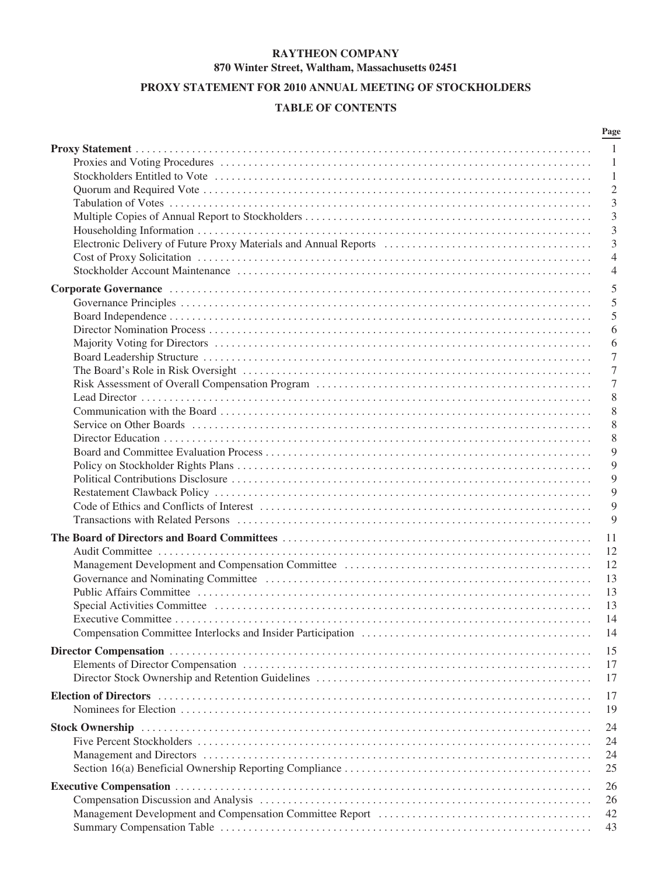# **RAYTHEON COMPANY 870 Winter Street, Waltham, Massachusetts 02451**

# **PROXY STATEMENT FOR 2010 ANNUAL MEETING OF STOCKHOLDERS**

# **TABLE OF CONTENTS**

|                                                                                                                                                                                                                                | Page           |
|--------------------------------------------------------------------------------------------------------------------------------------------------------------------------------------------------------------------------------|----------------|
|                                                                                                                                                                                                                                | -1             |
|                                                                                                                                                                                                                                | 1              |
|                                                                                                                                                                                                                                | 1              |
|                                                                                                                                                                                                                                | $\mathfrak{2}$ |
|                                                                                                                                                                                                                                | 3              |
|                                                                                                                                                                                                                                | 3              |
|                                                                                                                                                                                                                                | 3              |
|                                                                                                                                                                                                                                | 3              |
|                                                                                                                                                                                                                                | $\overline{4}$ |
|                                                                                                                                                                                                                                | 4              |
|                                                                                                                                                                                                                                | 5              |
|                                                                                                                                                                                                                                | 5              |
|                                                                                                                                                                                                                                | 5              |
|                                                                                                                                                                                                                                | 6              |
|                                                                                                                                                                                                                                | 6              |
|                                                                                                                                                                                                                                | 7              |
|                                                                                                                                                                                                                                | 7              |
|                                                                                                                                                                                                                                | 7              |
|                                                                                                                                                                                                                                | 8              |
|                                                                                                                                                                                                                                | 8              |
|                                                                                                                                                                                                                                | 8              |
|                                                                                                                                                                                                                                | 8              |
|                                                                                                                                                                                                                                | 9              |
|                                                                                                                                                                                                                                | 9              |
|                                                                                                                                                                                                                                | 9              |
|                                                                                                                                                                                                                                | 9              |
|                                                                                                                                                                                                                                | 9              |
|                                                                                                                                                                                                                                | 9              |
|                                                                                                                                                                                                                                |                |
|                                                                                                                                                                                                                                | 11             |
|                                                                                                                                                                                                                                | 12             |
|                                                                                                                                                                                                                                | 12             |
|                                                                                                                                                                                                                                | 13             |
|                                                                                                                                                                                                                                | 13             |
|                                                                                                                                                                                                                                | 13             |
|                                                                                                                                                                                                                                | 14             |
|                                                                                                                                                                                                                                | 14             |
|                                                                                                                                                                                                                                | 15             |
|                                                                                                                                                                                                                                | 17             |
|                                                                                                                                                                                                                                | 17             |
| Election of Directors (and according to the control of the control of the control of Directors (and the control of the control of the control of the control of the control of the control of the control of the control of th | 17             |
|                                                                                                                                                                                                                                | 19             |
|                                                                                                                                                                                                                                |                |
|                                                                                                                                                                                                                                | 24             |
|                                                                                                                                                                                                                                | 24             |
|                                                                                                                                                                                                                                | 24             |
|                                                                                                                                                                                                                                | 25             |
|                                                                                                                                                                                                                                | 26             |
|                                                                                                                                                                                                                                | 26             |
| Management Development and Compensation Committee Report (and accordinate material or material or material or $\mathbb{R}$                                                                                                     | 42             |
|                                                                                                                                                                                                                                | 43             |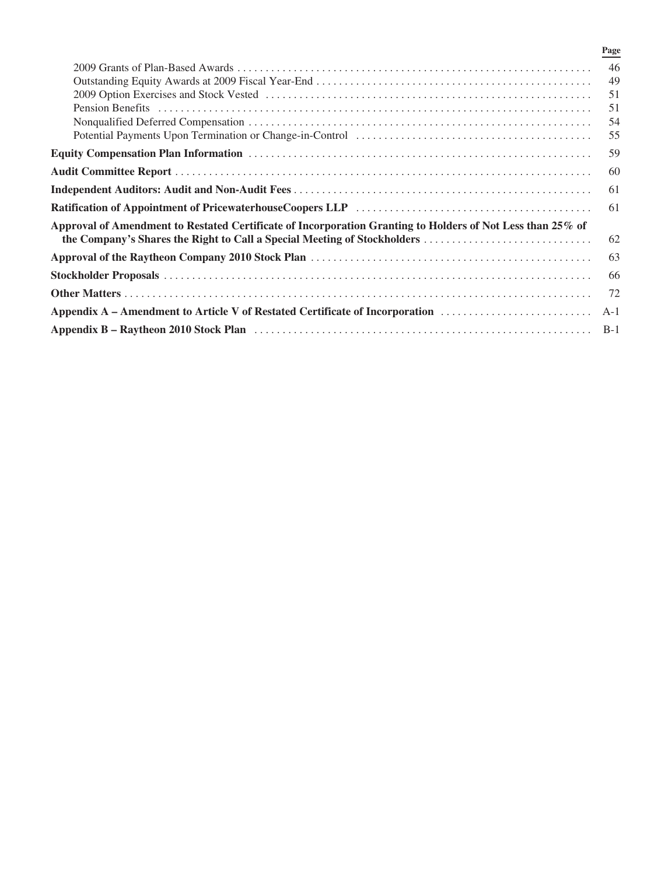|                                                                                                            | Page  |
|------------------------------------------------------------------------------------------------------------|-------|
|                                                                                                            | 46    |
|                                                                                                            | 49    |
|                                                                                                            | 51    |
|                                                                                                            | 51    |
|                                                                                                            | 54    |
|                                                                                                            | 55    |
|                                                                                                            | 59    |
|                                                                                                            | 60    |
|                                                                                                            | -61   |
|                                                                                                            | 61    |
| Approval of Amendment to Restated Certificate of Incorporation Granting to Holders of Not Less than 25% of |       |
|                                                                                                            | 62    |
|                                                                                                            | 63    |
|                                                                                                            | 66    |
|                                                                                                            | 72    |
| Appendix A – Amendment to Article V of Restated Certificate of Incorporation                               | $A-1$ |
| Appendix B – Raytheon 2010 Stock Plan (and the contract of the contract of the contract of the B-1         |       |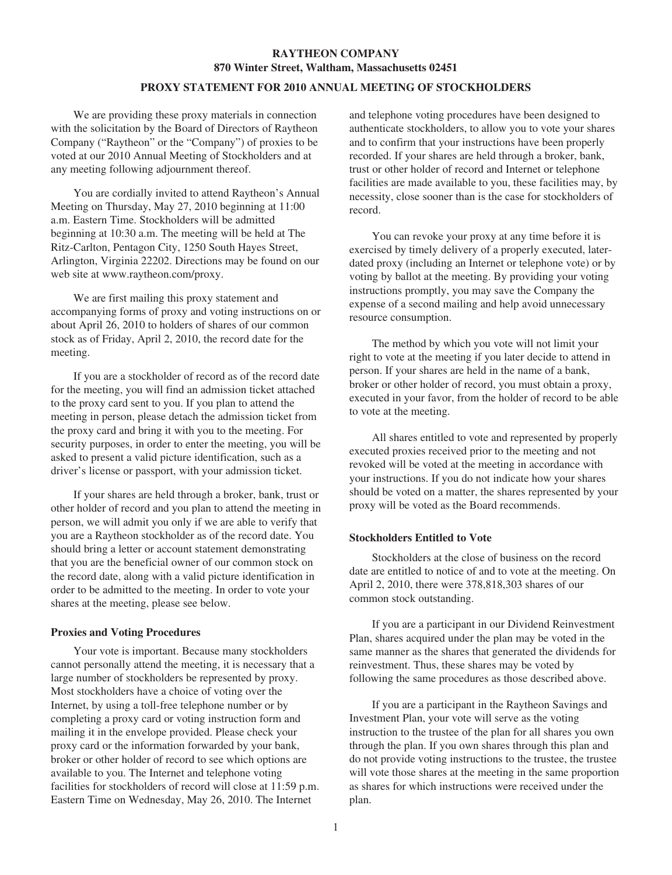# **RAYTHEON COMPANY 870 Winter Street, Waltham, Massachusetts 02451**

## **PROXY STATEMENT FOR 2010 ANNUAL MEETING OF STOCKHOLDERS**

We are providing these proxy materials in connection with the solicitation by the Board of Directors of Raytheon Company ("Raytheon" or the "Company") of proxies to be voted at our 2010 Annual Meeting of Stockholders and at any meeting following adjournment thereof.

You are cordially invited to attend Raytheon's Annual Meeting on Thursday, May 27, 2010 beginning at 11:00 a.m. Eastern Time. Stockholders will be admitted beginning at 10:30 a.m. The meeting will be held at The Ritz-Carlton, Pentagon City, 1250 South Hayes Street, Arlington, Virginia 22202. Directions may be found on our web site at www.raytheon.com/proxy.

We are first mailing this proxy statement and accompanying forms of proxy and voting instructions on or about April 26, 2010 to holders of shares of our common stock as of Friday, April 2, 2010, the record date for the meeting.

If you are a stockholder of record as of the record date for the meeting, you will find an admission ticket attached to the proxy card sent to you. If you plan to attend the meeting in person, please detach the admission ticket from the proxy card and bring it with you to the meeting. For security purposes, in order to enter the meeting, you will be asked to present a valid picture identification, such as a driver's license or passport, with your admission ticket.

If your shares are held through a broker, bank, trust or other holder of record and you plan to attend the meeting in person, we will admit you only if we are able to verify that you are a Raytheon stockholder as of the record date. You should bring a letter or account statement demonstrating that you are the beneficial owner of our common stock on the record date, along with a valid picture identification in order to be admitted to the meeting. In order to vote your shares at the meeting, please see below.

#### **Proxies and Voting Procedures**

Your vote is important. Because many stockholders cannot personally attend the meeting, it is necessary that a large number of stockholders be represented by proxy. Most stockholders have a choice of voting over the Internet, by using a toll-free telephone number or by completing a proxy card or voting instruction form and mailing it in the envelope provided. Please check your proxy card or the information forwarded by your bank, broker or other holder of record to see which options are available to you. The Internet and telephone voting facilities for stockholders of record will close at 11:59 p.m. Eastern Time on Wednesday, May 26, 2010. The Internet

and telephone voting procedures have been designed to authenticate stockholders, to allow you to vote your shares and to confirm that your instructions have been properly recorded. If your shares are held through a broker, bank, trust or other holder of record and Internet or telephone facilities are made available to you, these facilities may, by necessity, close sooner than is the case for stockholders of record.

You can revoke your proxy at any time before it is exercised by timely delivery of a properly executed, laterdated proxy (including an Internet or telephone vote) or by voting by ballot at the meeting. By providing your voting instructions promptly, you may save the Company the expense of a second mailing and help avoid unnecessary resource consumption.

The method by which you vote will not limit your right to vote at the meeting if you later decide to attend in person. If your shares are held in the name of a bank, broker or other holder of record, you must obtain a proxy, executed in your favor, from the holder of record to be able to vote at the meeting.

All shares entitled to vote and represented by properly executed proxies received prior to the meeting and not revoked will be voted at the meeting in accordance with your instructions. If you do not indicate how your shares should be voted on a matter, the shares represented by your proxy will be voted as the Board recommends.

## **Stockholders Entitled to Vote**

Stockholders at the close of business on the record date are entitled to notice of and to vote at the meeting. On April 2, 2010, there were 378,818,303 shares of our common stock outstanding.

If you are a participant in our Dividend Reinvestment Plan, shares acquired under the plan may be voted in the same manner as the shares that generated the dividends for reinvestment. Thus, these shares may be voted by following the same procedures as those described above.

If you are a participant in the Raytheon Savings and Investment Plan, your vote will serve as the voting instruction to the trustee of the plan for all shares you own through the plan. If you own shares through this plan and do not provide voting instructions to the trustee, the trustee will vote those shares at the meeting in the same proportion as shares for which instructions were received under the plan.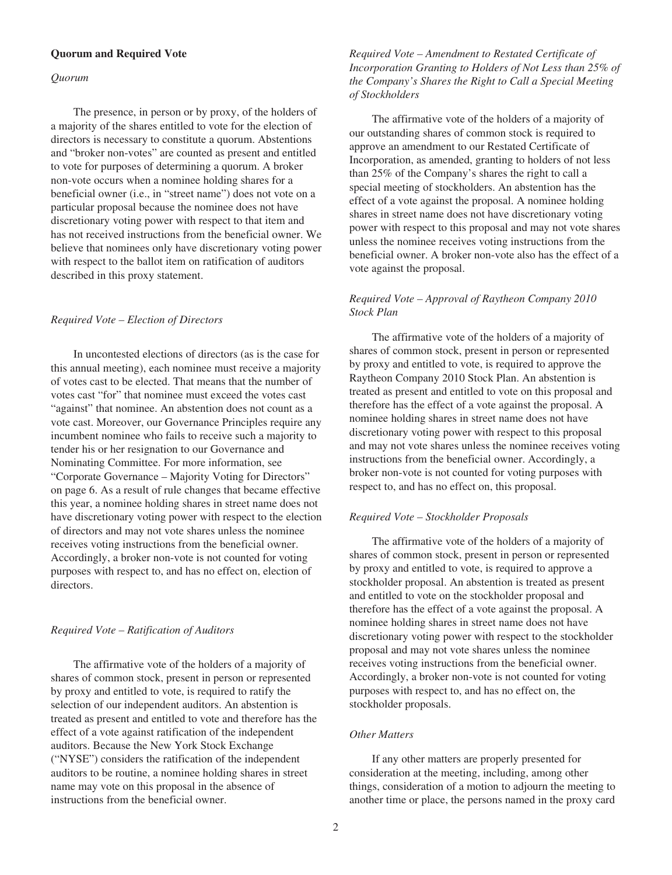## **Quorum and Required Vote**

#### *Quorum*

The presence, in person or by proxy, of the holders of a majority of the shares entitled to vote for the election of directors is necessary to constitute a quorum. Abstentions and "broker non-votes" are counted as present and entitled to vote for purposes of determining a quorum. A broker non-vote occurs when a nominee holding shares for a beneficial owner (i.e., in "street name") does not vote on a particular proposal because the nominee does not have discretionary voting power with respect to that item and has not received instructions from the beneficial owner. We believe that nominees only have discretionary voting power with respect to the ballot item on ratification of auditors described in this proxy statement.

#### *Required Vote – Election of Directors*

In uncontested elections of directors (as is the case for this annual meeting), each nominee must receive a majority of votes cast to be elected. That means that the number of votes cast "for" that nominee must exceed the votes cast "against" that nominee. An abstention does not count as a vote cast. Moreover, our Governance Principles require any incumbent nominee who fails to receive such a majority to tender his or her resignation to our Governance and Nominating Committee. For more information, see "Corporate Governance – Majority Voting for Directors" on page 6. As a result of rule changes that became effective this year, a nominee holding shares in street name does not have discretionary voting power with respect to the election of directors and may not vote shares unless the nominee receives voting instructions from the beneficial owner. Accordingly, a broker non-vote is not counted for voting purposes with respect to, and has no effect on, election of directors.

## *Required Vote – Ratification of Auditors*

The affirmative vote of the holders of a majority of shares of common stock, present in person or represented by proxy and entitled to vote, is required to ratify the selection of our independent auditors. An abstention is treated as present and entitled to vote and therefore has the effect of a vote against ratification of the independent auditors. Because the New York Stock Exchange ("NYSE") considers the ratification of the independent auditors to be routine, a nominee holding shares in street name may vote on this proposal in the absence of instructions from the beneficial owner.

*Required Vote – Amendment to Restated Certificate of Incorporation Granting to Holders of Not Less than 25% of the Company's Shares the Right to Call a Special Meeting of Stockholders*

The affirmative vote of the holders of a majority of our outstanding shares of common stock is required to approve an amendment to our Restated Certificate of Incorporation, as amended, granting to holders of not less than 25% of the Company's shares the right to call a special meeting of stockholders. An abstention has the effect of a vote against the proposal. A nominee holding shares in street name does not have discretionary voting power with respect to this proposal and may not vote shares unless the nominee receives voting instructions from the beneficial owner. A broker non-vote also has the effect of a vote against the proposal.

## *Required Vote – Approval of Raytheon Company 2010 Stock Plan*

The affirmative vote of the holders of a majority of shares of common stock, present in person or represented by proxy and entitled to vote, is required to approve the Raytheon Company 2010 Stock Plan. An abstention is treated as present and entitled to vote on this proposal and therefore has the effect of a vote against the proposal. A nominee holding shares in street name does not have discretionary voting power with respect to this proposal and may not vote shares unless the nominee receives voting instructions from the beneficial owner. Accordingly, a broker non-vote is not counted for voting purposes with respect to, and has no effect on, this proposal.

#### *Required Vote – Stockholder Proposals*

The affirmative vote of the holders of a majority of shares of common stock, present in person or represented by proxy and entitled to vote, is required to approve a stockholder proposal. An abstention is treated as present and entitled to vote on the stockholder proposal and therefore has the effect of a vote against the proposal. A nominee holding shares in street name does not have discretionary voting power with respect to the stockholder proposal and may not vote shares unless the nominee receives voting instructions from the beneficial owner. Accordingly, a broker non-vote is not counted for voting purposes with respect to, and has no effect on, the stockholder proposals.

#### *Other Matters*

If any other matters are properly presented for consideration at the meeting, including, among other things, consideration of a motion to adjourn the meeting to another time or place, the persons named in the proxy card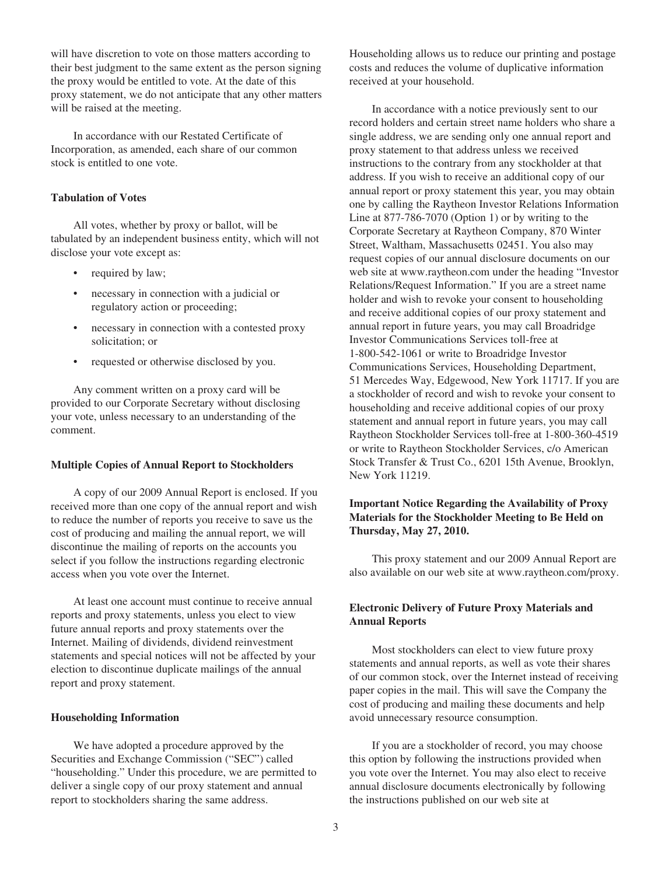will have discretion to vote on those matters according to their best judgment to the same extent as the person signing the proxy would be entitled to vote. At the date of this proxy statement, we do not anticipate that any other matters will be raised at the meeting.

In accordance with our Restated Certificate of Incorporation, as amended, each share of our common stock is entitled to one vote.

#### **Tabulation of Votes**

All votes, whether by proxy or ballot, will be tabulated by an independent business entity, which will not disclose your vote except as:

- required by law;
- necessary in connection with a judicial or regulatory action or proceeding;
- necessary in connection with a contested proxy solicitation; or
- requested or otherwise disclosed by you.

Any comment written on a proxy card will be provided to our Corporate Secretary without disclosing your vote, unless necessary to an understanding of the comment.

#### **Multiple Copies of Annual Report to Stockholders**

A copy of our 2009 Annual Report is enclosed. If you received more than one copy of the annual report and wish to reduce the number of reports you receive to save us the cost of producing and mailing the annual report, we will discontinue the mailing of reports on the accounts you select if you follow the instructions regarding electronic access when you vote over the Internet.

At least one account must continue to receive annual reports and proxy statements, unless you elect to view future annual reports and proxy statements over the Internet. Mailing of dividends, dividend reinvestment statements and special notices will not be affected by your election to discontinue duplicate mailings of the annual report and proxy statement.

#### **Householding Information**

We have adopted a procedure approved by the Securities and Exchange Commission ("SEC") called "householding." Under this procedure, we are permitted to deliver a single copy of our proxy statement and annual report to stockholders sharing the same address.

Householding allows us to reduce our printing and postage costs and reduces the volume of duplicative information received at your household.

In accordance with a notice previously sent to our record holders and certain street name holders who share a single address, we are sending only one annual report and proxy statement to that address unless we received instructions to the contrary from any stockholder at that address. If you wish to receive an additional copy of our annual report or proxy statement this year, you may obtain one by calling the Raytheon Investor Relations Information Line at 877-786-7070 (Option 1) or by writing to the Corporate Secretary at Raytheon Company, 870 Winter Street, Waltham, Massachusetts 02451. You also may request copies of our annual disclosure documents on our web site at www.raytheon.com under the heading "Investor Relations/Request Information." If you are a street name holder and wish to revoke your consent to householding and receive additional copies of our proxy statement and annual report in future years, you may call Broadridge Investor Communications Services toll-free at 1-800-542-1061 or write to Broadridge Investor Communications Services, Householding Department, 51 Mercedes Way, Edgewood, New York 11717. If you are a stockholder of record and wish to revoke your consent to householding and receive additional copies of our proxy statement and annual report in future years, you may call Raytheon Stockholder Services toll-free at 1-800-360-4519 or write to Raytheon Stockholder Services, c/o American Stock Transfer & Trust Co., 6201 15th Avenue, Brooklyn, New York 11219.

## **Important Notice Regarding the Availability of Proxy Materials for the Stockholder Meeting to Be Held on Thursday, May 27, 2010.**

This proxy statement and our 2009 Annual Report are also available on our web site at www.raytheon.com/proxy.

## **Electronic Delivery of Future Proxy Materials and Annual Reports**

Most stockholders can elect to view future proxy statements and annual reports, as well as vote their shares of our common stock, over the Internet instead of receiving paper copies in the mail. This will save the Company the cost of producing and mailing these documents and help avoid unnecessary resource consumption.

If you are a stockholder of record, you may choose this option by following the instructions provided when you vote over the Internet. You may also elect to receive annual disclosure documents electronically by following the instructions published on our web site at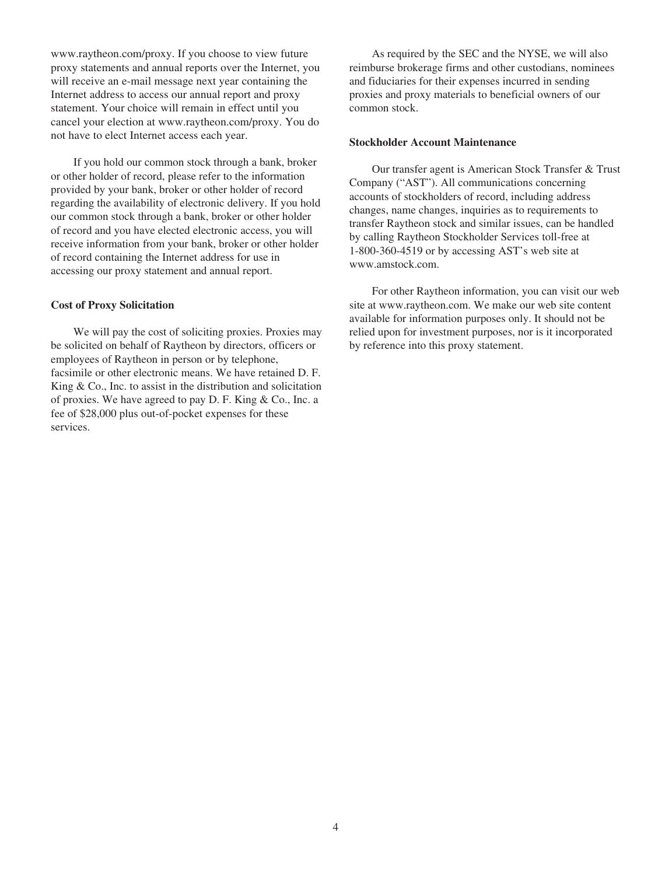www.raytheon.com/proxy. If you choose to view future proxy statements and annual reports over the Internet, you will receive an e-mail message next year containing the Internet address to access our annual report and proxy statement. Your choice will remain in effect until you cancel your election at www.raytheon.com/proxy. You do not have to elect Internet access each year.

If you hold our common stock through a bank, broker or other holder of record, please refer to the information provided by your bank, broker or other holder of record regarding the availability of electronic delivery. If you hold our common stock through a bank, broker or other holder of record and you have elected electronic access, you will receive information from your bank, broker or other holder of record containing the Internet address for use in accessing our proxy statement and annual report.

#### **Cost of Proxy Solicitation**

We will pay the cost of soliciting proxies. Proxies may be solicited on behalf of Raytheon by directors, officers or employees of Raytheon in person or by telephone, facsimile or other electronic means. We have retained D. F. King & Co., Inc. to assist in the distribution and solicitation of proxies. We have agreed to pay D. F. King & Co., Inc. a fee of \$28,000 plus out-of-pocket expenses for these services.

As required by the SEC and the NYSE, we will also reimburse brokerage firms and other custodians, nominees and fiduciaries for their expenses incurred in sending proxies and proxy materials to beneficial owners of our common stock.

#### **Stockholder Account Maintenance**

Our transfer agent is American Stock Transfer & Trust Company ("AST"). All communications concerning accounts of stockholders of record, including address changes, name changes, inquiries as to requirements to transfer Raytheon stock and similar issues, can be handled by calling Raytheon Stockholder Services toll-free at 1-800-360-4519 or by accessing AST's web site at www.amstock.com.

For other Raytheon information, you can visit our web site at www.raytheon.com. We make our web site content available for information purposes only. It should not be relied upon for investment purposes, nor is it incorporated by reference into this proxy statement.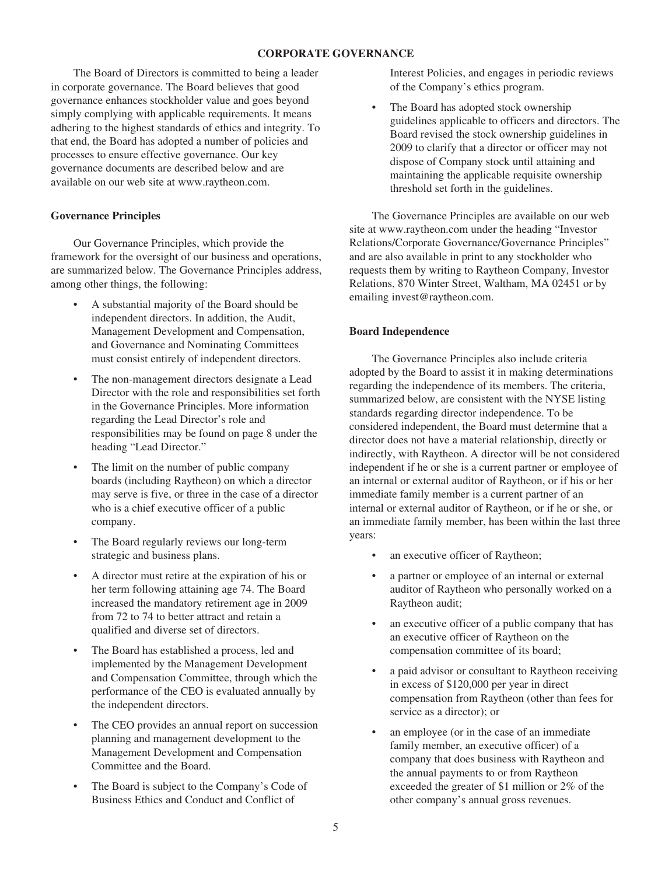## **CORPORATE GOVERNANCE**

The Board of Directors is committed to being a leader in corporate governance. The Board believes that good governance enhances stockholder value and goes beyond simply complying with applicable requirements. It means adhering to the highest standards of ethics and integrity. To that end, the Board has adopted a number of policies and processes to ensure effective governance. Our key governance documents are described below and are available on our web site at www.raytheon.com.

## **Governance Principles**

Our Governance Principles, which provide the framework for the oversight of our business and operations, are summarized below. The Governance Principles address, among other things, the following:

- A substantial majority of the Board should be independent directors. In addition, the Audit, Management Development and Compensation, and Governance and Nominating Committees must consist entirely of independent directors.
- The non-management directors designate a Lead Director with the role and responsibilities set forth in the Governance Principles. More information regarding the Lead Director's role and responsibilities may be found on page 8 under the heading "Lead Director."
- The limit on the number of public company boards (including Raytheon) on which a director may serve is five, or three in the case of a director who is a chief executive officer of a public company.
- The Board regularly reviews our long-term strategic and business plans.
- A director must retire at the expiration of his or her term following attaining age 74. The Board increased the mandatory retirement age in 2009 from 72 to 74 to better attract and retain a qualified and diverse set of directors.
- The Board has established a process, led and implemented by the Management Development and Compensation Committee, through which the performance of the CEO is evaluated annually by the independent directors.
- The CEO provides an annual report on succession planning and management development to the Management Development and Compensation Committee and the Board.
- The Board is subject to the Company's Code of Business Ethics and Conduct and Conflict of

Interest Policies, and engages in periodic reviews of the Company's ethics program.

The Board has adopted stock ownership guidelines applicable to officers and directors. The Board revised the stock ownership guidelines in 2009 to clarify that a director or officer may not dispose of Company stock until attaining and maintaining the applicable requisite ownership threshold set forth in the guidelines.

The Governance Principles are available on our web site at www.raytheon.com under the heading "Investor Relations/Corporate Governance/Governance Principles" and are also available in print to any stockholder who requests them by writing to Raytheon Company, Investor Relations, 870 Winter Street, Waltham, MA 02451 or by emailing invest@raytheon.com.

## **Board Independence**

The Governance Principles also include criteria adopted by the Board to assist it in making determinations regarding the independence of its members. The criteria, summarized below, are consistent with the NYSE listing standards regarding director independence. To be considered independent, the Board must determine that a director does not have a material relationship, directly or indirectly, with Raytheon. A director will be not considered independent if he or she is a current partner or employee of an internal or external auditor of Raytheon, or if his or her immediate family member is a current partner of an internal or external auditor of Raytheon, or if he or she, or an immediate family member, has been within the last three years:

- an executive officer of Raytheon;
- a partner or employee of an internal or external auditor of Raytheon who personally worked on a Raytheon audit;
- an executive officer of a public company that has an executive officer of Raytheon on the compensation committee of its board;
- a paid advisor or consultant to Raytheon receiving in excess of \$120,000 per year in direct compensation from Raytheon (other than fees for service as a director); or
- an employee (or in the case of an immediate family member, an executive officer) of a company that does business with Raytheon and the annual payments to or from Raytheon exceeded the greater of \$1 million or 2% of the other company's annual gross revenues.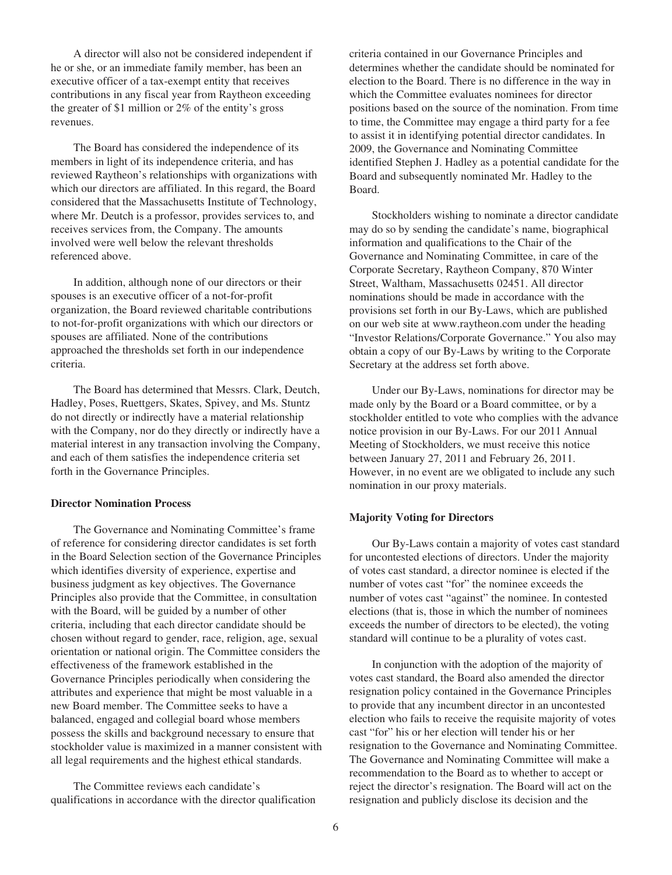A director will also not be considered independent if he or she, or an immediate family member, has been an executive officer of a tax-exempt entity that receives contributions in any fiscal year from Raytheon exceeding the greater of \$1 million or 2% of the entity's gross revenues.

The Board has considered the independence of its members in light of its independence criteria, and has reviewed Raytheon's relationships with organizations with which our directors are affiliated. In this regard, the Board considered that the Massachusetts Institute of Technology, where Mr. Deutch is a professor, provides services to, and receives services from, the Company. The amounts involved were well below the relevant thresholds referenced above.

In addition, although none of our directors or their spouses is an executive officer of a not-for-profit organization, the Board reviewed charitable contributions to not-for-profit organizations with which our directors or spouses are affiliated. None of the contributions approached the thresholds set forth in our independence criteria.

The Board has determined that Messrs. Clark, Deutch, Hadley, Poses, Ruettgers, Skates, Spivey, and Ms. Stuntz do not directly or indirectly have a material relationship with the Company, nor do they directly or indirectly have a material interest in any transaction involving the Company, and each of them satisfies the independence criteria set forth in the Governance Principles.

## **Director Nomination Process**

The Governance and Nominating Committee's frame of reference for considering director candidates is set forth in the Board Selection section of the Governance Principles which identifies diversity of experience, expertise and business judgment as key objectives. The Governance Principles also provide that the Committee, in consultation with the Board, will be guided by a number of other criteria, including that each director candidate should be chosen without regard to gender, race, religion, age, sexual orientation or national origin. The Committee considers the effectiveness of the framework established in the Governance Principles periodically when considering the attributes and experience that might be most valuable in a new Board member. The Committee seeks to have a balanced, engaged and collegial board whose members possess the skills and background necessary to ensure that stockholder value is maximized in a manner consistent with all legal requirements and the highest ethical standards.

The Committee reviews each candidate's qualifications in accordance with the director qualification criteria contained in our Governance Principles and determines whether the candidate should be nominated for election to the Board. There is no difference in the way in which the Committee evaluates nominees for director positions based on the source of the nomination. From time to time, the Committee may engage a third party for a fee to assist it in identifying potential director candidates. In 2009, the Governance and Nominating Committee identified Stephen J. Hadley as a potential candidate for the Board and subsequently nominated Mr. Hadley to the Board.

Stockholders wishing to nominate a director candidate may do so by sending the candidate's name, biographical information and qualifications to the Chair of the Governance and Nominating Committee, in care of the Corporate Secretary, Raytheon Company, 870 Winter Street, Waltham, Massachusetts 02451. All director nominations should be made in accordance with the provisions set forth in our By-Laws, which are published on our web site at www.raytheon.com under the heading "Investor Relations/Corporate Governance." You also may obtain a copy of our By-Laws by writing to the Corporate Secretary at the address set forth above.

Under our By-Laws, nominations for director may be made only by the Board or a Board committee, or by a stockholder entitled to vote who complies with the advance notice provision in our By-Laws. For our 2011 Annual Meeting of Stockholders, we must receive this notice between January 27, 2011 and February 26, 2011. However, in no event are we obligated to include any such nomination in our proxy materials.

#### **Majority Voting for Directors**

Our By-Laws contain a majority of votes cast standard for uncontested elections of directors. Under the majority of votes cast standard, a director nominee is elected if the number of votes cast "for" the nominee exceeds the number of votes cast "against" the nominee. In contested elections (that is, those in which the number of nominees exceeds the number of directors to be elected), the voting standard will continue to be a plurality of votes cast.

In conjunction with the adoption of the majority of votes cast standard, the Board also amended the director resignation policy contained in the Governance Principles to provide that any incumbent director in an uncontested election who fails to receive the requisite majority of votes cast "for" his or her election will tender his or her resignation to the Governance and Nominating Committee. The Governance and Nominating Committee will make a recommendation to the Board as to whether to accept or reject the director's resignation. The Board will act on the resignation and publicly disclose its decision and the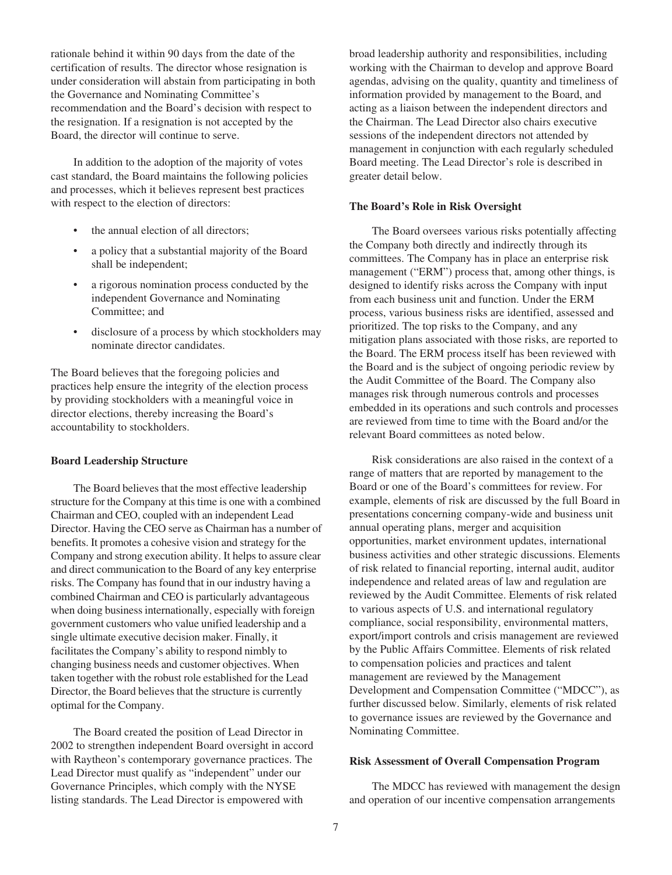rationale behind it within 90 days from the date of the certification of results. The director whose resignation is under consideration will abstain from participating in both the Governance and Nominating Committee's recommendation and the Board's decision with respect to the resignation. If a resignation is not accepted by the Board, the director will continue to serve.

In addition to the adoption of the majority of votes cast standard, the Board maintains the following policies and processes, which it believes represent best practices with respect to the election of directors:

- the annual election of all directors:
- a policy that a substantial majority of the Board shall be independent;
- a rigorous nomination process conducted by the independent Governance and Nominating Committee; and
- disclosure of a process by which stockholders may nominate director candidates.

The Board believes that the foregoing policies and practices help ensure the integrity of the election process by providing stockholders with a meaningful voice in director elections, thereby increasing the Board's accountability to stockholders.

#### **Board Leadership Structure**

The Board believes that the most effective leadership structure for the Company at this time is one with a combined Chairman and CEO, coupled with an independent Lead Director. Having the CEO serve as Chairman has a number of benefits. It promotes a cohesive vision and strategy for the Company and strong execution ability. It helps to assure clear and direct communication to the Board of any key enterprise risks. The Company has found that in our industry having a combined Chairman and CEO is particularly advantageous when doing business internationally, especially with foreign government customers who value unified leadership and a single ultimate executive decision maker. Finally, it facilitates the Company's ability to respond nimbly to changing business needs and customer objectives. When taken together with the robust role established for the Lead Director, the Board believes that the structure is currently optimal for the Company.

The Board created the position of Lead Director in 2002 to strengthen independent Board oversight in accord with Raytheon's contemporary governance practices. The Lead Director must qualify as "independent" under our Governance Principles, which comply with the NYSE listing standards. The Lead Director is empowered with

broad leadership authority and responsibilities, including working with the Chairman to develop and approve Board agendas, advising on the quality, quantity and timeliness of information provided by management to the Board, and acting as a liaison between the independent directors and the Chairman. The Lead Director also chairs executive sessions of the independent directors not attended by management in conjunction with each regularly scheduled Board meeting. The Lead Director's role is described in greater detail below.

#### **The Board's Role in Risk Oversight**

The Board oversees various risks potentially affecting the Company both directly and indirectly through its committees. The Company has in place an enterprise risk management ("ERM") process that, among other things, is designed to identify risks across the Company with input from each business unit and function. Under the ERM process, various business risks are identified, assessed and prioritized. The top risks to the Company, and any mitigation plans associated with those risks, are reported to the Board. The ERM process itself has been reviewed with the Board and is the subject of ongoing periodic review by the Audit Committee of the Board. The Company also manages risk through numerous controls and processes embedded in its operations and such controls and processes are reviewed from time to time with the Board and/or the relevant Board committees as noted below.

Risk considerations are also raised in the context of a range of matters that are reported by management to the Board or one of the Board's committees for review. For example, elements of risk are discussed by the full Board in presentations concerning company-wide and business unit annual operating plans, merger and acquisition opportunities, market environment updates, international business activities and other strategic discussions. Elements of risk related to financial reporting, internal audit, auditor independence and related areas of law and regulation are reviewed by the Audit Committee. Elements of risk related to various aspects of U.S. and international regulatory compliance, social responsibility, environmental matters, export/import controls and crisis management are reviewed by the Public Affairs Committee. Elements of risk related to compensation policies and practices and talent management are reviewed by the Management Development and Compensation Committee ("MDCC"), as further discussed below. Similarly, elements of risk related to governance issues are reviewed by the Governance and Nominating Committee.

#### **Risk Assessment of Overall Compensation Program**

The MDCC has reviewed with management the design and operation of our incentive compensation arrangements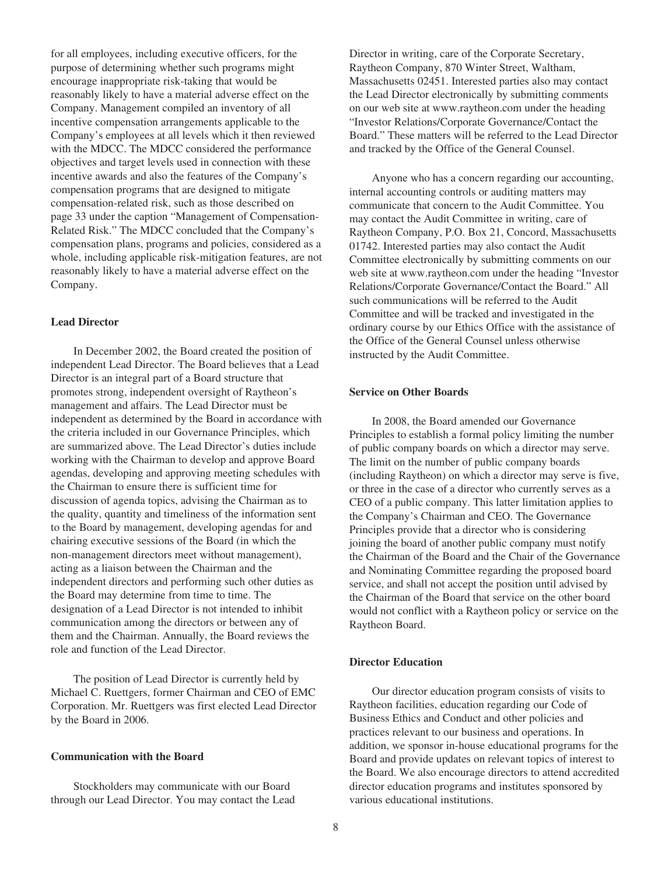for all employees, including executive officers, for the purpose of determining whether such programs might encourage inappropriate risk-taking that would be reasonably likely to have a material adverse effect on the Company. Management compiled an inventory of all incentive compensation arrangements applicable to the Company's employees at all levels which it then reviewed with the MDCC. The MDCC considered the performance objectives and target levels used in connection with these incentive awards and also the features of the Company's compensation programs that are designed to mitigate compensation-related risk, such as those described on page 33 under the caption "Management of Compensation-Related Risk." The MDCC concluded that the Company's compensation plans, programs and policies, considered as a whole, including applicable risk-mitigation features, are not reasonably likely to have a material adverse effect on the Company.

#### **Lead Director**

In December 2002, the Board created the position of independent Lead Director. The Board believes that a Lead Director is an integral part of a Board structure that promotes strong, independent oversight of Raytheon's management and affairs. The Lead Director must be independent as determined by the Board in accordance with the criteria included in our Governance Principles, which are summarized above. The Lead Director's duties include working with the Chairman to develop and approve Board agendas, developing and approving meeting schedules with the Chairman to ensure there is sufficient time for discussion of agenda topics, advising the Chairman as to the quality, quantity and timeliness of the information sent to the Board by management, developing agendas for and chairing executive sessions of the Board (in which the non-management directors meet without management), acting as a liaison between the Chairman and the independent directors and performing such other duties as the Board may determine from time to time. The designation of a Lead Director is not intended to inhibit communication among the directors or between any of them and the Chairman. Annually, the Board reviews the role and function of the Lead Director.

The position of Lead Director is currently held by Michael C. Ruettgers, former Chairman and CEO of EMC Corporation. Mr. Ruettgers was first elected Lead Director by the Board in 2006.

## **Communication with the Board**

Stockholders may communicate with our Board through our Lead Director. You may contact the Lead Director in writing, care of the Corporate Secretary, Raytheon Company, 870 Winter Street, Waltham, Massachusetts 02451. Interested parties also may contact the Lead Director electronically by submitting comments on our web site at www.raytheon.com under the heading "Investor Relations/Corporate Governance/Contact the Board." These matters will be referred to the Lead Director and tracked by the Office of the General Counsel.

Anyone who has a concern regarding our accounting, internal accounting controls or auditing matters may communicate that concern to the Audit Committee. You may contact the Audit Committee in writing, care of Raytheon Company, P.O. Box 21, Concord, Massachusetts 01742. Interested parties may also contact the Audit Committee electronically by submitting comments on our web site at www.raytheon.com under the heading "Investor Relations/Corporate Governance/Contact the Board." All such communications will be referred to the Audit Committee and will be tracked and investigated in the ordinary course by our Ethics Office with the assistance of the Office of the General Counsel unless otherwise instructed by the Audit Committee.

## **Service on Other Boards**

In 2008, the Board amended our Governance Principles to establish a formal policy limiting the number of public company boards on which a director may serve. The limit on the number of public company boards (including Raytheon) on which a director may serve is five, or three in the case of a director who currently serves as a CEO of a public company. This latter limitation applies to the Company's Chairman and CEO. The Governance Principles provide that a director who is considering joining the board of another public company must notify the Chairman of the Board and the Chair of the Governance and Nominating Committee regarding the proposed board service, and shall not accept the position until advised by the Chairman of the Board that service on the other board would not conflict with a Raytheon policy or service on the Raytheon Board.

#### **Director Education**

Our director education program consists of visits to Raytheon facilities, education regarding our Code of Business Ethics and Conduct and other policies and practices relevant to our business and operations. In addition, we sponsor in-house educational programs for the Board and provide updates on relevant topics of interest to the Board. We also encourage directors to attend accredited director education programs and institutes sponsored by various educational institutions.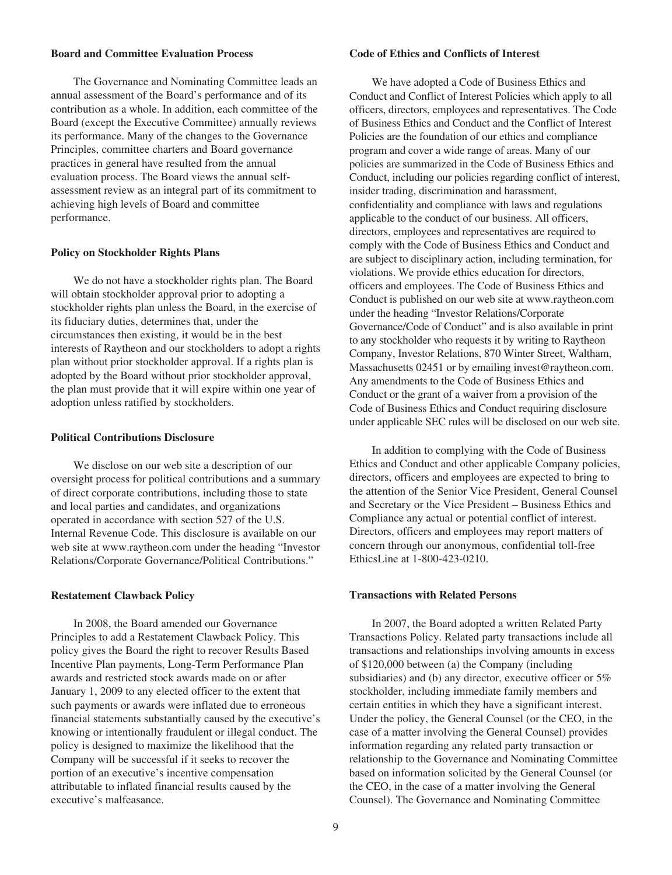## **Board and Committee Evaluation Process**

The Governance and Nominating Committee leads an annual assessment of the Board's performance and of its contribution as a whole. In addition, each committee of the Board (except the Executive Committee) annually reviews its performance. Many of the changes to the Governance Principles, committee charters and Board governance practices in general have resulted from the annual evaluation process. The Board views the annual selfassessment review as an integral part of its commitment to achieving high levels of Board and committee performance.

#### **Policy on Stockholder Rights Plans**

We do not have a stockholder rights plan. The Board will obtain stockholder approval prior to adopting a stockholder rights plan unless the Board, in the exercise of its fiduciary duties, determines that, under the circumstances then existing, it would be in the best interests of Raytheon and our stockholders to adopt a rights plan without prior stockholder approval. If a rights plan is adopted by the Board without prior stockholder approval, the plan must provide that it will expire within one year of adoption unless ratified by stockholders.

## **Political Contributions Disclosure**

We disclose on our web site a description of our oversight process for political contributions and a summary of direct corporate contributions, including those to state and local parties and candidates, and organizations operated in accordance with section 527 of the U.S. Internal Revenue Code. This disclosure is available on our web site at www.raytheon.com under the heading "Investor Relations/Corporate Governance/Political Contributions."

#### **Restatement Clawback Policy**

In 2008, the Board amended our Governance Principles to add a Restatement Clawback Policy. This policy gives the Board the right to recover Results Based Incentive Plan payments, Long-Term Performance Plan awards and restricted stock awards made on or after January 1, 2009 to any elected officer to the extent that such payments or awards were inflated due to erroneous financial statements substantially caused by the executive's knowing or intentionally fraudulent or illegal conduct. The policy is designed to maximize the likelihood that the Company will be successful if it seeks to recover the portion of an executive's incentive compensation attributable to inflated financial results caused by the executive's malfeasance.

## **Code of Ethics and Conflicts of Interest**

We have adopted a Code of Business Ethics and Conduct and Conflict of Interest Policies which apply to all officers, directors, employees and representatives. The Code of Business Ethics and Conduct and the Conflict of Interest Policies are the foundation of our ethics and compliance program and cover a wide range of areas. Many of our policies are summarized in the Code of Business Ethics and Conduct, including our policies regarding conflict of interest, insider trading, discrimination and harassment, confidentiality and compliance with laws and regulations applicable to the conduct of our business. All officers, directors, employees and representatives are required to comply with the Code of Business Ethics and Conduct and are subject to disciplinary action, including termination, for violations. We provide ethics education for directors, officers and employees. The Code of Business Ethics and Conduct is published on our web site at www.raytheon.com under the heading "Investor Relations/Corporate Governance/Code of Conduct" and is also available in print to any stockholder who requests it by writing to Raytheon Company, Investor Relations, 870 Winter Street, Waltham, Massachusetts 02451 or by emailing invest@raytheon.com. Any amendments to the Code of Business Ethics and Conduct or the grant of a waiver from a provision of the Code of Business Ethics and Conduct requiring disclosure under applicable SEC rules will be disclosed on our web site.

In addition to complying with the Code of Business Ethics and Conduct and other applicable Company policies, directors, officers and employees are expected to bring to the attention of the Senior Vice President, General Counsel and Secretary or the Vice President – Business Ethics and Compliance any actual or potential conflict of interest. Directors, officers and employees may report matters of concern through our anonymous, confidential toll-free EthicsLine at 1-800-423-0210.

#### **Transactions with Related Persons**

In 2007, the Board adopted a written Related Party Transactions Policy. Related party transactions include all transactions and relationships involving amounts in excess of \$120,000 between (a) the Company (including subsidiaries) and (b) any director, executive officer or  $5\%$ stockholder, including immediate family members and certain entities in which they have a significant interest. Under the policy, the General Counsel (or the CEO, in the case of a matter involving the General Counsel) provides information regarding any related party transaction or relationship to the Governance and Nominating Committee based on information solicited by the General Counsel (or the CEO, in the case of a matter involving the General Counsel). The Governance and Nominating Committee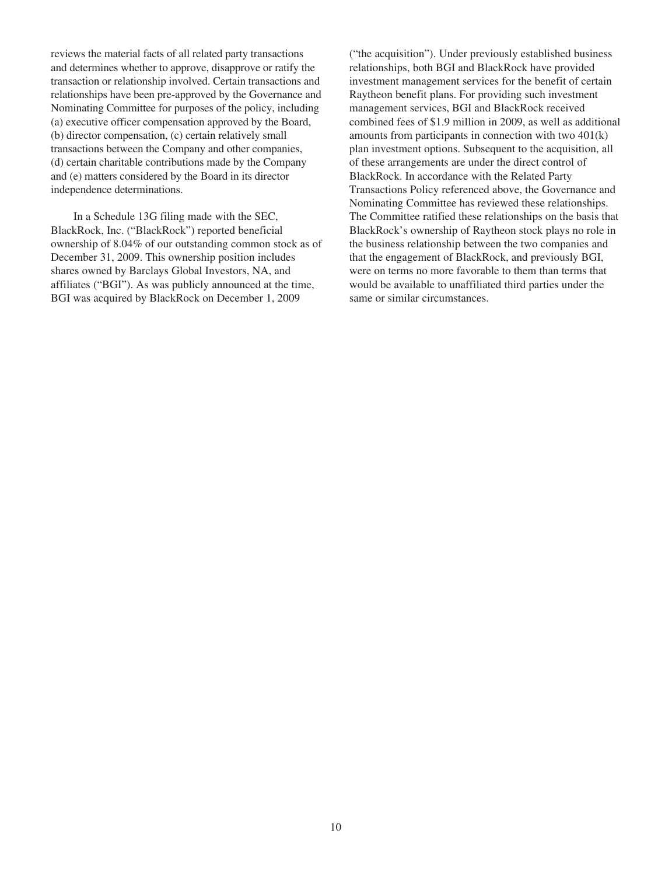reviews the material facts of all related party transactions and determines whether to approve, disapprove or ratify the transaction or relationship involved. Certain transactions and relationships have been pre-approved by the Governance and Nominating Committee for purposes of the policy, including (a) executive officer compensation approved by the Board, (b) director compensation, (c) certain relatively small transactions between the Company and other companies, (d) certain charitable contributions made by the Company and (e) matters considered by the Board in its director independence determinations.

In a Schedule 13G filing made with the SEC, BlackRock, Inc. ("BlackRock") reported beneficial ownership of 8.04% of our outstanding common stock as of December 31, 2009. This ownership position includes shares owned by Barclays Global Investors, NA, and affiliates ("BGI"). As was publicly announced at the time, BGI was acquired by BlackRock on December 1, 2009

("the acquisition"). Under previously established business relationships, both BGI and BlackRock have provided investment management services for the benefit of certain Raytheon benefit plans. For providing such investment management services, BGI and BlackRock received combined fees of \$1.9 million in 2009, as well as additional amounts from participants in connection with two 401(k) plan investment options. Subsequent to the acquisition, all of these arrangements are under the direct control of BlackRock. In accordance with the Related Party Transactions Policy referenced above, the Governance and Nominating Committee has reviewed these relationships. The Committee ratified these relationships on the basis that BlackRock's ownership of Raytheon stock plays no role in the business relationship between the two companies and that the engagement of BlackRock, and previously BGI, were on terms no more favorable to them than terms that would be available to unaffiliated third parties under the same or similar circumstances.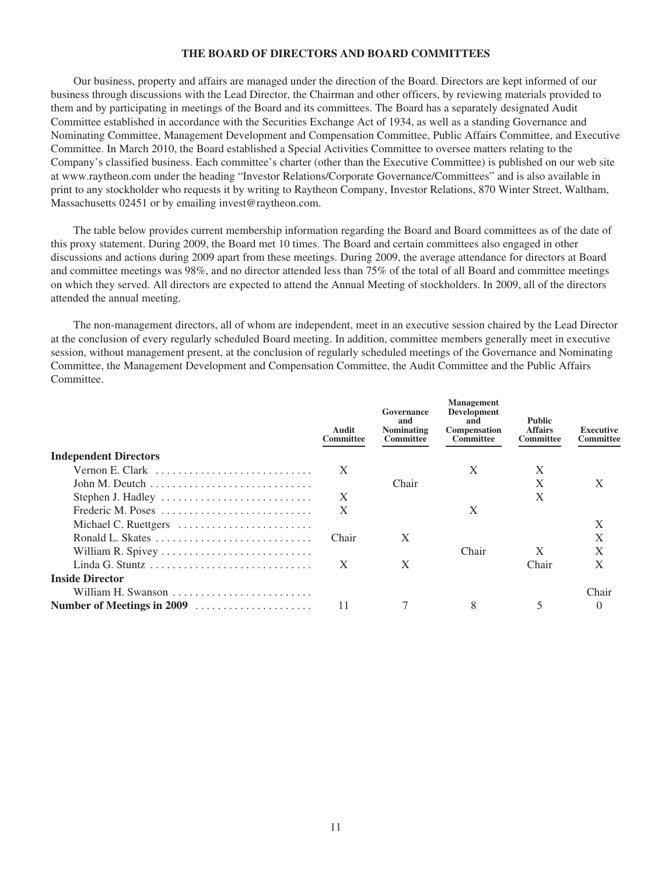## **THE BOARD OF DIRECTORS AND BOARD COMMITTEES**

Our business, property and affairs are managed under the direction of the Board. Directors are kept informed of our business through discussions with the Lead Director, the Chairman and other officers, by reviewing materials provided to them and by participating in meetings of the Board and its committees. The Board has a separately designated Audit Committee established in accordance with the Securities Exchange Act of 1934, as well as a standing Governance and Nominating Committee, Management Development and Compensation Committee, Public Affairs Committee, and Executive Committee. In March 2010, the Board established a Special Activities Committee to oversee matters relating to the Company's classified business. Each committee's charter (other than the Executive Committee) is published on our web site at www.raytheon.com under the heading "Investor Relations/Corporate Governance/Committees" and is also available in print to any stockholder who requests it by writing to Raytheon Company, Investor Relations, 870 Winter Street, Waltham, Massachusetts 02451 or by emailing invest@raytheon.com.

The table below provides current membership information regarding the Board and Board committees as of the date of this proxy statement. During 2009, the Board met 10 times. The Board and certain committees also engaged in other discussions and actions during 2009 apart from these meetings. During 2009, the average attendance for directors at Board and committee meetings was 98%, and no director attended less than 75% of the total of all Board and committee meetings on which they served. All directors are expected to attend the Annual Meeting of stockholders. In 2009, all of the directors attended the annual meeting.

The non-management directors, all of whom are independent, meet in an executive session chaired by the Lead Director at the conclusion of every regularly scheduled Board meeting. In addition, committee members generally meet in executive session, without management present, at the conclusion of regularly scheduled meetings of the Governance and Nominating Committee, the Management Development and Compensation Committee, the Audit Committee and the Public Affairs Committee.

|                                                                        | Audit<br>Committee | Governance<br>and<br><b>Nominating</b><br><b>Committee</b> | <b>Management</b><br><b>Development</b><br>and<br><b>Compensation</b><br><b>Committee</b> | <b>Public</b><br><b>Affairs</b><br><b>Committee</b> | Executive<br>Committee |
|------------------------------------------------------------------------|--------------------|------------------------------------------------------------|-------------------------------------------------------------------------------------------|-----------------------------------------------------|------------------------|
| <b>Independent Directors</b>                                           |                    |                                                            |                                                                                           |                                                     |                        |
| Vernon E. Clark                                                        | X                  |                                                            | X                                                                                         | X                                                   |                        |
| John M. Deutch $\dots \dots \dots \dots \dots \dots \dots \dots \dots$ |                    | Chair                                                      |                                                                                           | X                                                   | X                      |
|                                                                        | X                  |                                                            |                                                                                           | X                                                   |                        |
| Frederic M. Poses                                                      | X                  |                                                            | X                                                                                         |                                                     |                        |
| Michael C. Ruettgers                                                   |                    |                                                            |                                                                                           |                                                     | X                      |
|                                                                        | Chair              | X                                                          |                                                                                           |                                                     | X                      |
|                                                                        |                    |                                                            | Chair                                                                                     | X                                                   | $\mathbf{X}$           |
|                                                                        | X                  | X                                                          |                                                                                           | Chair                                               | X                      |
| <b>Inside Director</b>                                                 |                    |                                                            |                                                                                           |                                                     |                        |
| William H. Swanson                                                     |                    |                                                            |                                                                                           |                                                     | Chair                  |
| Number of Meetings in 2009                                             | 11                 |                                                            | 8                                                                                         |                                                     |                        |
|                                                                        |                    |                                                            |                                                                                           |                                                     |                        |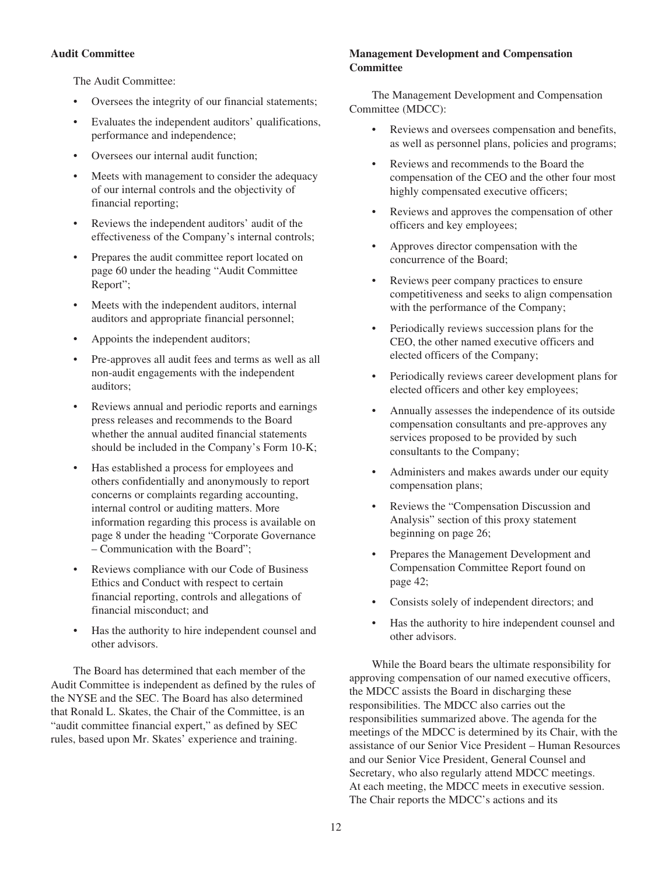## **Audit Committee**

The Audit Committee:

- Oversees the integrity of our financial statements;
- Evaluates the independent auditors' qualifications, performance and independence;
- Oversees our internal audit function;
- Meets with management to consider the adequacy of our internal controls and the objectivity of financial reporting;
- Reviews the independent auditors' audit of the effectiveness of the Company's internal controls;
- Prepares the audit committee report located on page 60 under the heading "Audit Committee Report";
- Meets with the independent auditors, internal auditors and appropriate financial personnel;
- Appoints the independent auditors;
- Pre-approves all audit fees and terms as well as all non-audit engagements with the independent auditors;
- Reviews annual and periodic reports and earnings press releases and recommends to the Board whether the annual audited financial statements should be included in the Company's Form 10-K;
- Has established a process for employees and others confidentially and anonymously to report concerns or complaints regarding accounting, internal control or auditing matters. More information regarding this process is available on page 8 under the heading "Corporate Governance – Communication with the Board";
- Reviews compliance with our Code of Business Ethics and Conduct with respect to certain financial reporting, controls and allegations of financial misconduct; and
- Has the authority to hire independent counsel and other advisors.

The Board has determined that each member of the Audit Committee is independent as defined by the rules of the NYSE and the SEC. The Board has also determined that Ronald L. Skates, the Chair of the Committee, is an "audit committee financial expert," as defined by SEC rules, based upon Mr. Skates' experience and training.

# **Management Development and Compensation Committee**

The Management Development and Compensation Committee (MDCC):

- Reviews and oversees compensation and benefits, as well as personnel plans, policies and programs;
- Reviews and recommends to the Board the compensation of the CEO and the other four most highly compensated executive officers;
- Reviews and approves the compensation of other officers and key employees;
- Approves director compensation with the concurrence of the Board;
- Reviews peer company practices to ensure competitiveness and seeks to align compensation with the performance of the Company;
- Periodically reviews succession plans for the CEO, the other named executive officers and elected officers of the Company;
- Periodically reviews career development plans for elected officers and other key employees;
- Annually assesses the independence of its outside compensation consultants and pre-approves any services proposed to be provided by such consultants to the Company;
- Administers and makes awards under our equity compensation plans;
- Reviews the "Compensation Discussion and Analysis" section of this proxy statement beginning on page 26;
- Prepares the Management Development and Compensation Committee Report found on page 42;
- Consists solely of independent directors; and
- Has the authority to hire independent counsel and other advisors.

While the Board bears the ultimate responsibility for approving compensation of our named executive officers, the MDCC assists the Board in discharging these responsibilities. The MDCC also carries out the responsibilities summarized above. The agenda for the meetings of the MDCC is determined by its Chair, with the assistance of our Senior Vice President – Human Resources and our Senior Vice President, General Counsel and Secretary, who also regularly attend MDCC meetings. At each meeting, the MDCC meets in executive session. The Chair reports the MDCC's actions and its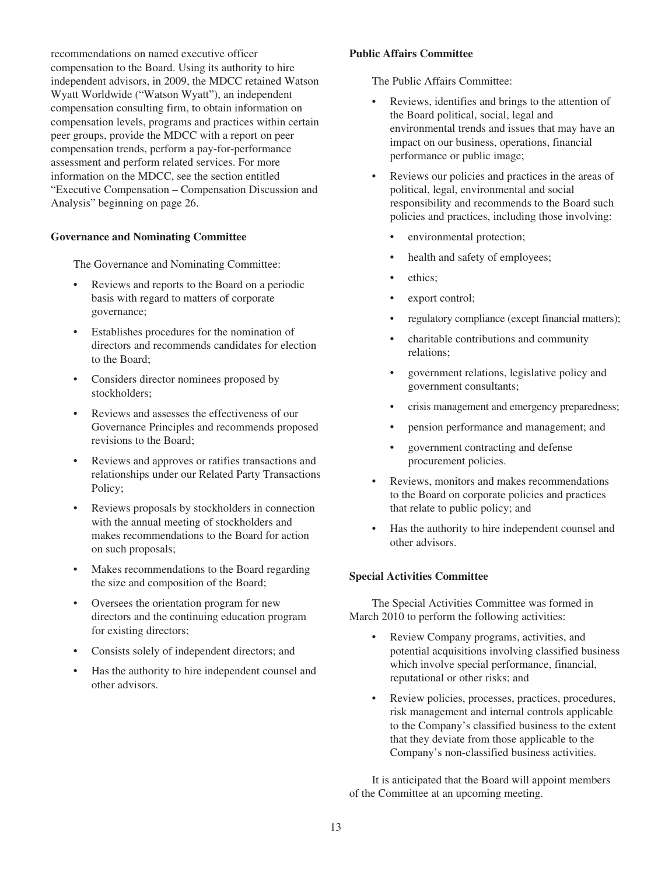recommendations on named executive officer compensation to the Board. Using its authority to hire independent advisors, in 2009, the MDCC retained Watson Wyatt Worldwide ("Watson Wyatt"), an independent compensation consulting firm, to obtain information on compensation levels, programs and practices within certain peer groups, provide the MDCC with a report on peer compensation trends, perform a pay-for-performance assessment and perform related services. For more information on the MDCC, see the section entitled "Executive Compensation – Compensation Discussion and Analysis" beginning on page 26.

## **Governance and Nominating Committee**

The Governance and Nominating Committee:

- Reviews and reports to the Board on a periodic basis with regard to matters of corporate governance;
- Establishes procedures for the nomination of directors and recommends candidates for election to the Board;
- Considers director nominees proposed by stockholders;
- Reviews and assesses the effectiveness of our Governance Principles and recommends proposed revisions to the Board;
- Reviews and approves or ratifies transactions and relationships under our Related Party Transactions Policy;
- Reviews proposals by stockholders in connection with the annual meeting of stockholders and makes recommendations to the Board for action on such proposals;
- Makes recommendations to the Board regarding the size and composition of the Board;
- Oversees the orientation program for new directors and the continuing education program for existing directors;
- Consists solely of independent directors; and
- Has the authority to hire independent counsel and other advisors.

## **Public Affairs Committee**

The Public Affairs Committee:

- Reviews, identifies and brings to the attention of the Board political, social, legal and environmental trends and issues that may have an impact on our business, operations, financial performance or public image;
- Reviews our policies and practices in the areas of political, legal, environmental and social responsibility and recommends to the Board such policies and practices, including those involving:
	- environmental protection;
	- health and safety of employees;
	- ethics:
	- export control;
	- regulatory compliance (except financial matters);
	- charitable contributions and community relations;
	- government relations, legislative policy and government consultants;
	- crisis management and emergency preparedness;
	- pension performance and management; and
	- government contracting and defense procurement policies.
- Reviews, monitors and makes recommendations to the Board on corporate policies and practices that relate to public policy; and
- Has the authority to hire independent counsel and other advisors.

#### **Special Activities Committee**

The Special Activities Committee was formed in March 2010 to perform the following activities:

- Review Company programs, activities, and potential acquisitions involving classified business which involve special performance, financial, reputational or other risks; and
- Review policies, processes, practices, procedures, risk management and internal controls applicable to the Company's classified business to the extent that they deviate from those applicable to the Company's non-classified business activities.

It is anticipated that the Board will appoint members of the Committee at an upcoming meeting.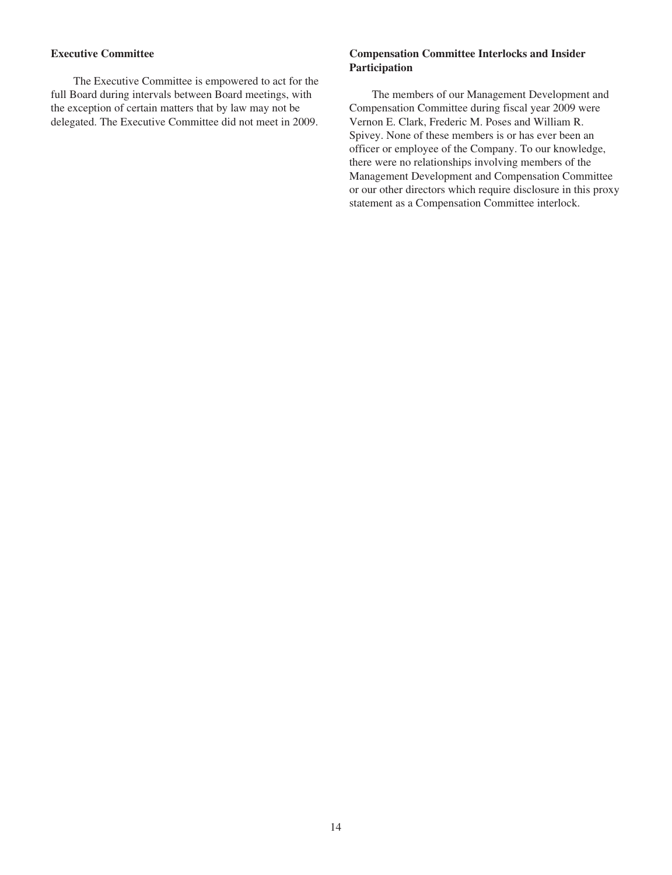# **Executive Committee**

The Executive Committee is empowered to act for the full Board during intervals between Board meetings, with the exception of certain matters that by law may not be delegated. The Executive Committee did not meet in 2009.

# **Compensation Committee Interlocks and Insider Participation**

The members of our Management Development and Compensation Committee during fiscal year 2009 were Vernon E. Clark, Frederic M. Poses and William R. Spivey. None of these members is or has ever been an officer or employee of the Company. To our knowledge, there were no relationships involving members of the Management Development and Compensation Committee or our other directors which require disclosure in this proxy statement as a Compensation Committee interlock.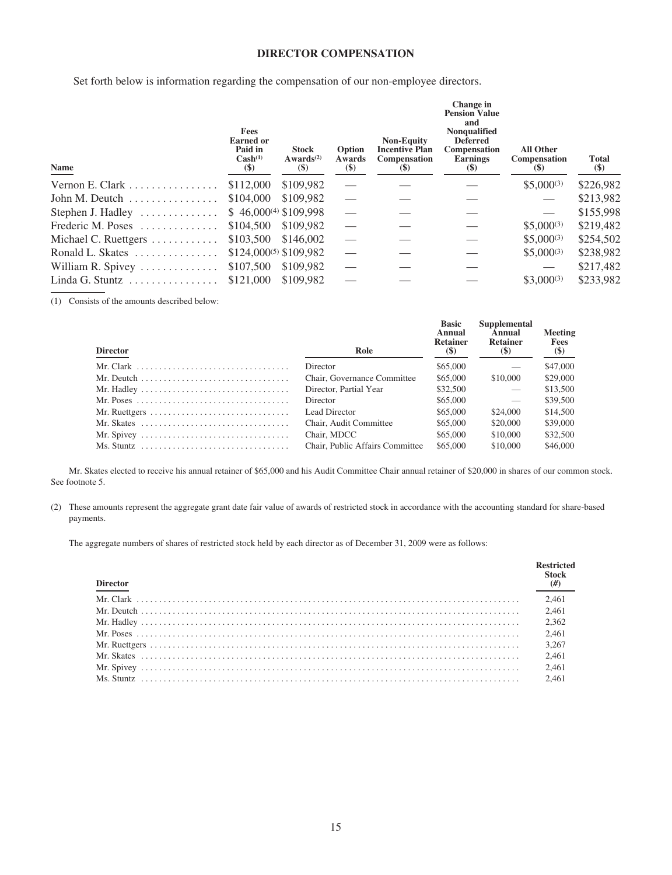## **DIRECTOR COMPENSATION**

Set forth below is information regarding the compensation of our non-employee directors.

| Name                                          | Fees<br><b>Earned</b> or<br>Paid in<br>Cash <sup>(1)</sup><br>$(\$)$ | <b>Stock</b><br>Awards <sup>(2)</sup><br>$\left( \mathbb{S}\right)$ | Option<br>Awards<br>$(\$)$ | <b>Non-Equity</b><br><b>Incentive Plan</b><br>Compensation<br>(S) | Change in<br><b>Pension Value</b><br>and<br><b>Nonqualified</b><br><b>Deferred</b><br>Compensation<br>Earnings<br>(5) | <b>All Other</b><br>Compensation<br>(5) | <b>Total</b><br>$(\$)$ |
|-----------------------------------------------|----------------------------------------------------------------------|---------------------------------------------------------------------|----------------------------|-------------------------------------------------------------------|-----------------------------------------------------------------------------------------------------------------------|-----------------------------------------|------------------------|
| Vernon E. Clark                               | \$112,000                                                            | \$109.982                                                           |                            |                                                                   |                                                                                                                       | $$5,000^{(3)}$                          | \$226,982              |
| John M. Deutch                                | \$104,000                                                            | \$109.982                                                           |                            |                                                                   |                                                                                                                       |                                         | \$213,982              |
| Stephen J. Hadley $\dots\dots\dots\dots\dots$ | $$46,000^{(4)} $109,998$                                             |                                                                     |                            |                                                                   |                                                                                                                       |                                         | \$155,998              |
| Frederic M. Poses                             | \$104,500                                                            | \$109.982                                                           |                            |                                                                   |                                                                                                                       | $$5,000^{(3)}$                          | \$219,482              |
| Michael C. Ruettgers                          | \$103,500                                                            | \$146,002                                                           |                            |                                                                   |                                                                                                                       | $$5,000^{(3)}$                          | \$254,502              |
| Ronald L. Skates                              | $$124,000^{(5)} $109,982$                                            |                                                                     |                            |                                                                   |                                                                                                                       | $$5,000^{(3)}$                          | \$238,982              |
| William R. Spivey $\dots \dots \dots \dots$   | \$107,500                                                            | \$109.982                                                           |                            |                                                                   |                                                                                                                       |                                         | \$217,482              |
| Linda G. Stuntz                               | \$121,000                                                            | \$109.982                                                           |                            |                                                                   |                                                                                                                       | $$3,000^{(3)}$                          | \$233.982              |

(1) Consists of the amounts described below:

| <b>Director</b>                                                                    | Role                            | <b>Basic</b><br>Annual<br><b>Retainer</b><br>$\left( \mathbb{S}\right)$ | Supplemental<br>Annual<br><b>Retainer</b><br><b>(\$)</b> | Meeting<br>Fees<br>$(\$)$ |
|------------------------------------------------------------------------------------|---------------------------------|-------------------------------------------------------------------------|----------------------------------------------------------|---------------------------|
|                                                                                    | Director                        | \$65,000                                                                |                                                          | \$47,000                  |
|                                                                                    | Chair, Governance Committee     | \$65,000                                                                | \$10,000                                                 | \$29,000                  |
|                                                                                    | Director, Partial Year          | \$32,500                                                                | $\overline{\phantom{0}}$                                 | \$13,500                  |
|                                                                                    | Director                        | \$65,000                                                                |                                                          | \$39,500                  |
| Mr. Ruettgers $\dots \dots \dots \dots \dots \dots \dots \dots \dots \dots$        | Lead Director                   | \$65,000                                                                | \$24,000                                                 | \$14,500                  |
| Mr. Skates $\ldots \ldots \ldots \ldots \ldots \ldots \ldots \ldots \ldots \ldots$ | Chair, Audit Committee          | \$65,000                                                                | \$20,000                                                 | \$39,000                  |
|                                                                                    | Chair, MDCC                     | \$65,000                                                                | \$10,000                                                 | \$32,500                  |
|                                                                                    | Chair, Public Affairs Committee | \$65,000                                                                | \$10,000                                                 | \$46,000                  |

Mr. Skates elected to receive his annual retainer of \$65,000 and his Audit Committee Chair annual retainer of \$20,000 in shares of our common stock. See footnote 5.

(2) These amounts represent the aggregate grant date fair value of awards of restricted stock in accordance with the accounting standard for share-based payments.

The aggregate numbers of shares of restricted stock held by each director as of December 31, 2009 were as follows:

| <b>Director</b> | Stock |
|-----------------|-------|
|                 | 2.461 |
|                 | 2.461 |
|                 | 2.362 |
|                 | 2.461 |
|                 | 3.267 |
|                 | 2.461 |
|                 | 2.461 |
|                 | 2.461 |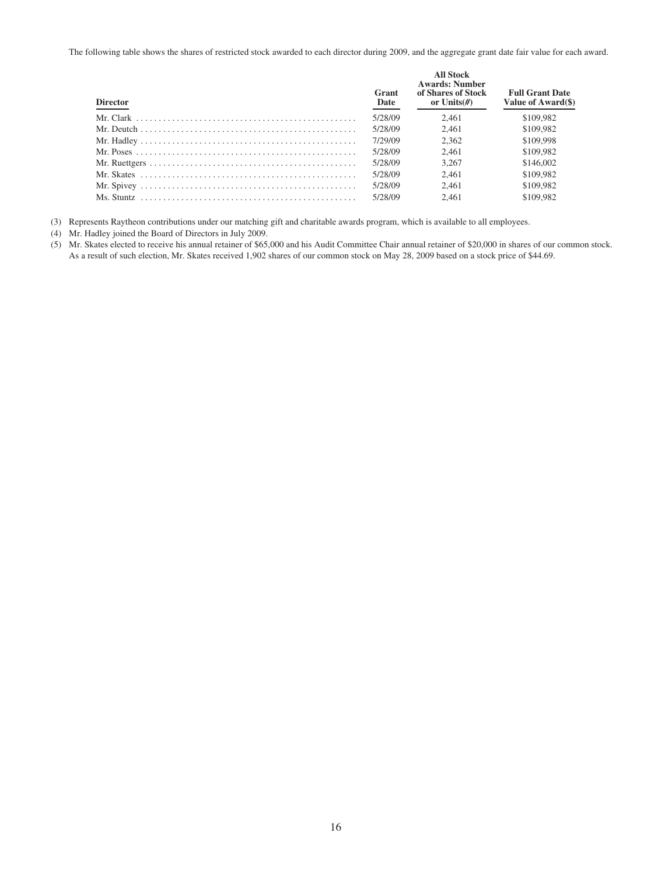The following table shows the shares of restricted stock awarded to each director during 2009, and the aggregate grant date fair value for each award.

| <b>Director</b> | Grant<br>Date | <b>All Stock</b><br><b>Awards: Number</b><br>of Shares of Stock<br>or Units $(\#)$ | <b>Full Grant Date</b><br>Value of Award(\$) |
|-----------------|---------------|------------------------------------------------------------------------------------|----------------------------------------------|
|                 | 5/28/09       | 2.461                                                                              | \$109,982                                    |
|                 | 5/28/09       | 2.461                                                                              | \$109,982                                    |
|                 | 7/29/09       | 2.362                                                                              | \$109,998                                    |
|                 | 5/28/09       | 2.461                                                                              | \$109,982                                    |
|                 | 5/28/09       | 3.267                                                                              | \$146,002                                    |
|                 | 5/28/09       | 2.461                                                                              | \$109,982                                    |
|                 | 5/28/09       | 2.461                                                                              | \$109,982                                    |
|                 | 5/28/09       | 2.461                                                                              | \$109.982                                    |

(3) Represents Raytheon contributions under our matching gift and charitable awards program, which is available to all employees.

- (4) Mr. Hadley joined the Board of Directors in July 2009.
- (5) Mr. Skates elected to receive his annual retainer of \$65,000 and his Audit Committee Chair annual retainer of \$20,000 in shares of our common stock. As a result of such election, Mr. Skates received 1,902 shares of our common stock on May 28, 2009 based on a stock price of \$44.69.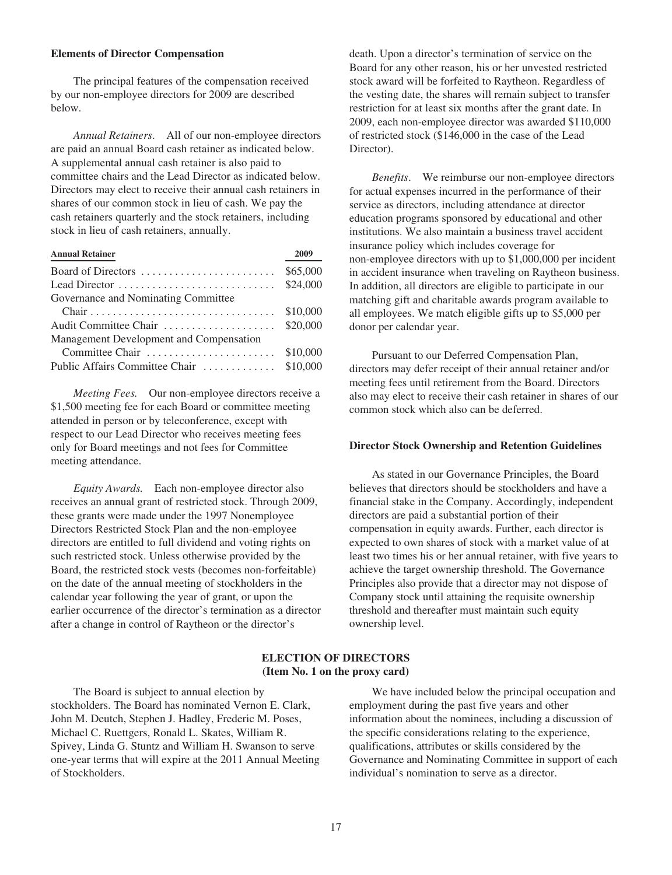#### **Elements of Director Compensation**

The principal features of the compensation received by our non-employee directors for 2009 are described below.

*Annual Retainers*. All of our non-employee directors are paid an annual Board cash retainer as indicated below. A supplemental annual cash retainer is also paid to committee chairs and the Lead Director as indicated below. Directors may elect to receive their annual cash retainers in shares of our common stock in lieu of cash. We pay the cash retainers quarterly and the stock retainers, including stock in lieu of cash retainers, annually.

| <b>Annual Retainer</b>                   | 2009     |
|------------------------------------------|----------|
| Board of Directors                       | \$65,000 |
|                                          | \$24,000 |
| Governance and Nominating Committee      |          |
|                                          | \$10,000 |
| Audit Committee Chair                    | \$20,000 |
| Management Development and Compensation  |          |
| Committee Chair                          | \$10,000 |
| Public Affairs Committee Chair  \$10,000 |          |

*Meeting Fees.* Our non-employee directors receive a \$1,500 meeting fee for each Board or committee meeting attended in person or by teleconference, except with respect to our Lead Director who receives meeting fees only for Board meetings and not fees for Committee meeting attendance.

*Equity Awards.* Each non-employee director also receives an annual grant of restricted stock. Through 2009, these grants were made under the 1997 Nonemployee Directors Restricted Stock Plan and the non-employee directors are entitled to full dividend and voting rights on such restricted stock. Unless otherwise provided by the Board, the restricted stock vests (becomes non-forfeitable) on the date of the annual meeting of stockholders in the calendar year following the year of grant, or upon the earlier occurrence of the director's termination as a director after a change in control of Raytheon or the director's

death. Upon a director's termination of service on the Board for any other reason, his or her unvested restricted stock award will be forfeited to Raytheon. Regardless of the vesting date, the shares will remain subject to transfer restriction for at least six months after the grant date. In 2009, each non-employee director was awarded \$110,000 of restricted stock (\$146,000 in the case of the Lead Director).

*Benefits*. We reimburse our non-employee directors for actual expenses incurred in the performance of their service as directors, including attendance at director education programs sponsored by educational and other institutions. We also maintain a business travel accident insurance policy which includes coverage for non-employee directors with up to \$1,000,000 per incident in accident insurance when traveling on Raytheon business. In addition, all directors are eligible to participate in our matching gift and charitable awards program available to all employees. We match eligible gifts up to \$5,000 per donor per calendar year.

Pursuant to our Deferred Compensation Plan, directors may defer receipt of their annual retainer and/or meeting fees until retirement from the Board. Directors also may elect to receive their cash retainer in shares of our common stock which also can be deferred.

#### **Director Stock Ownership and Retention Guidelines**

As stated in our Governance Principles, the Board believes that directors should be stockholders and have a financial stake in the Company. Accordingly, independent directors are paid a substantial portion of their compensation in equity awards. Further, each director is expected to own shares of stock with a market value of at least two times his or her annual retainer, with five years to achieve the target ownership threshold. The Governance Principles also provide that a director may not dispose of Company stock until attaining the requisite ownership threshold and thereafter must maintain such equity ownership level.

# **ELECTION OF DIRECTORS (Item No. 1 on the proxy card)**

The Board is subject to annual election by stockholders. The Board has nominated Vernon E. Clark, John M. Deutch, Stephen J. Hadley, Frederic M. Poses, Michael C. Ruettgers, Ronald L. Skates, William R. Spivey, Linda G. Stuntz and William H. Swanson to serve one-year terms that will expire at the 2011 Annual Meeting of Stockholders.

We have included below the principal occupation and employment during the past five years and other information about the nominees, including a discussion of the specific considerations relating to the experience, qualifications, attributes or skills considered by the Governance and Nominating Committee in support of each individual's nomination to serve as a director.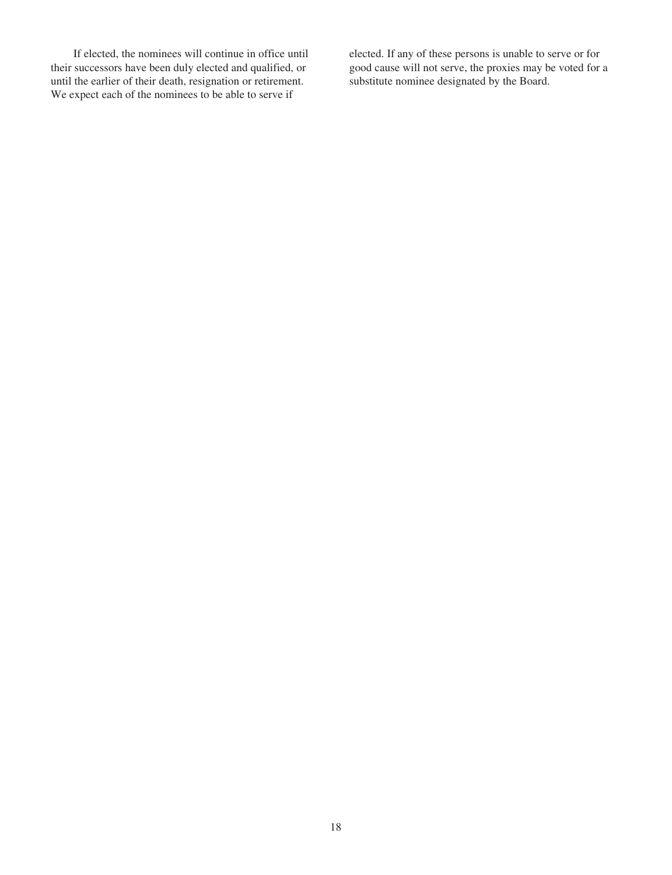If elected, the nominees will continue in office until their successors have been duly elected and qualified, or until the earlier of their death, resignation or retirement. We expect each of the nominees to be able to serve if

elected. If any of these persons is unable to serve or for good cause will not serve, the proxies may be voted for a substitute nominee designated by the Board.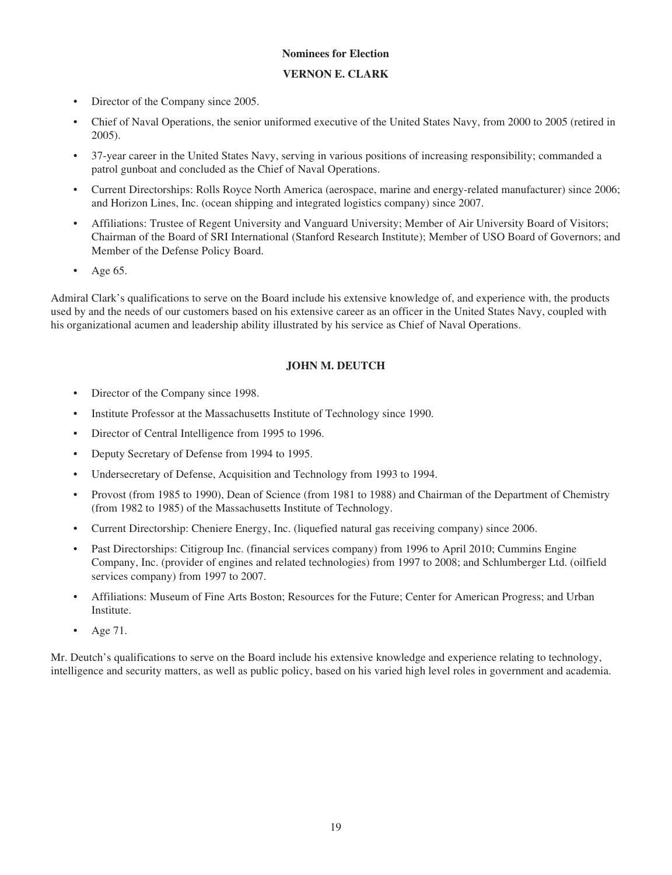# **Nominees for Election**

- **VERNON E. CLARK**
- Director of the Company since 2005.
- Chief of Naval Operations, the senior uniformed executive of the United States Navy, from 2000 to 2005 (retired in 2005).
- 37-year career in the United States Navy, serving in various positions of increasing responsibility; commanded a patrol gunboat and concluded as the Chief of Naval Operations.
- Current Directorships: Rolls Royce North America (aerospace, marine and energy-related manufacturer) since 2006; and Horizon Lines, Inc. (ocean shipping and integrated logistics company) since 2007.
- Affiliations: Trustee of Regent University and Vanguard University; Member of Air University Board of Visitors; Chairman of the Board of SRI International (Stanford Research Institute); Member of USO Board of Governors; and Member of the Defense Policy Board.
- Age 65.

Admiral Clark's qualifications to serve on the Board include his extensive knowledge of, and experience with, the products used by and the needs of our customers based on his extensive career as an officer in the United States Navy, coupled with his organizational acumen and leadership ability illustrated by his service as Chief of Naval Operations.

# **JOHN M. DEUTCH**

- Director of the Company since 1998.
- Institute Professor at the Massachusetts Institute of Technology since 1990.
- Director of Central Intelligence from 1995 to 1996.
- Deputy Secretary of Defense from 1994 to 1995.
- Undersecretary of Defense, Acquisition and Technology from 1993 to 1994.
- Provost (from 1985 to 1990), Dean of Science (from 1981 to 1988) and Chairman of the Department of Chemistry (from 1982 to 1985) of the Massachusetts Institute of Technology.
- Current Directorship: Cheniere Energy, Inc. (liquefied natural gas receiving company) since 2006.
- Past Directorships: Citigroup Inc. (financial services company) from 1996 to April 2010; Cummins Engine Company, Inc. (provider of engines and related technologies) from 1997 to 2008; and Schlumberger Ltd. (oilfield services company) from 1997 to 2007.
- Affiliations: Museum of Fine Arts Boston; Resources for the Future; Center for American Progress; and Urban Institute.
- Age 71.

Mr. Deutch's qualifications to serve on the Board include his extensive knowledge and experience relating to technology, intelligence and security matters, as well as public policy, based on his varied high level roles in government and academia.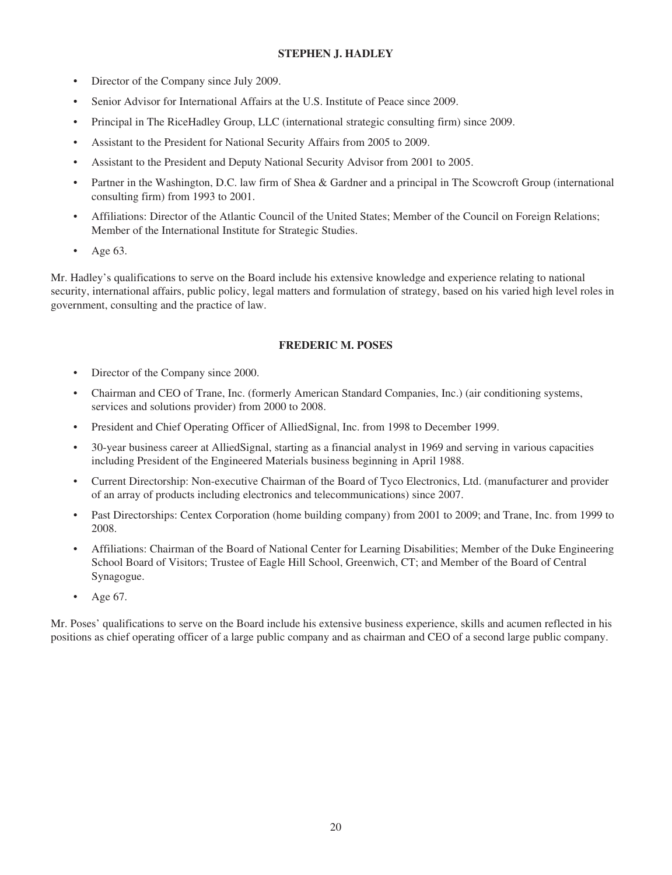# **STEPHEN J. HADLEY**

- Director of the Company since July 2009.
- Senior Advisor for International Affairs at the U.S. Institute of Peace since 2009.
- Principal in The RiceHadley Group, LLC (international strategic consulting firm) since 2009.
- Assistant to the President for National Security Affairs from 2005 to 2009.
- Assistant to the President and Deputy National Security Advisor from 2001 to 2005.
- Partner in the Washington, D.C. law firm of Shea & Gardner and a principal in The Scowcroft Group (international consulting firm) from 1993 to 2001.
- Affiliations: Director of the Atlantic Council of the United States; Member of the Council on Foreign Relations; Member of the International Institute for Strategic Studies.
- Age 63.

Mr. Hadley's qualifications to serve on the Board include his extensive knowledge and experience relating to national security, international affairs, public policy, legal matters and formulation of strategy, based on his varied high level roles in government, consulting and the practice of law.

## **FREDERIC M. POSES**

- Director of the Company since 2000.
- Chairman and CEO of Trane, Inc. (formerly American Standard Companies, Inc.) (air conditioning systems, services and solutions provider) from 2000 to 2008.
- President and Chief Operating Officer of AlliedSignal, Inc. from 1998 to December 1999.
- 30-year business career at AlliedSignal, starting as a financial analyst in 1969 and serving in various capacities including President of the Engineered Materials business beginning in April 1988.
- Current Directorship: Non-executive Chairman of the Board of Tyco Electronics, Ltd. (manufacturer and provider of an array of products including electronics and telecommunications) since 2007.
- Past Directorships: Centex Corporation (home building company) from 2001 to 2009; and Trane, Inc. from 1999 to 2008.
- Affiliations: Chairman of the Board of National Center for Learning Disabilities; Member of the Duke Engineering School Board of Visitors; Trustee of Eagle Hill School, Greenwich, CT; and Member of the Board of Central Synagogue.
- Age 67.

Mr. Poses' qualifications to serve on the Board include his extensive business experience, skills and acumen reflected in his positions as chief operating officer of a large public company and as chairman and CEO of a second large public company.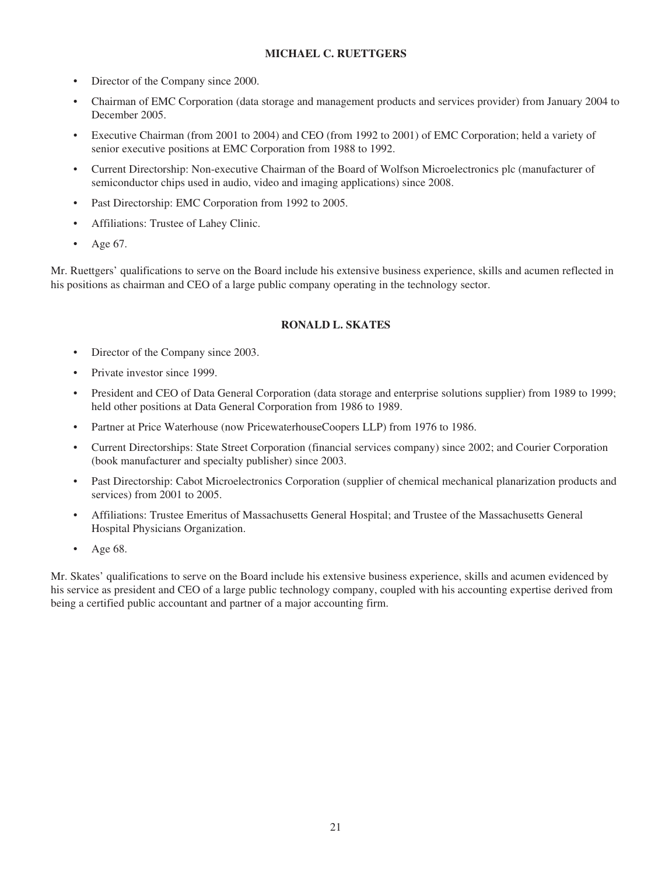# **MICHAEL C. RUETTGERS**

- Director of the Company since 2000.
- Chairman of EMC Corporation (data storage and management products and services provider) from January 2004 to December 2005.
- Executive Chairman (from 2001 to 2004) and CEO (from 1992 to 2001) of EMC Corporation; held a variety of senior executive positions at EMC Corporation from 1988 to 1992.
- Current Directorship: Non-executive Chairman of the Board of Wolfson Microelectronics plc (manufacturer of semiconductor chips used in audio, video and imaging applications) since 2008.
- Past Directorship: EMC Corporation from 1992 to 2005.
- Affiliations: Trustee of Lahey Clinic.
- Age 67.

Mr. Ruettgers' qualifications to serve on the Board include his extensive business experience, skills and acumen reflected in his positions as chairman and CEO of a large public company operating in the technology sector.

## **RONALD L. SKATES**

- Director of the Company since 2003.
- Private investor since 1999.
- President and CEO of Data General Corporation (data storage and enterprise solutions supplier) from 1989 to 1999; held other positions at Data General Corporation from 1986 to 1989.
- Partner at Price Waterhouse (now PricewaterhouseCoopers LLP) from 1976 to 1986.
- Current Directorships: State Street Corporation (financial services company) since 2002; and Courier Corporation (book manufacturer and specialty publisher) since 2003.
- Past Directorship: Cabot Microelectronics Corporation (supplier of chemical mechanical planarization products and services) from 2001 to 2005.
- Affiliations: Trustee Emeritus of Massachusetts General Hospital; and Trustee of the Massachusetts General Hospital Physicians Organization.
- Age 68.

Mr. Skates' qualifications to serve on the Board include his extensive business experience, skills and acumen evidenced by his service as president and CEO of a large public technology company, coupled with his accounting expertise derived from being a certified public accountant and partner of a major accounting firm.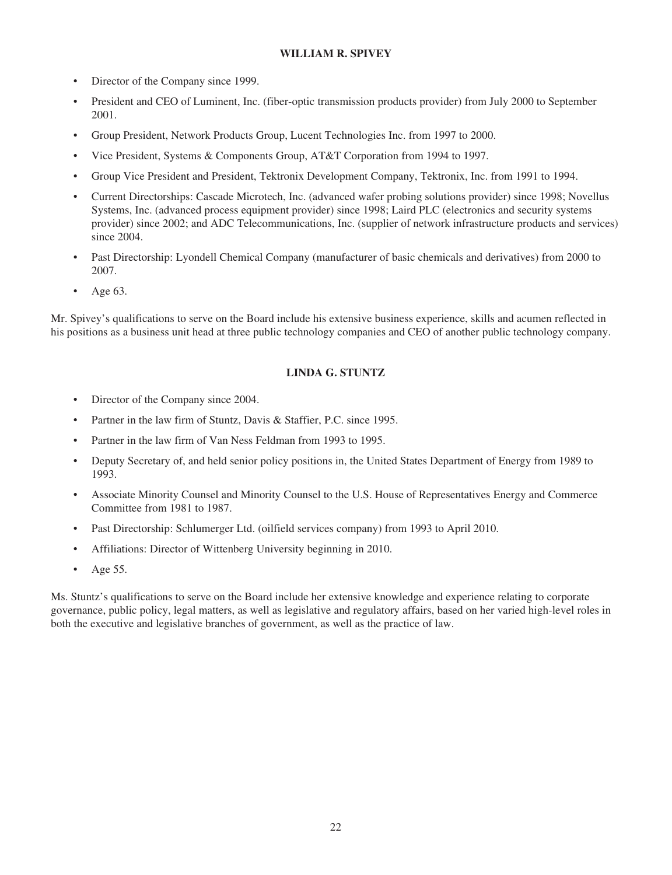# **WILLIAM R. SPIVEY**

- Director of the Company since 1999.
- President and CEO of Luminent, Inc. (fiber-optic transmission products provider) from July 2000 to September 2001.
- Group President, Network Products Group, Lucent Technologies Inc. from 1997 to 2000.
- Vice President, Systems & Components Group, AT&T Corporation from 1994 to 1997.
- Group Vice President and President, Tektronix Development Company, Tektronix, Inc. from 1991 to 1994.
- Current Directorships: Cascade Microtech, Inc. (advanced wafer probing solutions provider) since 1998; Novellus Systems, Inc. (advanced process equipment provider) since 1998; Laird PLC (electronics and security systems provider) since 2002; and ADC Telecommunications, Inc. (supplier of network infrastructure products and services) since 2004.
- Past Directorship: Lyondell Chemical Company (manufacturer of basic chemicals and derivatives) from 2000 to 2007.
- Age 63.

Mr. Spivey's qualifications to serve on the Board include his extensive business experience, skills and acumen reflected in his positions as a business unit head at three public technology companies and CEO of another public technology company.

## **LINDA G. STUNTZ**

- Director of the Company since 2004.
- Partner in the law firm of Stuntz, Davis & Staffier, P.C. since 1995.
- Partner in the law firm of Van Ness Feldman from 1993 to 1995.
- Deputy Secretary of, and held senior policy positions in, the United States Department of Energy from 1989 to 1993.
- Associate Minority Counsel and Minority Counsel to the U.S. House of Representatives Energy and Commerce Committee from 1981 to 1987.
- Past Directorship: Schlumerger Ltd. (oilfield services company) from 1993 to April 2010.
- Affiliations: Director of Wittenberg University beginning in 2010.
- Age 55.

Ms. Stuntz's qualifications to serve on the Board include her extensive knowledge and experience relating to corporate governance, public policy, legal matters, as well as legislative and regulatory affairs, based on her varied high-level roles in both the executive and legislative branches of government, as well as the practice of law.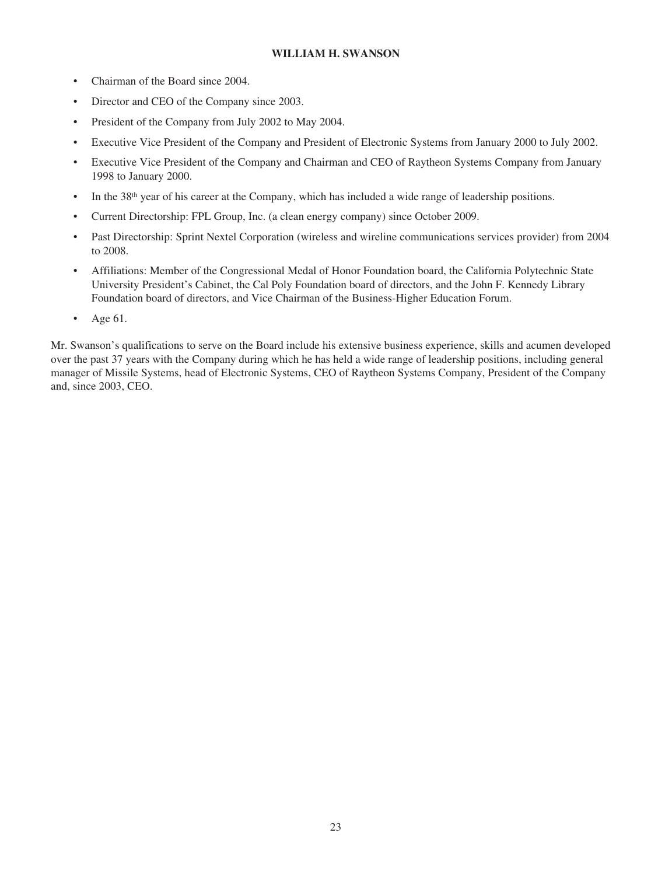## **WILLIAM H. SWANSON**

- Chairman of the Board since 2004.
- Director and CEO of the Company since 2003.
- President of the Company from July 2002 to May 2004.
- Executive Vice President of the Company and President of Electronic Systems from January 2000 to July 2002.
- Executive Vice President of the Company and Chairman and CEO of Raytheon Systems Company from January 1998 to January 2000.
- In the 38<sup>th</sup> year of his career at the Company, which has included a wide range of leadership positions.
- Current Directorship: FPL Group, Inc. (a clean energy company) since October 2009.
- Past Directorship: Sprint Nextel Corporation (wireless and wireline communications services provider) from 2004 to 2008.
- Affiliations: Member of the Congressional Medal of Honor Foundation board, the California Polytechnic State University President's Cabinet, the Cal Poly Foundation board of directors, and the John F. Kennedy Library Foundation board of directors, and Vice Chairman of the Business-Higher Education Forum.
- Age 61.

Mr. Swanson's qualifications to serve on the Board include his extensive business experience, skills and acumen developed over the past 37 years with the Company during which he has held a wide range of leadership positions, including general manager of Missile Systems, head of Electronic Systems, CEO of Raytheon Systems Company, President of the Company and, since 2003, CEO.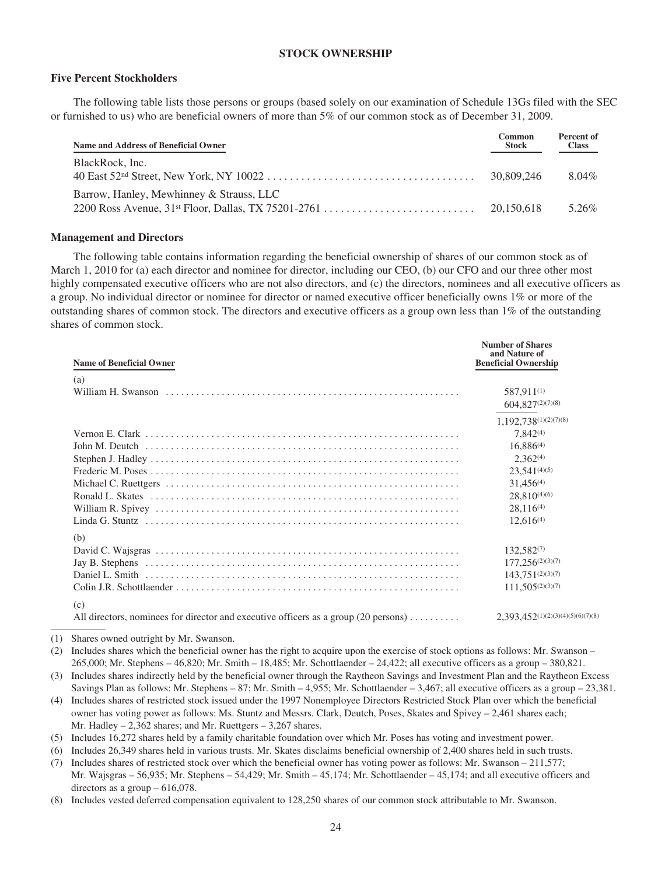## **STOCK OWNERSHIP**

#### **Five Percent Stockholders**

The following table lists those persons or groups (based solely on our examination of Schedule 13Gs filed with the SEC or furnished to us) who are beneficial owners of more than 5% of our common stock as of December 31, 2009.

| Name and Address of Beneficial Owner     | Common<br><b>Stock</b> | Percent of<br><b>Class</b> |
|------------------------------------------|------------------------|----------------------------|
| BlackRock, Inc.                          | 30,809,246             | 8.04%                      |
| Barrow, Hanley, Mewhinney & Strauss, LLC | 20.150.618             | 5.26%                      |

#### **Management and Directors**

The following table contains information regarding the beneficial ownership of shares of our common stock as of March 1, 2010 for (a) each director and nominee for director, including our CEO, (b) our CFO and our three other most highly compensated executive officers who are not also directors, and (c) the directors, nominees and all executive officers as a group. No individual director or nominee for director or named executive officer beneficially owns 1% or more of the outstanding shares of common stock. The directors and executive officers as a group own less than 1% of the outstanding shares of common stock.

| <b>Name of Beneficial Owner</b>                                                                                  | <b>Number of Shares</b><br>and Nature of<br><b>Beneficial Ownership</b>                                                                                                   |
|------------------------------------------------------------------------------------------------------------------|---------------------------------------------------------------------------------------------------------------------------------------------------------------------------|
| (a)                                                                                                              | 587,911(1)<br>604,827(2)(7)(8)                                                                                                                                            |
|                                                                                                                  | 1,192,738(1)(2)(7)(8)<br>$7.842^{(4)}$<br>$16,886^{(4)}$<br>$2.362^{(4)}$<br>$23,541^{(4)(5)}$<br>$31.456^{(4)}$<br>$28.810^{(4)(6)}$<br>$28.116^{(4)}$<br>$12,616^{(4)}$ |
| (b)                                                                                                              | $132,582^{(7)}$<br>$177,256^{(2)(3)(7)}$<br>$143,751^{(2)(3)(7)}$<br>$111,505^{(2)(3)(7)}$                                                                                |
| (c)<br>All directors, nominees for director and executive officers as a group $(20 \text{ persons}) \dots \dots$ | $2,393,452^{(1)(2)(3)(4)(5)(6)(7)(8)}$                                                                                                                                    |

(1) Shares owned outright by Mr. Swanson.

(2) Includes shares which the beneficial owner has the right to acquire upon the exercise of stock options as follows: Mr. Swanson – 265,000; Mr. Stephens – 46,820; Mr. Smith – 18,485; Mr. Schottlaender – 24,422; all executive officers as a group – 380,821.

(5) Includes 16,272 shares held by a family charitable foundation over which Mr. Poses has voting and investment power.

(6) Includes 26,349 shares held in various trusts. Mr. Skates disclaims beneficial ownership of 2,400 shares held in such trusts.

(7) Includes shares of restricted stock over which the beneficial owner has voting power as follows: Mr. Swanson – 211,577; Mr. Wajsgras – 56,935; Mr. Stephens – 54,429; Mr. Smith – 45,174; Mr. Schottlaender – 45,174; and all executive officers and directors as a group – 616,078.

(8) Includes vested deferred compensation equivalent to 128,250 shares of our common stock attributable to Mr. Swanson.

<sup>(3)</sup> Includes shares indirectly held by the beneficial owner through the Raytheon Savings and Investment Plan and the Raytheon Excess Savings Plan as follows: Mr. Stephens – 87; Mr. Smith – 4,955; Mr. Schottlaender – 3,467; all executive officers as a group – 23,381.

<sup>(4)</sup> Includes shares of restricted stock issued under the 1997 Nonemployee Directors Restricted Stock Plan over which the beneficial owner has voting power as follows: Ms. Stuntz and Messrs. Clark, Deutch, Poses, Skates and Spivey – 2,461 shares each; Mr. Hadley – 2,362 shares; and Mr. Ruettgers – 3,267 shares.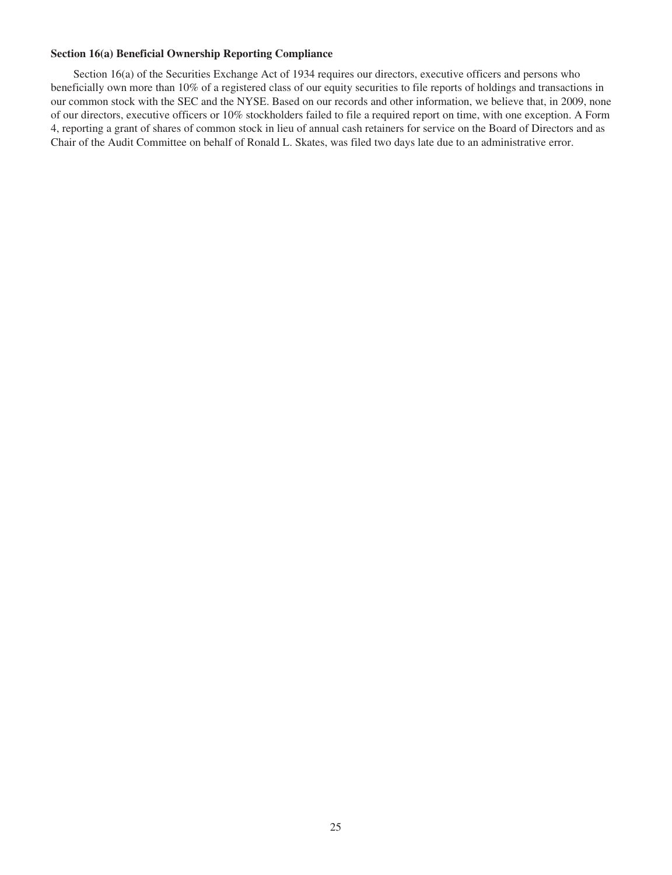## **Section 16(a) Beneficial Ownership Reporting Compliance**

Section 16(a) of the Securities Exchange Act of 1934 requires our directors, executive officers and persons who beneficially own more than 10% of a registered class of our equity securities to file reports of holdings and transactions in our common stock with the SEC and the NYSE. Based on our records and other information, we believe that, in 2009, none of our directors, executive officers or 10% stockholders failed to file a required report on time, with one exception. A Form 4, reporting a grant of shares of common stock in lieu of annual cash retainers for service on the Board of Directors and as Chair of the Audit Committee on behalf of Ronald L. Skates, was filed two days late due to an administrative error.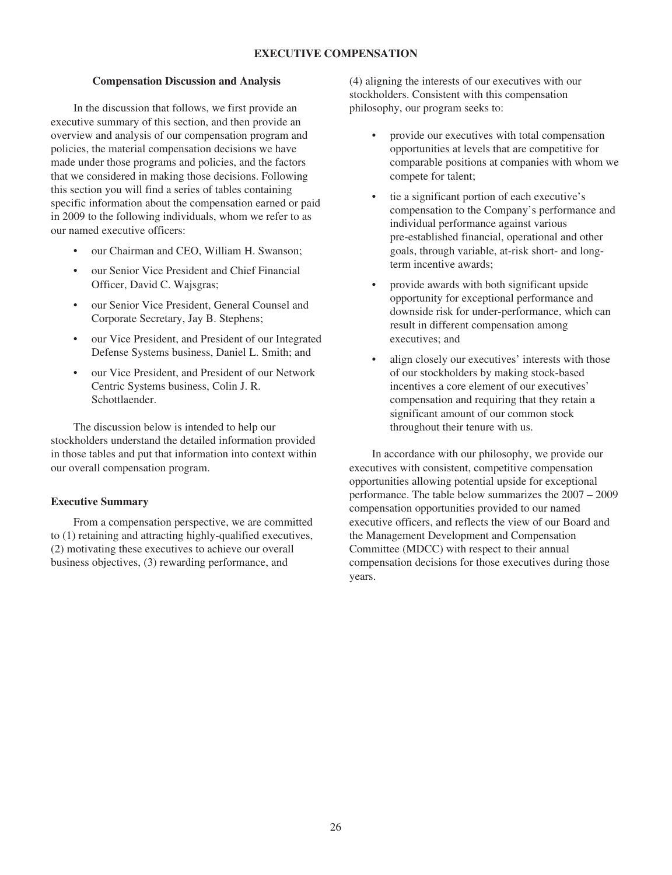## **EXECUTIVE COMPENSATION**

#### **Compensation Discussion and Analysis**

In the discussion that follows, we first provide an executive summary of this section, and then provide an overview and analysis of our compensation program and policies, the material compensation decisions we have made under those programs and policies, and the factors that we considered in making those decisions. Following this section you will find a series of tables containing specific information about the compensation earned or paid in 2009 to the following individuals, whom we refer to as our named executive officers:

- our Chairman and CEO, William H. Swanson;
- our Senior Vice President and Chief Financial Officer, David C. Wajsgras;
- our Senior Vice President, General Counsel and Corporate Secretary, Jay B. Stephens;
- our Vice President, and President of our Integrated Defense Systems business, Daniel L. Smith; and
- our Vice President, and President of our Network Centric Systems business, Colin J. R. Schottlaender.

The discussion below is intended to help our stockholders understand the detailed information provided in those tables and put that information into context within our overall compensation program.

### **Executive Summary**

From a compensation perspective, we are committed to (1) retaining and attracting highly-qualified executives, (2) motivating these executives to achieve our overall business objectives, (3) rewarding performance, and

(4) aligning the interests of our executives with our stockholders. Consistent with this compensation philosophy, our program seeks to:

- provide our executives with total compensation opportunities at levels that are competitive for comparable positions at companies with whom we compete for talent;
- tie a significant portion of each executive's compensation to the Company's performance and individual performance against various pre-established financial, operational and other goals, through variable, at-risk short- and longterm incentive awards;
- provide awards with both significant upside opportunity for exceptional performance and downside risk for under-performance, which can result in different compensation among executives; and
- align closely our executives' interests with those of our stockholders by making stock-based incentives a core element of our executives' compensation and requiring that they retain a significant amount of our common stock throughout their tenure with us.

In accordance with our philosophy, we provide our executives with consistent, competitive compensation opportunities allowing potential upside for exceptional performance. The table below summarizes the 2007 – 2009 compensation opportunities provided to our named executive officers, and reflects the view of our Board and the Management Development and Compensation Committee (MDCC) with respect to their annual compensation decisions for those executives during those years.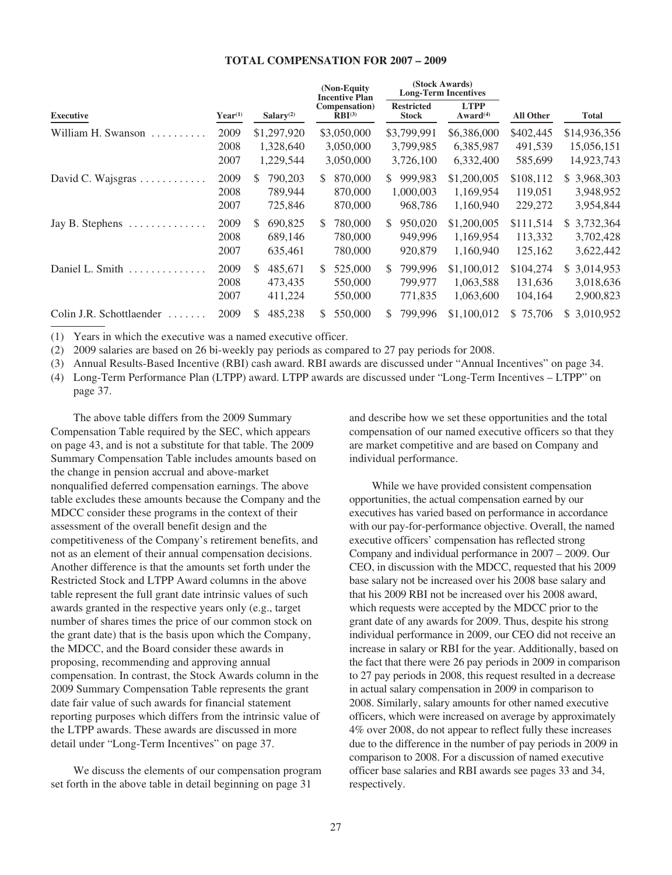#### **TOTAL COMPENSATION FOR 2007 – 2009**

|                          |                      |                                       | (Non-Equity)<br><b>Incentive Plan</b> | (Stock Awards)<br><b>Long-Term Incentives</b> |                                       |                                 |                                           |
|--------------------------|----------------------|---------------------------------------|---------------------------------------|-----------------------------------------------|---------------------------------------|---------------------------------|-------------------------------------------|
| <b>Executive</b>         | $Year^{(1)}$         | Salary $(2)$                          | Compensation)<br>$RBI^{(3)}$          | <b>Restricted</b><br><b>Stock</b>             | <b>LTPP</b><br>Award <sup>(4)</sup>   | All Other                       | <b>Total</b>                              |
| William H. Swanson<br>.  | 2009<br>2008<br>2007 | \$1,297,920<br>1,328,640<br>1,229,544 | \$3,050,000<br>3,050,000<br>3,050,000 | \$3,799,991<br>3,799,985<br>3,726,100         | \$6,386,000<br>6,385,987<br>6,332,400 | \$402,445<br>491,539<br>585,699 | \$14,936,356<br>15,056,151<br>14,923,743  |
| David C. Wajsgras        | 2009<br>2008<br>2007 | 790,203<br>S.<br>789,944<br>725,846   | 870,000<br>S.<br>870,000<br>870,000   | 999,983<br>S.<br>1,000,003<br>968,786         | \$1,200,005<br>1,169,954<br>1,160,940 | \$108,112<br>119,051<br>229,272 | 3,968,303<br>S.<br>3,948,952<br>3,954,844 |
| Jay B. Stephens<br>.     | 2009<br>2008<br>2007 | 690,825<br>S.<br>689,146<br>635,461   | 780.000<br>\$.<br>780.000<br>780,000  | 950,020<br>S.<br>949,996<br>920,879           | \$1,200,005<br>1,169,954<br>1,160,940 | \$111,514<br>113,332<br>125,162 | 3,732,364<br>S.<br>3,702,428<br>3,622,442 |
| Daniel L. Smith          | 2009<br>2008<br>2007 | 485.671<br>S.<br>473.435<br>411,224   | 525,000<br>\$.<br>550,000<br>550,000  | 799,996<br>S.<br>799,977<br>771,835           | \$1,100,012<br>1,063,588<br>1,063,600 | \$104,274<br>131.636<br>104,164 | 3,014,953<br>S.<br>3,018,636<br>2,900,823 |
| Colin J.R. Schottlaender | 2009                 | 485,238<br>S                          | 550,000<br>S                          | 799.996<br>S.                                 | \$1,100,012                           | 75,706<br>S.                    | 3,010,952<br>\$.                          |

(1) Years in which the executive was a named executive officer.

(2) 2009 salaries are based on 26 bi-weekly pay periods as compared to 27 pay periods for 2008.

(3) Annual Results-Based Incentive (RBI) cash award. RBI awards are discussed under "Annual Incentives" on page 34.

(4) Long-Term Performance Plan (LTPP) award. LTPP awards are discussed under "Long-Term Incentives – LTPP" on page 37.

The above table differs from the 2009 Summary Compensation Table required by the SEC, which appears on page 43, and is not a substitute for that table. The 2009 Summary Compensation Table includes amounts based on the change in pension accrual and above-market nonqualified deferred compensation earnings. The above table excludes these amounts because the Company and the MDCC consider these programs in the context of their assessment of the overall benefit design and the competitiveness of the Company's retirement benefits, and not as an element of their annual compensation decisions. Another difference is that the amounts set forth under the Restricted Stock and LTPP Award columns in the above table represent the full grant date intrinsic values of such awards granted in the respective years only (e.g., target number of shares times the price of our common stock on the grant date) that is the basis upon which the Company, the MDCC, and the Board consider these awards in proposing, recommending and approving annual compensation. In contrast, the Stock Awards column in the 2009 Summary Compensation Table represents the grant date fair value of such awards for financial statement reporting purposes which differs from the intrinsic value of the LTPP awards. These awards are discussed in more detail under "Long-Term Incentives" on page 37.

We discuss the elements of our compensation program set forth in the above table in detail beginning on page 31

and describe how we set these opportunities and the total compensation of our named executive officers so that they are market competitive and are based on Company and individual performance.

While we have provided consistent compensation opportunities, the actual compensation earned by our executives has varied based on performance in accordance with our pay-for-performance objective. Overall, the named executive officers' compensation has reflected strong Company and individual performance in 2007 – 2009. Our CEO, in discussion with the MDCC, requested that his 2009 base salary not be increased over his 2008 base salary and that his 2009 RBI not be increased over his 2008 award, which requests were accepted by the MDCC prior to the grant date of any awards for 2009. Thus, despite his strong individual performance in 2009, our CEO did not receive an increase in salary or RBI for the year. Additionally, based on the fact that there were 26 pay periods in 2009 in comparison to 27 pay periods in 2008, this request resulted in a decrease in actual salary compensation in 2009 in comparison to 2008. Similarly, salary amounts for other named executive officers, which were increased on average by approximately 4% over 2008, do not appear to reflect fully these increases due to the difference in the number of pay periods in 2009 in comparison to 2008. For a discussion of named executive officer base salaries and RBI awards see pages 33 and 34, respectively.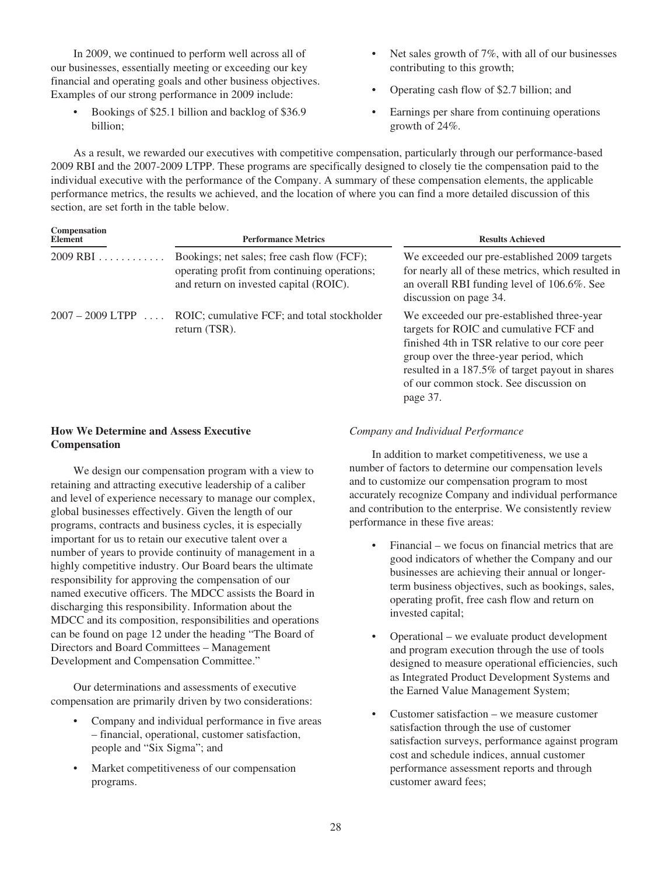In 2009, we continued to perform well across all of our businesses, essentially meeting or exceeding our key financial and operating goals and other business objectives. Examples of our strong performance in 2009 include:

- Bookings of \$25.1 billion and backlog of \$36.9 billion;
- Net sales growth of 7%, with all of our businesses contributing to this growth;
- Operating cash flow of \$2.7 billion; and
- Earnings per share from continuing operations growth of 24%.

As a result, we rewarded our executives with competitive compensation, particularly through our performance-based 2009 RBI and the 2007-2009 LTPP. These programs are specifically designed to closely tie the compensation paid to the individual executive with the performance of the Company. A summary of these compensation elements, the applicable performance metrics, the results we achieved, and the location of where you can find a more detailed discussion of this section, are set forth in the table below.

| Compensation<br><b>Element</b> | <b>Performance Metrics</b>                                                                                                           | <b>Results Achieved</b>                                                                                                                                                                                                                                                                    |
|--------------------------------|--------------------------------------------------------------------------------------------------------------------------------------|--------------------------------------------------------------------------------------------------------------------------------------------------------------------------------------------------------------------------------------------------------------------------------------------|
| $2009$ RBI                     | Bookings; net sales; free cash flow (FCF);<br>operating profit from continuing operations;<br>and return on invested capital (ROIC). | We exceeded our pre-established 2009 targets<br>for nearly all of these metrics, which resulted in<br>an overall RBI funding level of 106.6%. See<br>discussion on page 34.                                                                                                                |
| $2007 - 2009$ LTPP             | ROIC; cumulative FCF; and total stockholder<br>return (TSR).                                                                         | We exceeded our pre-established three-year<br>targets for ROIC and cumulative FCF and<br>finished 4th in TSR relative to our core peer<br>group over the three-year period, which<br>resulted in a 187.5% of target payout in shares<br>of our common stock. See discussion on<br>page 37. |

## **How We Determine and Assess Executive Compensation**

We design our compensation program with a view to retaining and attracting executive leadership of a caliber and level of experience necessary to manage our complex, global businesses effectively. Given the length of our programs, contracts and business cycles, it is especially important for us to retain our executive talent over a number of years to provide continuity of management in a highly competitive industry. Our Board bears the ultimate responsibility for approving the compensation of our named executive officers. The MDCC assists the Board in discharging this responsibility. Information about the MDCC and its composition, responsibilities and operations can be found on page 12 under the heading "The Board of Directors and Board Committees – Management Development and Compensation Committee."

Our determinations and assessments of executive compensation are primarily driven by two considerations:

- Company and individual performance in five areas – financial, operational, customer satisfaction, people and "Six Sigma"; and
- Market competitiveness of our compensation programs.

# *Company and Individual Performance*

In addition to market competitiveness, we use a number of factors to determine our compensation levels and to customize our compensation program to most accurately recognize Company and individual performance and contribution to the enterprise. We consistently review performance in these five areas:

- Financial we focus on financial metrics that are good indicators of whether the Company and our businesses are achieving their annual or longerterm business objectives, such as bookings, sales, operating profit, free cash flow and return on invested capital;
- Operational we evaluate product development and program execution through the use of tools designed to measure operational efficiencies, such as Integrated Product Development Systems and the Earned Value Management System;
- Customer satisfaction we measure customer satisfaction through the use of customer satisfaction surveys, performance against program cost and schedule indices, annual customer performance assessment reports and through customer award fees;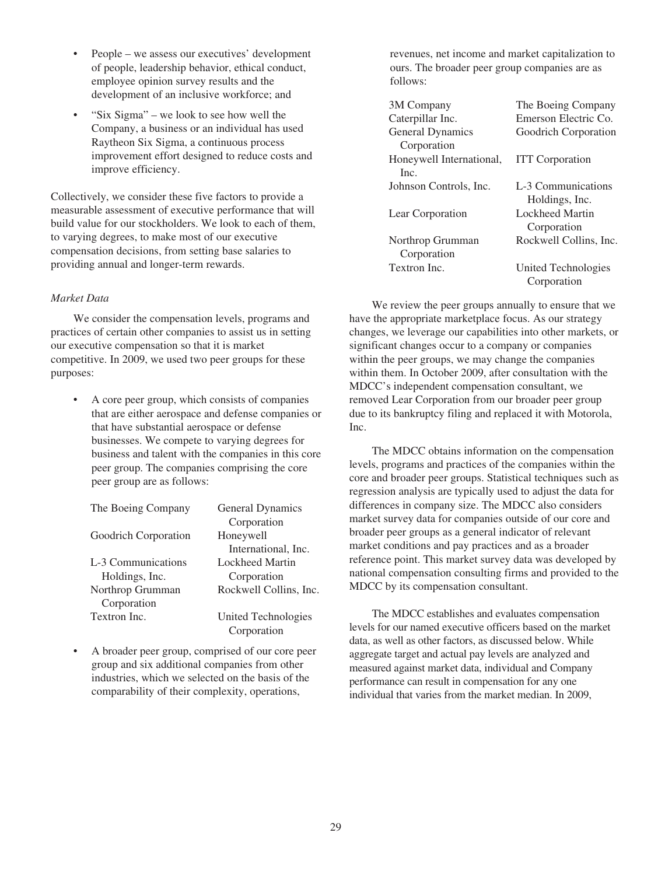- People we assess our executives' development of people, leadership behavior, ethical conduct, employee opinion survey results and the development of an inclusive workforce; and
- "Six Sigma" we look to see how well the Company, a business or an individual has used Raytheon Six Sigma, a continuous process improvement effort designed to reduce costs and improve efficiency.

Collectively, we consider these five factors to provide a measurable assessment of executive performance that will build value for our stockholders. We look to each of them, to varying degrees, to make most of our executive compensation decisions, from setting base salaries to providing annual and longer-term rewards.

## *Market Data*

We consider the compensation levels, programs and practices of certain other companies to assist us in setting our executive compensation so that it is market competitive. In 2009, we used two peer groups for these purposes:

• A core peer group, which consists of companies that are either aerospace and defense companies or that have substantial aerospace or defense businesses. We compete to varying degrees for business and talent with the companies in this core peer group. The companies comprising the core peer group are as follows:

| The Boeing Company   | General Dynamics       |
|----------------------|------------------------|
|                      | Corporation            |
| Goodrich Corporation | Honeywell              |
|                      | International, Inc.    |
| L-3 Communications   | Lockheed Martin        |
| Holdings, Inc.       | Corporation            |
| Northrop Grumman     | Rockwell Collins, Inc. |
| Corporation          |                        |
| Textron Inc.         | United Technologies    |
|                      | Corporation            |

• A broader peer group, comprised of our core peer group and six additional companies from other industries, which we selected on the basis of the comparability of their complexity, operations,

revenues, net income and market capitalization to ours. The broader peer group companies are as follows:

| 3M Company               | The Boeing Company     |
|--------------------------|------------------------|
| Caterpillar Inc.         | Emerson Electric Co.   |
| <b>General Dynamics</b>  | Goodrich Corporation   |
| Corporation              |                        |
| Honeywell International, | <b>ITT</b> Corporation |
| Inc.                     |                        |
| Johnson Controls, Inc.   | L-3 Communications     |
|                          | Holdings, Inc.         |
| Lear Corporation         | Lockheed Martin        |
|                          | Corporation            |
| Northrop Grumman         | Rockwell Collins, Inc. |
| Corporation              |                        |
| Textron Inc.             | United Technologies    |
|                          | Corporation            |

We review the peer groups annually to ensure that we have the appropriate marketplace focus. As our strategy changes, we leverage our capabilities into other markets, or significant changes occur to a company or companies within the peer groups, we may change the companies within them. In October 2009, after consultation with the MDCC's independent compensation consultant, we removed Lear Corporation from our broader peer group due to its bankruptcy filing and replaced it with Motorola, Inc.

The MDCC obtains information on the compensation levels, programs and practices of the companies within the core and broader peer groups. Statistical techniques such as regression analysis are typically used to adjust the data for differences in company size. The MDCC also considers market survey data for companies outside of our core and broader peer groups as a general indicator of relevant market conditions and pay practices and as a broader reference point. This market survey data was developed by national compensation consulting firms and provided to the MDCC by its compensation consultant.

The MDCC establishes and evaluates compensation levels for our named executive officers based on the market data, as well as other factors, as discussed below. While aggregate target and actual pay levels are analyzed and measured against market data, individual and Company performance can result in compensation for any one individual that varies from the market median. In 2009,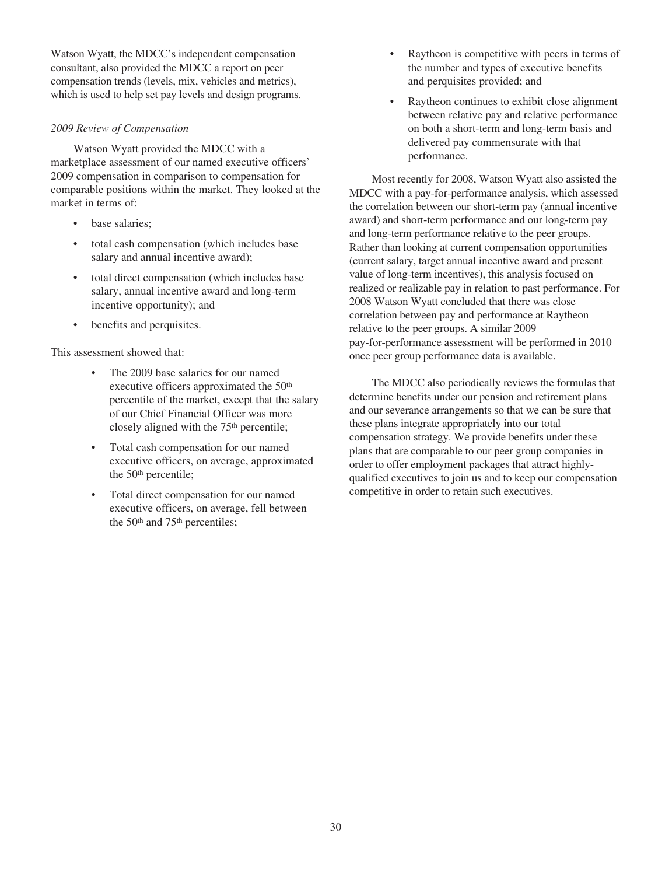Watson Wyatt, the MDCC's independent compensation consultant, also provided the MDCC a report on peer compensation trends (levels, mix, vehicles and metrics), which is used to help set pay levels and design programs.

## *2009 Review of Compensation*

Watson Wyatt provided the MDCC with a marketplace assessment of our named executive officers' 2009 compensation in comparison to compensation for comparable positions within the market. They looked at the market in terms of:

- base salaries:
- total cash compensation (which includes base salary and annual incentive award);
- total direct compensation (which includes base salary, annual incentive award and long-term incentive opportunity); and
- benefits and perquisites.

This assessment showed that:

- The 2009 base salaries for our named executive officers approximated the 50<sup>th</sup> percentile of the market, except that the salary of our Chief Financial Officer was more closely aligned with the 75<sup>th</sup> percentile;
- Total cash compensation for our named executive officers, on average, approximated the 50<sup>th</sup> percentile;
- Total direct compensation for our named executive officers, on average, fell between the 50<sup>th</sup> and 75<sup>th</sup> percentiles;
- Raytheon is competitive with peers in terms of the number and types of executive benefits and perquisites provided; and
- Raytheon continues to exhibit close alignment between relative pay and relative performance on both a short-term and long-term basis and delivered pay commensurate with that performance.

Most recently for 2008, Watson Wyatt also assisted the MDCC with a pay-for-performance analysis, which assessed the correlation between our short-term pay (annual incentive award) and short-term performance and our long-term pay and long-term performance relative to the peer groups. Rather than looking at current compensation opportunities (current salary, target annual incentive award and present value of long-term incentives), this analysis focused on realized or realizable pay in relation to past performance. For 2008 Watson Wyatt concluded that there was close correlation between pay and performance at Raytheon relative to the peer groups. A similar 2009 pay-for-performance assessment will be performed in 2010 once peer group performance data is available.

The MDCC also periodically reviews the formulas that determine benefits under our pension and retirement plans and our severance arrangements so that we can be sure that these plans integrate appropriately into our total compensation strategy. We provide benefits under these plans that are comparable to our peer group companies in order to offer employment packages that attract highlyqualified executives to join us and to keep our compensation competitive in order to retain such executives.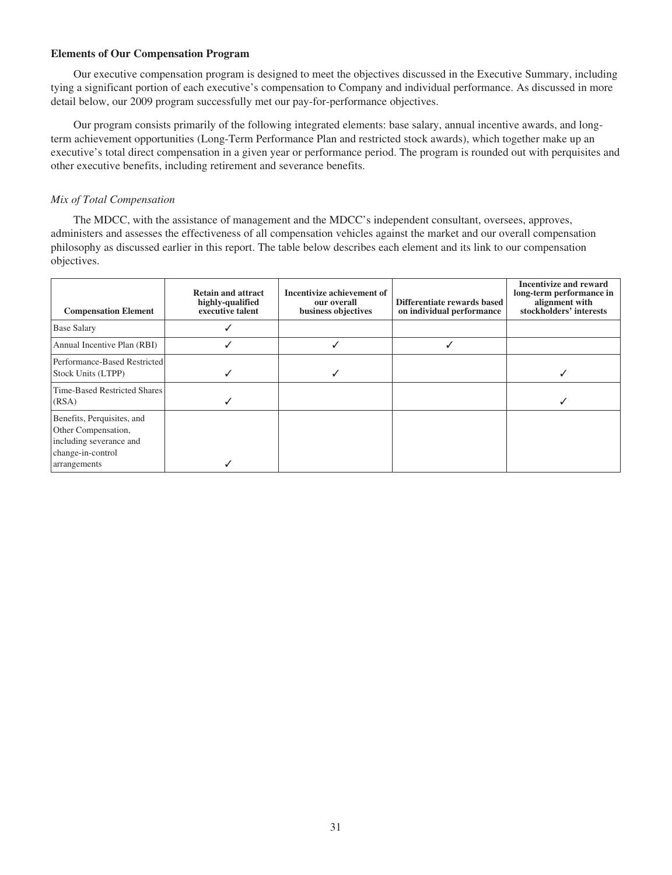## **Elements of Our Compensation Program**

Our executive compensation program is designed to meet the objectives discussed in the Executive Summary, including tying a significant portion of each executive's compensation to Company and individual performance. As discussed in more detail below, our 2009 program successfully met our pay-for-performance objectives.

Our program consists primarily of the following integrated elements: base salary, annual incentive awards, and longterm achievement opportunities (Long-Term Performance Plan and restricted stock awards), which together make up an executive's total direct compensation in a given year or performance period. The program is rounded out with perquisites and other executive benefits, including retirement and severance benefits.

# *Mix of Total Compensation*

The MDCC, with the assistance of management and the MDCC's independent consultant, oversees, approves, administers and assesses the effectiveness of all compensation vehicles against the market and our overall compensation philosophy as discussed earlier in this report. The table below describes each element and its link to our compensation objectives.

| <b>Compensation Element</b>                                                                                       | <b>Retain and attract</b><br>highly-qualified<br>executive talent | Incentivize achievement of<br>our overall<br>business objectives | Differentiate rewards based<br>on individual performance | <b>Incentivize and reward</b><br>long-term performance in<br>alignment with<br>stockholders' interests |
|-------------------------------------------------------------------------------------------------------------------|-------------------------------------------------------------------|------------------------------------------------------------------|----------------------------------------------------------|--------------------------------------------------------------------------------------------------------|
| <b>Base Salary</b>                                                                                                |                                                                   |                                                                  |                                                          |                                                                                                        |
| Annual Incentive Plan (RBI)                                                                                       |                                                                   |                                                                  |                                                          |                                                                                                        |
| Performance-Based Restricted<br>Stock Units (LTPP)                                                                |                                                                   |                                                                  |                                                          |                                                                                                        |
| Time-Based Restricted Shares<br>(RSA)                                                                             |                                                                   |                                                                  |                                                          |                                                                                                        |
| Benefits, Perquisites, and<br>Other Compensation,<br>including severance and<br>change-in-control<br>arrangements |                                                                   |                                                                  |                                                          |                                                                                                        |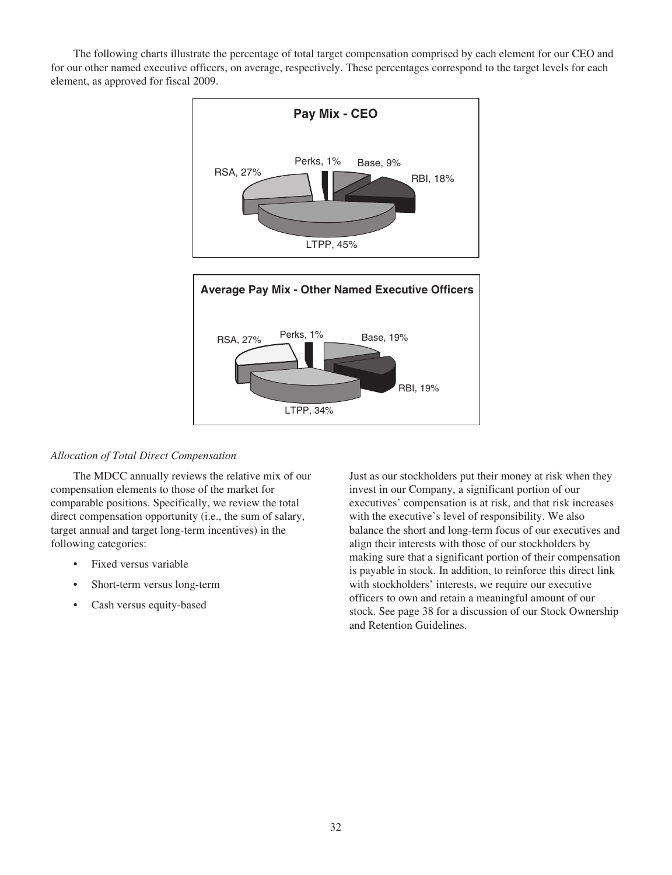The following charts illustrate the percentage of total target compensation comprised by each element for our CEO and for our other named executive officers, on average, respectively. These percentages correspond to the target levels for each element, as approved for fiscal 2009.



# *Allocation of Total Direct Compensation*

The MDCC annually reviews the relative mix of our compensation elements to those of the market for comparable positions. Specifically, we review the total direct compensation opportunity (i.e., the sum of salary, target annual and target long-term incentives) in the following categories:

- Fixed versus variable
- Short-term versus long-term
- Cash versus equity-based

Just as our stockholders put their money at risk when they invest in our Company, a significant portion of our executives' compensation is at risk, and that risk increases with the executive's level of responsibility. We also balance the short and long-term focus of our executives and align their interests with those of our stockholders by making sure that a significant portion of their compensation is payable in stock. In addition, to reinforce this direct link with stockholders' interests, we require our executive officers to own and retain a meaningful amount of our stock. See page 38 for a discussion of our Stock Ownership and Retention Guidelines.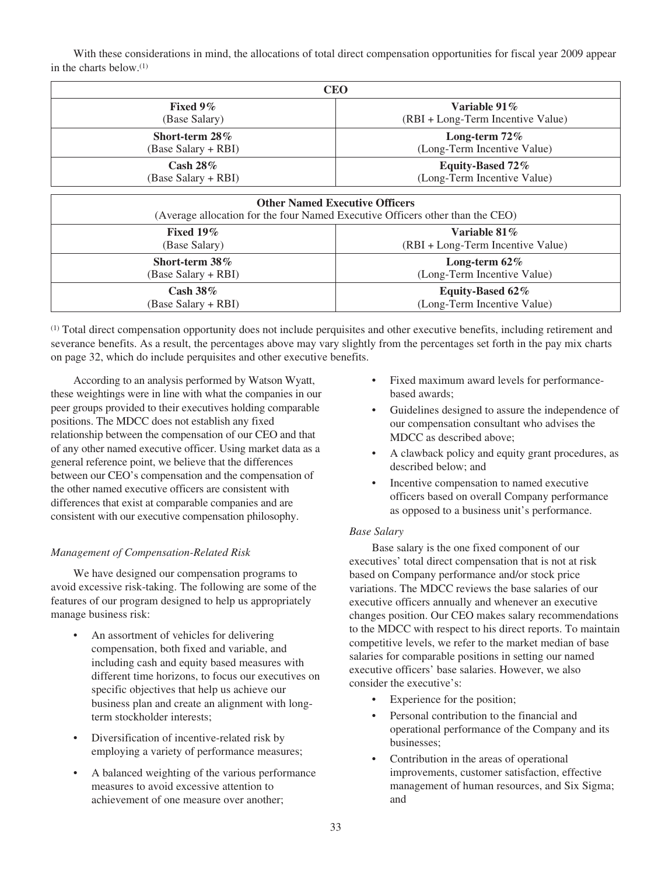With these considerations in mind, the allocations of total direct compensation opportunities for fiscal year 2009 appear in the charts below.(1)

| CEO                 |                                   |  |  |  |  |
|---------------------|-----------------------------------|--|--|--|--|
| Fixed $9\%$         | Variable 91%                      |  |  |  |  |
| (Base Salary)       | (RBI + Long-Term Incentive Value) |  |  |  |  |
| Short-term 28%      | Long-term $72\%$                  |  |  |  |  |
| (Base Salary + RBI) | (Long-Term Incentive Value)       |  |  |  |  |
| Cash $28\%$         | Equity-Based 72%                  |  |  |  |  |
| (Base Salary + RBI) | (Long-Term Incentive Value)       |  |  |  |  |
|                     |                                   |  |  |  |  |

| <b>Other Named Executive Officers</b><br>(Average allocation for the four Named Executive Officers other than the CEO) |                                   |  |  |  |
|------------------------------------------------------------------------------------------------------------------------|-----------------------------------|--|--|--|
| Fixed $19\%$                                                                                                           | Variable $81\%$                   |  |  |  |
| (Base Salary)                                                                                                          | (RBI + Long-Term Incentive Value) |  |  |  |
| Short-term $38\%$                                                                                                      | Long-term $62\%$                  |  |  |  |
| (Base Salary + RBI)                                                                                                    | (Long-Term Incentive Value)       |  |  |  |
| Cash $38\%$                                                                                                            | Equity-Based 62%                  |  |  |  |
| (Base Salary + RBI)                                                                                                    | (Long-Term Incentive Value)       |  |  |  |

(1) Total direct compensation opportunity does not include perquisites and other executive benefits, including retirement and severance benefits. As a result, the percentages above may vary slightly from the percentages set forth in the pay mix charts on page 32, which do include perquisites and other executive benefits.

According to an analysis performed by Watson Wyatt, these weightings were in line with what the companies in our peer groups provided to their executives holding comparable positions. The MDCC does not establish any fixed relationship between the compensation of our CEO and that of any other named executive officer. Using market data as a general reference point, we believe that the differences between our CEO's compensation and the compensation of the other named executive officers are consistent with differences that exist at comparable companies and are consistent with our executive compensation philosophy.

# *Management of Compensation-Related Risk*

We have designed our compensation programs to avoid excessive risk-taking. The following are some of the features of our program designed to help us appropriately manage business risk:

- An assortment of vehicles for delivering compensation, both fixed and variable, and including cash and equity based measures with different time horizons, to focus our executives on specific objectives that help us achieve our business plan and create an alignment with longterm stockholder interests;
- Diversification of incentive-related risk by employing a variety of performance measures;
- A balanced weighting of the various performance measures to avoid excessive attention to achievement of one measure over another;
- Fixed maximum award levels for performancebased awards;
- Guidelines designed to assure the independence of our compensation consultant who advises the MDCC as described above;
- A clawback policy and equity grant procedures, as described below; and
- Incentive compensation to named executive officers based on overall Company performance as opposed to a business unit's performance.

# *Base Salary*

Base salary is the one fixed component of our executives' total direct compensation that is not at risk based on Company performance and/or stock price variations. The MDCC reviews the base salaries of our executive officers annually and whenever an executive changes position. Our CEO makes salary recommendations to the MDCC with respect to his direct reports. To maintain competitive levels, we refer to the market median of base salaries for comparable positions in setting our named executive officers' base salaries. However, we also consider the executive's:

- Experience for the position;
- Personal contribution to the financial and operational performance of the Company and its businesses;
- Contribution in the areas of operational improvements, customer satisfaction, effective management of human resources, and Six Sigma; and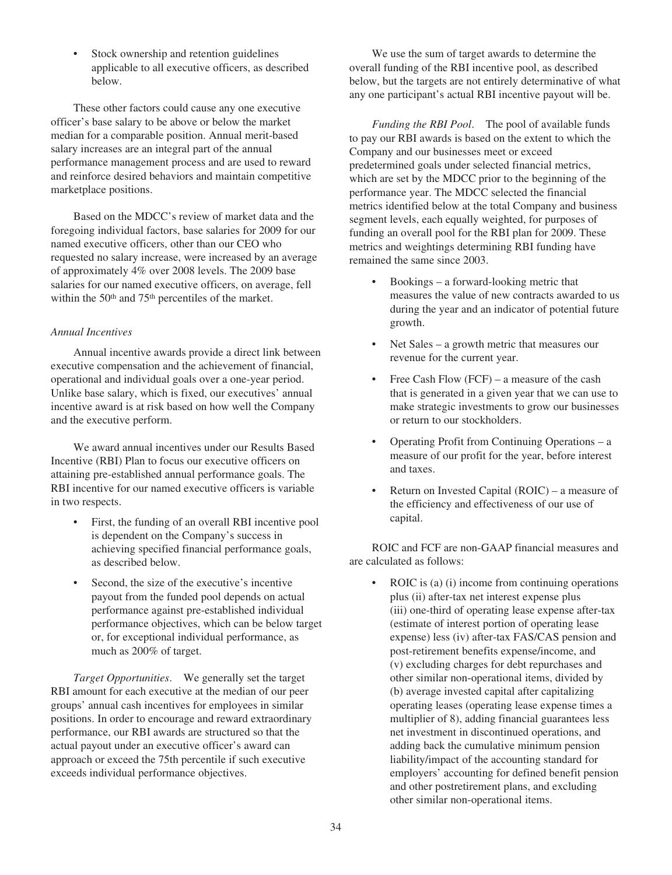• Stock ownership and retention guidelines applicable to all executive officers, as described below.

These other factors could cause any one executive officer's base salary to be above or below the market median for a comparable position. Annual merit-based salary increases are an integral part of the annual performance management process and are used to reward and reinforce desired behaviors and maintain competitive marketplace positions.

Based on the MDCC's review of market data and the foregoing individual factors, base salaries for 2009 for our named executive officers, other than our CEO who requested no salary increase, were increased by an average of approximately 4% over 2008 levels. The 2009 base salaries for our named executive officers, on average, fell within the 50th and 75th percentiles of the market.

## *Annual Incentives*

Annual incentive awards provide a direct link between executive compensation and the achievement of financial, operational and individual goals over a one-year period. Unlike base salary, which is fixed, our executives' annual incentive award is at risk based on how well the Company and the executive perform.

We award annual incentives under our Results Based Incentive (RBI) Plan to focus our executive officers on attaining pre-established annual performance goals. The RBI incentive for our named executive officers is variable in two respects.

- First, the funding of an overall RBI incentive pool is dependent on the Company's success in achieving specified financial performance goals, as described below.
- Second, the size of the executive's incentive payout from the funded pool depends on actual performance against pre-established individual performance objectives, which can be below target or, for exceptional individual performance, as much as 200% of target.

*Target Opportunities*. We generally set the target RBI amount for each executive at the median of our peer groups' annual cash incentives for employees in similar positions. In order to encourage and reward extraordinary performance, our RBI awards are structured so that the actual payout under an executive officer's award can approach or exceed the 75th percentile if such executive exceeds individual performance objectives.

We use the sum of target awards to determine the overall funding of the RBI incentive pool, as described below, but the targets are not entirely determinative of what any one participant's actual RBI incentive payout will be.

*Funding the RBI Pool*. The pool of available funds to pay our RBI awards is based on the extent to which the Company and our businesses meet or exceed predetermined goals under selected financial metrics, which are set by the MDCC prior to the beginning of the performance year. The MDCC selected the financial metrics identified below at the total Company and business segment levels, each equally weighted, for purposes of funding an overall pool for the RBI plan for 2009. These metrics and weightings determining RBI funding have remained the same since 2003.

- Bookings a forward-looking metric that measures the value of new contracts awarded to us during the year and an indicator of potential future growth.
- Net Sales a growth metric that measures our revenue for the current year.
- Free Cash Flow (FCF) a measure of the cash that is generated in a given year that we can use to make strategic investments to grow our businesses or return to our stockholders.
- Operating Profit from Continuing Operations a measure of our profit for the year, before interest and taxes.
- Return on Invested Capital (ROIC) a measure of the efficiency and effectiveness of our use of capital.

ROIC and FCF are non-GAAP financial measures and are calculated as follows:

• ROIC is (a) (i) income from continuing operations plus (ii) after-tax net interest expense plus (iii) one-third of operating lease expense after-tax (estimate of interest portion of operating lease expense) less (iv) after-tax FAS/CAS pension and post-retirement benefits expense/income, and (v) excluding charges for debt repurchases and other similar non-operational items, divided by (b) average invested capital after capitalizing operating leases (operating lease expense times a multiplier of 8), adding financial guarantees less net investment in discontinued operations, and adding back the cumulative minimum pension liability/impact of the accounting standard for employers' accounting for defined benefit pension and other postretirement plans, and excluding other similar non-operational items.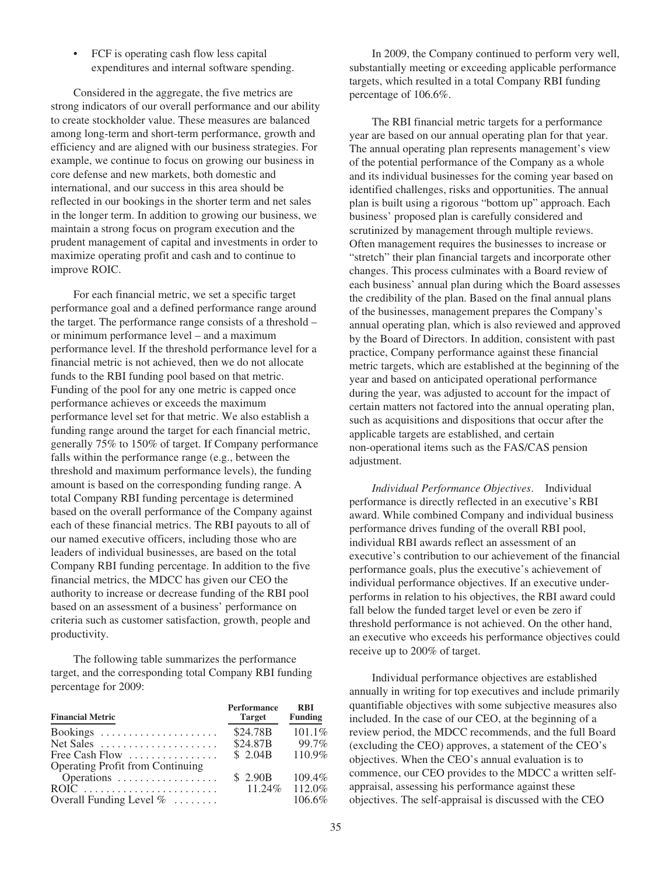• FCF is operating cash flow less capital expenditures and internal software spending.

Considered in the aggregate, the five metrics are strong indicators of our overall performance and our ability to create stockholder value. These measures are balanced among long-term and short-term performance, growth and efficiency and are aligned with our business strategies. For example, we continue to focus on growing our business in core defense and new markets, both domestic and international, and our success in this area should be reflected in our bookings in the shorter term and net sales in the longer term. In addition to growing our business, we maintain a strong focus on program execution and the prudent management of capital and investments in order to maximize operating profit and cash and to continue to improve ROIC.

For each financial metric, we set a specific target performance goal and a defined performance range around the target. The performance range consists of a threshold – or minimum performance level – and a maximum performance level. If the threshold performance level for a financial metric is not achieved, then we do not allocate funds to the RBI funding pool based on that metric. Funding of the pool for any one metric is capped once performance achieves or exceeds the maximum performance level set for that metric. We also establish a funding range around the target for each financial metric, generally 75% to 150% of target. If Company performance falls within the performance range (e.g., between the threshold and maximum performance levels), the funding amount is based on the corresponding funding range. A total Company RBI funding percentage is determined based on the overall performance of the Company against each of these financial metrics. The RBI payouts to all of our named executive officers, including those who are leaders of individual businesses, are based on the total Company RBI funding percentage. In addition to the five financial metrics, the MDCC has given our CEO the authority to increase or decrease funding of the RBI pool based on an assessment of a business' performance on criteria such as customer satisfaction, growth, people and productivity.

The following table summarizes the performance target, and the corresponding total Company RBI funding percentage for 2009:

| <b>Financial Metric</b>                         | <b>Performance</b><br><b>Target</b> | <b>RBI</b><br><b>Funding</b> |
|-------------------------------------------------|-------------------------------------|------------------------------|
| Bookings                                        | \$24.78B                            | 101.1%                       |
| Net Sales $\ldots$ , $\ldots$ , $\ldots$        | \$24.87B                            | 99.7%                        |
| Free Cash Flow $\dots\dots\dots\dots\dots\dots$ | \$2.04B                             | 110.9%                       |
| Operating Profit from Continuing                |                                     |                              |
| Operations                                      | \$2.90B                             | 109.4%                       |
|                                                 | $11.24\%$                           | 112.0%                       |
| Overall Funding Level $\% \dots \dots$          |                                     | 106.6%                       |

In 2009, the Company continued to perform very well, substantially meeting or exceeding applicable performance targets, which resulted in a total Company RBI funding percentage of 106.6%.

The RBI financial metric targets for a performance year are based on our annual operating plan for that year. The annual operating plan represents management's view of the potential performance of the Company as a whole and its individual businesses for the coming year based on identified challenges, risks and opportunities. The annual plan is built using a rigorous "bottom up" approach. Each business' proposed plan is carefully considered and scrutinized by management through multiple reviews. Often management requires the businesses to increase or "stretch" their plan financial targets and incorporate other changes. This process culminates with a Board review of each business' annual plan during which the Board assesses the credibility of the plan. Based on the final annual plans of the businesses, management prepares the Company's annual operating plan, which is also reviewed and approved by the Board of Directors. In addition, consistent with past practice, Company performance against these financial metric targets, which are established at the beginning of the year and based on anticipated operational performance during the year, was adjusted to account for the impact of certain matters not factored into the annual operating plan, such as acquisitions and dispositions that occur after the applicable targets are established, and certain non-operational items such as the FAS/CAS pension adjustment.

*Individual Performance Objectives*. Individual performance is directly reflected in an executive's RBI award. While combined Company and individual business performance drives funding of the overall RBI pool, individual RBI awards reflect an assessment of an executive's contribution to our achievement of the financial performance goals, plus the executive's achievement of individual performance objectives. If an executive underperforms in relation to his objectives, the RBI award could fall below the funded target level or even be zero if threshold performance is not achieved. On the other hand, an executive who exceeds his performance objectives could receive up to 200% of target.

Individual performance objectives are established annually in writing for top executives and include primarily quantifiable objectives with some subjective measures also included. In the case of our CEO, at the beginning of a review period, the MDCC recommends, and the full Board (excluding the CEO) approves, a statement of the CEO's objectives. When the CEO's annual evaluation is to commence, our CEO provides to the MDCC a written selfappraisal, assessing his performance against these objectives. The self-appraisal is discussed with the CEO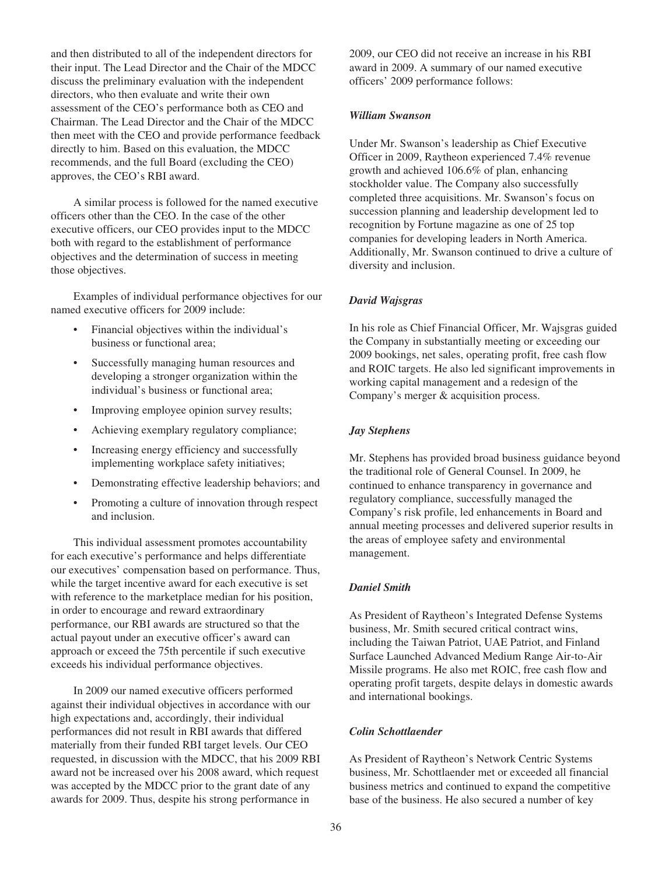and then distributed to all of the independent directors for their input. The Lead Director and the Chair of the MDCC discuss the preliminary evaluation with the independent directors, who then evaluate and write their own assessment of the CEO's performance both as CEO and Chairman. The Lead Director and the Chair of the MDCC then meet with the CEO and provide performance feedback directly to him. Based on this evaluation, the MDCC recommends, and the full Board (excluding the CEO) approves, the CEO's RBI award.

A similar process is followed for the named executive officers other than the CEO. In the case of the other executive officers, our CEO provides input to the MDCC both with regard to the establishment of performance objectives and the determination of success in meeting those objectives.

Examples of individual performance objectives for our named executive officers for 2009 include:

- Financial objectives within the individual's business or functional area;
- Successfully managing human resources and developing a stronger organization within the individual's business or functional area;
- Improving employee opinion survey results;
- Achieving exemplary regulatory compliance;
- Increasing energy efficiency and successfully implementing workplace safety initiatives;
- Demonstrating effective leadership behaviors; and
- Promoting a culture of innovation through respect and inclusion.

This individual assessment promotes accountability for each executive's performance and helps differentiate our executives' compensation based on performance. Thus, while the target incentive award for each executive is set with reference to the marketplace median for his position, in order to encourage and reward extraordinary performance, our RBI awards are structured so that the actual payout under an executive officer's award can approach or exceed the 75th percentile if such executive exceeds his individual performance objectives.

In 2009 our named executive officers performed against their individual objectives in accordance with our high expectations and, accordingly, their individual performances did not result in RBI awards that differed materially from their funded RBI target levels. Our CEO requested, in discussion with the MDCC, that his 2009 RBI award not be increased over his 2008 award, which request was accepted by the MDCC prior to the grant date of any awards for 2009. Thus, despite his strong performance in

2009, our CEO did not receive an increase in his RBI award in 2009. A summary of our named executive officers' 2009 performance follows:

## *William Swanson*

Under Mr. Swanson's leadership as Chief Executive Officer in 2009, Raytheon experienced 7.4% revenue growth and achieved 106.6% of plan, enhancing stockholder value. The Company also successfully completed three acquisitions. Mr. Swanson's focus on succession planning and leadership development led to recognition by Fortune magazine as one of 25 top companies for developing leaders in North America. Additionally, Mr. Swanson continued to drive a culture of diversity and inclusion.

# *David Wajsgras*

In his role as Chief Financial Officer, Mr. Wajsgras guided the Company in substantially meeting or exceeding our 2009 bookings, net sales, operating profit, free cash flow and ROIC targets. He also led significant improvements in working capital management and a redesign of the Company's merger & acquisition process.

# *Jay Stephens*

Mr. Stephens has provided broad business guidance beyond the traditional role of General Counsel. In 2009, he continued to enhance transparency in governance and regulatory compliance, successfully managed the Company's risk profile, led enhancements in Board and annual meeting processes and delivered superior results in the areas of employee safety and environmental management.

# *Daniel Smith*

As President of Raytheon's Integrated Defense Systems business, Mr. Smith secured critical contract wins, including the Taiwan Patriot, UAE Patriot, and Finland Surface Launched Advanced Medium Range Air-to-Air Missile programs. He also met ROIC, free cash flow and operating profit targets, despite delays in domestic awards and international bookings.

# *Colin Schottlaender*

As President of Raytheon's Network Centric Systems business, Mr. Schottlaender met or exceeded all financial business metrics and continued to expand the competitive base of the business. He also secured a number of key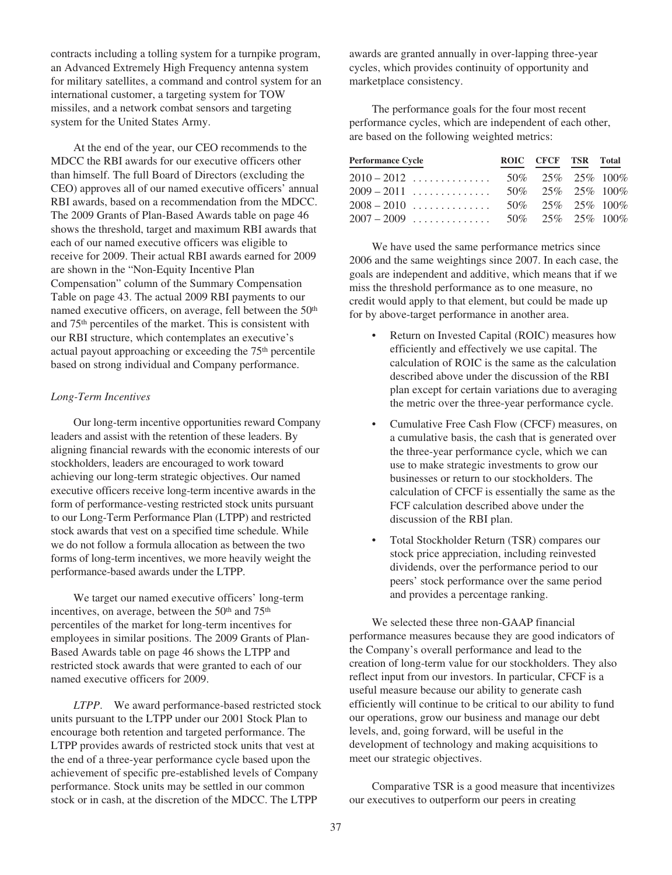contracts including a tolling system for a turnpike program, an Advanced Extremely High Frequency antenna system for military satellites, a command and control system for an international customer, a targeting system for TOW missiles, and a network combat sensors and targeting system for the United States Army.

At the end of the year, our CEO recommends to the MDCC the RBI awards for our executive officers other than himself. The full Board of Directors (excluding the CEO) approves all of our named executive officers' annual RBI awards, based on a recommendation from the MDCC. The 2009 Grants of Plan-Based Awards table on page 46 shows the threshold, target and maximum RBI awards that each of our named executive officers was eligible to receive for 2009. Their actual RBI awards earned for 2009 are shown in the "Non-Equity Incentive Plan Compensation" column of the Summary Compensation Table on page 43. The actual 2009 RBI payments to our named executive officers, on average, fell between the 50<sup>th</sup> and 75th percentiles of the market. This is consistent with our RBI structure, which contemplates an executive's actual payout approaching or exceeding the 75<sup>th</sup> percentile based on strong individual and Company performance.

### *Long-Term Incentives*

Our long-term incentive opportunities reward Company leaders and assist with the retention of these leaders. By aligning financial rewards with the economic interests of our stockholders, leaders are encouraged to work toward achieving our long-term strategic objectives. Our named executive officers receive long-term incentive awards in the form of performance-vesting restricted stock units pursuant to our Long-Term Performance Plan (LTPP) and restricted stock awards that vest on a specified time schedule. While we do not follow a formula allocation as between the two forms of long-term incentives, we more heavily weight the performance-based awards under the LTPP.

We target our named executive officers' long-term incentives, on average, between the 50<sup>th</sup> and 75<sup>th</sup> percentiles of the market for long-term incentives for employees in similar positions. The 2009 Grants of Plan-Based Awards table on page 46 shows the LTPP and restricted stock awards that were granted to each of our named executive officers for 2009.

*LTPP*. We award performance-based restricted stock units pursuant to the LTPP under our 2001 Stock Plan to encourage both retention and targeted performance. The LTPP provides awards of restricted stock units that vest at the end of a three-year performance cycle based upon the achievement of specific pre-established levels of Company performance. Stock units may be settled in our common stock or in cash, at the discretion of the MDCC. The LTPP

awards are granted annually in over-lapping three-year cycles, which provides continuity of opportunity and marketplace consistency.

The performance goals for the four most recent performance cycles, which are independent of each other, are based on the following weighted metrics:

| <b>Performance Cycle</b> | ROIC CFCF TSR Total  |  |
|--------------------------|----------------------|--|
| $2010 - 2012$            | 50\% 25\% 25\% 100\% |  |
| $2009 - 2011$            | 50\% 25\% 25\% 100\% |  |
| $2008 - 2010$            | 50\% 25\% 25\% 100\% |  |
| $2007 - 2009$            | 50\% 25\% 25\% 100\% |  |

We have used the same performance metrics since 2006 and the same weightings since 2007. In each case, the goals are independent and additive, which means that if we miss the threshold performance as to one measure, no credit would apply to that element, but could be made up for by above-target performance in another area.

- Return on Invested Capital (ROIC) measures how efficiently and effectively we use capital. The calculation of ROIC is the same as the calculation described above under the discussion of the RBI plan except for certain variations due to averaging the metric over the three-year performance cycle.
- Cumulative Free Cash Flow (CFCF) measures, on a cumulative basis, the cash that is generated over the three-year performance cycle, which we can use to make strategic investments to grow our businesses or return to our stockholders. The calculation of CFCF is essentially the same as the FCF calculation described above under the discussion of the RBI plan.
- Total Stockholder Return (TSR) compares our stock price appreciation, including reinvested dividends, over the performance period to our peers' stock performance over the same period and provides a percentage ranking.

We selected these three non-GAAP financial performance measures because they are good indicators of the Company's overall performance and lead to the creation of long-term value for our stockholders. They also reflect input from our investors. In particular, CFCF is a useful measure because our ability to generate cash efficiently will continue to be critical to our ability to fund our operations, grow our business and manage our debt levels, and, going forward, will be useful in the development of technology and making acquisitions to meet our strategic objectives.

Comparative TSR is a good measure that incentivizes our executives to outperform our peers in creating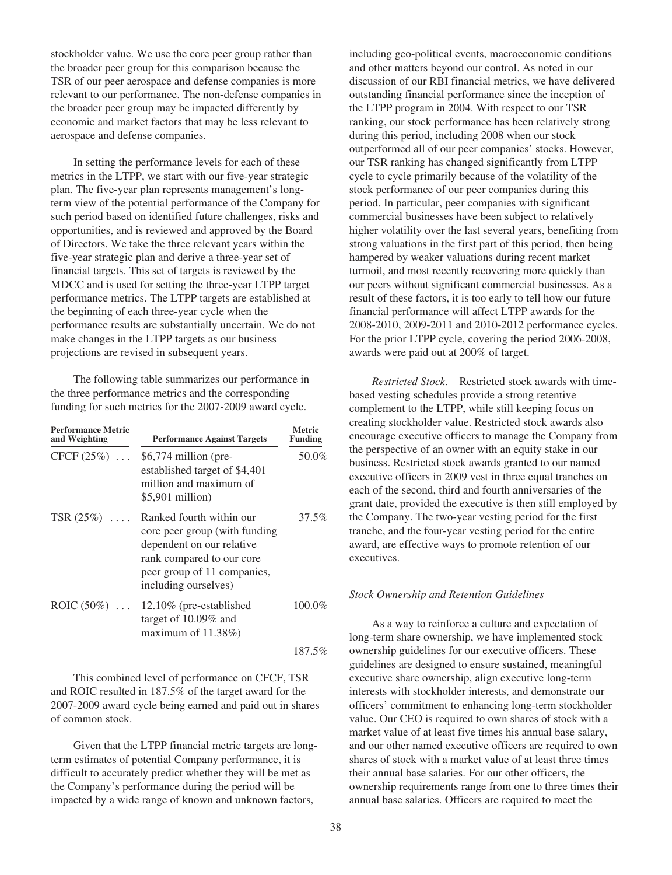stockholder value. We use the core peer group rather than the broader peer group for this comparison because the TSR of our peer aerospace and defense companies is more relevant to our performance. The non-defense companies in the broader peer group may be impacted differently by economic and market factors that may be less relevant to aerospace and defense companies.

In setting the performance levels for each of these metrics in the LTPP, we start with our five-year strategic plan. The five-year plan represents management's longterm view of the potential performance of the Company for such period based on identified future challenges, risks and opportunities, and is reviewed and approved by the Board of Directors. We take the three relevant years within the five-year strategic plan and derive a three-year set of financial targets. This set of targets is reviewed by the MDCC and is used for setting the three-year LTPP target performance metrics. The LTPP targets are established at the beginning of each three-year cycle when the performance results are substantially uncertain. We do not make changes in the LTPP targets as our business projections are revised in subsequent years.

The following table summarizes our performance in the three performance metrics and the corresponding funding for such metrics for the 2007-2009 award cycle.

| <b>Performance Metric</b><br>and Weighting | <b>Performance Against Targets</b>                                                                                                                                         | <b>Metric</b><br><b>Funding</b> |
|--------------------------------------------|----------------------------------------------------------------------------------------------------------------------------------------------------------------------------|---------------------------------|
| CFCF $(25\%)$                              | $$6,774$ million (pre-<br>established target of \$4,401<br>million and maximum of<br>$$5,901$ million)                                                                     | 50.0%                           |
| TSR $(25%)$                                | Ranked fourth within our<br>core peer group (with funding<br>dependent on our relative<br>rank compared to our core<br>peer group of 11 companies,<br>including ourselves) | 37.5%                           |
| ROIC $(50\%)$                              | 12.10% (pre-established<br>target of $10.09\%$ and<br>maximum of $11.38\%$ )                                                                                               | 100.0%                          |
|                                            |                                                                                                                                                                            | 187.5%                          |

This combined level of performance on CFCF, TSR and ROIC resulted in 187.5% of the target award for the 2007-2009 award cycle being earned and paid out in shares of common stock.

Given that the LTPP financial metric targets are longterm estimates of potential Company performance, it is difficult to accurately predict whether they will be met as the Company's performance during the period will be impacted by a wide range of known and unknown factors,

including geo-political events, macroeconomic conditions and other matters beyond our control. As noted in our discussion of our RBI financial metrics, we have delivered outstanding financial performance since the inception of the LTPP program in 2004. With respect to our TSR ranking, our stock performance has been relatively strong during this period, including 2008 when our stock outperformed all of our peer companies' stocks. However, our TSR ranking has changed significantly from LTPP cycle to cycle primarily because of the volatility of the stock performance of our peer companies during this period. In particular, peer companies with significant commercial businesses have been subject to relatively higher volatility over the last several years, benefiting from strong valuations in the first part of this period, then being hampered by weaker valuations during recent market turmoil, and most recently recovering more quickly than our peers without significant commercial businesses. As a result of these factors, it is too early to tell how our future financial performance will affect LTPP awards for the 2008-2010, 2009-2011 and 2010-2012 performance cycles. For the prior LTPP cycle, covering the period 2006-2008, awards were paid out at 200% of target.

*Restricted Stock*. Restricted stock awards with timebased vesting schedules provide a strong retentive complement to the LTPP, while still keeping focus on creating stockholder value. Restricted stock awards also encourage executive officers to manage the Company from the perspective of an owner with an equity stake in our business. Restricted stock awards granted to our named executive officers in 2009 vest in three equal tranches on each of the second, third and fourth anniversaries of the grant date, provided the executive is then still employed by the Company. The two-year vesting period for the first tranche, and the four-year vesting period for the entire award, are effective ways to promote retention of our executives.

#### *Stock Ownership and Retention Guidelines*

As a way to reinforce a culture and expectation of long-term share ownership, we have implemented stock ownership guidelines for our executive officers. These guidelines are designed to ensure sustained, meaningful executive share ownership, align executive long-term interests with stockholder interests, and demonstrate our officers' commitment to enhancing long-term stockholder value. Our CEO is required to own shares of stock with a market value of at least five times his annual base salary, and our other named executive officers are required to own shares of stock with a market value of at least three times their annual base salaries. For our other officers, the ownership requirements range from one to three times their annual base salaries. Officers are required to meet the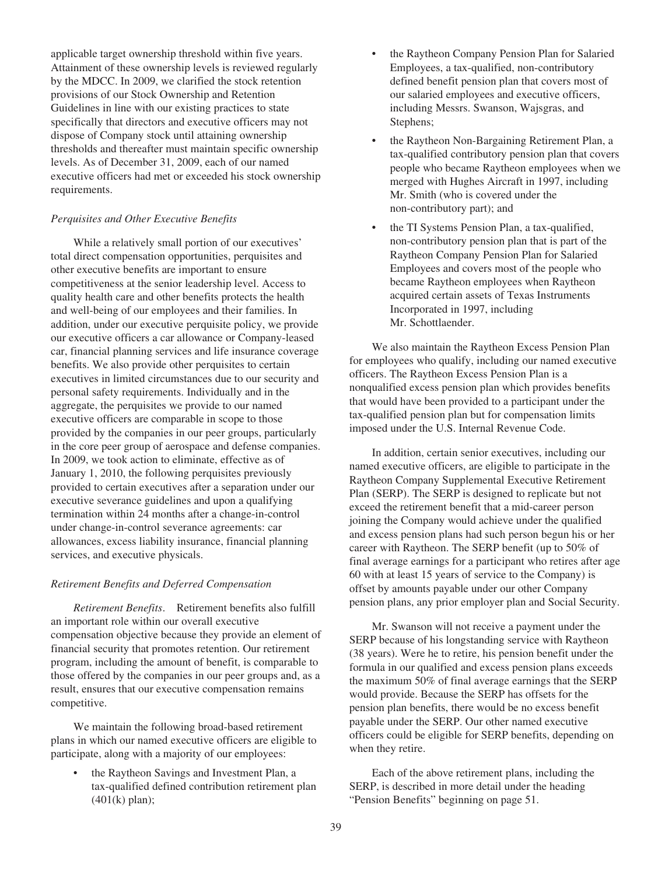applicable target ownership threshold within five years. Attainment of these ownership levels is reviewed regularly by the MDCC. In 2009, we clarified the stock retention provisions of our Stock Ownership and Retention Guidelines in line with our existing practices to state specifically that directors and executive officers may not dispose of Company stock until attaining ownership thresholds and thereafter must maintain specific ownership levels. As of December 31, 2009, each of our named executive officers had met or exceeded his stock ownership requirements.

### *Perquisites and Other Executive Benefits*

While a relatively small portion of our executives' total direct compensation opportunities, perquisites and other executive benefits are important to ensure competitiveness at the senior leadership level. Access to quality health care and other benefits protects the health and well-being of our employees and their families. In addition, under our executive perquisite policy, we provide our executive officers a car allowance or Company-leased car, financial planning services and life insurance coverage benefits. We also provide other perquisites to certain executives in limited circumstances due to our security and personal safety requirements. Individually and in the aggregate, the perquisites we provide to our named executive officers are comparable in scope to those provided by the companies in our peer groups, particularly in the core peer group of aerospace and defense companies. In 2009, we took action to eliminate, effective as of January 1, 2010, the following perquisites previously provided to certain executives after a separation under our executive severance guidelines and upon a qualifying termination within 24 months after a change-in-control under change-in-control severance agreements: car allowances, excess liability insurance, financial planning services, and executive physicals.

### *Retirement Benefits and Deferred Compensation*

*Retirement Benefits*. Retirement benefits also fulfill an important role within our overall executive compensation objective because they provide an element of financial security that promotes retention. Our retirement program, including the amount of benefit, is comparable to those offered by the companies in our peer groups and, as a result, ensures that our executive compensation remains competitive.

We maintain the following broad-based retirement plans in which our named executive officers are eligible to participate, along with a majority of our employees:

• the Raytheon Savings and Investment Plan, a tax-qualified defined contribution retirement plan (401(k) plan);

- the Raytheon Company Pension Plan for Salaried Employees, a tax-qualified, non-contributory defined benefit pension plan that covers most of our salaried employees and executive officers, including Messrs. Swanson, Wajsgras, and Stephens;
- the Raytheon Non-Bargaining Retirement Plan, a tax-qualified contributory pension plan that covers people who became Raytheon employees when we merged with Hughes Aircraft in 1997, including Mr. Smith (who is covered under the non-contributory part); and
- the TI Systems Pension Plan, a tax-qualified, non-contributory pension plan that is part of the Raytheon Company Pension Plan for Salaried Employees and covers most of the people who became Raytheon employees when Raytheon acquired certain assets of Texas Instruments Incorporated in 1997, including Mr. Schottlaender.

We also maintain the Raytheon Excess Pension Plan for employees who qualify, including our named executive officers. The Raytheon Excess Pension Plan is a nonqualified excess pension plan which provides benefits that would have been provided to a participant under the tax-qualified pension plan but for compensation limits imposed under the U.S. Internal Revenue Code.

In addition, certain senior executives, including our named executive officers, are eligible to participate in the Raytheon Company Supplemental Executive Retirement Plan (SERP). The SERP is designed to replicate but not exceed the retirement benefit that a mid-career person joining the Company would achieve under the qualified and excess pension plans had such person begun his or her career with Raytheon. The SERP benefit (up to 50% of final average earnings for a participant who retires after age 60 with at least 15 years of service to the Company) is offset by amounts payable under our other Company pension plans, any prior employer plan and Social Security.

Mr. Swanson will not receive a payment under the SERP because of his longstanding service with Raytheon (38 years). Were he to retire, his pension benefit under the formula in our qualified and excess pension plans exceeds the maximum 50% of final average earnings that the SERP would provide. Because the SERP has offsets for the pension plan benefits, there would be no excess benefit payable under the SERP. Our other named executive officers could be eligible for SERP benefits, depending on when they retire.

Each of the above retirement plans, including the SERP, is described in more detail under the heading "Pension Benefits" beginning on page 51.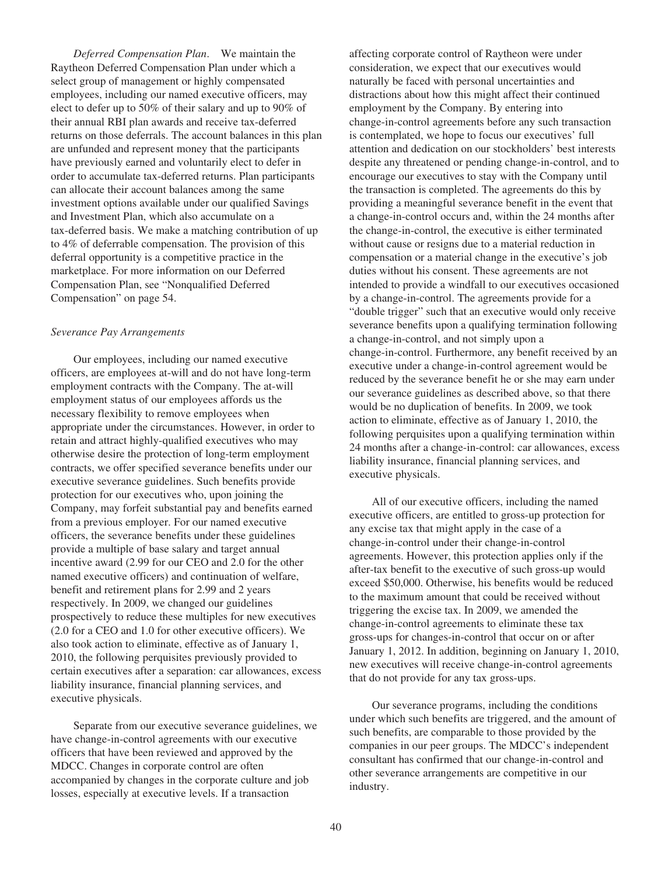*Deferred Compensation Plan*. We maintain the Raytheon Deferred Compensation Plan under which a select group of management or highly compensated employees, including our named executive officers, may elect to defer up to 50% of their salary and up to 90% of their annual RBI plan awards and receive tax-deferred returns on those deferrals. The account balances in this plan are unfunded and represent money that the participants have previously earned and voluntarily elect to defer in order to accumulate tax-deferred returns. Plan participants can allocate their account balances among the same investment options available under our qualified Savings and Investment Plan, which also accumulate on a tax-deferred basis. We make a matching contribution of up to 4% of deferrable compensation. The provision of this deferral opportunity is a competitive practice in the marketplace. For more information on our Deferred Compensation Plan, see "Nonqualified Deferred Compensation" on page 54.

#### *Severance Pay Arrangements*

Our employees, including our named executive officers, are employees at-will and do not have long-term employment contracts with the Company. The at-will employment status of our employees affords us the necessary flexibility to remove employees when appropriate under the circumstances. However, in order to retain and attract highly-qualified executives who may otherwise desire the protection of long-term employment contracts, we offer specified severance benefits under our executive severance guidelines. Such benefits provide protection for our executives who, upon joining the Company, may forfeit substantial pay and benefits earned from a previous employer. For our named executive officers, the severance benefits under these guidelines provide a multiple of base salary and target annual incentive award (2.99 for our CEO and 2.0 for the other named executive officers) and continuation of welfare, benefit and retirement plans for 2.99 and 2 years respectively. In 2009, we changed our guidelines prospectively to reduce these multiples for new executives (2.0 for a CEO and 1.0 for other executive officers). We also took action to eliminate, effective as of January 1, 2010, the following perquisites previously provided to certain executives after a separation: car allowances, excess liability insurance, financial planning services, and executive physicals.

Separate from our executive severance guidelines, we have change-in-control agreements with our executive officers that have been reviewed and approved by the MDCC. Changes in corporate control are often accompanied by changes in the corporate culture and job losses, especially at executive levels. If a transaction

affecting corporate control of Raytheon were under consideration, we expect that our executives would naturally be faced with personal uncertainties and distractions about how this might affect their continued employment by the Company. By entering into change-in-control agreements before any such transaction is contemplated, we hope to focus our executives' full attention and dedication on our stockholders' best interests despite any threatened or pending change-in-control, and to encourage our executives to stay with the Company until the transaction is completed. The agreements do this by providing a meaningful severance benefit in the event that a change-in-control occurs and, within the 24 months after the change-in-control, the executive is either terminated without cause or resigns due to a material reduction in compensation or a material change in the executive's job duties without his consent. These agreements are not intended to provide a windfall to our executives occasioned by a change-in-control. The agreements provide for a "double trigger" such that an executive would only receive severance benefits upon a qualifying termination following a change-in-control, and not simply upon a change-in-control. Furthermore, any benefit received by an executive under a change-in-control agreement would be reduced by the severance benefit he or she may earn under our severance guidelines as described above, so that there would be no duplication of benefits. In 2009, we took action to eliminate, effective as of January 1, 2010, the following perquisites upon a qualifying termination within 24 months after a change-in-control: car allowances, excess liability insurance, financial planning services, and executive physicals.

All of our executive officers, including the named executive officers, are entitled to gross-up protection for any excise tax that might apply in the case of a change-in-control under their change-in-control agreements. However, this protection applies only if the after-tax benefit to the executive of such gross-up would exceed \$50,000. Otherwise, his benefits would be reduced to the maximum amount that could be received without triggering the excise tax. In 2009, we amended the change-in-control agreements to eliminate these tax gross-ups for changes-in-control that occur on or after January 1, 2012. In addition, beginning on January 1, 2010, new executives will receive change-in-control agreements that do not provide for any tax gross-ups.

Our severance programs, including the conditions under which such benefits are triggered, and the amount of such benefits, are comparable to those provided by the companies in our peer groups. The MDCC's independent consultant has confirmed that our change-in-control and other severance arrangements are competitive in our industry.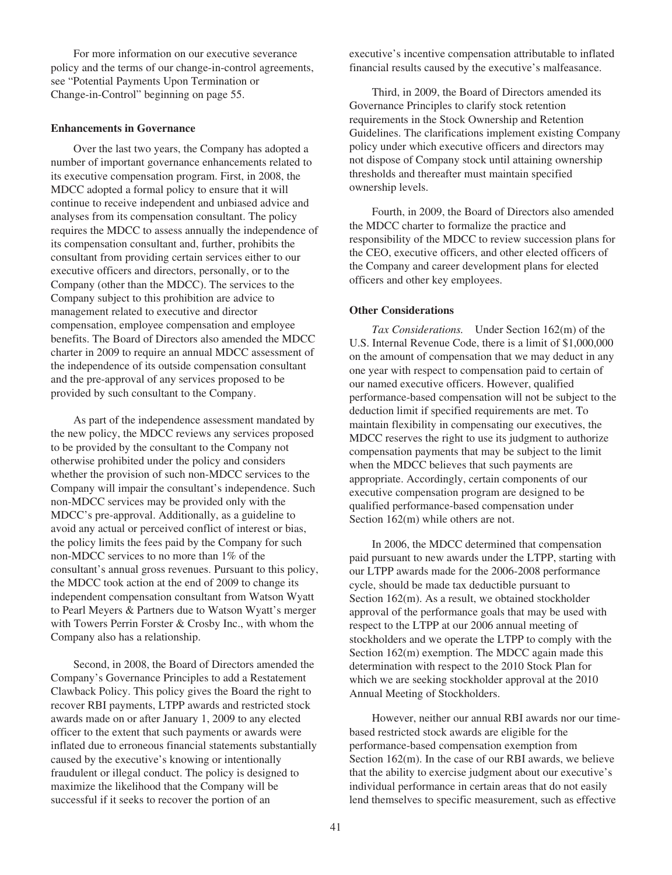For more information on our executive severance policy and the terms of our change-in-control agreements, see "Potential Payments Upon Termination or Change-in-Control" beginning on page 55.

#### **Enhancements in Governance**

Over the last two years, the Company has adopted a number of important governance enhancements related to its executive compensation program. First, in 2008, the MDCC adopted a formal policy to ensure that it will continue to receive independent and unbiased advice and analyses from its compensation consultant. The policy requires the MDCC to assess annually the independence of its compensation consultant and, further, prohibits the consultant from providing certain services either to our executive officers and directors, personally, or to the Company (other than the MDCC). The services to the Company subject to this prohibition are advice to management related to executive and director compensation, employee compensation and employee benefits. The Board of Directors also amended the MDCC charter in 2009 to require an annual MDCC assessment of the independence of its outside compensation consultant and the pre-approval of any services proposed to be provided by such consultant to the Company.

As part of the independence assessment mandated by the new policy, the MDCC reviews any services proposed to be provided by the consultant to the Company not otherwise prohibited under the policy and considers whether the provision of such non-MDCC services to the Company will impair the consultant's independence. Such non-MDCC services may be provided only with the MDCC's pre-approval. Additionally, as a guideline to avoid any actual or perceived conflict of interest or bias, the policy limits the fees paid by the Company for such non-MDCC services to no more than 1% of the consultant's annual gross revenues. Pursuant to this policy, the MDCC took action at the end of 2009 to change its independent compensation consultant from Watson Wyatt to Pearl Meyers & Partners due to Watson Wyatt's merger with Towers Perrin Forster & Crosby Inc., with whom the Company also has a relationship.

Second, in 2008, the Board of Directors amended the Company's Governance Principles to add a Restatement Clawback Policy. This policy gives the Board the right to recover RBI payments, LTPP awards and restricted stock awards made on or after January 1, 2009 to any elected officer to the extent that such payments or awards were inflated due to erroneous financial statements substantially caused by the executive's knowing or intentionally fraudulent or illegal conduct. The policy is designed to maximize the likelihood that the Company will be successful if it seeks to recover the portion of an

executive's incentive compensation attributable to inflated financial results caused by the executive's malfeasance.

Third, in 2009, the Board of Directors amended its Governance Principles to clarify stock retention requirements in the Stock Ownership and Retention Guidelines. The clarifications implement existing Company policy under which executive officers and directors may not dispose of Company stock until attaining ownership thresholds and thereafter must maintain specified ownership levels.

Fourth, in 2009, the Board of Directors also amended the MDCC charter to formalize the practice and responsibility of the MDCC to review succession plans for the CEO, executive officers, and other elected officers of the Company and career development plans for elected officers and other key employees.

## **Other Considerations**

*Tax Considerations.* Under Section 162(m) of the U.S. Internal Revenue Code, there is a limit of \$1,000,000 on the amount of compensation that we may deduct in any one year with respect to compensation paid to certain of our named executive officers. However, qualified performance-based compensation will not be subject to the deduction limit if specified requirements are met. To maintain flexibility in compensating our executives, the MDCC reserves the right to use its judgment to authorize compensation payments that may be subject to the limit when the MDCC believes that such payments are appropriate. Accordingly, certain components of our executive compensation program are designed to be qualified performance-based compensation under Section 162(m) while others are not.

In 2006, the MDCC determined that compensation paid pursuant to new awards under the LTPP, starting with our LTPP awards made for the 2006-2008 performance cycle, should be made tax deductible pursuant to Section 162(m). As a result, we obtained stockholder approval of the performance goals that may be used with respect to the LTPP at our 2006 annual meeting of stockholders and we operate the LTPP to comply with the Section 162(m) exemption. The MDCC again made this determination with respect to the 2010 Stock Plan for which we are seeking stockholder approval at the 2010 Annual Meeting of Stockholders.

However, neither our annual RBI awards nor our timebased restricted stock awards are eligible for the performance-based compensation exemption from Section 162(m). In the case of our RBI awards, we believe that the ability to exercise judgment about our executive's individual performance in certain areas that do not easily lend themselves to specific measurement, such as effective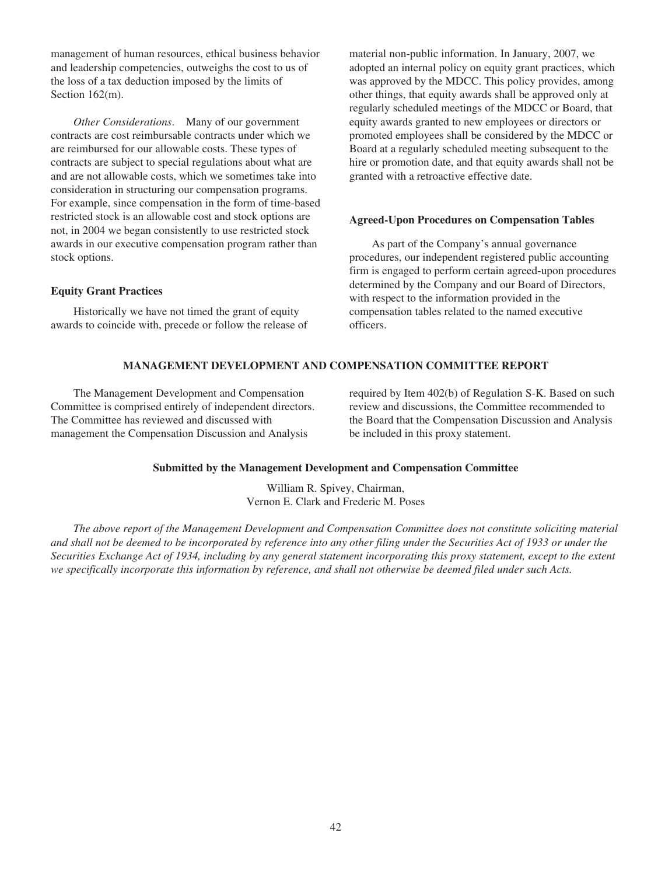management of human resources, ethical business behavior and leadership competencies, outweighs the cost to us of the loss of a tax deduction imposed by the limits of Section 162(m).

*Other Considerations*. Many of our government contracts are cost reimbursable contracts under which we are reimbursed for our allowable costs. These types of contracts are subject to special regulations about what are and are not allowable costs, which we sometimes take into consideration in structuring our compensation programs. For example, since compensation in the form of time-based restricted stock is an allowable cost and stock options are not, in 2004 we began consistently to use restricted stock awards in our executive compensation program rather than stock options.

## **Equity Grant Practices**

Historically we have not timed the grant of equity awards to coincide with, precede or follow the release of material non-public information. In January, 2007, we adopted an internal policy on equity grant practices, which was approved by the MDCC. This policy provides, among other things, that equity awards shall be approved only at regularly scheduled meetings of the MDCC or Board, that equity awards granted to new employees or directors or promoted employees shall be considered by the MDCC or Board at a regularly scheduled meeting subsequent to the hire or promotion date, and that equity awards shall not be granted with a retroactive effective date.

# **Agreed-Upon Procedures on Compensation Tables**

As part of the Company's annual governance procedures, our independent registered public accounting firm is engaged to perform certain agreed-upon procedures determined by the Company and our Board of Directors, with respect to the information provided in the compensation tables related to the named executive officers.

# **MANAGEMENT DEVELOPMENT AND COMPENSATION COMMITTEE REPORT**

The Management Development and Compensation Committee is comprised entirely of independent directors. The Committee has reviewed and discussed with management the Compensation Discussion and Analysis

required by Item 402(b) of Regulation S-K. Based on such review and discussions, the Committee recommended to the Board that the Compensation Discussion and Analysis be included in this proxy statement.

### **Submitted by the Management Development and Compensation Committee**

William R. Spivey, Chairman, Vernon E. Clark and Frederic M. Poses

*The above report of the Management Development and Compensation Committee does not constitute soliciting material and shall not be deemed to be incorporated by reference into any other filing under the Securities Act of 1933 or under the Securities Exchange Act of 1934, including by any general statement incorporating this proxy statement, except to the extent we specifically incorporate this information by reference, and shall not otherwise be deemed filed under such Acts.*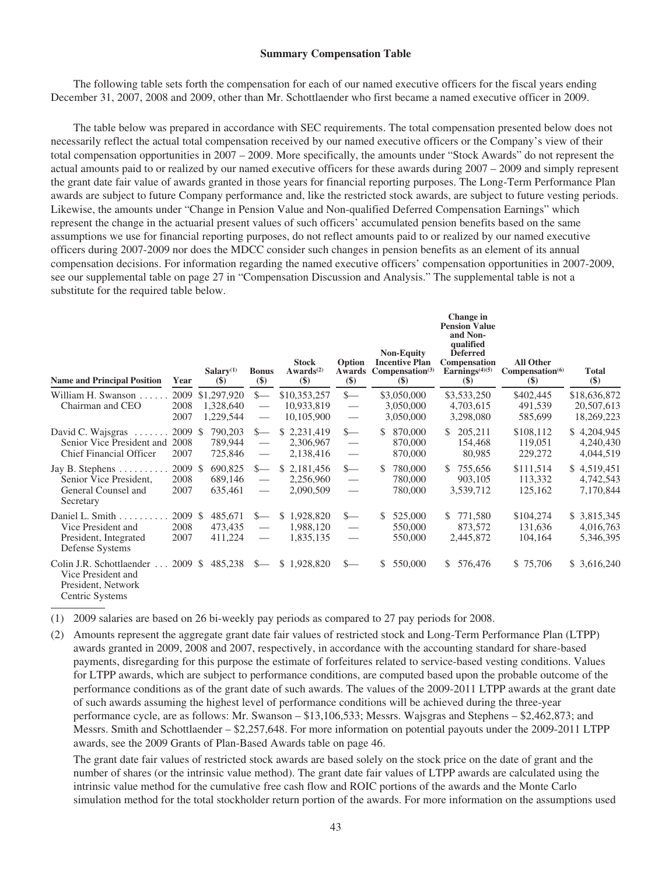#### **Summary Compensation Table**

The following table sets forth the compensation for each of our named executive officers for the fiscal years ending December 31, 2007, 2008 and 2009, other than Mr. Schottlaender who first became a named executive officer in 2009.

The table below was prepared in accordance with SEC requirements. The total compensation presented below does not necessarily reflect the actual total compensation received by our named executive officers or the Company's view of their total compensation opportunities in 2007 – 2009. More specifically, the amounts under "Stock Awards" do not represent the actual amounts paid to or realized by our named executive officers for these awards during 2007 – 2009 and simply represent the grant date fair value of awards granted in those years for financial reporting purposes. The Long-Term Performance Plan awards are subject to future Company performance and, like the restricted stock awards, are subject to future vesting periods. Likewise, the amounts under "Change in Pension Value and Non-qualified Deferred Compensation Earnings" which represent the change in the actuarial present values of such officers' accumulated pension benefits based on the same assumptions we use for financial reporting purposes, do not reflect amounts paid to or realized by our named executive officers during 2007-2009 nor does the MDCC consider such changes in pension benefits as an element of its annual compensation decisions. For information regarding the named executive officers' compensation opportunities in 2007-2009, see our supplemental table on page 27 in "Compensation Discussion and Analysis." The supplemental table is not a substitute for the required table below.

| <b>Name and Principal Position</b>                                                      | Year                    | Salary <sup>(1)</sup><br>$(\$)$       | <b>Bonus</b><br>$(\$)$                                                                                                                                                                                                                                                                                                                                                                                                   | <b>Stock</b><br>Awards <sup>(2)</sup><br>$($)$ | Option<br>Awards<br>$($)$                                                     | <b>Non-Equity</b><br><b>Incentive Plan</b><br>Compensation <sup>(3)</sup><br>$(\$)$ | Change in<br><b>Pension Value</b><br>and Non-<br>qualified<br><b>Deferred</b><br>Compensation<br>Earnings $(4)(5)$<br>$(\$)$ | <b>All Other</b><br>Compensation <sup>(6)</sup><br>$(\$)$ | <b>Total</b><br>$(\$)$                   |
|-----------------------------------------------------------------------------------------|-------------------------|---------------------------------------|--------------------------------------------------------------------------------------------------------------------------------------------------------------------------------------------------------------------------------------------------------------------------------------------------------------------------------------------------------------------------------------------------------------------------|------------------------------------------------|-------------------------------------------------------------------------------|-------------------------------------------------------------------------------------|------------------------------------------------------------------------------------------------------------------------------|-----------------------------------------------------------|------------------------------------------|
| William H. Swanson<br>Chairman and CEO                                                  | 2009<br>2008<br>2007    | \$1,297,920<br>1,328,640<br>1,229,544 | $s-$<br>$\qquad \qquad \overbrace{ }^{ }% =\sum_{i=1}^{n-1}V_{i}^{i}(\overline{z}_{i}^{i})^{i}e_{i}^{i}(\overline{z}_{i}^{i})^{i}e_{i}^{i}(\overline{z}_{i}^{i})^{i}e_{i}^{i}(\overline{z}_{i}^{i})^{i}e_{i}^{i}(\overline{z}_{i}^{i})^{i}e_{i}^{i}(\overline{z}_{i}^{i})^{i}e_{i}^{i}(\overline{z}_{i}^{i})^{i}e_{i}^{i}(\overline{z}_{i}^{i})^{i}e_{i}^{i}(\overline{z}_{i}^{i})^{i}e_{i}$<br>$\overline{\phantom{m}}$ | \$10,353,257<br>10,933,819<br>10,105,900       | $s-$<br>$\overline{\phantom{m}}$<br>$\hspace{0.05cm}$                         | \$3,050,000<br>3,050,000<br>3,050,000                                               | \$3,533,250<br>4,703,615<br>3,298,080                                                                                        | \$402,445<br>491,539<br>585,699                           | \$18,636,872<br>20,507,613<br>18,269,223 |
| David C. Wajsgras<br>Senior Vice President and 2008<br><b>Chief Financial Officer</b>   | 2009 \$<br>2007         | 790,203<br>789,944<br>725,846         | $S-$<br>$\overline{\phantom{m}}$                                                                                                                                                                                                                                                                                                                                                                                         | \$2,231,419<br>2,306,967<br>2,138,416          | $S-$<br>$\qquad \qquad \overline{\qquad \qquad }$<br>$\overline{\phantom{m}}$ | 870,000<br>\$<br>870,000<br>870,000                                                 | 205,211<br>\$.<br>154,468<br>80,985                                                                                          | \$108,112<br>119,051<br>229,272                           | \$4,204,945<br>4,240,430<br>4,044,519    |
| Jay B. Stephens<br>Senior Vice President,<br>General Counsel and<br>Secretary           | 2009 \$<br>2008<br>2007 | 690,825<br>689,146<br>635,461         | $S-$<br>$\hspace{0.05cm}$<br>$\overline{\phantom{m}}$                                                                                                                                                                                                                                                                                                                                                                    | \$2,181,456<br>2,256,960<br>2,090,509          | $S-$<br>$\hspace{0.05cm}$<br>$\overline{\phantom{0}}$                         | 780,000<br>S.<br>780,000<br>780,000                                                 | \$755,656<br>903,105<br>3,539,712                                                                                            | \$111,514<br>113,332<br>125,162                           | \$4,519,451<br>4,742,543<br>7,170,844    |
| Daniel L. Smith<br>Vice President and<br>President, Integrated<br>Defense Systems       | 2009 \$<br>2008<br>2007 | 485,671<br>473,435<br>411,224         | $s-$<br>$\hspace{0.05cm}$                                                                                                                                                                                                                                                                                                                                                                                                | S.<br>1,928,820<br>1,988,120<br>1,835,135      | $s-$<br>$\overline{\phantom{m}}$<br>$\hspace{0.05cm}$                         | 525,000<br>\$.<br>550,000<br>550,000                                                | 771,580<br>S.<br>873,572<br>2,445,872                                                                                        | \$104,274<br>131,636<br>104,164                           | \$ 3,815,345<br>4,016,763<br>5,346,395   |
| Colin J.R. Schottlaender<br>Vice President and<br>President, Network<br>Centric Systems | 2009 \$                 | 485,238                               | $S-$                                                                                                                                                                                                                                                                                                                                                                                                                     | \$1,928,820                                    | $S-$                                                                          | \$<br>550,000                                                                       | 576,476<br>S.                                                                                                                | \$75,706                                                  | \$3,616,240                              |

(1) 2009 salaries are based on 26 bi-weekly pay periods as compared to 27 pay periods for 2008.

(2) Amounts represent the aggregate grant date fair values of restricted stock and Long-Term Performance Plan (LTPP) awards granted in 2009, 2008 and 2007, respectively, in accordance with the accounting standard for share-based payments, disregarding for this purpose the estimate of forfeitures related to service-based vesting conditions. Values for LTPP awards, which are subject to performance conditions, are computed based upon the probable outcome of the performance conditions as of the grant date of such awards. The values of the 2009-2011 LTPP awards at the grant date of such awards assuming the highest level of performance conditions will be achieved during the three-year performance cycle, are as follows: Mr. Swanson – \$13,106,533; Messrs. Wajsgras and Stephens – \$2,462,873; and Messrs. Smith and Schottlaender – \$2,257,648. For more information on potential payouts under the 2009-2011 LTPP awards, see the 2009 Grants of Plan-Based Awards table on page 46.

The grant date fair values of restricted stock awards are based solely on the stock price on the date of grant and the number of shares (or the intrinsic value method). The grant date fair values of LTPP awards are calculated using the intrinsic value method for the cumulative free cash flow and ROIC portions of the awards and the Monte Carlo simulation method for the total stockholder return portion of the awards. For more information on the assumptions used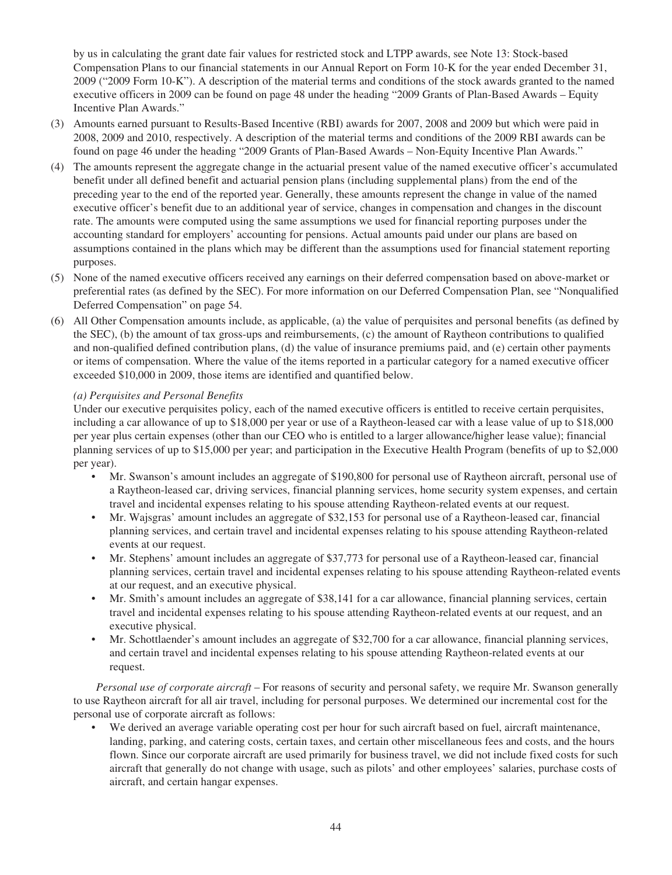by us in calculating the grant date fair values for restricted stock and LTPP awards, see Note 13: Stock-based Compensation Plans to our financial statements in our Annual Report on Form 10-K for the year ended December 31, 2009 ("2009 Form 10-K"). A description of the material terms and conditions of the stock awards granted to the named executive officers in 2009 can be found on page 48 under the heading "2009 Grants of Plan-Based Awards – Equity Incentive Plan Awards."

- (3) Amounts earned pursuant to Results-Based Incentive (RBI) awards for 2007, 2008 and 2009 but which were paid in 2008, 2009 and 2010, respectively. A description of the material terms and conditions of the 2009 RBI awards can be found on page 46 under the heading "2009 Grants of Plan-Based Awards – Non-Equity Incentive Plan Awards."
- (4) The amounts represent the aggregate change in the actuarial present value of the named executive officer's accumulated benefit under all defined benefit and actuarial pension plans (including supplemental plans) from the end of the preceding year to the end of the reported year. Generally, these amounts represent the change in value of the named executive officer's benefit due to an additional year of service, changes in compensation and changes in the discount rate. The amounts were computed using the same assumptions we used for financial reporting purposes under the accounting standard for employers' accounting for pensions. Actual amounts paid under our plans are based on assumptions contained in the plans which may be different than the assumptions used for financial statement reporting purposes.
- (5) None of the named executive officers received any earnings on their deferred compensation based on above-market or preferential rates (as defined by the SEC). For more information on our Deferred Compensation Plan, see "Nonqualified Deferred Compensation" on page 54.
- (6) All Other Compensation amounts include, as applicable, (a) the value of perquisites and personal benefits (as defined by the SEC), (b) the amount of tax gross-ups and reimbursements, (c) the amount of Raytheon contributions to qualified and non-qualified defined contribution plans, (d) the value of insurance premiums paid, and (e) certain other payments or items of compensation. Where the value of the items reported in a particular category for a named executive officer exceeded \$10,000 in 2009, those items are identified and quantified below.

# *(a) Perquisites and Personal Benefits*

Under our executive perquisites policy, each of the named executive officers is entitled to receive certain perquisites, including a car allowance of up to \$18,000 per year or use of a Raytheon-leased car with a lease value of up to \$18,000 per year plus certain expenses (other than our CEO who is entitled to a larger allowance/higher lease value); financial planning services of up to \$15,000 per year; and participation in the Executive Health Program (benefits of up to \$2,000 per year).

- Mr. Swanson's amount includes an aggregate of \$190,800 for personal use of Raytheon aircraft, personal use of a Raytheon-leased car, driving services, financial planning services, home security system expenses, and certain travel and incidental expenses relating to his spouse attending Raytheon-related events at our request.
- Mr. Wajsgras' amount includes an aggregate of \$32,153 for personal use of a Raytheon-leased car, financial planning services, and certain travel and incidental expenses relating to his spouse attending Raytheon-related events at our request.
- Mr. Stephens' amount includes an aggregate of \$37,773 for personal use of a Raytheon-leased car, financial planning services, certain travel and incidental expenses relating to his spouse attending Raytheon-related events at our request, and an executive physical.
- Mr. Smith's amount includes an aggregate of \$38,141 for a car allowance, financial planning services, certain travel and incidental expenses relating to his spouse attending Raytheon-related events at our request, and an executive physical.
- Mr. Schottlaender's amount includes an aggregate of \$32,700 for a car allowance, financial planning services, and certain travel and incidental expenses relating to his spouse attending Raytheon-related events at our request.

*Personal use of corporate aircraft* – For reasons of security and personal safety, we require Mr. Swanson generally to use Raytheon aircraft for all air travel, including for personal purposes. We determined our incremental cost for the personal use of corporate aircraft as follows:

• We derived an average variable operating cost per hour for such aircraft based on fuel, aircraft maintenance, landing, parking, and catering costs, certain taxes, and certain other miscellaneous fees and costs, and the hours flown. Since our corporate aircraft are used primarily for business travel, we did not include fixed costs for such aircraft that generally do not change with usage, such as pilots' and other employees' salaries, purchase costs of aircraft, and certain hangar expenses.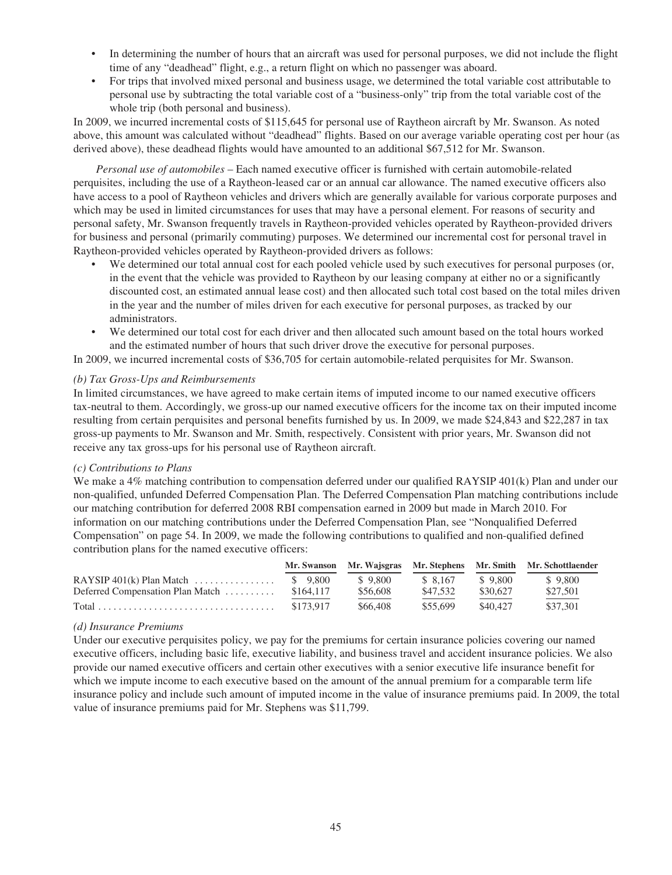- In determining the number of hours that an aircraft was used for personal purposes, we did not include the flight time of any "deadhead" flight, e.g., a return flight on which no passenger was aboard.
- For trips that involved mixed personal and business usage, we determined the total variable cost attributable to personal use by subtracting the total variable cost of a "business-only" trip from the total variable cost of the whole trip (both personal and business).

In 2009, we incurred incremental costs of \$115,645 for personal use of Raytheon aircraft by Mr. Swanson. As noted above, this amount was calculated without "deadhead" flights. Based on our average variable operating cost per hour (as derived above), these deadhead flights would have amounted to an additional \$67,512 for Mr. Swanson.

*Personal use of automobiles* – Each named executive officer is furnished with certain automobile-related perquisites, including the use of a Raytheon-leased car or an annual car allowance. The named executive officers also have access to a pool of Raytheon vehicles and drivers which are generally available for various corporate purposes and which may be used in limited circumstances for uses that may have a personal element. For reasons of security and personal safety, Mr. Swanson frequently travels in Raytheon-provided vehicles operated by Raytheon-provided drivers for business and personal (primarily commuting) purposes. We determined our incremental cost for personal travel in Raytheon-provided vehicles operated by Raytheon-provided drivers as follows:

- We determined our total annual cost for each pooled vehicle used by such executives for personal purposes (or, in the event that the vehicle was provided to Raytheon by our leasing company at either no or a significantly discounted cost, an estimated annual lease cost) and then allocated such total cost based on the total miles driven in the year and the number of miles driven for each executive for personal purposes, as tracked by our administrators.
- We determined our total cost for each driver and then allocated such amount based on the total hours worked and the estimated number of hours that such driver drove the executive for personal purposes.

In 2009, we incurred incremental costs of \$36,705 for certain automobile-related perquisites for Mr. Swanson.

# *(b) Tax Gross-Ups and Reimbursements*

In limited circumstances, we have agreed to make certain items of imputed income to our named executive officers tax-neutral to them. Accordingly, we gross-up our named executive officers for the income tax on their imputed income resulting from certain perquisites and personal benefits furnished by us. In 2009, we made \$24,843 and \$22,287 in tax gross-up payments to Mr. Swanson and Mr. Smith, respectively. Consistent with prior years, Mr. Swanson did not receive any tax gross-ups for his personal use of Raytheon aircraft.

# *(c) Contributions to Plans*

We make a 4% matching contribution to compensation deferred under our qualified RAYSIP 401(k) Plan and under our non-qualified, unfunded Deferred Compensation Plan. The Deferred Compensation Plan matching contributions include our matching contribution for deferred 2008 RBI compensation earned in 2009 but made in March 2010. For information on our matching contributions under the Deferred Compensation Plan, see "Nonqualified Deferred Compensation" on page 54. In 2009, we made the following contributions to qualified and non-qualified defined contribution plans for the named executive officers:

|                                      |           |          |          |          | Mr. Swanson Mr. Wajsgras Mr. Stephens Mr. Smith Mr. Schottlaender |
|--------------------------------------|-----------|----------|----------|----------|-------------------------------------------------------------------|
| RAYSIP $401(k)$ Plan Match  \$ 9,800 |           | \$9.800  | \$ 8.167 | \$9.800  | \$9.800                                                           |
| Deferred Compensation Plan Match     | \$164,117 | \$56,608 | \$47.532 | \$30,627 | \$27,501                                                          |
|                                      | \$173.917 | \$66,408 | \$55.699 | \$40.427 | \$37.301                                                          |

# *(d) Insurance Premiums*

Under our executive perquisites policy, we pay for the premiums for certain insurance policies covering our named executive officers, including basic life, executive liability, and business travel and accident insurance policies. We also provide our named executive officers and certain other executives with a senior executive life insurance benefit for which we impute income to each executive based on the amount of the annual premium for a comparable term life insurance policy and include such amount of imputed income in the value of insurance premiums paid. In 2009, the total value of insurance premiums paid for Mr. Stephens was \$11,799.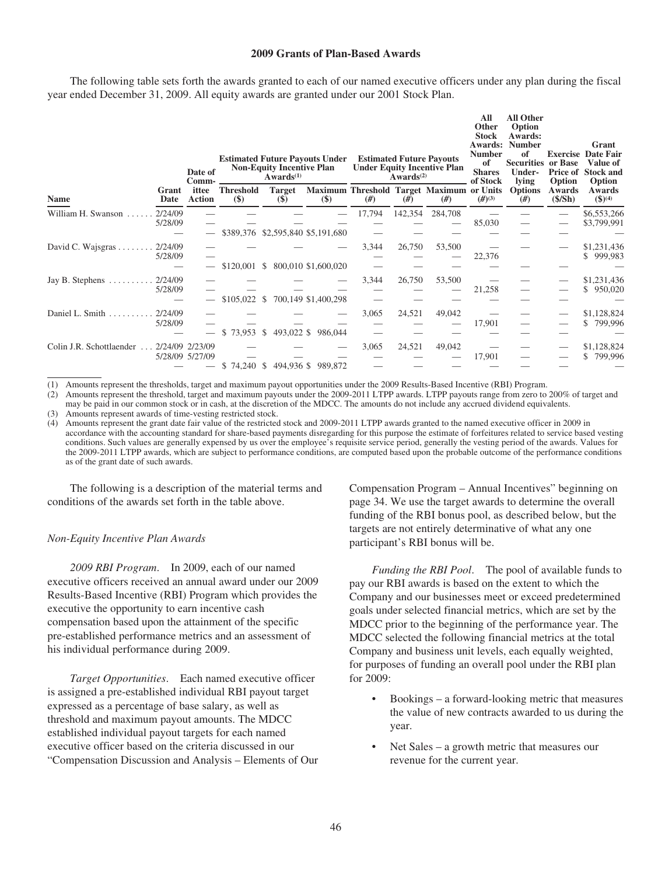### **2009 Grants of Plan-Based Awards**

The following table sets forth the awards granted to each of our named executive officers under any plan during the fiscal year ended December 31, 2009. All equity awards are granted under our 2001 Stock Plan.

|                                           |                    | Date of<br>Comm-       |                            | <b>Non-Equity Incentive Plan</b><br>$Awards^{(1)}$ | <b>Estimated Future Payouts Under</b> |        | Awards <sup>(2)</sup> | <b>Estimated Future Payouts</b><br><b>Under Equity Incentive Plan</b> | All<br>Other<br><b>Stock</b><br>Awards:<br><b>Number</b><br>of<br><b>Shares</b><br>of Stock | <b>All Other</b><br>Option<br>Awards:<br><b>Number</b><br>of<br><b>Securities</b><br>Under-<br>lying | <b>Exercise</b><br>or Base<br>Option | Grant<br>Date Fair<br>Value of<br><b>Price of Stock and</b><br>Option |
|-------------------------------------------|--------------------|------------------------|----------------------------|----------------------------------------------------|---------------------------------------|--------|-----------------------|-----------------------------------------------------------------------|---------------------------------------------------------------------------------------------|------------------------------------------------------------------------------------------------------|--------------------------------------|-----------------------------------------------------------------------|
| Name                                      | Grant<br>Date      | ittee<br><b>Action</b> | <b>Threshold</b><br>$(\$)$ | <b>Target</b><br>$(\$)$                            | $(\$)$                                | #)     | #)                    | Maximum Threshold Target Maximum or Units<br>#)                       | $(H^{(3)}$                                                                                  | <b>Options</b><br>#)                                                                                 | Awards<br>(\$/Sh)                    | Awards<br>$$^{(4)}$$                                                  |
| William H. Swanson                        | 2/24/09<br>5/28/09 |                        |                            |                                                    | \$389,376 \$2,595,840 \$5,191,680     | 17,794 | 142,354               | 284,708                                                               | 85,030                                                                                      |                                                                                                      |                                      | \$6,553,266<br>\$3,799,991                                            |
| David C. Wajsgras $\dots$                 | 2/24/09<br>5/28/09 |                        | $$120,001$ \$              |                                                    | 800,010 \$1,600,020                   | 3,344  | 26,750                | 53,500                                                                | 22,376                                                                                      |                                                                                                      |                                      | \$1,231,436<br>\$999,983                                              |
| Jay B. Stephens $\dots \dots$             | 2/24/09<br>5/28/09 |                        | $$105,022$ \$              |                                                    | 700,149 \$1,400,298                   | 3,344  | 26,750                | 53,500                                                                | 21,258                                                                                      |                                                                                                      |                                      | \$1,231,436<br>\$950,020                                              |
| Daniel L. Smith $\ldots$                  | 2/24/09<br>5/28/09 |                        | $$73,953$ \$               | 493,022 \$                                         | 986,044                               | 3,065  | 24,521                | 49,042                                                                | 17,901                                                                                      |                                                                                                      |                                      | \$1,128,824<br>\$799,996                                              |
| Colin J.R. Schottlaender  2/24/09 2/23/09 |                    | 5/28/09 5/27/09        | $$74,240$ \$               |                                                    | 494,936 \$989,872                     | 3,065  | 24,521                | 49,042                                                                | 17,901                                                                                      |                                                                                                      |                                      | \$1,128,824<br>\$<br>799,996                                          |

(1) Amounts represent the thresholds, target and maximum payout opportunities under the 2009 Results-Based Incentive (RBI) Program.

(2) Amounts represent the threshold, target and maximum payouts under the 2009-2011 LTPP awards. LTPP payouts range from zero to 200% of target and may be paid in our common stock or in cash, at the discretion of the MDCC. The amounts do not include any accrued dividend equivalents. (3) Amounts represent awards of time-vesting restricted stock.

(4) Amounts represent the grant date fair value of the restricted stock and 2009-2011 LTPP awards granted to the named executive officer in 2009 in accordance with the accounting standard for share-based payments disregarding for this purpose the estimate of forfeitures related to service based vesting conditions. Such values are generally expensed by us over the employee's requisite service period, generally the vesting period of the awards. Values for the 2009-2011 LTPP awards, which are subject to performance conditions, are computed based upon the probable outcome of the performance conditions as of the grant date of such awards.

The following is a description of the material terms and conditions of the awards set forth in the table above.

#### *Non-Equity Incentive Plan Awards*

*2009 RBI Program*. In 2009, each of our named executive officers received an annual award under our 2009 Results-Based Incentive (RBI) Program which provides the executive the opportunity to earn incentive cash compensation based upon the attainment of the specific pre-established performance metrics and an assessment of his individual performance during 2009.

*Target Opportunities*. Each named executive officer is assigned a pre-established individual RBI payout target expressed as a percentage of base salary, as well as threshold and maximum payout amounts. The MDCC established individual payout targets for each named executive officer based on the criteria discussed in our "Compensation Discussion and Analysis – Elements of Our Compensation Program – Annual Incentives" beginning on page 34. We use the target awards to determine the overall funding of the RBI bonus pool, as described below, but the targets are not entirely determinative of what any one participant's RBI bonus will be.

*Funding the RBI Pool*. The pool of available funds to pay our RBI awards is based on the extent to which the Company and our businesses meet or exceed predetermined goals under selected financial metrics, which are set by the MDCC prior to the beginning of the performance year. The MDCC selected the following financial metrics at the total Company and business unit levels, each equally weighted, for purposes of funding an overall pool under the RBI plan for 2009:

- Bookings a forward-looking metric that measures the value of new contracts awarded to us during the year.
- Net Sales a growth metric that measures our revenue for the current year.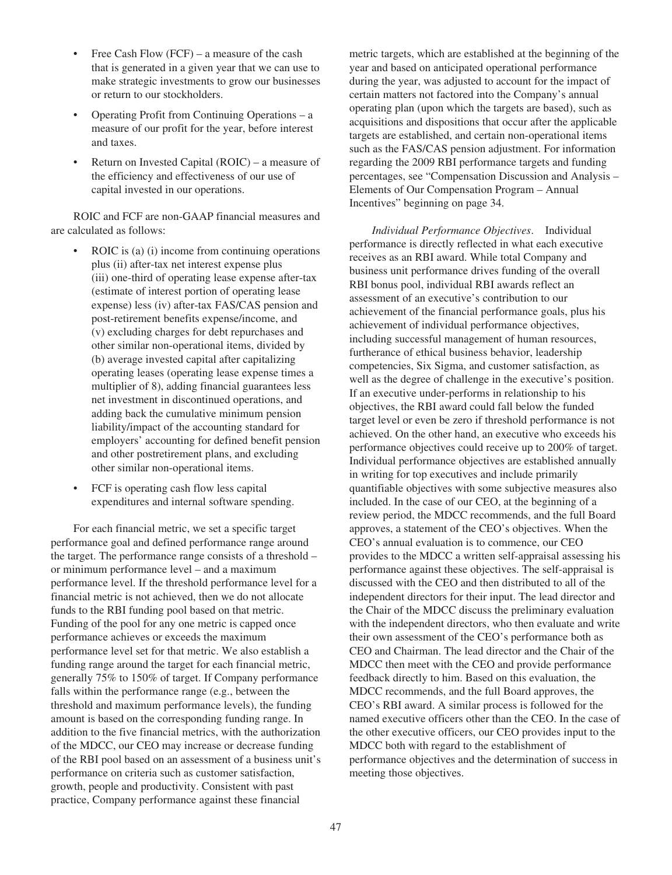- Free Cash Flow (FCF) a measure of the cash that is generated in a given year that we can use to make strategic investments to grow our businesses or return to our stockholders.
- Operating Profit from Continuing Operations a measure of our profit for the year, before interest and taxes.
- Return on Invested Capital (ROIC) a measure of the efficiency and effectiveness of our use of capital invested in our operations.

ROIC and FCF are non-GAAP financial measures and are calculated as follows:

- ROIC is (a) (i) income from continuing operations plus (ii) after-tax net interest expense plus (iii) one-third of operating lease expense after-tax (estimate of interest portion of operating lease expense) less (iv) after-tax FAS/CAS pension and post-retirement benefits expense/income, and (v) excluding charges for debt repurchases and other similar non-operational items, divided by (b) average invested capital after capitalizing operating leases (operating lease expense times a multiplier of 8), adding financial guarantees less net investment in discontinued operations, and adding back the cumulative minimum pension liability/impact of the accounting standard for employers' accounting for defined benefit pension and other postretirement plans, and excluding other similar non-operational items.
- FCF is operating cash flow less capital expenditures and internal software spending.

For each financial metric, we set a specific target performance goal and defined performance range around the target. The performance range consists of a threshold – or minimum performance level – and a maximum performance level. If the threshold performance level for a financial metric is not achieved, then we do not allocate funds to the RBI funding pool based on that metric. Funding of the pool for any one metric is capped once performance achieves or exceeds the maximum performance level set for that metric. We also establish a funding range around the target for each financial metric, generally 75% to 150% of target. If Company performance falls within the performance range (e.g., between the threshold and maximum performance levels), the funding amount is based on the corresponding funding range. In addition to the five financial metrics, with the authorization of the MDCC, our CEO may increase or decrease funding of the RBI pool based on an assessment of a business unit's performance on criteria such as customer satisfaction, growth, people and productivity. Consistent with past practice, Company performance against these financial

metric targets, which are established at the beginning of the year and based on anticipated operational performance during the year, was adjusted to account for the impact of certain matters not factored into the Company's annual operating plan (upon which the targets are based), such as acquisitions and dispositions that occur after the applicable targets are established, and certain non-operational items such as the FAS/CAS pension adjustment. For information regarding the 2009 RBI performance targets and funding percentages, see "Compensation Discussion and Analysis – Elements of Our Compensation Program – Annual Incentives" beginning on page 34.

*Individual Performance Objectives*. Individual performance is directly reflected in what each executive receives as an RBI award. While total Company and business unit performance drives funding of the overall RBI bonus pool, individual RBI awards reflect an assessment of an executive's contribution to our achievement of the financial performance goals, plus his achievement of individual performance objectives, including successful management of human resources, furtherance of ethical business behavior, leadership competencies, Six Sigma, and customer satisfaction, as well as the degree of challenge in the executive's position. If an executive under-performs in relationship to his objectives, the RBI award could fall below the funded target level or even be zero if threshold performance is not achieved. On the other hand, an executive who exceeds his performance objectives could receive up to 200% of target. Individual performance objectives are established annually in writing for top executives and include primarily quantifiable objectives with some subjective measures also included. In the case of our CEO, at the beginning of a review period, the MDCC recommends, and the full Board approves, a statement of the CEO's objectives. When the CEO's annual evaluation is to commence, our CEO provides to the MDCC a written self-appraisal assessing his performance against these objectives. The self-appraisal is discussed with the CEO and then distributed to all of the independent directors for their input. The lead director and the Chair of the MDCC discuss the preliminary evaluation with the independent directors, who then evaluate and write their own assessment of the CEO's performance both as CEO and Chairman. The lead director and the Chair of the MDCC then meet with the CEO and provide performance feedback directly to him. Based on this evaluation, the MDCC recommends, and the full Board approves, the CEO's RBI award. A similar process is followed for the named executive officers other than the CEO. In the case of the other executive officers, our CEO provides input to the MDCC both with regard to the establishment of performance objectives and the determination of success in meeting those objectives.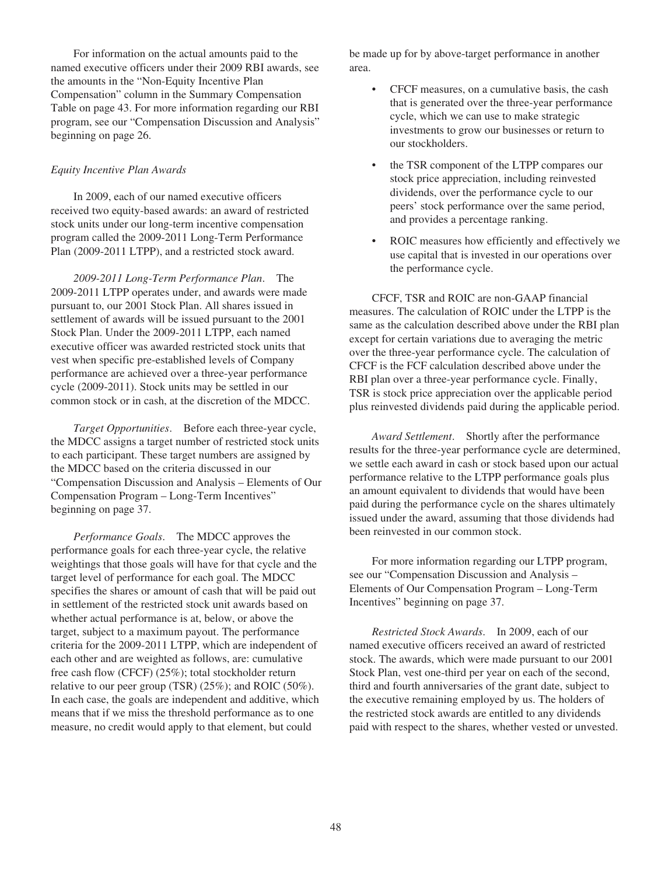For information on the actual amounts paid to the named executive officers under their 2009 RBI awards, see the amounts in the "Non-Equity Incentive Plan Compensation" column in the Summary Compensation Table on page 43. For more information regarding our RBI program, see our "Compensation Discussion and Analysis" beginning on page 26.

# *Equity Incentive Plan Awards*

In 2009, each of our named executive officers received two equity-based awards: an award of restricted stock units under our long-term incentive compensation program called the 2009-2011 Long-Term Performance Plan (2009-2011 LTPP), and a restricted stock award.

*2009-2011 Long-Term Performance Plan*. The 2009-2011 LTPP operates under, and awards were made pursuant to, our 2001 Stock Plan. All shares issued in settlement of awards will be issued pursuant to the 2001 Stock Plan. Under the 2009-2011 LTPP, each named executive officer was awarded restricted stock units that vest when specific pre-established levels of Company performance are achieved over a three-year performance cycle (2009-2011). Stock units may be settled in our common stock or in cash, at the discretion of the MDCC.

*Target Opportunities*. Before each three-year cycle, the MDCC assigns a target number of restricted stock units to each participant. These target numbers are assigned by the MDCC based on the criteria discussed in our "Compensation Discussion and Analysis – Elements of Our Compensation Program – Long-Term Incentives" beginning on page 37.

*Performance Goals*. The MDCC approves the performance goals for each three-year cycle, the relative weightings that those goals will have for that cycle and the target level of performance for each goal. The MDCC specifies the shares or amount of cash that will be paid out in settlement of the restricted stock unit awards based on whether actual performance is at, below, or above the target, subject to a maximum payout. The performance criteria for the 2009-2011 LTPP, which are independent of each other and are weighted as follows, are: cumulative free cash flow (CFCF) (25%); total stockholder return relative to our peer group (TSR) (25%); and ROIC (50%). In each case, the goals are independent and additive, which means that if we miss the threshold performance as to one measure, no credit would apply to that element, but could

be made up for by above-target performance in another area.

- CFCF measures, on a cumulative basis, the cash that is generated over the three-year performance cycle, which we can use to make strategic investments to grow our businesses or return to our stockholders.
- the TSR component of the LTPP compares our stock price appreciation, including reinvested dividends, over the performance cycle to our peers' stock performance over the same period, and provides a percentage ranking.
- ROIC measures how efficiently and effectively we use capital that is invested in our operations over the performance cycle.

CFCF, TSR and ROIC are non-GAAP financial measures. The calculation of ROIC under the LTPP is the same as the calculation described above under the RBI plan except for certain variations due to averaging the metric over the three-year performance cycle. The calculation of CFCF is the FCF calculation described above under the RBI plan over a three-year performance cycle. Finally, TSR is stock price appreciation over the applicable period plus reinvested dividends paid during the applicable period.

*Award Settlement*. Shortly after the performance results for the three-year performance cycle are determined, we settle each award in cash or stock based upon our actual performance relative to the LTPP performance goals plus an amount equivalent to dividends that would have been paid during the performance cycle on the shares ultimately issued under the award, assuming that those dividends had been reinvested in our common stock.

For more information regarding our LTPP program, see our "Compensation Discussion and Analysis – Elements of Our Compensation Program – Long-Term Incentives" beginning on page 37.

*Restricted Stock Awards*. In 2009, each of our named executive officers received an award of restricted stock. The awards, which were made pursuant to our 2001 Stock Plan, vest one-third per year on each of the second, third and fourth anniversaries of the grant date, subject to the executive remaining employed by us. The holders of the restricted stock awards are entitled to any dividends paid with respect to the shares, whether vested or unvested.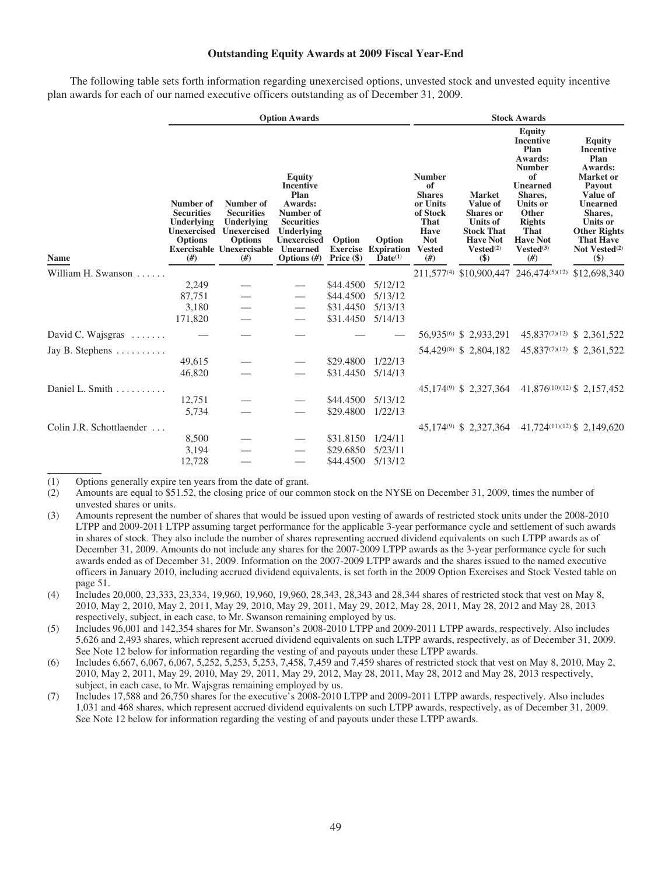## **Outstanding Equity Awards at 2009 Fiscal Year-End**

The following table sets forth information regarding unexercised options, unvested stock and unvested equity incentive plan awards for each of our named executive officers outstanding as of December 31, 2009.

|                               | <b>Option Awards</b>                                                                      |                                                                                                                        |                                                                                                                                                          |                                         |                                                      |                                                                                                                            | <b>Stock Awards</b>                                                                                                                        |                                                                                                                                                                                                    |                                                                                                                                                                                                                   |  |  |
|-------------------------------|-------------------------------------------------------------------------------------------|------------------------------------------------------------------------------------------------------------------------|----------------------------------------------------------------------------------------------------------------------------------------------------------|-----------------------------------------|------------------------------------------------------|----------------------------------------------------------------------------------------------------------------------------|--------------------------------------------------------------------------------------------------------------------------------------------|----------------------------------------------------------------------------------------------------------------------------------------------------------------------------------------------------|-------------------------------------------------------------------------------------------------------------------------------------------------------------------------------------------------------------------|--|--|
| <b>Name</b>                   | Number of<br><b>Securities</b><br>Underlying<br><b>Unexercised</b><br><b>Options</b><br># | Number of<br><b>Securities</b><br>Underlying<br>Unexercised<br><b>Options</b><br><b>Exercisable Unexercisable</b><br># | <b>Equity</b><br><b>Incentive</b><br>Plan<br>Awards:<br>Number of<br><b>Securities</b><br>Underlying<br><b>Unexercised</b><br>Unearned<br>Options $(\#)$ | Option<br><b>Exercise</b><br>Price (\$) | Option<br><b>Expiration</b><br>$\mathbf{Date}^{(1)}$ | <b>Number</b><br>of<br><b>Shares</b><br>or Units<br>of Stock<br>That<br><b>Have</b><br><b>Not</b><br><b>Vested</b><br>(f#) | <b>Market</b><br>Value of<br><b>Shares</b> or<br><b>Units of</b><br><b>Stock That</b><br><b>Have Not</b><br>Vested <sup>(2)</sup><br>$($)$ | <b>Equity</b><br><b>Incentive</b><br>Plan<br>Awards:<br><b>Number</b><br>of<br><b>Unearned</b><br>Shares,<br>Units or<br>Other<br><b>Rights</b><br>That<br><b>Have Not</b><br>$Vested^{(3)}$<br>#) | <b>Equity</b><br><b>Incentive</b><br>Plan<br>Awards:<br><b>Market</b> or<br>Payout<br>Value of<br><b>Unearned</b><br>Shares,<br>Units or<br><b>Other Rights</b><br><b>That Have</b><br>Not Vested $(2)$<br>$(\$)$ |  |  |
| William H. Swanson            |                                                                                           |                                                                                                                        |                                                                                                                                                          |                                         |                                                      |                                                                                                                            | 211,577 <sup>(4)</sup> \$10,900,447                                                                                                        | 246,474(5)(12)                                                                                                                                                                                     | \$12,698,340                                                                                                                                                                                                      |  |  |
|                               | 2,249                                                                                     |                                                                                                                        |                                                                                                                                                          | \$44,4500                               | 5/12/12                                              |                                                                                                                            |                                                                                                                                            |                                                                                                                                                                                                    |                                                                                                                                                                                                                   |  |  |
|                               | 87,751                                                                                    |                                                                                                                        |                                                                                                                                                          | \$44.4500                               | 5/13/12                                              |                                                                                                                            |                                                                                                                                            |                                                                                                                                                                                                    |                                                                                                                                                                                                                   |  |  |
|                               | 3,180                                                                                     |                                                                                                                        |                                                                                                                                                          | \$31.4450                               | 5/13/13                                              |                                                                                                                            |                                                                                                                                            |                                                                                                                                                                                                    |                                                                                                                                                                                                                   |  |  |
|                               | 171,820                                                                                   |                                                                                                                        |                                                                                                                                                          | \$31.4450                               | 5/14/13                                              |                                                                                                                            |                                                                                                                                            |                                                                                                                                                                                                    |                                                                                                                                                                                                                   |  |  |
| David C. Wajsgras $\ldots$    |                                                                                           |                                                                                                                        |                                                                                                                                                          |                                         |                                                      |                                                                                                                            | 56,935 <sup>(6)</sup> \$ 2,933,291                                                                                                         |                                                                                                                                                                                                    | 45,837(7)(12) \$ 2,361,522                                                                                                                                                                                        |  |  |
| Jay B. Stephens $\dots \dots$ |                                                                                           |                                                                                                                        |                                                                                                                                                          |                                         |                                                      |                                                                                                                            | 54,429 <sup>(8)</sup> \$ 2,804,182                                                                                                         |                                                                                                                                                                                                    | 45,837(7)(12) \$ 2,361,522                                                                                                                                                                                        |  |  |
|                               | 49,615                                                                                    |                                                                                                                        |                                                                                                                                                          | \$29,4800                               | 1/22/13                                              |                                                                                                                            |                                                                                                                                            |                                                                                                                                                                                                    |                                                                                                                                                                                                                   |  |  |
|                               | 46,820                                                                                    |                                                                                                                        |                                                                                                                                                          | \$31.4450                               | 5/14/13                                              |                                                                                                                            |                                                                                                                                            |                                                                                                                                                                                                    |                                                                                                                                                                                                                   |  |  |
| Daniel L. Smith               |                                                                                           |                                                                                                                        |                                                                                                                                                          |                                         |                                                      |                                                                                                                            | 45,174 <sup>(9)</sup> \$ 2,327,364                                                                                                         |                                                                                                                                                                                                    | 41,876(10)(12) \$2,157,452                                                                                                                                                                                        |  |  |
|                               | 12,751                                                                                    |                                                                                                                        |                                                                                                                                                          | \$44,4500                               | 5/13/12                                              |                                                                                                                            |                                                                                                                                            |                                                                                                                                                                                                    |                                                                                                                                                                                                                   |  |  |
|                               | 5,734                                                                                     |                                                                                                                        |                                                                                                                                                          | \$29,4800                               | 1/22/13                                              |                                                                                                                            |                                                                                                                                            |                                                                                                                                                                                                    |                                                                                                                                                                                                                   |  |  |
| Colin J.R. Schottlaender      |                                                                                           |                                                                                                                        |                                                                                                                                                          |                                         |                                                      |                                                                                                                            |                                                                                                                                            | 45,174 <sup>(9)</sup> \$2,327,364 41,724 <sup>(11)(12)</sup> \$2,149,620                                                                                                                           |                                                                                                                                                                                                                   |  |  |
|                               | 8,500                                                                                     |                                                                                                                        |                                                                                                                                                          | \$31.8150                               | 1/24/11                                              |                                                                                                                            |                                                                                                                                            |                                                                                                                                                                                                    |                                                                                                                                                                                                                   |  |  |
|                               | 3,194                                                                                     |                                                                                                                        |                                                                                                                                                          | \$29,6850                               | 5/23/11                                              |                                                                                                                            |                                                                                                                                            |                                                                                                                                                                                                    |                                                                                                                                                                                                                   |  |  |
|                               | 12,728                                                                                    |                                                                                                                        |                                                                                                                                                          | \$44.4500                               | 5/13/12                                              |                                                                                                                            |                                                                                                                                            |                                                                                                                                                                                                    |                                                                                                                                                                                                                   |  |  |

(1) Options generally expire ten years from the date of grant.

(2) Amounts are equal to \$51.52, the closing price of our common stock on the NYSE on December 31, 2009, times the number of unvested shares or units.

(3) Amounts represent the number of shares that would be issued upon vesting of awards of restricted stock units under the 2008-2010 LTPP and 2009-2011 LTPP assuming target performance for the applicable 3-year performance cycle and settlement of such awards in shares of stock. They also include the number of shares representing accrued dividend equivalents on such LTPP awards as of December 31, 2009. Amounts do not include any shares for the 2007-2009 LTPP awards as the 3-year performance cycle for such awards ended as of December 31, 2009. Information on the 2007-2009 LTPP awards and the shares issued to the named executive officers in January 2010, including accrued dividend equivalents, is set forth in the 2009 Option Exercises and Stock Vested table on page 51.

(4) Includes 20,000, 23,333, 23,334, 19,960, 19,960, 19,960, 28,343, 28,343 and 28,344 shares of restricted stock that vest on May 8, 2010, May 2, 2010, May 2, 2011, May 29, 2010, May 29, 2011, May 29, 2012, May 28, 2011, May 28, 2012 and May 28, 2013 respectively, subject, in each case, to Mr. Swanson remaining employed by us.

(5) Includes 96,001 and 142,354 shares for Mr. Swanson's 2008-2010 LTPP and 2009-2011 LTPP awards, respectively. Also includes 5,626 and 2,493 shares, which represent accrued dividend equivalents on such LTPP awards, respectively, as of December 31, 2009. See Note 12 below for information regarding the vesting of and payouts under these LTPP awards.

(6) Includes 6,667, 6,067, 6,067, 5,252, 5,253, 5,253, 7,458, 7,459 and 7,459 shares of restricted stock that vest on May 8, 2010, May 2, 2010, May 2, 2011, May 29, 2010, May 29, 2011, May 29, 2012, May 28, 2011, May 28, 2012 and May 28, 2013 respectively, subject, in each case, to Mr. Wajsgras remaining employed by us.

(7) Includes 17,588 and 26,750 shares for the executive's 2008-2010 LTPP and 2009-2011 LTPP awards, respectively. Also includes 1,031 and 468 shares, which represent accrued dividend equivalents on such LTPP awards, respectively, as of December 31, 2009. See Note 12 below for information regarding the vesting of and payouts under these LTPP awards.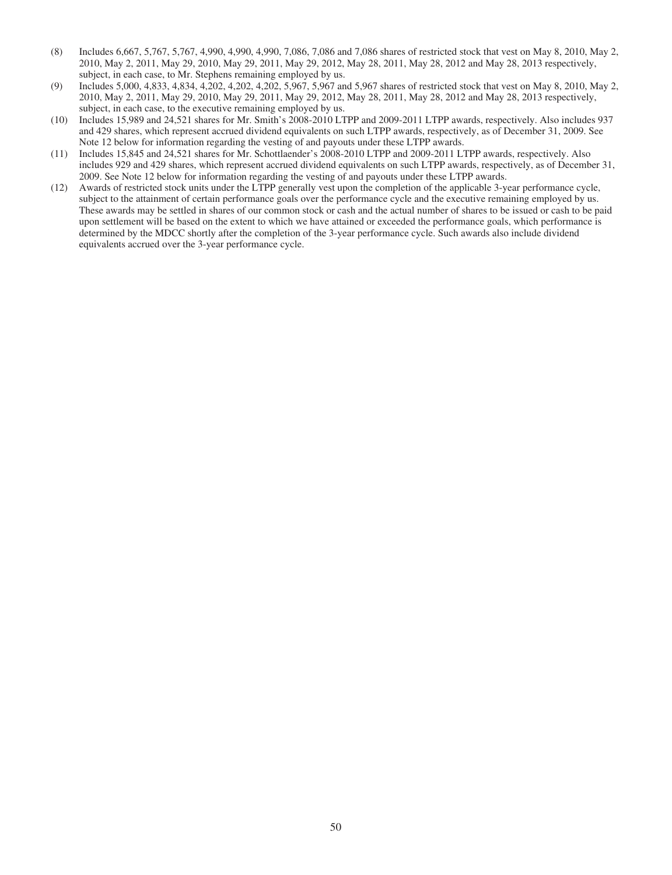- (8) Includes 6,667, 5,767, 5,767, 4,990, 4,990, 4,990, 7,086, 7,086 and 7,086 shares of restricted stock that vest on May 8, 2010, May 2, 2010, May 2, 2011, May 29, 2010, May 29, 2011, May 29, 2012, May 28, 2011, May 28, 2012 and May 28, 2013 respectively, subject, in each case, to Mr. Stephens remaining employed by us.
- (9) Includes 5,000, 4,833, 4,834, 4,202, 4,202, 4,202, 5,967, 5,967 and 5,967 shares of restricted stock that vest on May 8, 2010, May 2, 2010, May 2, 2011, May 29, 2010, May 29, 2011, May 29, 2012, May 28, 2011, May 28, 2012 and May 28, 2013 respectively, subject, in each case, to the executive remaining employed by us.
- (10) Includes 15,989 and 24,521 shares for Mr. Smith's 2008-2010 LTPP and 2009-2011 LTPP awards, respectively. Also includes 937 and 429 shares, which represent accrued dividend equivalents on such LTPP awards, respectively, as of December 31, 2009. See Note 12 below for information regarding the vesting of and payouts under these LTPP awards.
- (11) Includes 15,845 and 24,521 shares for Mr. Schottlaender's 2008-2010 LTPP and 2009-2011 LTPP awards, respectively. Also includes 929 and 429 shares, which represent accrued dividend equivalents on such LTPP awards, respectively, as of December 31, 2009. See Note 12 below for information regarding the vesting of and payouts under these LTPP awards.
- (12) Awards of restricted stock units under the LTPP generally vest upon the completion of the applicable 3-year performance cycle, subject to the attainment of certain performance goals over the performance cycle and the executive remaining employed by us. These awards may be settled in shares of our common stock or cash and the actual number of shares to be issued or cash to be paid upon settlement will be based on the extent to which we have attained or exceeded the performance goals, which performance is determined by the MDCC shortly after the completion of the 3-year performance cycle. Such awards also include dividend equivalents accrued over the 3-year performance cycle.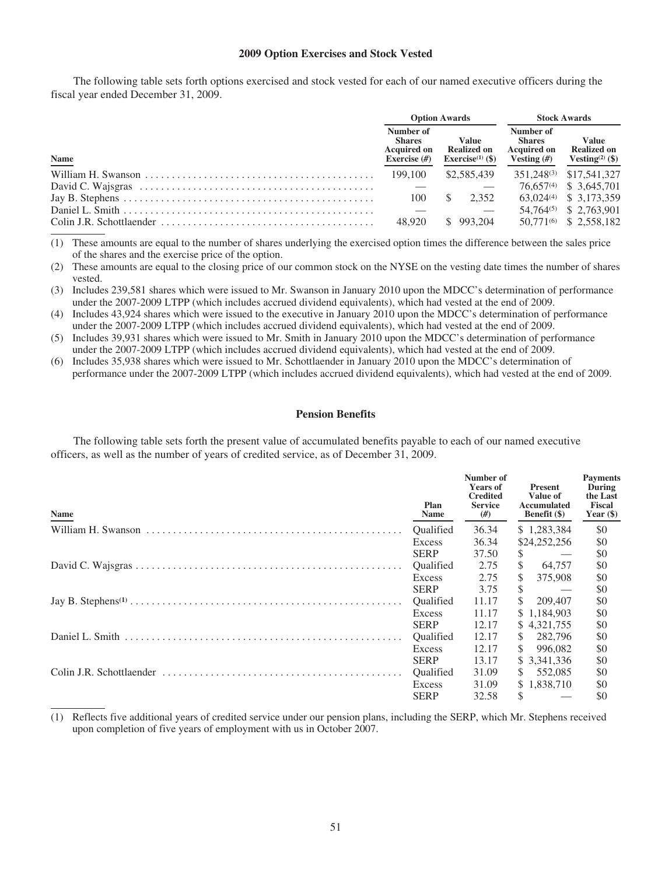#### **2009 Option Exercises and Stock Vested**

The following table sets forth options exercised and stock vested for each of our named executive officers during the fiscal year ended December 31, 2009.

|                                                                                                             |        | <b>Option Awards</b>                                        | <b>Stock Awards</b>                                               |                                                                   |  |
|-------------------------------------------------------------------------------------------------------------|--------|-------------------------------------------------------------|-------------------------------------------------------------------|-------------------------------------------------------------------|--|
| Name                                                                                                        |        | Value<br><b>Realized on</b><br>Exercise <sup>(1)</sup> (\$) | Number of<br><b>Shares</b><br><b>Acquired on</b><br>Vesting $(f)$ | <b>Value</b><br><b>Realized on</b><br>Vesting <sup>(2)</sup> (\$) |  |
|                                                                                                             |        | \$2,585,439                                                 |                                                                   | 351.248 <sup>(3)</sup> \$17.541.327                               |  |
|                                                                                                             |        |                                                             |                                                                   | 76.657 <sup>(4)</sup> \$ 3.645.701                                |  |
| Jay B. Stephens $\dots \dots \dots \dots \dots \dots \dots \dots \dots \dots \dots \dots \dots \dots \dots$ | 100    | 2.352<br>S.                                                 |                                                                   | 63,024 <sup>(4)</sup> \$ 3,173,359                                |  |
|                                                                                                             |        |                                                             |                                                                   | 54,764 <sup>(5)</sup> \$ 2,763,901                                |  |
|                                                                                                             | 48.920 | \$993.204                                                   |                                                                   | 50.771 <sup>(6)</sup> \$ 2.558,182                                |  |

(1) These amounts are equal to the number of shares underlying the exercised option times the difference between the sales price of the shares and the exercise price of the option.

(2) These amounts are equal to the closing price of our common stock on the NYSE on the vesting date times the number of shares vested.

(3) Includes 239,581 shares which were issued to Mr. Swanson in January 2010 upon the MDCC's determination of performance under the 2007-2009 LTPP (which includes accrued dividend equivalents), which had vested at the end of 2009.

(4) Includes 43,924 shares which were issued to the executive in January 2010 upon the MDCC's determination of performance under the 2007-2009 LTPP (which includes accrued dividend equivalents), which had vested at the end of 2009.

(5) Includes 39,931 shares which were issued to Mr. Smith in January 2010 upon the MDCC's determination of performance under the 2007-2009 LTPP (which includes accrued dividend equivalents), which had vested at the end of 2009.

(6) Includes 35,938 shares which were issued to Mr. Schottlaender in January 2010 upon the MDCC's determination of performance under the 2007-2009 LTPP (which includes accrued dividend equivalents), which had vested at the end of 2009.

#### **Pension Benefits**

The following table sets forth the present value of accumulated benefits payable to each of our named executive officers, as well as the number of years of credited service, as of December 31, 2009.

| <b>Name</b> | Plan<br>Name     | Number of<br><b>Years of</b><br><b>Credited</b><br><b>Service</b><br>$(\#)$ | <b>Present</b><br>Value of<br>Accumulated<br><b>Benefit</b> (\$) | <b>Payments</b><br>During<br>the Last<br><b>Fiscal</b><br>Year $(\$)$ |
|-------------|------------------|-----------------------------------------------------------------------------|------------------------------------------------------------------|-----------------------------------------------------------------------|
|             | Oualified        | 36.34                                                                       | \$1,283,384                                                      | \$0                                                                   |
|             | Excess           | 36.34                                                                       | \$24,252,256                                                     | \$0                                                                   |
|             | <b>SERP</b>      | 37.50                                                                       | S.<br>$\hspace{0.1mm}-\hspace{0.1mm}$                            | \$0                                                                   |
|             | <b>Oualified</b> | 2.75                                                                        | $\mathbb{S}$<br>64,757                                           | \$0                                                                   |
|             | Excess           | 2.75                                                                        | S.<br>375,908                                                    | \$0                                                                   |
|             | <b>SERP</b>      | 3.75                                                                        | \$<br>$\sim$ $-$                                                 | \$0                                                                   |
|             | Oualified        | 11.17                                                                       | 209,407<br>\$                                                    | \$0                                                                   |
|             | Excess           | 11.17                                                                       | \$1,184,903                                                      | \$0                                                                   |
|             | <b>SERP</b>      | 12.17                                                                       | \$4,321,755                                                      | \$0                                                                   |
|             | Oualified        | 12.17                                                                       | \$282,796                                                        | \$0                                                                   |
|             | Excess           | 12.17                                                                       | 996.082<br>S.                                                    | \$0                                                                   |
|             | <b>SERP</b>      | 13.17                                                                       | \$ 3,341,336                                                     | \$0                                                                   |
|             | <b>Oualified</b> | 31.09                                                                       | 552,085<br>S.                                                    | \$0                                                                   |
|             | Excess           | 31.09                                                                       | \$1,838,710                                                      | \$0                                                                   |
|             | <b>SERP</b>      | 32.58                                                                       | \$                                                               | \$0                                                                   |

(1) Reflects five additional years of credited service under our pension plans, including the SERP, which Mr. Stephens received upon completion of five years of employment with us in October 2007.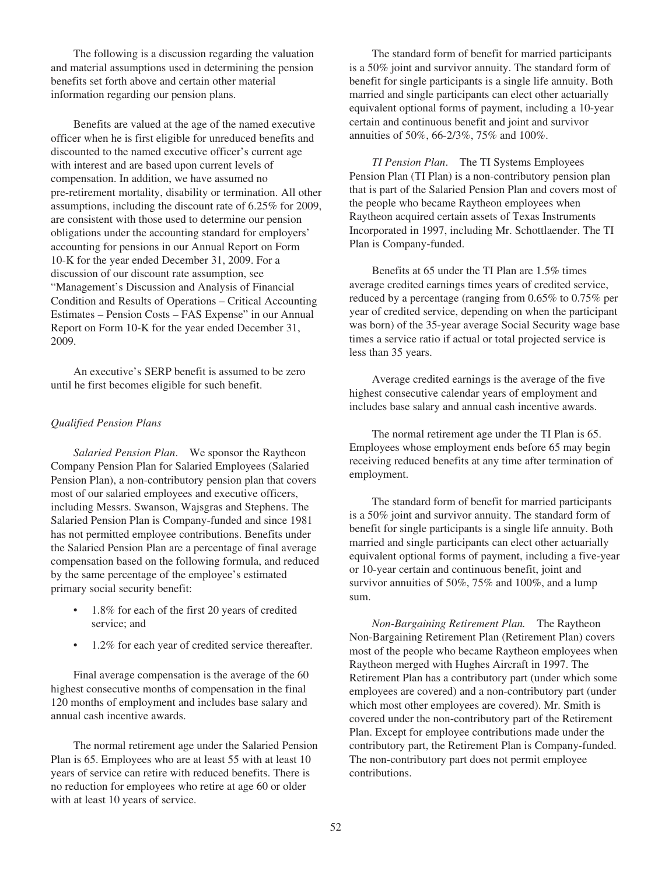The following is a discussion regarding the valuation and material assumptions used in determining the pension benefits set forth above and certain other material information regarding our pension plans.

Benefits are valued at the age of the named executive officer when he is first eligible for unreduced benefits and discounted to the named executive officer's current age with interest and are based upon current levels of compensation. In addition, we have assumed no pre-retirement mortality, disability or termination. All other assumptions, including the discount rate of 6.25% for 2009, are consistent with those used to determine our pension obligations under the accounting standard for employers' accounting for pensions in our Annual Report on Form 10-K for the year ended December 31, 2009. For a discussion of our discount rate assumption, see "Management's Discussion and Analysis of Financial Condition and Results of Operations – Critical Accounting Estimates – Pension Costs – FAS Expense" in our Annual Report on Form 10-K for the year ended December 31, 2009.

An executive's SERP benefit is assumed to be zero until he first becomes eligible for such benefit.

### *Qualified Pension Plans*

*Salaried Pension Plan*. We sponsor the Raytheon Company Pension Plan for Salaried Employees (Salaried Pension Plan), a non-contributory pension plan that covers most of our salaried employees and executive officers, including Messrs. Swanson, Wajsgras and Stephens. The Salaried Pension Plan is Company-funded and since 1981 has not permitted employee contributions. Benefits under the Salaried Pension Plan are a percentage of final average compensation based on the following formula, and reduced by the same percentage of the employee's estimated primary social security benefit:

- 1.8% for each of the first 20 years of credited service; and
- 1.2% for each year of credited service thereafter.

Final average compensation is the average of the 60 highest consecutive months of compensation in the final 120 months of employment and includes base salary and annual cash incentive awards.

The normal retirement age under the Salaried Pension Plan is 65. Employees who are at least 55 with at least 10 years of service can retire with reduced benefits. There is no reduction for employees who retire at age 60 or older with at least 10 years of service.

The standard form of benefit for married participants is a 50% joint and survivor annuity. The standard form of benefit for single participants is a single life annuity. Both married and single participants can elect other actuarially equivalent optional forms of payment, including a 10-year certain and continuous benefit and joint and survivor annuities of 50%, 66-2/3%, 75% and 100%.

*TI Pension Plan*. The TI Systems Employees Pension Plan (TI Plan) is a non-contributory pension plan that is part of the Salaried Pension Plan and covers most of the people who became Raytheon employees when Raytheon acquired certain assets of Texas Instruments Incorporated in 1997, including Mr. Schottlaender. The TI Plan is Company-funded.

Benefits at 65 under the TI Plan are 1.5% times average credited earnings times years of credited service, reduced by a percentage (ranging from 0.65% to 0.75% per year of credited service, depending on when the participant was born) of the 35-year average Social Security wage base times a service ratio if actual or total projected service is less than 35 years.

Average credited earnings is the average of the five highest consecutive calendar years of employment and includes base salary and annual cash incentive awards.

The normal retirement age under the TI Plan is 65. Employees whose employment ends before 65 may begin receiving reduced benefits at any time after termination of employment.

The standard form of benefit for married participants is a 50% joint and survivor annuity. The standard form of benefit for single participants is a single life annuity. Both married and single participants can elect other actuarially equivalent optional forms of payment, including a five-year or 10-year certain and continuous benefit, joint and survivor annuities of 50%, 75% and 100%, and a lump sum.

*Non-Bargaining Retirement Plan.* The Raytheon Non-Bargaining Retirement Plan (Retirement Plan) covers most of the people who became Raytheon employees when Raytheon merged with Hughes Aircraft in 1997. The Retirement Plan has a contributory part (under which some employees are covered) and a non-contributory part (under which most other employees are covered). Mr. Smith is covered under the non-contributory part of the Retirement Plan. Except for employee contributions made under the contributory part, the Retirement Plan is Company-funded. The non-contributory part does not permit employee contributions.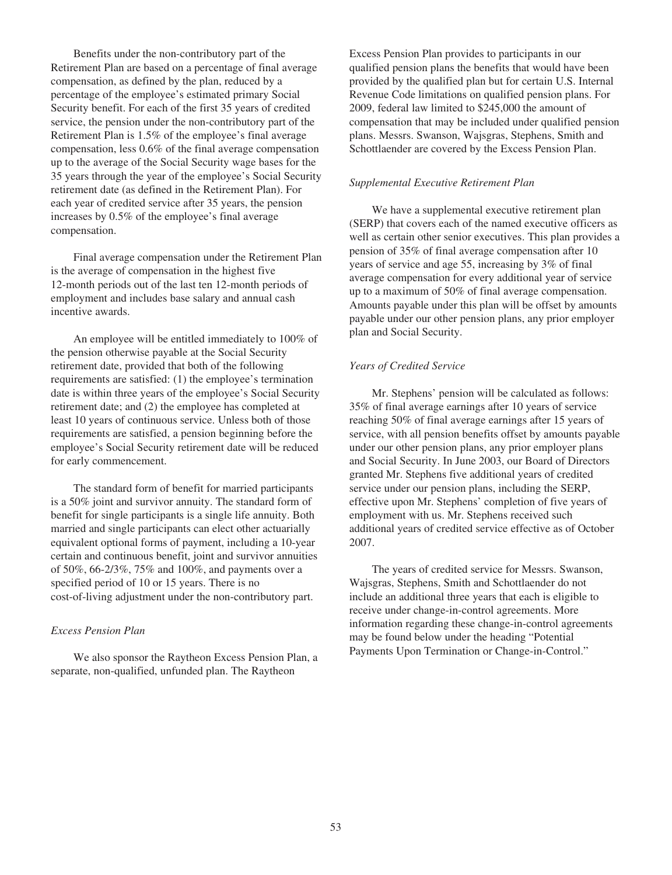Benefits under the non-contributory part of the Retirement Plan are based on a percentage of final average compensation, as defined by the plan, reduced by a percentage of the employee's estimated primary Social Security benefit. For each of the first 35 years of credited service, the pension under the non-contributory part of the Retirement Plan is 1.5% of the employee's final average compensation, less 0.6% of the final average compensation up to the average of the Social Security wage bases for the 35 years through the year of the employee's Social Security retirement date (as defined in the Retirement Plan). For each year of credited service after 35 years, the pension increases by 0.5% of the employee's final average compensation.

Final average compensation under the Retirement Plan is the average of compensation in the highest five 12-month periods out of the last ten 12-month periods of employment and includes base salary and annual cash incentive awards.

An employee will be entitled immediately to 100% of the pension otherwise payable at the Social Security retirement date, provided that both of the following requirements are satisfied: (1) the employee's termination date is within three years of the employee's Social Security retirement date; and (2) the employee has completed at least 10 years of continuous service. Unless both of those requirements are satisfied, a pension beginning before the employee's Social Security retirement date will be reduced for early commencement.

The standard form of benefit for married participants is a 50% joint and survivor annuity. The standard form of benefit for single participants is a single life annuity. Both married and single participants can elect other actuarially equivalent optional forms of payment, including a 10-year certain and continuous benefit, joint and survivor annuities of 50%, 66-2/3%, 75% and 100%, and payments over a specified period of 10 or 15 years. There is no cost-of-living adjustment under the non-contributory part.

## *Excess Pension Plan*

We also sponsor the Raytheon Excess Pension Plan, a separate, non-qualified, unfunded plan. The Raytheon

Excess Pension Plan provides to participants in our qualified pension plans the benefits that would have been provided by the qualified plan but for certain U.S. Internal Revenue Code limitations on qualified pension plans. For 2009, federal law limited to \$245,000 the amount of compensation that may be included under qualified pension plans. Messrs. Swanson, Wajsgras, Stephens, Smith and Schottlaender are covered by the Excess Pension Plan.

#### *Supplemental Executive Retirement Plan*

We have a supplemental executive retirement plan (SERP) that covers each of the named executive officers as well as certain other senior executives. This plan provides a pension of 35% of final average compensation after 10 years of service and age 55, increasing by 3% of final average compensation for every additional year of service up to a maximum of 50% of final average compensation. Amounts payable under this plan will be offset by amounts payable under our other pension plans, any prior employer plan and Social Security.

#### *Years of Credited Service*

Mr. Stephens' pension will be calculated as follows: 35% of final average earnings after 10 years of service reaching 50% of final average earnings after 15 years of service, with all pension benefits offset by amounts payable under our other pension plans, any prior employer plans and Social Security. In June 2003, our Board of Directors granted Mr. Stephens five additional years of credited service under our pension plans, including the SERP, effective upon Mr. Stephens' completion of five years of employment with us. Mr. Stephens received such additional years of credited service effective as of October 2007.

The years of credited service for Messrs. Swanson, Wajsgras, Stephens, Smith and Schottlaender do not include an additional three years that each is eligible to receive under change-in-control agreements. More information regarding these change-in-control agreements may be found below under the heading "Potential Payments Upon Termination or Change-in-Control."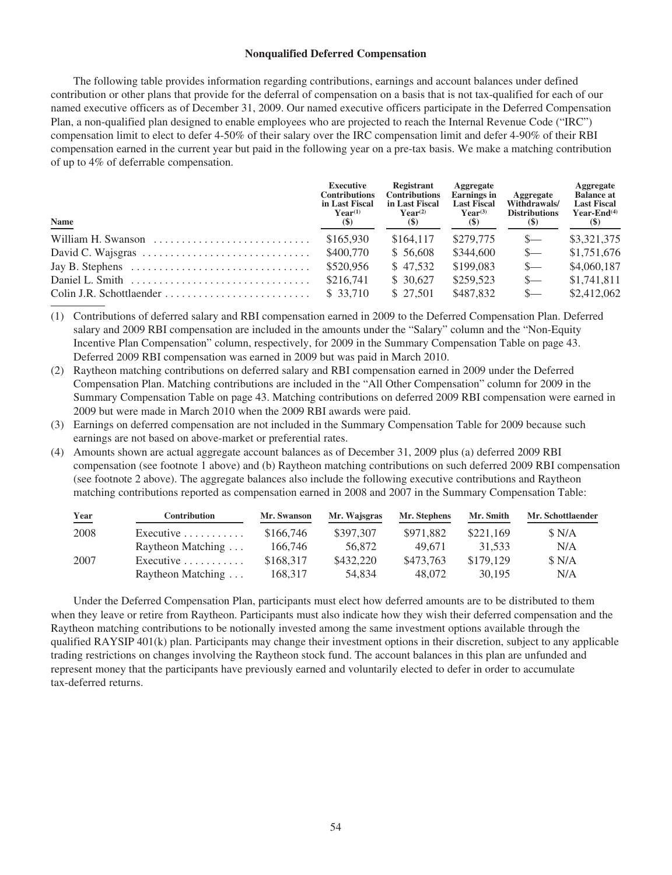#### **Nonqualified Deferred Compensation**

The following table provides information regarding contributions, earnings and account balances under defined contribution or other plans that provide for the deferral of compensation on a basis that is not tax-qualified for each of our named executive officers as of December 31, 2009. Our named executive officers participate in the Deferred Compensation Plan, a non-qualified plan designed to enable employees who are projected to reach the Internal Revenue Code ("IRC") compensation limit to elect to defer 4-50% of their salary over the IRC compensation limit and defer 4-90% of their RBI compensation earned in the current year but paid in the following year on a pre-tax basis. We make a matching contribution of up to 4% of deferrable compensation.

| <b>Name</b>                                                                         | <b>Executive</b><br><b>Contributions</b><br>in Last Fiscal<br>$\mathbf{Year}^{(1)}$<br>$(\$)$ | Registrant<br><b>Contributions</b><br>in Last Fiscal<br>$\mathbf{Year}^{(2)}$<br>$(\$)$ | Aggregate<br><b>Earnings</b> in<br><b>Last Fiscal</b><br>$Year^{(3)}$<br>(S) | Aggregate<br>Withdrawals/<br><b>Distributions</b><br><b>(\$)</b> | Aggregate<br><b>Balance at</b><br><b>Last Fiscal</b><br>Year-End $(4)$<br>(S) |
|-------------------------------------------------------------------------------------|-----------------------------------------------------------------------------------------------|-----------------------------------------------------------------------------------------|------------------------------------------------------------------------------|------------------------------------------------------------------|-------------------------------------------------------------------------------|
| William H. Swanson                                                                  | \$165,930                                                                                     | \$164,117                                                                               | \$279,775                                                                    | $S-$                                                             | \$3,321,375                                                                   |
|                                                                                     | \$400,770                                                                                     | \$ 56,608                                                                               | \$344,600                                                                    | $s-$                                                             | \$1,751,676                                                                   |
| Jay B. Stephens $\dots \dots \dots \dots \dots \dots \dots \dots \dots \dots \dots$ | \$520,956                                                                                     | \$47.532                                                                                | \$199,083                                                                    | $S-$                                                             | \$4,060,187                                                                   |
| Daniel L. Smith $\ldots, \ldots, \ldots, \ldots, \ldots, \ldots, \ldots, \ldots$    | \$216,741                                                                                     | \$ 30,627                                                                               | \$259,523                                                                    | $S-$                                                             | \$1,741,811                                                                   |
| $Colin J.R. Schottlaender \dots \dots \dots \dots \dots \dots \dots \dots \dots$    | \$ 33,710                                                                                     | \$ 27,501                                                                               | \$487,832                                                                    | $S-$                                                             | \$2,412,062                                                                   |

(1) Contributions of deferred salary and RBI compensation earned in 2009 to the Deferred Compensation Plan. Deferred salary and 2009 RBI compensation are included in the amounts under the "Salary" column and the "Non-Equity Incentive Plan Compensation" column, respectively, for 2009 in the Summary Compensation Table on page 43. Deferred 2009 RBI compensation was earned in 2009 but was paid in March 2010.

- (2) Raytheon matching contributions on deferred salary and RBI compensation earned in 2009 under the Deferred Compensation Plan. Matching contributions are included in the "All Other Compensation" column for 2009 in the Summary Compensation Table on page 43. Matching contributions on deferred 2009 RBI compensation were earned in 2009 but were made in March 2010 when the 2009 RBI awards were paid.
- (3) Earnings on deferred compensation are not included in the Summary Compensation Table for 2009 because such earnings are not based on above-market or preferential rates.
- (4) Amounts shown are actual aggregate account balances as of December 31, 2009 plus (a) deferred 2009 RBI compensation (see footnote 1 above) and (b) Raytheon matching contributions on such deferred 2009 RBI compensation (see footnote 2 above). The aggregate balances also include the following executive contributions and Raytheon matching contributions reported as compensation earned in 2008 and 2007 in the Summary Compensation Table:

| Year | Contribution                     | Mr. Swanson | Mr. Wajsgras | Mr. Stephens | Mr. Smith | Mr. Schottlaender |
|------|----------------------------------|-------------|--------------|--------------|-----------|-------------------|
| 2008 | Executive $\ldots \ldots \ldots$ | \$166,746   | \$397,307    | \$971.882    | \$221,169 | \$ N/A            |
|      | Raytheon Matching                | 166,746     | 56.872       | 49.671       | 31.533    | N/A               |
| 2007 | Executive $\ldots \ldots \ldots$ | \$168.317   | \$432,220    | \$473,763    | \$179.129 | \$ N/A            |
|      | Raytheon Matching                | 168.317     | 54.834       | 48.072       | 30.195    | N/A               |

Under the Deferred Compensation Plan, participants must elect how deferred amounts are to be distributed to them when they leave or retire from Raytheon. Participants must also indicate how they wish their deferred compensation and the Raytheon matching contributions to be notionally invested among the same investment options available through the qualified RAYSIP 401(k) plan. Participants may change their investment options in their discretion, subject to any applicable trading restrictions on changes involving the Raytheon stock fund. The account balances in this plan are unfunded and represent money that the participants have previously earned and voluntarily elected to defer in order to accumulate tax-deferred returns.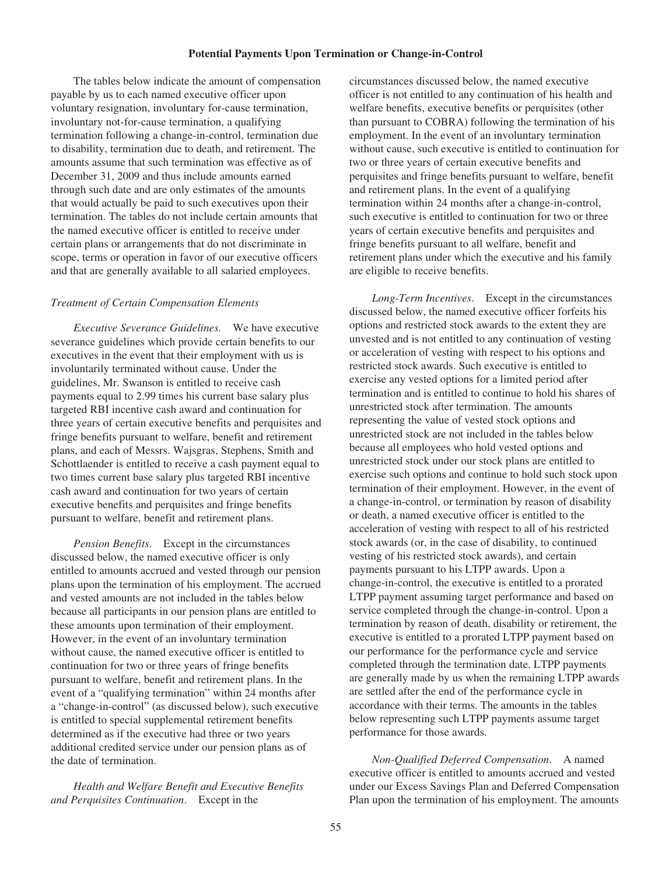#### **Potential Payments Upon Termination or Change-in-Control**

The tables below indicate the amount of compensation payable by us to each named executive officer upon voluntary resignation, involuntary for-cause termination, involuntary not-for-cause termination, a qualifying termination following a change-in-control, termination due to disability, termination due to death, and retirement. The amounts assume that such termination was effective as of December 31, 2009 and thus include amounts earned through such date and are only estimates of the amounts that would actually be paid to such executives upon their termination. The tables do not include certain amounts that the named executive officer is entitled to receive under certain plans or arrangements that do not discriminate in scope, terms or operation in favor of our executive officers and that are generally available to all salaried employees.

### *Treatment of Certain Compensation Elements*

*Executive Severance Guidelines.* We have executive severance guidelines which provide certain benefits to our executives in the event that their employment with us is involuntarily terminated without cause. Under the guidelines, Mr. Swanson is entitled to receive cash payments equal to 2.99 times his current base salary plus targeted RBI incentive cash award and continuation for three years of certain executive benefits and perquisites and fringe benefits pursuant to welfare, benefit and retirement plans, and each of Messrs. Wajsgras, Stephens, Smith and Schottlaender is entitled to receive a cash payment equal to two times current base salary plus targeted RBI incentive cash award and continuation for two years of certain executive benefits and perquisites and fringe benefits pursuant to welfare, benefit and retirement plans.

*Pension Benefits*. Except in the circumstances discussed below, the named executive officer is only entitled to amounts accrued and vested through our pension plans upon the termination of his employment. The accrued and vested amounts are not included in the tables below because all participants in our pension plans are entitled to these amounts upon termination of their employment. However, in the event of an involuntary termination without cause, the named executive officer is entitled to continuation for two or three years of fringe benefits pursuant to welfare, benefit and retirement plans. In the event of a "qualifying termination" within 24 months after a "change-in-control" (as discussed below), such executive is entitled to special supplemental retirement benefits determined as if the executive had three or two years additional credited service under our pension plans as of the date of termination.

*Health and Welfare Benefit and Executive Benefits and Perquisites Continuation*. Except in the

circumstances discussed below, the named executive officer is not entitled to any continuation of his health and welfare benefits, executive benefits or perquisites (other than pursuant to COBRA) following the termination of his employment. In the event of an involuntary termination without cause, such executive is entitled to continuation for two or three years of certain executive benefits and perquisites and fringe benefits pursuant to welfare, benefit and retirement plans. In the event of a qualifying termination within 24 months after a change-in-control, such executive is entitled to continuation for two or three years of certain executive benefits and perquisites and fringe benefits pursuant to all welfare, benefit and retirement plans under which the executive and his family are eligible to receive benefits.

*Long-Term Incentives*. Except in the circumstances discussed below, the named executive officer forfeits his options and restricted stock awards to the extent they are unvested and is not entitled to any continuation of vesting or acceleration of vesting with respect to his options and restricted stock awards. Such executive is entitled to exercise any vested options for a limited period after termination and is entitled to continue to hold his shares of unrestricted stock after termination. The amounts representing the value of vested stock options and unrestricted stock are not included in the tables below because all employees who hold vested options and unrestricted stock under our stock plans are entitled to exercise such options and continue to hold such stock upon termination of their employment. However, in the event of a change-in-control, or termination by reason of disability or death, a named executive officer is entitled to the acceleration of vesting with respect to all of his restricted stock awards (or, in the case of disability, to continued vesting of his restricted stock awards), and certain payments pursuant to his LTPP awards. Upon a change-in-control, the executive is entitled to a prorated LTPP payment assuming target performance and based on service completed through the change-in-control. Upon a termination by reason of death, disability or retirement, the executive is entitled to a prorated LTPP payment based on our performance for the performance cycle and service completed through the termination date. LTPP payments are generally made by us when the remaining LTPP awards are settled after the end of the performance cycle in accordance with their terms. The amounts in the tables below representing such LTPP payments assume target performance for those awards.

*Non-Qualified Deferred Compensation*. A named executive officer is entitled to amounts accrued and vested under our Excess Savings Plan and Deferred Compensation Plan upon the termination of his employment. The amounts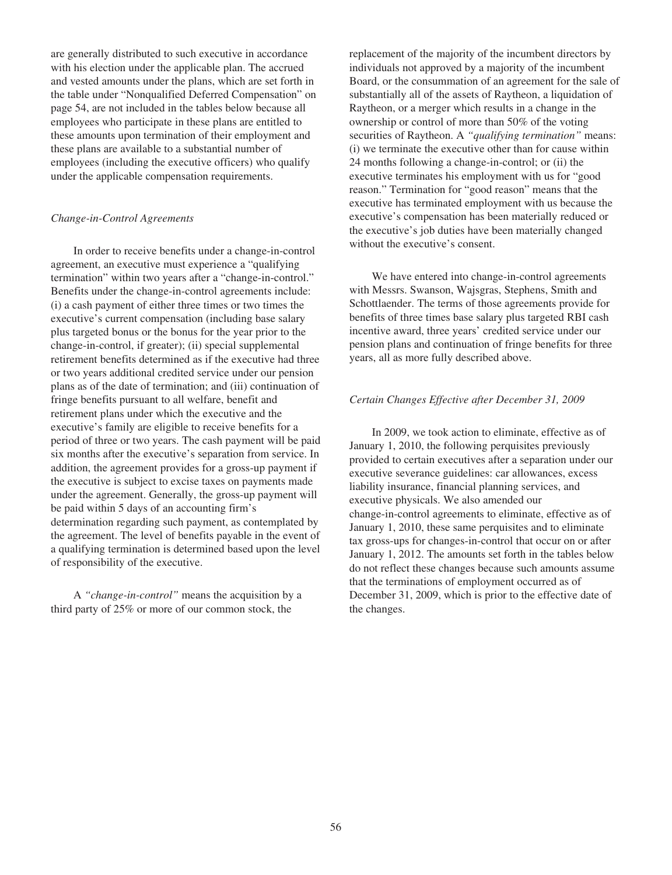are generally distributed to such executive in accordance with his election under the applicable plan. The accrued and vested amounts under the plans, which are set forth in the table under "Nonqualified Deferred Compensation" on page 54, are not included in the tables below because all employees who participate in these plans are entitled to these amounts upon termination of their employment and these plans are available to a substantial number of employees (including the executive officers) who qualify under the applicable compensation requirements.

### *Change-in-Control Agreements*

In order to receive benefits under a change-in-control agreement, an executive must experience a "qualifying termination" within two years after a "change-in-control." Benefits under the change-in-control agreements include: (i) a cash payment of either three times or two times the executive's current compensation (including base salary plus targeted bonus or the bonus for the year prior to the change-in-control, if greater); (ii) special supplemental retirement benefits determined as if the executive had three or two years additional credited service under our pension plans as of the date of termination; and (iii) continuation of fringe benefits pursuant to all welfare, benefit and retirement plans under which the executive and the executive's family are eligible to receive benefits for a period of three or two years. The cash payment will be paid six months after the executive's separation from service. In addition, the agreement provides for a gross-up payment if the executive is subject to excise taxes on payments made under the agreement. Generally, the gross-up payment will be paid within 5 days of an accounting firm's determination regarding such payment, as contemplated by the agreement. The level of benefits payable in the event of a qualifying termination is determined based upon the level of responsibility of the executive.

A *"change-in-control"* means the acquisition by a third party of 25% or more of our common stock, the

replacement of the majority of the incumbent directors by individuals not approved by a majority of the incumbent Board, or the consummation of an agreement for the sale of substantially all of the assets of Raytheon, a liquidation of Raytheon, or a merger which results in a change in the ownership or control of more than 50% of the voting securities of Raytheon. A *"qualifying termination"* means: (i) we terminate the executive other than for cause within 24 months following a change-in-control; or (ii) the executive terminates his employment with us for "good reason." Termination for "good reason" means that the executive has terminated employment with us because the executive's compensation has been materially reduced or the executive's job duties have been materially changed without the executive's consent.

We have entered into change-in-control agreements with Messrs. Swanson, Wajsgras, Stephens, Smith and Schottlaender. The terms of those agreements provide for benefits of three times base salary plus targeted RBI cash incentive award, three years' credited service under our pension plans and continuation of fringe benefits for three years, all as more fully described above.

#### *Certain Changes Effective after December 31, 2009*

In 2009, we took action to eliminate, effective as of January 1, 2010, the following perquisites previously provided to certain executives after a separation under our executive severance guidelines: car allowances, excess liability insurance, financial planning services, and executive physicals. We also amended our change-in-control agreements to eliminate, effective as of January 1, 2010, these same perquisites and to eliminate tax gross-ups for changes-in-control that occur on or after January 1, 2012. The amounts set forth in the tables below do not reflect these changes because such amounts assume that the terminations of employment occurred as of December 31, 2009, which is prior to the effective date of the changes.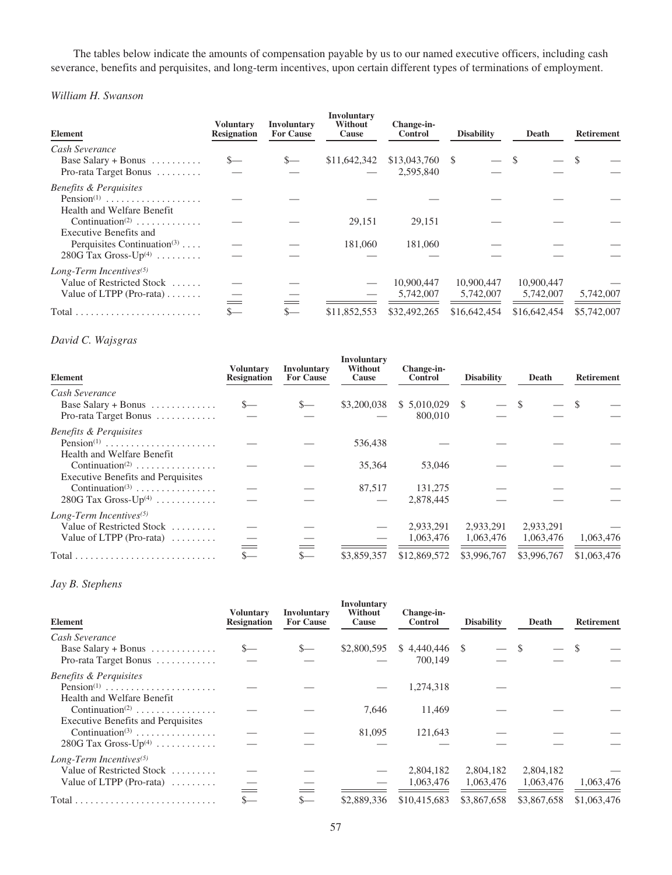The tables below indicate the amounts of compensation payable by us to our named executive officers, including cash severance, benefits and perquisites, and long-term incentives, upon certain different types of terminations of employment.

*William H. Swanson*

| Element                                                                                          | Voluntarv<br><b>Resignation</b> | Involuntary<br><b>For Cause</b> | Involuntary<br>Without<br>Cause | Change-in-<br><b>Control</b> | <b>Disability</b>       | Death                   | <b>Retirement</b> |
|--------------------------------------------------------------------------------------------------|---------------------------------|---------------------------------|---------------------------------|------------------------------|-------------------------|-------------------------|-------------------|
| Cash Severance<br>Base Salary + Bonus $\dots \dots$<br>Pro-rata Target Bonus                     | $S-$                            | $S-$                            | \$11,642,342                    | \$13,043,760<br>2,595,840    |                         |                         |                   |
| <b>Benefits &amp; Perquisites</b><br>Pension <sup>(1)</sup><br>Health and Welfare Benefit        |                                 |                                 |                                 |                              |                         |                         |                   |
| Continuation <sup>(2)</sup><br>Executive Benefits and<br>Perquisites Continuation <sup>(3)</sup> |                                 |                                 | 29,151<br>181,060               | 29,151<br>181,060            |                         |                         |                   |
| 280G Tax Gross- $Up^{(4)}$<br>Long-Term Incentives $(5)$                                         |                                 |                                 |                                 |                              |                         |                         |                   |
| Value of Restricted Stock<br>Value of LTPP (Pro-rata)                                            |                                 |                                 |                                 | 10,900,447<br>5,742,007      | 10,900,447<br>5,742,007 | 10,900,447<br>5,742,007 | 5,742,007         |
| $Total \dots \dots \dots \dots \dots \dots \dots \dots \dots$                                    |                                 | $S-$                            | \$11,852,553                    | \$32,492,265                 | \$16,642,454            | \$16,642,454            | \$5,742,007       |

# *David C. Wajsgras*

| <b>Element</b>                                                      | Voluntary<br><b>Resignation</b> | Involuntary<br><b>For Cause</b> | Involuntary<br>Without<br>Cause | Change-in-<br>Control | <b>Disability</b> | Death       | <b>Retirement</b> |
|---------------------------------------------------------------------|---------------------------------|---------------------------------|---------------------------------|-----------------------|-------------------|-------------|-------------------|
| Cash Severance                                                      |                                 |                                 |                                 |                       |                   |             |                   |
| Base Salary + Bonus $\dots \dots \dots$                             | $S-$                            | $S-$                            | \$3,200,038                     | $$5,010,029$ \ \$     |                   | <b>S</b>    |                   |
| Pro-rata Target Bonus                                               |                                 |                                 |                                 | 800,010               |                   |             |                   |
| <b>Benefits &amp; Perquisites</b>                                   |                                 |                                 |                                 |                       |                   |             |                   |
| $Pension(1)$                                                        |                                 |                                 | 536,438                         |                       |                   |             |                   |
| Health and Welfare Benefit                                          |                                 |                                 |                                 |                       |                   |             |                   |
| Continuation <sup>(2)</sup>                                         |                                 |                                 | 35,364                          | 53,046                |                   |             |                   |
| <b>Executive Benefits and Perquisites</b>                           |                                 |                                 |                                 |                       |                   |             |                   |
| Continuation <sup>(3)</sup>                                         |                                 |                                 | 87,517                          | 131,275               |                   |             |                   |
| 280G Tax Gross- $Up^{(4)}$                                          |                                 |                                 |                                 | 2,878,445             |                   |             |                   |
| Long-Term Incentives $(5)$                                          |                                 |                                 |                                 |                       |                   |             |                   |
| Value of Restricted Stock                                           |                                 |                                 |                                 | 2,933,291             | 2,933,291         | 2,933,291   |                   |
| Value of LTPP (Pro-rata) $\dots\dots\dots$                          |                                 |                                 |                                 | 1,063,476             | 1,063,476         | 1,063,476   | 1,063,476         |
|                                                                     | $=$                             |                                 |                                 |                       |                   |             |                   |
| $Total \dots \dots \dots \dots \dots \dots \dots \dots \dots \dots$ | $S-$                            | $S-$                            | \$3,859,357                     | \$12,869,572          | \$3,996,767       | \$3,996,767 | \$1,063,476       |

# *Jay B. Stephens*

| <b>Element</b>                             | <b>Voluntary</b><br><b>Resignation</b> | Involuntary<br><b>For Cause</b> | Involuntary<br>Without<br>Cause | Change-in-<br>Control | <b>Disability</b> | Death       | <b>Retirement</b> |
|--------------------------------------------|----------------------------------------|---------------------------------|---------------------------------|-----------------------|-------------------|-------------|-------------------|
| Cash Severance                             |                                        |                                 |                                 |                       |                   |             |                   |
| Base Salary + Bonus $\dots \dots \dots$    | $S-$                                   | $S-$                            | \$2,800,595                     |                       |                   | \$.         | - \$              |
| Pro-rata Target Bonus                      |                                        |                                 |                                 | 700,149               |                   |             |                   |
| <b>Benefits &amp; Perquisites</b>          |                                        |                                 |                                 |                       |                   |             |                   |
| Pension <sup>(1)</sup>                     |                                        |                                 |                                 | 1,274,318             |                   |             |                   |
| Health and Welfare Benefit                 |                                        |                                 |                                 |                       |                   |             |                   |
| Continuation <sup>(2)</sup>                |                                        |                                 | 7.646                           | 11,469                |                   |             |                   |
| <b>Executive Benefits and Perquisites</b>  |                                        |                                 |                                 |                       |                   |             |                   |
| Continuation <sup>(3)</sup>                |                                        |                                 | 81,095                          | 121,643               |                   |             |                   |
| 280G Tax Gross- $Up^{(4)}$                 |                                        |                                 |                                 |                       |                   |             |                   |
| Long-Term Incentives $(5)$                 |                                        |                                 |                                 |                       |                   |             |                   |
| Value of Restricted Stock                  |                                        |                                 |                                 | 2,804,182             | 2,804,182         | 2,804,182   |                   |
| Value of LTPP (Pro-rata) $\dots\dots\dots$ |                                        |                                 |                                 | 1,063,476             | 1,063,476         | 1,063,476   | 1,063,476         |
|                                            | $=$                                    |                                 |                                 |                       |                   |             |                   |
|                                            |                                        | $S-$                            | \$2,889,336                     | \$10,415,683          | \$3,867,658       | \$3,867,658 | \$1,063,476       |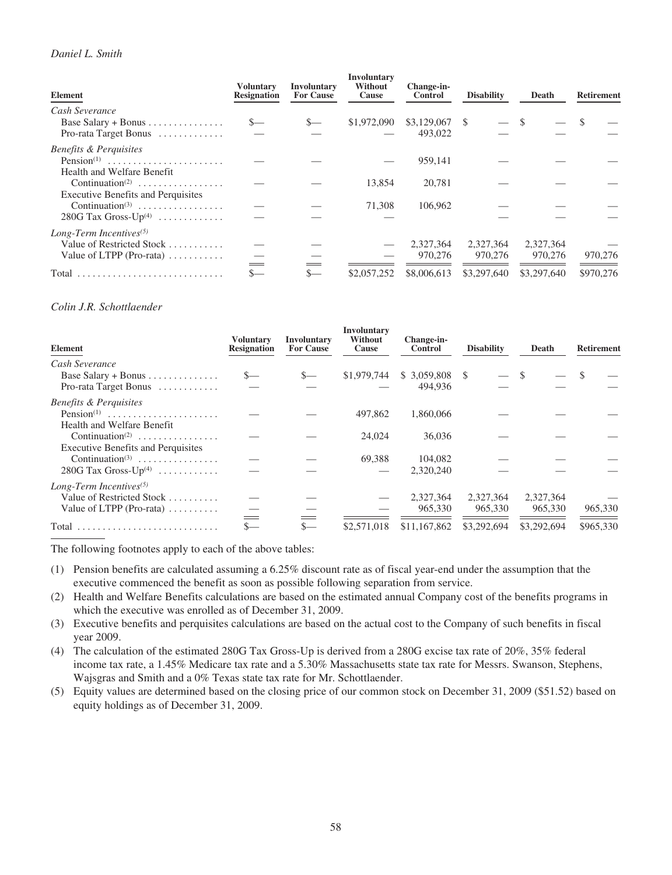# *Daniel L. Smith*

| <b>Element</b>                                | <b>Voluntary</b><br><b>Resignation</b> | Involuntary<br><b>For Cause</b> | <b>Involuntary</b><br>Without<br>Cause | Change-in-<br><b>Control</b> | <b>Disability</b> | Death       | <b>Retirement</b> |
|-----------------------------------------------|----------------------------------------|---------------------------------|----------------------------------------|------------------------------|-------------------|-------------|-------------------|
| Cash Severance                                |                                        |                                 |                                        |                              |                   |             |                   |
| Base Salary + Bonus $\dots \dots \dots \dots$ |                                        | $S-$                            | \$1,972,090                            | \$3,129,067                  | $-$ \$<br>-S      |             |                   |
| Pro-rata Target Bonus                         |                                        |                                 |                                        | 493,022                      |                   |             |                   |
| <b>Benefits &amp; Perquisites</b>             |                                        |                                 |                                        |                              |                   |             |                   |
| Pension <sup>(1)</sup>                        |                                        |                                 |                                        | 959,141                      |                   |             |                   |
| Health and Welfare Benefit                    |                                        |                                 |                                        |                              |                   |             |                   |
| Continuation <sup>(2)</sup>                   |                                        |                                 | 13.854                                 | 20,781                       |                   |             |                   |
| <b>Executive Benefits and Perquisites</b>     |                                        |                                 |                                        |                              |                   |             |                   |
| Continuation <sup>(3)</sup>                   |                                        |                                 | 71.308                                 | 106.962                      |                   |             |                   |
| $280G$ Tax Gross-Up <sup>(4)</sup>            |                                        |                                 |                                        |                              |                   |             |                   |
| Long-Term Incentives $(5)$                    |                                        |                                 |                                        |                              |                   |             |                   |
| Value of Restricted Stock                     |                                        |                                 |                                        | 2,327,364                    | 2,327,364         | 2,327,364   |                   |
| Value of LTPP (Pro-rata) $\dots \dots$        |                                        |                                 |                                        | 970,276                      | 970,276           | 970,276     | 970,276           |
| Total                                         |                                        | $S-$                            | \$2,057,252                            | \$8,006,613                  | \$3,297,640       | \$3,297,640 | \$970,276         |

### *Colin J.R. Schottlaender*

| Element                                                                                      | <b>Voluntary</b><br><b>Resignation</b> | Involuntary<br><b>For Cause</b> | <b>Involuntary</b><br>Without<br>Cause | Change-in-<br><b>Control</b> | <b>Disability</b>    | Death                | <b>Retirement</b> |
|----------------------------------------------------------------------------------------------|----------------------------------------|---------------------------------|----------------------------------------|------------------------------|----------------------|----------------------|-------------------|
| Cash Severance<br>Base Salary + Bonus $\dots \dots \dots \dots$<br>Pro-rata Target Bonus     | $S-$                                   | $S-$                            | \$1,979,744                            | $$3,059,808$ \ \$<br>494,936 |                      |                      |                   |
| <b>Benefits &amp; Perquisites</b><br>Pension <sup>(1)</sup><br>Health and Welfare Benefit    |                                        |                                 | 497,862                                | 1.860.066                    |                      |                      |                   |
| Continuation <sup>(2)</sup><br><b>Executive Benefits and Perquisites</b>                     |                                        |                                 | 24,024                                 | 36,036                       |                      |                      |                   |
| Continuation <sup>(3)</sup><br>$280G$ Tax Gross-Up <sup>(4)</sup>                            |                                        |                                 | 69,388                                 | 104,082<br>2,320,240         |                      |                      |                   |
| Long-Term Incentives <sup>(5)</sup><br>Value of Restricted Stock<br>Value of LTPP (Pro-rata) |                                        |                                 |                                        | 2,327,364<br>965,330         | 2,327,364<br>965,330 | 2,327,364<br>965,330 | 965,330           |
| Total                                                                                        |                                        | $S-$                            | \$2,571,018                            | \$11,167,862                 | \$3,292,694          | \$3,292,694          | \$965,330         |

The following footnotes apply to each of the above tables:

- (1) Pension benefits are calculated assuming a 6.25% discount rate as of fiscal year-end under the assumption that the executive commenced the benefit as soon as possible following separation from service.
- (2) Health and Welfare Benefits calculations are based on the estimated annual Company cost of the benefits programs in which the executive was enrolled as of December 31, 2009.
- (3) Executive benefits and perquisites calculations are based on the actual cost to the Company of such benefits in fiscal year 2009.
- (4) The calculation of the estimated 280G Tax Gross-Up is derived from a 280G excise tax rate of 20%, 35% federal income tax rate, a 1.45% Medicare tax rate and a 5.30% Massachusetts state tax rate for Messrs. Swanson, Stephens, Wajsgras and Smith and a 0% Texas state tax rate for Mr. Schottlaender.
- (5) Equity values are determined based on the closing price of our common stock on December 31, 2009 (\$51.52) based on equity holdings as of December 31, 2009.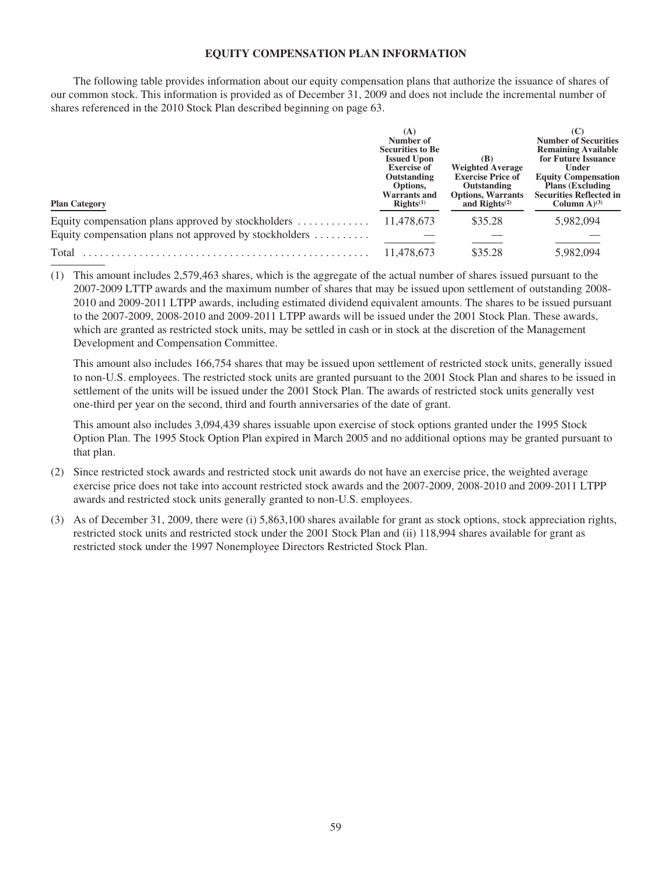# **EQUITY COMPENSATION PLAN INFORMATION**

The following table provides information about our equity compensation plans that authorize the issuance of shares of our common stock. This information is provided as of December 31, 2009 and does not include the incremental number of shares referenced in the 2010 Stock Plan described beginning on page 63.

| <b>Plan Category</b>                                   | (A)<br>Number of<br><b>Securities to Be</b><br><b>Issued Upon</b><br><b>Exercise of</b><br>Outstanding<br>Options,<br><b>Warrants and</b><br>RightS <sup>(1)</sup> | (B)<br><b>Weighted Average</b><br><b>Exercise Price of</b><br>Outstanding<br><b>Options, Warrants</b><br>and $\text{Right}(2)$ | <b>Number of Securities</b><br><b>Remaining Available</b><br>for Future Issuance<br>Under<br><b>Equity Compensation</b><br><b>Plans (Excluding)</b><br><b>Securities Reflected in</b><br>Column $A^{(3)}$ |
|--------------------------------------------------------|--------------------------------------------------------------------------------------------------------------------------------------------------------------------|--------------------------------------------------------------------------------------------------------------------------------|-----------------------------------------------------------------------------------------------------------------------------------------------------------------------------------------------------------|
| Equity compensation plans approved by stockholders     | 11,478,673                                                                                                                                                         | \$35.28                                                                                                                        | 5,982,094                                                                                                                                                                                                 |
| Equity compensation plans not approved by stockholders |                                                                                                                                                                    |                                                                                                                                |                                                                                                                                                                                                           |
| Total                                                  | 11.478.673                                                                                                                                                         | \$35.28                                                                                                                        | 5,982,094                                                                                                                                                                                                 |

(1) This amount includes 2,579,463 shares, which is the aggregate of the actual number of shares issued pursuant to the 2007-2009 LTTP awards and the maximum number of shares that may be issued upon settlement of outstanding 2008- 2010 and 2009-2011 LTPP awards, including estimated dividend equivalent amounts. The shares to be issued pursuant to the 2007-2009, 2008-2010 and 2009-2011 LTPP awards will be issued under the 2001 Stock Plan. These awards, which are granted as restricted stock units, may be settled in cash or in stock at the discretion of the Management Development and Compensation Committee.

This amount also includes 166,754 shares that may be issued upon settlement of restricted stock units, generally issued to non-U.S. employees. The restricted stock units are granted pursuant to the 2001 Stock Plan and shares to be issued in settlement of the units will be issued under the 2001 Stock Plan. The awards of restricted stock units generally vest one-third per year on the second, third and fourth anniversaries of the date of grant.

This amount also includes 3,094,439 shares issuable upon exercise of stock options granted under the 1995 Stock Option Plan. The 1995 Stock Option Plan expired in March 2005 and no additional options may be granted pursuant to that plan.

- (2) Since restricted stock awards and restricted stock unit awards do not have an exercise price, the weighted average exercise price does not take into account restricted stock awards and the 2007-2009, 2008-2010 and 2009-2011 LTPP awards and restricted stock units generally granted to non-U.S. employees.
- (3) As of December 31, 2009, there were (i) 5,863,100 shares available for grant as stock options, stock appreciation rights, restricted stock units and restricted stock under the 2001 Stock Plan and (ii) 118,994 shares available for grant as restricted stock under the 1997 Nonemployee Directors Restricted Stock Plan.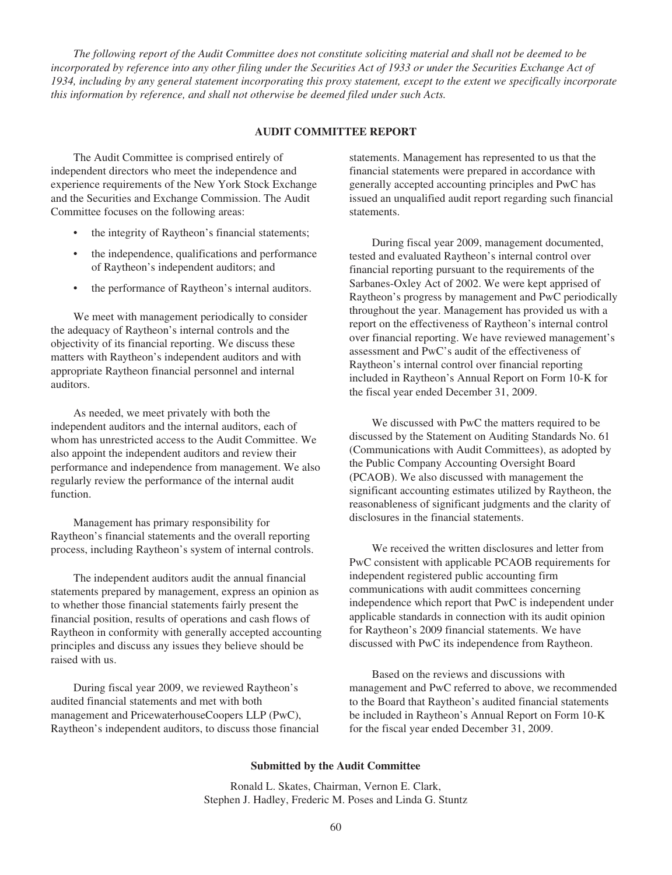*The following report of the Audit Committee does not constitute soliciting material and shall not be deemed to be incorporated by reference into any other filing under the Securities Act of 1933 or under the Securities Exchange Act of 1934, including by any general statement incorporating this proxy statement, except to the extent we specifically incorporate this information by reference, and shall not otherwise be deemed filed under such Acts.*

## **AUDIT COMMITTEE REPORT**

The Audit Committee is comprised entirely of independent directors who meet the independence and experience requirements of the New York Stock Exchange and the Securities and Exchange Commission. The Audit Committee focuses on the following areas:

- the integrity of Raytheon's financial statements;
- the independence, qualifications and performance of Raytheon's independent auditors; and
- the performance of Raytheon's internal auditors.

We meet with management periodically to consider the adequacy of Raytheon's internal controls and the objectivity of its financial reporting. We discuss these matters with Raytheon's independent auditors and with appropriate Raytheon financial personnel and internal auditors.

As needed, we meet privately with both the independent auditors and the internal auditors, each of whom has unrestricted access to the Audit Committee. We also appoint the independent auditors and review their performance and independence from management. We also regularly review the performance of the internal audit function.

Management has primary responsibility for Raytheon's financial statements and the overall reporting process, including Raytheon's system of internal controls.

The independent auditors audit the annual financial statements prepared by management, express an opinion as to whether those financial statements fairly present the financial position, results of operations and cash flows of Raytheon in conformity with generally accepted accounting principles and discuss any issues they believe should be raised with us.

During fiscal year 2009, we reviewed Raytheon's audited financial statements and met with both management and PricewaterhouseCoopers LLP (PwC), Raytheon's independent auditors, to discuss those financial statements. Management has represented to us that the financial statements were prepared in accordance with generally accepted accounting principles and PwC has issued an unqualified audit report regarding such financial statements.

During fiscal year 2009, management documented, tested and evaluated Raytheon's internal control over financial reporting pursuant to the requirements of the Sarbanes-Oxley Act of 2002. We were kept apprised of Raytheon's progress by management and PwC periodically throughout the year. Management has provided us with a report on the effectiveness of Raytheon's internal control over financial reporting. We have reviewed management's assessment and PwC's audit of the effectiveness of Raytheon's internal control over financial reporting included in Raytheon's Annual Report on Form 10-K for the fiscal year ended December 31, 2009.

We discussed with PwC the matters required to be discussed by the Statement on Auditing Standards No. 61 (Communications with Audit Committees), as adopted by the Public Company Accounting Oversight Board (PCAOB). We also discussed with management the significant accounting estimates utilized by Raytheon, the reasonableness of significant judgments and the clarity of disclosures in the financial statements.

We received the written disclosures and letter from PwC consistent with applicable PCAOB requirements for independent registered public accounting firm communications with audit committees concerning independence which report that PwC is independent under applicable standards in connection with its audit opinion for Raytheon's 2009 financial statements. We have discussed with PwC its independence from Raytheon.

Based on the reviews and discussions with management and PwC referred to above, we recommended to the Board that Raytheon's audited financial statements be included in Raytheon's Annual Report on Form 10-K for the fiscal year ended December 31, 2009.

#### **Submitted by the Audit Committee**

Ronald L. Skates, Chairman, Vernon E. Clark, Stephen J. Hadley, Frederic M. Poses and Linda G. Stuntz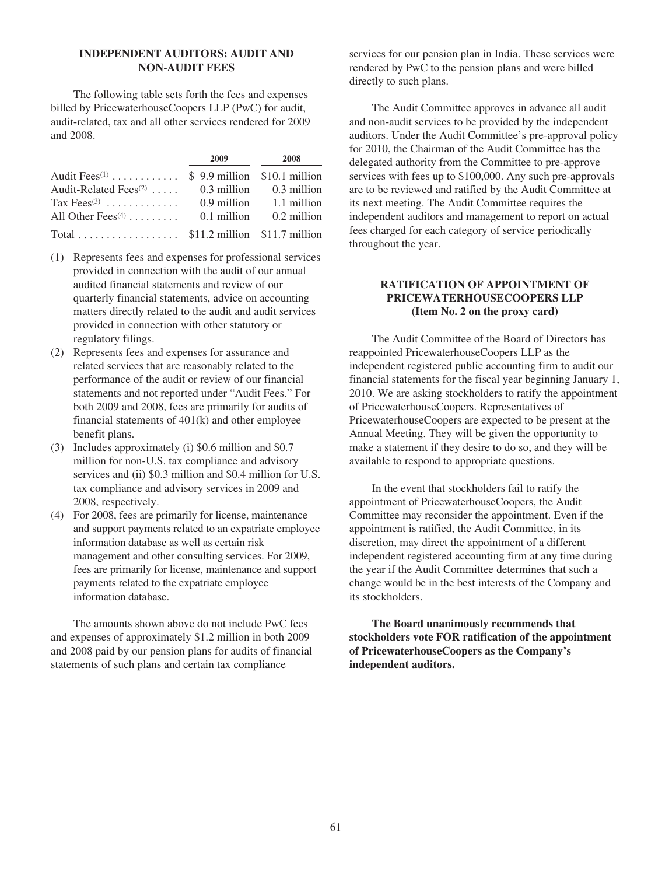# **INDEPENDENT AUDITORS: AUDIT AND NON-AUDIT FEES**

The following table sets forth the fees and expenses billed by PricewaterhouseCoopers LLP (PwC) for audit, audit-related, tax and all other services rendered for 2009 and 2008.

|                                                         | 2009        | 2008                        |
|---------------------------------------------------------|-------------|-----------------------------|
| Audit Fees <sup>(1)</sup> \$ 9.9 million \$10.1 million |             |                             |
| Audit-Related Fees $(2)$                                |             | $0.3$ million $0.3$ million |
| Tax $\text{Fees}^{(3)}$                                 |             | $0.9$ million $1.1$ million |
| All Other Fees $(4)$                                    | 0.1 million | 0.2 million                 |
|                                                         |             |                             |

- (1) Represents fees and expenses for professional services provided in connection with the audit of our annual audited financial statements and review of our quarterly financial statements, advice on accounting matters directly related to the audit and audit services provided in connection with other statutory or regulatory filings.
- (2) Represents fees and expenses for assurance and related services that are reasonably related to the performance of the audit or review of our financial statements and not reported under "Audit Fees." For both 2009 and 2008, fees are primarily for audits of financial statements of 401(k) and other employee benefit plans.
- (3) Includes approximately (i) \$0.6 million and \$0.7 million for non-U.S. tax compliance and advisory services and (ii) \$0.3 million and \$0.4 million for U.S. tax compliance and advisory services in 2009 and 2008, respectively.
- (4) For 2008, fees are primarily for license, maintenance and support payments related to an expatriate employee information database as well as certain risk management and other consulting services. For 2009, fees are primarily for license, maintenance and support payments related to the expatriate employee information database.

The amounts shown above do not include PwC fees and expenses of approximately \$1.2 million in both 2009 and 2008 paid by our pension plans for audits of financial statements of such plans and certain tax compliance

services for our pension plan in India. These services were rendered by PwC to the pension plans and were billed directly to such plans.

The Audit Committee approves in advance all audit and non-audit services to be provided by the independent auditors. Under the Audit Committee's pre-approval policy for 2010, the Chairman of the Audit Committee has the delegated authority from the Committee to pre-approve services with fees up to \$100,000. Any such pre-approvals are to be reviewed and ratified by the Audit Committee at its next meeting. The Audit Committee requires the independent auditors and management to report on actual fees charged for each category of service periodically throughout the year.

# **RATIFICATION OF APPOINTMENT OF PRICEWATERHOUSECOOPERS LLP (Item No. 2 on the proxy card)**

The Audit Committee of the Board of Directors has reappointed PricewaterhouseCoopers LLP as the independent registered public accounting firm to audit our financial statements for the fiscal year beginning January 1, 2010. We are asking stockholders to ratify the appointment of PricewaterhouseCoopers. Representatives of PricewaterhouseCoopers are expected to be present at the Annual Meeting. They will be given the opportunity to make a statement if they desire to do so, and they will be available to respond to appropriate questions.

In the event that stockholders fail to ratify the appointment of PricewaterhouseCoopers, the Audit Committee may reconsider the appointment. Even if the appointment is ratified, the Audit Committee, in its discretion, may direct the appointment of a different independent registered accounting firm at any time during the year if the Audit Committee determines that such a change would be in the best interests of the Company and its stockholders.

**The Board unanimously recommends that stockholders vote FOR ratification of the appointment of PricewaterhouseCoopers as the Company's independent auditors.**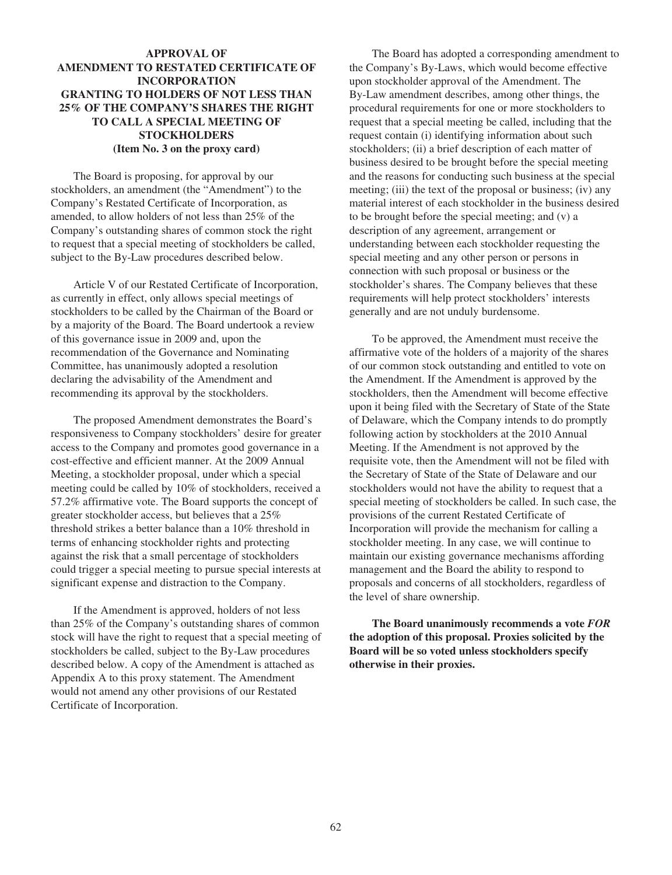# **APPROVAL OF AMENDMENT TO RESTATED CERTIFICATE OF INCORPORATION GRANTING TO HOLDERS OF NOT LESS THAN 25% OF THE COMPANY'S SHARES THE RIGHT TO CALL A SPECIAL MEETING OF STOCKHOLDERS (Item No. 3 on the proxy card)**

The Board is proposing, for approval by our stockholders, an amendment (the "Amendment") to the Company's Restated Certificate of Incorporation, as amended, to allow holders of not less than 25% of the Company's outstanding shares of common stock the right to request that a special meeting of stockholders be called, subject to the By-Law procedures described below.

Article V of our Restated Certificate of Incorporation, as currently in effect, only allows special meetings of stockholders to be called by the Chairman of the Board or by a majority of the Board. The Board undertook a review of this governance issue in 2009 and, upon the recommendation of the Governance and Nominating Committee, has unanimously adopted a resolution declaring the advisability of the Amendment and recommending its approval by the stockholders.

The proposed Amendment demonstrates the Board's responsiveness to Company stockholders' desire for greater access to the Company and promotes good governance in a cost-effective and efficient manner. At the 2009 Annual Meeting, a stockholder proposal, under which a special meeting could be called by 10% of stockholders, received a 57.2% affirmative vote. The Board supports the concept of greater stockholder access, but believes that a 25% threshold strikes a better balance than a 10% threshold in terms of enhancing stockholder rights and protecting against the risk that a small percentage of stockholders could trigger a special meeting to pursue special interests at significant expense and distraction to the Company.

If the Amendment is approved, holders of not less than 25% of the Company's outstanding shares of common stock will have the right to request that a special meeting of stockholders be called, subject to the By-Law procedures described below. A copy of the Amendment is attached as Appendix A to this proxy statement. The Amendment would not amend any other provisions of our Restated Certificate of Incorporation.

The Board has adopted a corresponding amendment to the Company's By-Laws, which would become effective upon stockholder approval of the Amendment. The By-Law amendment describes, among other things, the procedural requirements for one or more stockholders to request that a special meeting be called, including that the request contain (i) identifying information about such stockholders; (ii) a brief description of each matter of business desired to be brought before the special meeting and the reasons for conducting such business at the special meeting; (iii) the text of the proposal or business; (iv) any material interest of each stockholder in the business desired to be brought before the special meeting; and (v) a description of any agreement, arrangement or understanding between each stockholder requesting the special meeting and any other person or persons in connection with such proposal or business or the stockholder's shares. The Company believes that these requirements will help protect stockholders' interests generally and are not unduly burdensome.

To be approved, the Amendment must receive the affirmative vote of the holders of a majority of the shares of our common stock outstanding and entitled to vote on the Amendment. If the Amendment is approved by the stockholders, then the Amendment will become effective upon it being filed with the Secretary of State of the State of Delaware, which the Company intends to do promptly following action by stockholders at the 2010 Annual Meeting. If the Amendment is not approved by the requisite vote, then the Amendment will not be filed with the Secretary of State of the State of Delaware and our stockholders would not have the ability to request that a special meeting of stockholders be called. In such case, the provisions of the current Restated Certificate of Incorporation will provide the mechanism for calling a stockholder meeting. In any case, we will continue to maintain our existing governance mechanisms affording management and the Board the ability to respond to proposals and concerns of all stockholders, regardless of the level of share ownership.

**The Board unanimously recommends a vote** *FOR* **the adoption of this proposal. Proxies solicited by the Board will be so voted unless stockholders specify otherwise in their proxies.**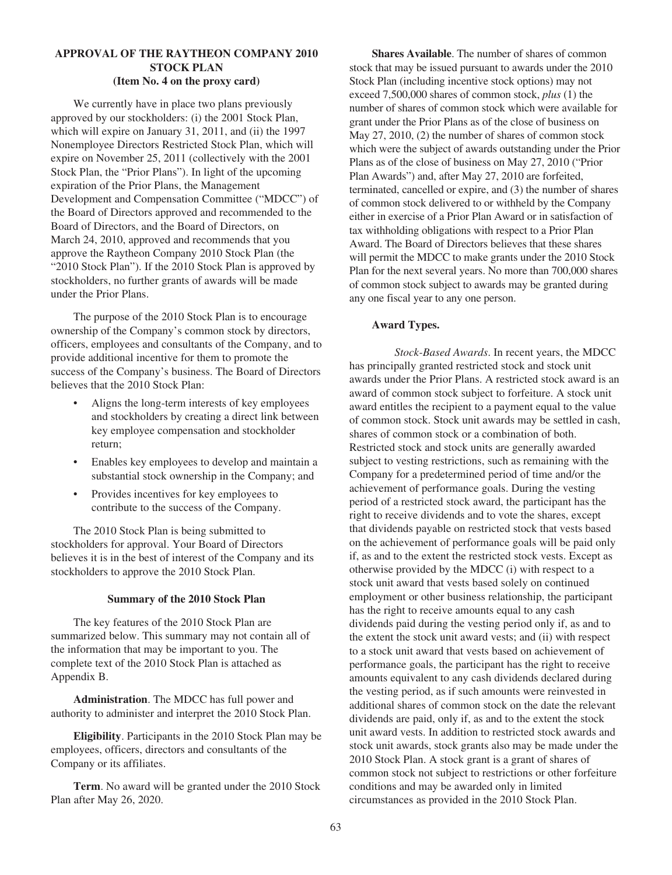# **APPROVAL OF THE RAYTHEON COMPANY 2010 STOCK PLAN (Item No. 4 on the proxy card)**

We currently have in place two plans previously approved by our stockholders: (i) the 2001 Stock Plan, which will expire on January 31, 2011, and (ii) the 1997 Nonemployee Directors Restricted Stock Plan, which will expire on November 25, 2011 (collectively with the 2001 Stock Plan, the "Prior Plans"). In light of the upcoming expiration of the Prior Plans, the Management Development and Compensation Committee ("MDCC") of the Board of Directors approved and recommended to the Board of Directors, and the Board of Directors, on March 24, 2010, approved and recommends that you approve the Raytheon Company 2010 Stock Plan (the "2010 Stock Plan"). If the 2010 Stock Plan is approved by stockholders, no further grants of awards will be made under the Prior Plans.

The purpose of the 2010 Stock Plan is to encourage ownership of the Company's common stock by directors, officers, employees and consultants of the Company, and to provide additional incentive for them to promote the success of the Company's business. The Board of Directors believes that the 2010 Stock Plan:

- Aligns the long-term interests of key employees and stockholders by creating a direct link between key employee compensation and stockholder return;
- Enables key employees to develop and maintain a substantial stock ownership in the Company; and
- Provides incentives for key employees to contribute to the success of the Company.

The 2010 Stock Plan is being submitted to stockholders for approval. Your Board of Directors believes it is in the best of interest of the Company and its stockholders to approve the 2010 Stock Plan.

### **Summary of the 2010 Stock Plan**

The key features of the 2010 Stock Plan are summarized below. This summary may not contain all of the information that may be important to you. The complete text of the 2010 Stock Plan is attached as Appendix B.

**Administration**. The MDCC has full power and authority to administer and interpret the 2010 Stock Plan.

**Eligibility**. Participants in the 2010 Stock Plan may be employees, officers, directors and consultants of the Company or its affiliates.

**Term**. No award will be granted under the 2010 Stock Plan after May 26, 2020.

**Shares Available**. The number of shares of common stock that may be issued pursuant to awards under the 2010 Stock Plan (including incentive stock options) may not exceed 7,500,000 shares of common stock, *plus* (1) the number of shares of common stock which were available for grant under the Prior Plans as of the close of business on May 27, 2010, (2) the number of shares of common stock which were the subject of awards outstanding under the Prior Plans as of the close of business on May 27, 2010 ("Prior Plan Awards") and, after May 27, 2010 are forfeited, terminated, cancelled or expire, and (3) the number of shares of common stock delivered to or withheld by the Company either in exercise of a Prior Plan Award or in satisfaction of tax withholding obligations with respect to a Prior Plan Award. The Board of Directors believes that these shares will permit the MDCC to make grants under the 2010 Stock Plan for the next several years. No more than 700,000 shares of common stock subject to awards may be granted during any one fiscal year to any one person.

### **Award Types.**

*Stock-Based Awards*. In recent years, the MDCC has principally granted restricted stock and stock unit awards under the Prior Plans. A restricted stock award is an award of common stock subject to forfeiture. A stock unit award entitles the recipient to a payment equal to the value of common stock. Stock unit awards may be settled in cash, shares of common stock or a combination of both. Restricted stock and stock units are generally awarded subject to vesting restrictions, such as remaining with the Company for a predetermined period of time and/or the achievement of performance goals. During the vesting period of a restricted stock award, the participant has the right to receive dividends and to vote the shares, except that dividends payable on restricted stock that vests based on the achievement of performance goals will be paid only if, as and to the extent the restricted stock vests. Except as otherwise provided by the MDCC (i) with respect to a stock unit award that vests based solely on continued employment or other business relationship, the participant has the right to receive amounts equal to any cash dividends paid during the vesting period only if, as and to the extent the stock unit award vests; and (ii) with respect to a stock unit award that vests based on achievement of performance goals, the participant has the right to receive amounts equivalent to any cash dividends declared during the vesting period, as if such amounts were reinvested in additional shares of common stock on the date the relevant dividends are paid, only if, as and to the extent the stock unit award vests. In addition to restricted stock awards and stock unit awards, stock grants also may be made under the 2010 Stock Plan. A stock grant is a grant of shares of common stock not subject to restrictions or other forfeiture conditions and may be awarded only in limited circumstances as provided in the 2010 Stock Plan.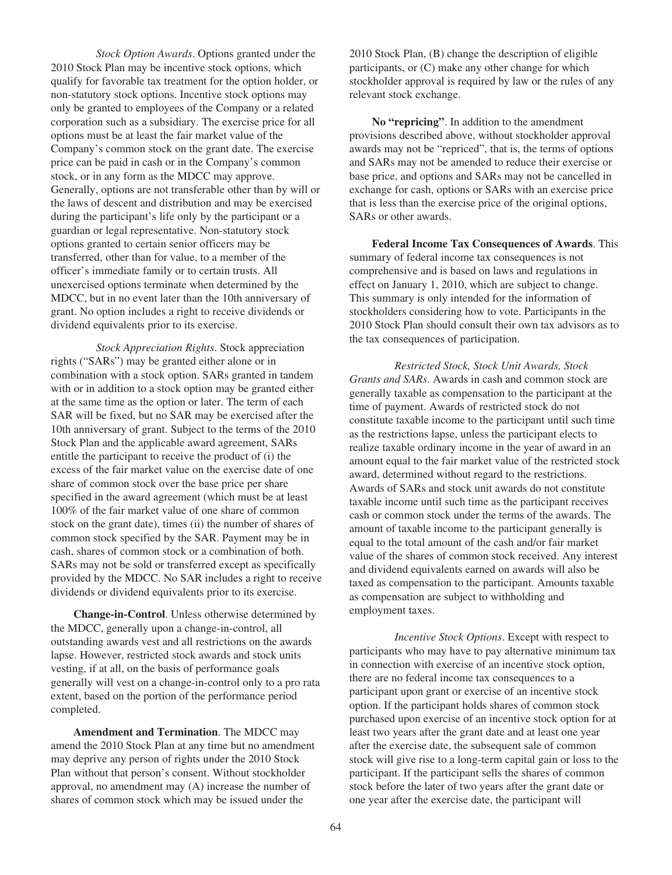*Stock Option Awards*. Options granted under the 2010 Stock Plan may be incentive stock options, which qualify for favorable tax treatment for the option holder, or non-statutory stock options. Incentive stock options may only be granted to employees of the Company or a related corporation such as a subsidiary. The exercise price for all options must be at least the fair market value of the Company's common stock on the grant date. The exercise price can be paid in cash or in the Company's common stock, or in any form as the MDCC may approve. Generally, options are not transferable other than by will or the laws of descent and distribution and may be exercised during the participant's life only by the participant or a guardian or legal representative. Non-statutory stock options granted to certain senior officers may be transferred, other than for value, to a member of the officer's immediate family or to certain trusts. All unexercised options terminate when determined by the MDCC, but in no event later than the 10th anniversary of grant. No option includes a right to receive dividends or dividend equivalents prior to its exercise.

*Stock Appreciation Rights*. Stock appreciation rights ("SARs") may be granted either alone or in combination with a stock option. SARs granted in tandem with or in addition to a stock option may be granted either at the same time as the option or later. The term of each SAR will be fixed, but no SAR may be exercised after the 10th anniversary of grant. Subject to the terms of the 2010 Stock Plan and the applicable award agreement, SARs entitle the participant to receive the product of (i) the excess of the fair market value on the exercise date of one share of common stock over the base price per share specified in the award agreement (which must be at least 100% of the fair market value of one share of common stock on the grant date), times (ii) the number of shares of common stock specified by the SAR. Payment may be in cash, shares of common stock or a combination of both. SARs may not be sold or transferred except as specifically provided by the MDCC. No SAR includes a right to receive dividends or dividend equivalents prior to its exercise.

**Change-in-Control**. Unless otherwise determined by the MDCC, generally upon a change-in-control, all outstanding awards vest and all restrictions on the awards lapse. However, restricted stock awards and stock units vesting, if at all, on the basis of performance goals generally will vest on a change-in-control only to a pro rata extent, based on the portion of the performance period completed.

**Amendment and Termination**. The MDCC may amend the 2010 Stock Plan at any time but no amendment may deprive any person of rights under the 2010 Stock Plan without that person's consent. Without stockholder approval, no amendment may (A) increase the number of shares of common stock which may be issued under the

2010 Stock Plan, (B) change the description of eligible participants, or (C) make any other change for which stockholder approval is required by law or the rules of any relevant stock exchange.

**No "repricing"**. In addition to the amendment provisions described above, without stockholder approval awards may not be "repriced", that is, the terms of options and SARs may not be amended to reduce their exercise or base price, and options and SARs may not be cancelled in exchange for cash, options or SARs with an exercise price that is less than the exercise price of the original options, SARs or other awards.

**Federal Income Tax Consequences of Awards**. This summary of federal income tax consequences is not comprehensive and is based on laws and regulations in effect on January 1, 2010, which are subject to change. This summary is only intended for the information of stockholders considering how to vote. Participants in the 2010 Stock Plan should consult their own tax advisors as to the tax consequences of participation.

*Restricted Stock, Stock Unit Awards, Stock Grants and SARs*. Awards in cash and common stock are generally taxable as compensation to the participant at the time of payment. Awards of restricted stock do not constitute taxable income to the participant until such time as the restrictions lapse, unless the participant elects to realize taxable ordinary income in the year of award in an amount equal to the fair market value of the restricted stock award, determined without regard to the restrictions. Awards of SARs and stock unit awards do not constitute taxable income until such time as the participant receives cash or common stock under the terms of the awards. The amount of taxable income to the participant generally is equal to the total amount of the cash and/or fair market value of the shares of common stock received. Any interest and dividend equivalents earned on awards will also be taxed as compensation to the participant. Amounts taxable as compensation are subject to withholding and employment taxes.

*Incentive Stock Options*. Except with respect to participants who may have to pay alternative minimum tax in connection with exercise of an incentive stock option, there are no federal income tax consequences to a participant upon grant or exercise of an incentive stock option. If the participant holds shares of common stock purchased upon exercise of an incentive stock option for at least two years after the grant date and at least one year after the exercise date, the subsequent sale of common stock will give rise to a long-term capital gain or loss to the participant. If the participant sells the shares of common stock before the later of two years after the grant date or one year after the exercise date, the participant will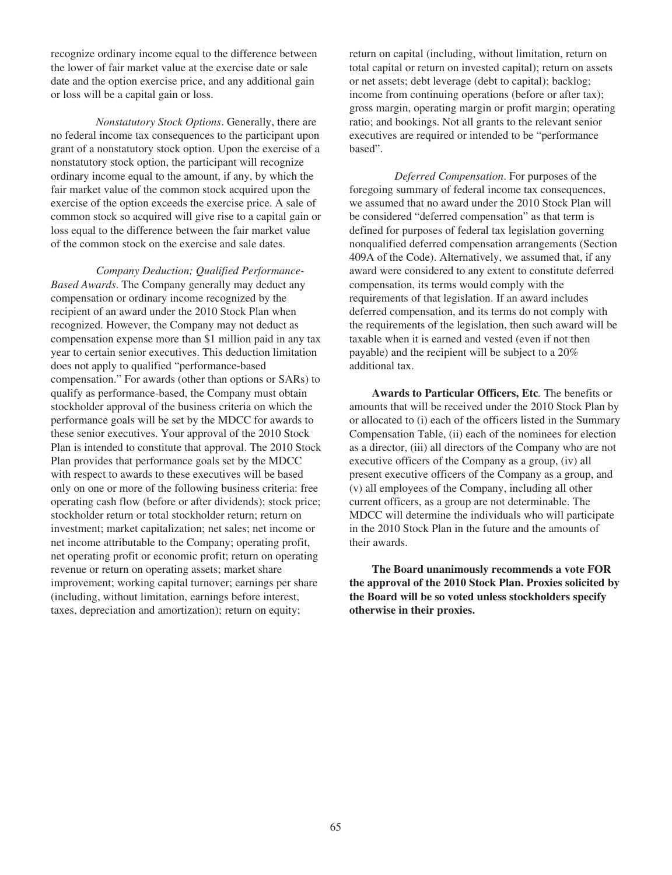recognize ordinary income equal to the difference between the lower of fair market value at the exercise date or sale date and the option exercise price, and any additional gain or loss will be a capital gain or loss.

*Nonstatutory Stock Options*. Generally, there are no federal income tax consequences to the participant upon grant of a nonstatutory stock option. Upon the exercise of a nonstatutory stock option, the participant will recognize ordinary income equal to the amount, if any, by which the fair market value of the common stock acquired upon the exercise of the option exceeds the exercise price. A sale of common stock so acquired will give rise to a capital gain or loss equal to the difference between the fair market value of the common stock on the exercise and sale dates.

*Company Deduction; Qualified Performance-Based Awards*. The Company generally may deduct any compensation or ordinary income recognized by the recipient of an award under the 2010 Stock Plan when recognized. However, the Company may not deduct as compensation expense more than \$1 million paid in any tax year to certain senior executives. This deduction limitation does not apply to qualified "performance-based compensation." For awards (other than options or SARs) to qualify as performance-based, the Company must obtain stockholder approval of the business criteria on which the performance goals will be set by the MDCC for awards to these senior executives. Your approval of the 2010 Stock Plan is intended to constitute that approval. The 2010 Stock Plan provides that performance goals set by the MDCC with respect to awards to these executives will be based only on one or more of the following business criteria: free operating cash flow (before or after dividends); stock price; stockholder return or total stockholder return; return on investment; market capitalization; net sales; net income or net income attributable to the Company; operating profit, net operating profit or economic profit; return on operating revenue or return on operating assets; market share improvement; working capital turnover; earnings per share (including, without limitation, earnings before interest, taxes, depreciation and amortization); return on equity;

return on capital (including, without limitation, return on total capital or return on invested capital); return on assets or net assets; debt leverage (debt to capital); backlog; income from continuing operations (before or after tax); gross margin, operating margin or profit margin; operating ratio; and bookings. Not all grants to the relevant senior executives are required or intended to be "performance based".

*Deferred Compensation*. For purposes of the foregoing summary of federal income tax consequences, we assumed that no award under the 2010 Stock Plan will be considered "deferred compensation" as that term is defined for purposes of federal tax legislation governing nonqualified deferred compensation arrangements (Section 409A of the Code). Alternatively, we assumed that, if any award were considered to any extent to constitute deferred compensation, its terms would comply with the requirements of that legislation. If an award includes deferred compensation, and its terms do not comply with the requirements of the legislation, then such award will be taxable when it is earned and vested (even if not then payable) and the recipient will be subject to a 20% additional tax.

**Awards to Particular Officers, Etc***.* The benefits or amounts that will be received under the 2010 Stock Plan by or allocated to (i) each of the officers listed in the Summary Compensation Table, (ii) each of the nominees for election as a director, (iii) all directors of the Company who are not executive officers of the Company as a group, (iv) all present executive officers of the Company as a group, and (v) all employees of the Company, including all other current officers, as a group are not determinable. The MDCC will determine the individuals who will participate in the 2010 Stock Plan in the future and the amounts of their awards.

**The Board unanimously recommends a vote FOR the approval of the 2010 Stock Plan. Proxies solicited by the Board will be so voted unless stockholders specify otherwise in their proxies.**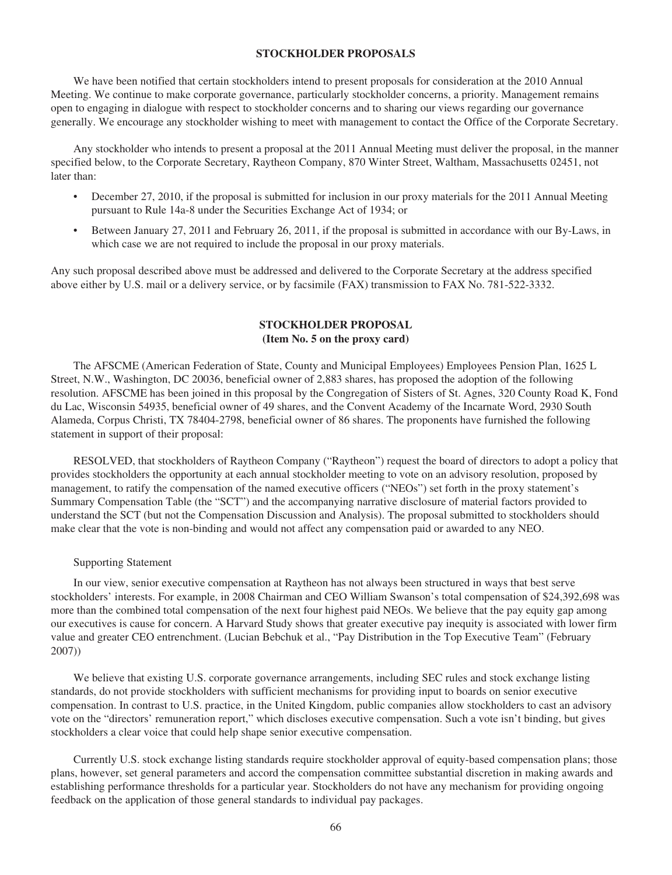# **STOCKHOLDER PROPOSALS**

We have been notified that certain stockholders intend to present proposals for consideration at the 2010 Annual Meeting. We continue to make corporate governance, particularly stockholder concerns, a priority. Management remains open to engaging in dialogue with respect to stockholder concerns and to sharing our views regarding our governance generally. We encourage any stockholder wishing to meet with management to contact the Office of the Corporate Secretary.

Any stockholder who intends to present a proposal at the 2011 Annual Meeting must deliver the proposal, in the manner specified below, to the Corporate Secretary, Raytheon Company, 870 Winter Street, Waltham, Massachusetts 02451, not later than:

- December 27, 2010, if the proposal is submitted for inclusion in our proxy materials for the 2011 Annual Meeting pursuant to Rule 14a-8 under the Securities Exchange Act of 1934; or
- Between January 27, 2011 and February 26, 2011, if the proposal is submitted in accordance with our By-Laws, in which case we are not required to include the proposal in our proxy materials.

Any such proposal described above must be addressed and delivered to the Corporate Secretary at the address specified above either by U.S. mail or a delivery service, or by facsimile (FAX) transmission to FAX No. 781-522-3332.

# **STOCKHOLDER PROPOSAL (Item No. 5 on the proxy card)**

The AFSCME (American Federation of State, County and Municipal Employees) Employees Pension Plan, 1625 L Street, N.W., Washington, DC 20036, beneficial owner of 2,883 shares, has proposed the adoption of the following resolution. AFSCME has been joined in this proposal by the Congregation of Sisters of St. Agnes, 320 County Road K, Fond du Lac, Wisconsin 54935, beneficial owner of 49 shares, and the Convent Academy of the Incarnate Word, 2930 South Alameda, Corpus Christi, TX 78404-2798, beneficial owner of 86 shares. The proponents have furnished the following statement in support of their proposal:

RESOLVED, that stockholders of Raytheon Company ("Raytheon") request the board of directors to adopt a policy that provides stockholders the opportunity at each annual stockholder meeting to vote on an advisory resolution, proposed by management, to ratify the compensation of the named executive officers ("NEOs") set forth in the proxy statement's Summary Compensation Table (the "SCT") and the accompanying narrative disclosure of material factors provided to understand the SCT (but not the Compensation Discussion and Analysis). The proposal submitted to stockholders should make clear that the vote is non-binding and would not affect any compensation paid or awarded to any NEO.

#### Supporting Statement

In our view, senior executive compensation at Raytheon has not always been structured in ways that best serve stockholders' interests. For example, in 2008 Chairman and CEO William Swanson's total compensation of \$24,392,698 was more than the combined total compensation of the next four highest paid NEOs. We believe that the pay equity gap among our executives is cause for concern. A Harvard Study shows that greater executive pay inequity is associated with lower firm value and greater CEO entrenchment. (Lucian Bebchuk et al., "Pay Distribution in the Top Executive Team" (February 2007))

We believe that existing U.S. corporate governance arrangements, including SEC rules and stock exchange listing standards, do not provide stockholders with sufficient mechanisms for providing input to boards on senior executive compensation. In contrast to U.S. practice, in the United Kingdom, public companies allow stockholders to cast an advisory vote on the "directors' remuneration report," which discloses executive compensation. Such a vote isn't binding, but gives stockholders a clear voice that could help shape senior executive compensation.

Currently U.S. stock exchange listing standards require stockholder approval of equity-based compensation plans; those plans, however, set general parameters and accord the compensation committee substantial discretion in making awards and establishing performance thresholds for a particular year. Stockholders do not have any mechanism for providing ongoing feedback on the application of those general standards to individual pay packages.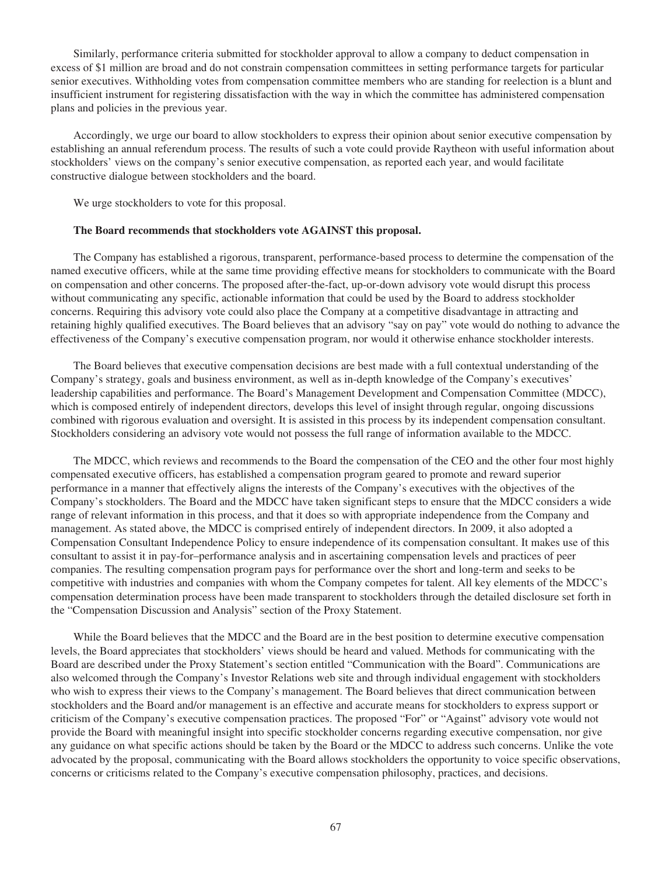Similarly, performance criteria submitted for stockholder approval to allow a company to deduct compensation in excess of \$1 million are broad and do not constrain compensation committees in setting performance targets for particular senior executives. Withholding votes from compensation committee members who are standing for reelection is a blunt and insufficient instrument for registering dissatisfaction with the way in which the committee has administered compensation plans and policies in the previous year.

Accordingly, we urge our board to allow stockholders to express their opinion about senior executive compensation by establishing an annual referendum process. The results of such a vote could provide Raytheon with useful information about stockholders' views on the company's senior executive compensation, as reported each year, and would facilitate constructive dialogue between stockholders and the board.

We urge stockholders to vote for this proposal.

#### **The Board recommends that stockholders vote AGAINST this proposal.**

The Company has established a rigorous, transparent, performance-based process to determine the compensation of the named executive officers, while at the same time providing effective means for stockholders to communicate with the Board on compensation and other concerns. The proposed after-the-fact, up-or-down advisory vote would disrupt this process without communicating any specific, actionable information that could be used by the Board to address stockholder concerns. Requiring this advisory vote could also place the Company at a competitive disadvantage in attracting and retaining highly qualified executives. The Board believes that an advisory "say on pay" vote would do nothing to advance the effectiveness of the Company's executive compensation program, nor would it otherwise enhance stockholder interests.

The Board believes that executive compensation decisions are best made with a full contextual understanding of the Company's strategy, goals and business environment, as well as in-depth knowledge of the Company's executives' leadership capabilities and performance. The Board's Management Development and Compensation Committee (MDCC), which is composed entirely of independent directors, develops this level of insight through regular, ongoing discussions combined with rigorous evaluation and oversight. It is assisted in this process by its independent compensation consultant. Stockholders considering an advisory vote would not possess the full range of information available to the MDCC.

The MDCC, which reviews and recommends to the Board the compensation of the CEO and the other four most highly compensated executive officers, has established a compensation program geared to promote and reward superior performance in a manner that effectively aligns the interests of the Company's executives with the objectives of the Company's stockholders. The Board and the MDCC have taken significant steps to ensure that the MDCC considers a wide range of relevant information in this process, and that it does so with appropriate independence from the Company and management. As stated above, the MDCC is comprised entirely of independent directors. In 2009, it also adopted a Compensation Consultant Independence Policy to ensure independence of its compensation consultant. It makes use of this consultant to assist it in pay-for–performance analysis and in ascertaining compensation levels and practices of peer companies. The resulting compensation program pays for performance over the short and long-term and seeks to be competitive with industries and companies with whom the Company competes for talent. All key elements of the MDCC's compensation determination process have been made transparent to stockholders through the detailed disclosure set forth in the "Compensation Discussion and Analysis" section of the Proxy Statement.

While the Board believes that the MDCC and the Board are in the best position to determine executive compensation levels, the Board appreciates that stockholders' views should be heard and valued. Methods for communicating with the Board are described under the Proxy Statement's section entitled "Communication with the Board". Communications are also welcomed through the Company's Investor Relations web site and through individual engagement with stockholders who wish to express their views to the Company's management. The Board believes that direct communication between stockholders and the Board and/or management is an effective and accurate means for stockholders to express support or criticism of the Company's executive compensation practices. The proposed "For" or "Against" advisory vote would not provide the Board with meaningful insight into specific stockholder concerns regarding executive compensation, nor give any guidance on what specific actions should be taken by the Board or the MDCC to address such concerns. Unlike the vote advocated by the proposal, communicating with the Board allows stockholders the opportunity to voice specific observations, concerns or criticisms related to the Company's executive compensation philosophy, practices, and decisions.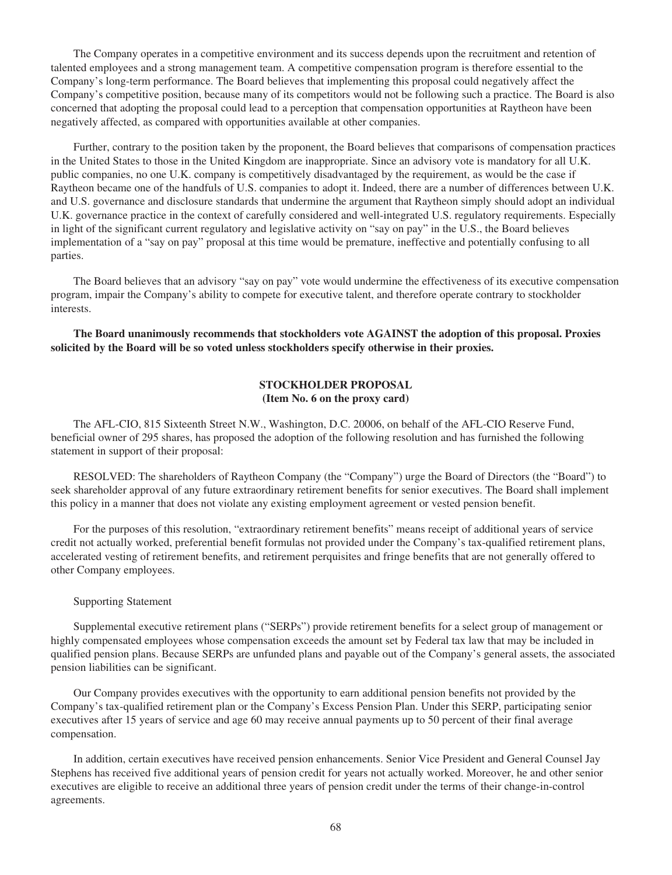The Company operates in a competitive environment and its success depends upon the recruitment and retention of talented employees and a strong management team. A competitive compensation program is therefore essential to the Company's long-term performance. The Board believes that implementing this proposal could negatively affect the Company's competitive position, because many of its competitors would not be following such a practice. The Board is also concerned that adopting the proposal could lead to a perception that compensation opportunities at Raytheon have been negatively affected, as compared with opportunities available at other companies.

Further, contrary to the position taken by the proponent, the Board believes that comparisons of compensation practices in the United States to those in the United Kingdom are inappropriate. Since an advisory vote is mandatory for all U.K. public companies, no one U.K. company is competitively disadvantaged by the requirement, as would be the case if Raytheon became one of the handfuls of U.S. companies to adopt it. Indeed, there are a number of differences between U.K. and U.S. governance and disclosure standards that undermine the argument that Raytheon simply should adopt an individual U.K. governance practice in the context of carefully considered and well-integrated U.S. regulatory requirements. Especially in light of the significant current regulatory and legislative activity on "say on pay" in the U.S., the Board believes implementation of a "say on pay" proposal at this time would be premature, ineffective and potentially confusing to all parties.

The Board believes that an advisory "say on pay" vote would undermine the effectiveness of its executive compensation program, impair the Company's ability to compete for executive talent, and therefore operate contrary to stockholder interests.

**The Board unanimously recommends that stockholders vote AGAINST the adoption of this proposal. Proxies solicited by the Board will be so voted unless stockholders specify otherwise in their proxies.**

## **STOCKHOLDER PROPOSAL (Item No. 6 on the proxy card)**

The AFL-CIO, 815 Sixteenth Street N.W., Washington, D.C. 20006, on behalf of the AFL-CIO Reserve Fund, beneficial owner of 295 shares, has proposed the adoption of the following resolution and has furnished the following statement in support of their proposal:

RESOLVED: The shareholders of Raytheon Company (the "Company") urge the Board of Directors (the "Board") to seek shareholder approval of any future extraordinary retirement benefits for senior executives. The Board shall implement this policy in a manner that does not violate any existing employment agreement or vested pension benefit.

For the purposes of this resolution, "extraordinary retirement benefits" means receipt of additional years of service credit not actually worked, preferential benefit formulas not provided under the Company's tax-qualified retirement plans, accelerated vesting of retirement benefits, and retirement perquisites and fringe benefits that are not generally offered to other Company employees.

#### Supporting Statement

Supplemental executive retirement plans ("SERPs") provide retirement benefits for a select group of management or highly compensated employees whose compensation exceeds the amount set by Federal tax law that may be included in qualified pension plans. Because SERPs are unfunded plans and payable out of the Company's general assets, the associated pension liabilities can be significant.

Our Company provides executives with the opportunity to earn additional pension benefits not provided by the Company's tax-qualified retirement plan or the Company's Excess Pension Plan. Under this SERP, participating senior executives after 15 years of service and age 60 may receive annual payments up to 50 percent of their final average compensation.

In addition, certain executives have received pension enhancements. Senior Vice President and General Counsel Jay Stephens has received five additional years of pension credit for years not actually worked. Moreover, he and other senior executives are eligible to receive an additional three years of pension credit under the terms of their change-in-control agreements.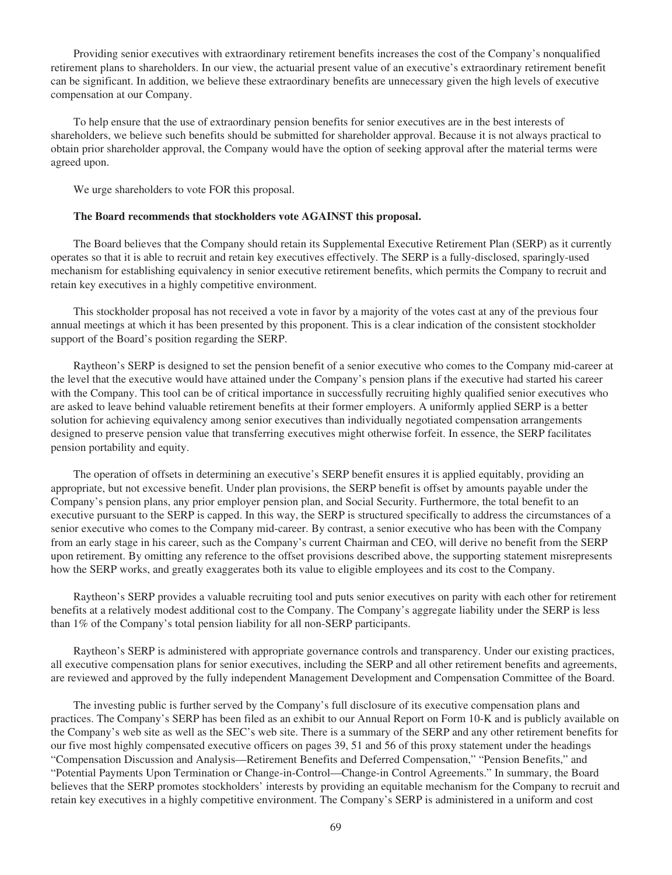Providing senior executives with extraordinary retirement benefits increases the cost of the Company's nonqualified retirement plans to shareholders. In our view, the actuarial present value of an executive's extraordinary retirement benefit can be significant. In addition, we believe these extraordinary benefits are unnecessary given the high levels of executive compensation at our Company.

To help ensure that the use of extraordinary pension benefits for senior executives are in the best interests of shareholders, we believe such benefits should be submitted for shareholder approval. Because it is not always practical to obtain prior shareholder approval, the Company would have the option of seeking approval after the material terms were agreed upon.

We urge shareholders to vote FOR this proposal.

## **The Board recommends that stockholders vote AGAINST this proposal.**

The Board believes that the Company should retain its Supplemental Executive Retirement Plan (SERP) as it currently operates so that it is able to recruit and retain key executives effectively. The SERP is a fully-disclosed, sparingly-used mechanism for establishing equivalency in senior executive retirement benefits, which permits the Company to recruit and retain key executives in a highly competitive environment.

This stockholder proposal has not received a vote in favor by a majority of the votes cast at any of the previous four annual meetings at which it has been presented by this proponent. This is a clear indication of the consistent stockholder support of the Board's position regarding the SERP.

Raytheon's SERP is designed to set the pension benefit of a senior executive who comes to the Company mid-career at the level that the executive would have attained under the Company's pension plans if the executive had started his career with the Company. This tool can be of critical importance in successfully recruiting highly qualified senior executives who are asked to leave behind valuable retirement benefits at their former employers. A uniformly applied SERP is a better solution for achieving equivalency among senior executives than individually negotiated compensation arrangements designed to preserve pension value that transferring executives might otherwise forfeit. In essence, the SERP facilitates pension portability and equity.

The operation of offsets in determining an executive's SERP benefit ensures it is applied equitably, providing an appropriate, but not excessive benefit. Under plan provisions, the SERP benefit is offset by amounts payable under the Company's pension plans, any prior employer pension plan, and Social Security. Furthermore, the total benefit to an executive pursuant to the SERP is capped. In this way, the SERP is structured specifically to address the circumstances of a senior executive who comes to the Company mid-career. By contrast, a senior executive who has been with the Company from an early stage in his career, such as the Company's current Chairman and CEO, will derive no benefit from the SERP upon retirement. By omitting any reference to the offset provisions described above, the supporting statement misrepresents how the SERP works, and greatly exaggerates both its value to eligible employees and its cost to the Company.

Raytheon's SERP provides a valuable recruiting tool and puts senior executives on parity with each other for retirement benefits at a relatively modest additional cost to the Company. The Company's aggregate liability under the SERP is less than 1% of the Company's total pension liability for all non-SERP participants.

Raytheon's SERP is administered with appropriate governance controls and transparency. Under our existing practices, all executive compensation plans for senior executives, including the SERP and all other retirement benefits and agreements, are reviewed and approved by the fully independent Management Development and Compensation Committee of the Board.

The investing public is further served by the Company's full disclosure of its executive compensation plans and practices. The Company's SERP has been filed as an exhibit to our Annual Report on Form 10-K and is publicly available on the Company's web site as well as the SEC's web site. There is a summary of the SERP and any other retirement benefits for our five most highly compensated executive officers on pages 39, 51 and 56 of this proxy statement under the headings "Compensation Discussion and Analysis—Retirement Benefits and Deferred Compensation," "Pension Benefits," and "Potential Payments Upon Termination or Change-in-Control—Change-in Control Agreements." In summary, the Board believes that the SERP promotes stockholders' interests by providing an equitable mechanism for the Company to recruit and retain key executives in a highly competitive environment. The Company's SERP is administered in a uniform and cost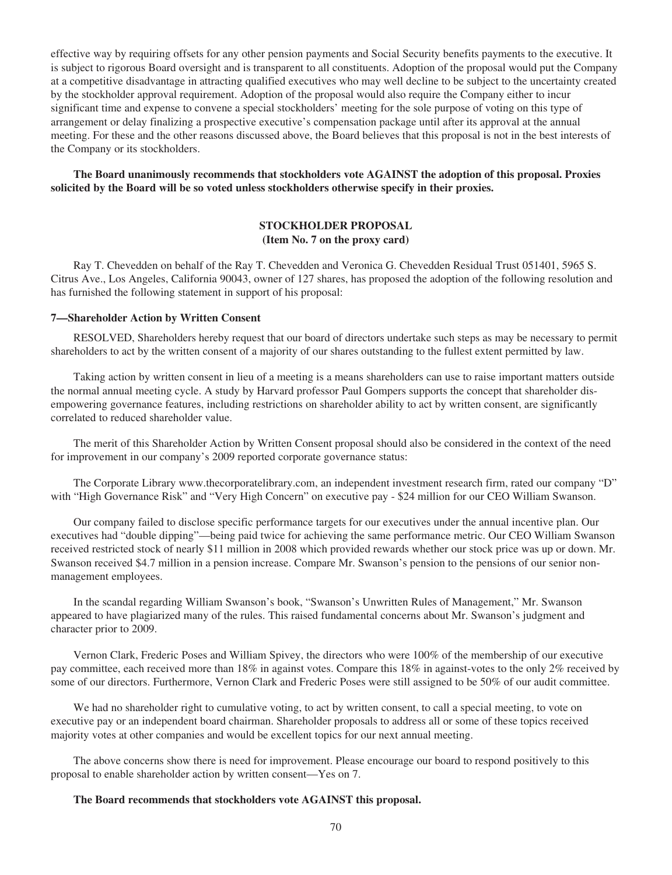effective way by requiring offsets for any other pension payments and Social Security benefits payments to the executive. It is subject to rigorous Board oversight and is transparent to all constituents. Adoption of the proposal would put the Company at a competitive disadvantage in attracting qualified executives who may well decline to be subject to the uncertainty created by the stockholder approval requirement. Adoption of the proposal would also require the Company either to incur significant time and expense to convene a special stockholders' meeting for the sole purpose of voting on this type of arrangement or delay finalizing a prospective executive's compensation package until after its approval at the annual meeting. For these and the other reasons discussed above, the Board believes that this proposal is not in the best interests of the Company or its stockholders.

**The Board unanimously recommends that stockholders vote AGAINST the adoption of this proposal. Proxies solicited by the Board will be so voted unless stockholders otherwise specify in their proxies.**

## **STOCKHOLDER PROPOSAL (Item No. 7 on the proxy card)**

Ray T. Chevedden on behalf of the Ray T. Chevedden and Veronica G. Chevedden Residual Trust 051401, 5965 S. Citrus Ave., Los Angeles, California 90043, owner of 127 shares, has proposed the adoption of the following resolution and has furnished the following statement in support of his proposal:

## **7—Shareholder Action by Written Consent**

RESOLVED, Shareholders hereby request that our board of directors undertake such steps as may be necessary to permit shareholders to act by the written consent of a majority of our shares outstanding to the fullest extent permitted by law.

Taking action by written consent in lieu of a meeting is a means shareholders can use to raise important matters outside the normal annual meeting cycle. A study by Harvard professor Paul Gompers supports the concept that shareholder disempowering governance features, including restrictions on shareholder ability to act by written consent, are significantly correlated to reduced shareholder value.

The merit of this Shareholder Action by Written Consent proposal should also be considered in the context of the need for improvement in our company's 2009 reported corporate governance status:

The Corporate Library www.thecorporatelibrary.com, an independent investment research firm, rated our company "D" with "High Governance Risk" and "Very High Concern" on executive pay - \$24 million for our CEO William Swanson.

Our company failed to disclose specific performance targets for our executives under the annual incentive plan. Our executives had "double dipping"—being paid twice for achieving the same performance metric. Our CEO William Swanson received restricted stock of nearly \$11 million in 2008 which provided rewards whether our stock price was up or down. Mr. Swanson received \$4.7 million in a pension increase. Compare Mr. Swanson's pension to the pensions of our senior nonmanagement employees.

In the scandal regarding William Swanson's book, "Swanson's Unwritten Rules of Management," Mr. Swanson appeared to have plagiarized many of the rules. This raised fundamental concerns about Mr. Swanson's judgment and character prior to 2009.

Vernon Clark, Frederic Poses and William Spivey, the directors who were 100% of the membership of our executive pay committee, each received more than 18% in against votes. Compare this 18% in against-votes to the only 2% received by some of our directors. Furthermore, Vernon Clark and Frederic Poses were still assigned to be 50% of our audit committee.

We had no shareholder right to cumulative voting, to act by written consent, to call a special meeting, to vote on executive pay or an independent board chairman. Shareholder proposals to address all or some of these topics received majority votes at other companies and would be excellent topics for our next annual meeting.

The above concerns show there is need for improvement. Please encourage our board to respond positively to this proposal to enable shareholder action by written consent—Yes on 7.

#### **The Board recommends that stockholders vote AGAINST this proposal.**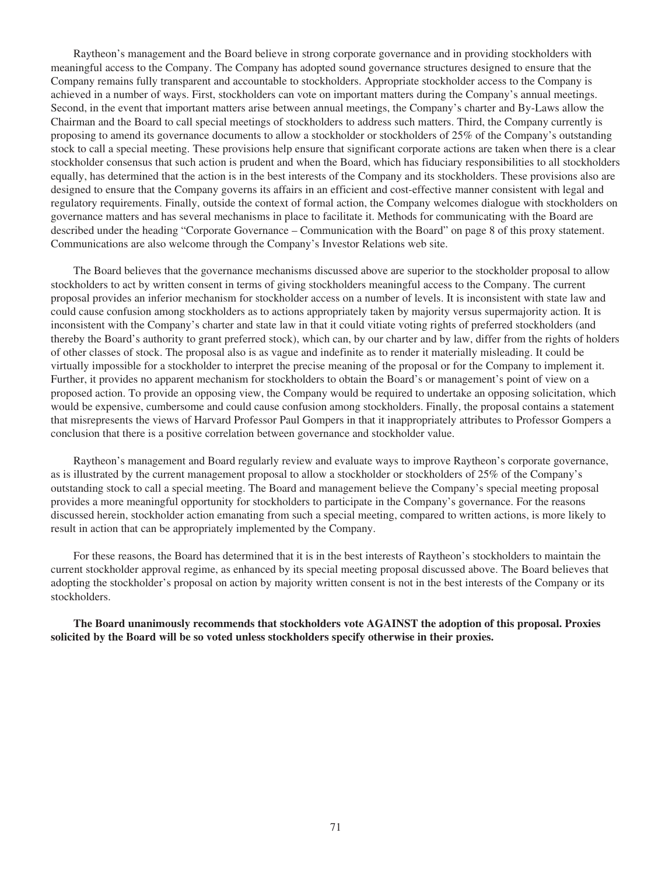Raytheon's management and the Board believe in strong corporate governance and in providing stockholders with meaningful access to the Company. The Company has adopted sound governance structures designed to ensure that the Company remains fully transparent and accountable to stockholders. Appropriate stockholder access to the Company is achieved in a number of ways. First, stockholders can vote on important matters during the Company's annual meetings. Second, in the event that important matters arise between annual meetings, the Company's charter and By-Laws allow the Chairman and the Board to call special meetings of stockholders to address such matters. Third, the Company currently is proposing to amend its governance documents to allow a stockholder or stockholders of 25% of the Company's outstanding stock to call a special meeting. These provisions help ensure that significant corporate actions are taken when there is a clear stockholder consensus that such action is prudent and when the Board, which has fiduciary responsibilities to all stockholders equally, has determined that the action is in the best interests of the Company and its stockholders. These provisions also are designed to ensure that the Company governs its affairs in an efficient and cost-effective manner consistent with legal and regulatory requirements. Finally, outside the context of formal action, the Company welcomes dialogue with stockholders on governance matters and has several mechanisms in place to facilitate it. Methods for communicating with the Board are described under the heading "Corporate Governance – Communication with the Board" on page 8 of this proxy statement. Communications are also welcome through the Company's Investor Relations web site.

The Board believes that the governance mechanisms discussed above are superior to the stockholder proposal to allow stockholders to act by written consent in terms of giving stockholders meaningful access to the Company. The current proposal provides an inferior mechanism for stockholder access on a number of levels. It is inconsistent with state law and could cause confusion among stockholders as to actions appropriately taken by majority versus supermajority action. It is inconsistent with the Company's charter and state law in that it could vitiate voting rights of preferred stockholders (and thereby the Board's authority to grant preferred stock), which can, by our charter and by law, differ from the rights of holders of other classes of stock. The proposal also is as vague and indefinite as to render it materially misleading. It could be virtually impossible for a stockholder to interpret the precise meaning of the proposal or for the Company to implement it. Further, it provides no apparent mechanism for stockholders to obtain the Board's or management's point of view on a proposed action. To provide an opposing view, the Company would be required to undertake an opposing solicitation, which would be expensive, cumbersome and could cause confusion among stockholders. Finally, the proposal contains a statement that misrepresents the views of Harvard Professor Paul Gompers in that it inappropriately attributes to Professor Gompers a conclusion that there is a positive correlation between governance and stockholder value.

Raytheon's management and Board regularly review and evaluate ways to improve Raytheon's corporate governance, as is illustrated by the current management proposal to allow a stockholder or stockholders of 25% of the Company's outstanding stock to call a special meeting. The Board and management believe the Company's special meeting proposal provides a more meaningful opportunity for stockholders to participate in the Company's governance. For the reasons discussed herein, stockholder action emanating from such a special meeting, compared to written actions, is more likely to result in action that can be appropriately implemented by the Company.

For these reasons, the Board has determined that it is in the best interests of Raytheon's stockholders to maintain the current stockholder approval regime, as enhanced by its special meeting proposal discussed above. The Board believes that adopting the stockholder's proposal on action by majority written consent is not in the best interests of the Company or its stockholders.

**The Board unanimously recommends that stockholders vote AGAINST the adoption of this proposal. Proxies solicited by the Board will be so voted unless stockholders specify otherwise in their proxies.**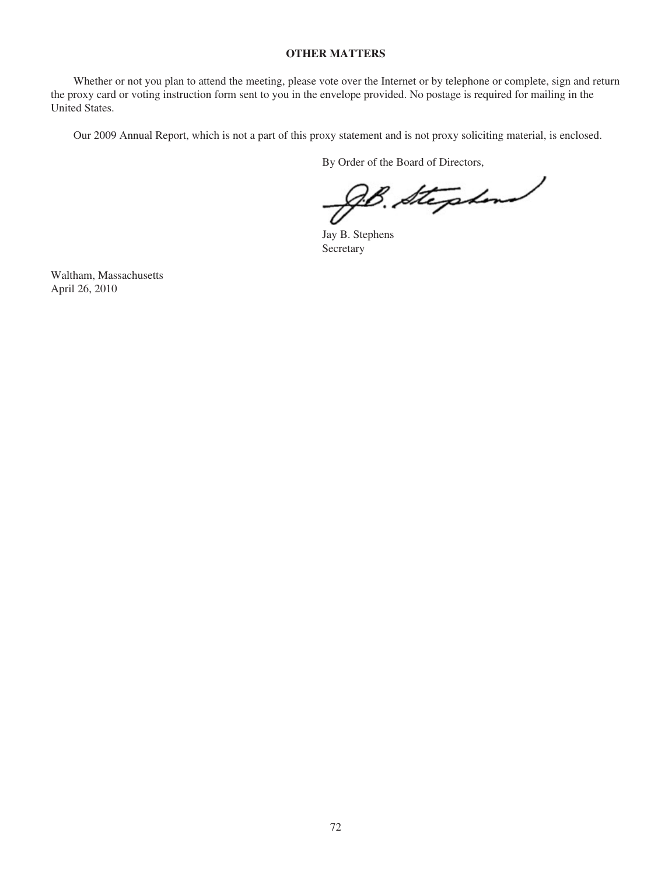# **OTHER MATTERS**

Whether or not you plan to attend the meeting, please vote over the Internet or by telephone or complete, sign and return the proxy card or voting instruction form sent to you in the envelope provided. No postage is required for mailing in the United States.

Our 2009 Annual Report, which is not a part of this proxy statement and is not proxy soliciting material, is enclosed.

By Order of the Board of Directors,

B. Stephend

Jay B. Stephens Secretary

Waltham, Massachusetts April 26, 2010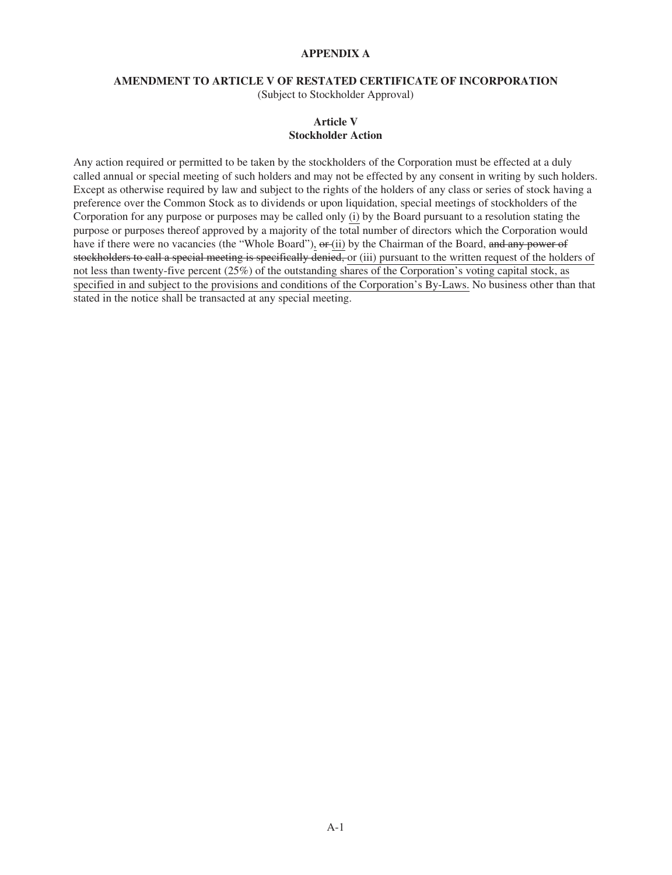# **APPENDIX A**

# **AMENDMENT TO ARTICLE V OF RESTATED CERTIFICATE OF INCORPORATION**

(Subject to Stockholder Approval)

# **Article V Stockholder Action**

Any action required or permitted to be taken by the stockholders of the Corporation must be effected at a duly called annual or special meeting of such holders and may not be effected by any consent in writing by such holders. Except as otherwise required by law and subject to the rights of the holders of any class or series of stock having a preference over the Common Stock as to dividends or upon liquidation, special meetings of stockholders of the Corporation for any purpose or purposes may be called only (i) by the Board pursuant to a resolution stating the purpose or purposes thereof approved by a majority of the total number of directors which the Corporation would have if there were no vacancies (the "Whole Board"), or (ii) by the Chairman of the Board, and any power of stockholders to call a special meeting is specifically denied, or (iii) pursuant to the written request of the holders of not less than twenty-five percent (25%) of the outstanding shares of the Corporation's voting capital stock, as specified in and subject to the provisions and conditions of the Corporation's By-Laws. No business other than that stated in the notice shall be transacted at any special meeting.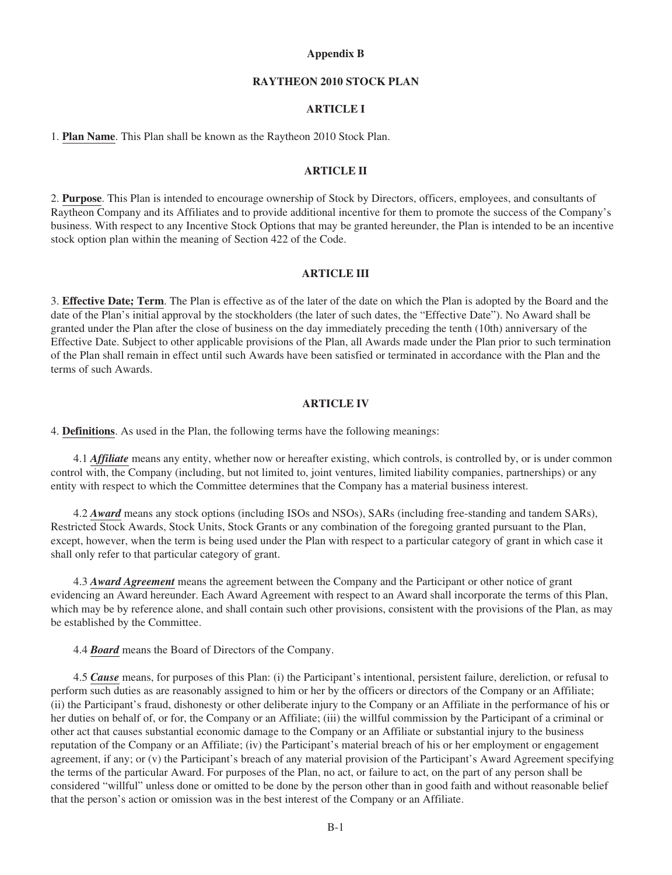## **Appendix B**

# **RAYTHEON 2010 STOCK PLAN**

# **ARTICLE I**

1. **Plan Name**. This Plan shall be known as the Raytheon 2010 Stock Plan.

#### **ARTICLE II**

2. **Purpose**. This Plan is intended to encourage ownership of Stock by Directors, officers, employees, and consultants of Raytheon Company and its Affiliates and to provide additional incentive for them to promote the success of the Company's business. With respect to any Incentive Stock Options that may be granted hereunder, the Plan is intended to be an incentive stock option plan within the meaning of Section 422 of the Code.

## **ARTICLE III**

3. **Effective Date; Term**. The Plan is effective as of the later of the date on which the Plan is adopted by the Board and the date of the Plan's initial approval by the stockholders (the later of such dates, the "Effective Date"). No Award shall be granted under the Plan after the close of business on the day immediately preceding the tenth (10th) anniversary of the Effective Date. Subject to other applicable provisions of the Plan, all Awards made under the Plan prior to such termination of the Plan shall remain in effect until such Awards have been satisfied or terminated in accordance with the Plan and the terms of such Awards.

## **ARTICLE IV**

4. **Definitions**. As used in the Plan, the following terms have the following meanings:

4.1 *Affiliate* means any entity, whether now or hereafter existing, which controls, is controlled by, or is under common control with, the Company (including, but not limited to, joint ventures, limited liability companies, partnerships) or any entity with respect to which the Committee determines that the Company has a material business interest.

4.2 *Award* means any stock options (including ISOs and NSOs), SARs (including free-standing and tandem SARs), Restricted Stock Awards, Stock Units, Stock Grants or any combination of the foregoing granted pursuant to the Plan, except, however, when the term is being used under the Plan with respect to a particular category of grant in which case it shall only refer to that particular category of grant.

4.3 *Award Agreement* means the agreement between the Company and the Participant or other notice of grant evidencing an Award hereunder. Each Award Agreement with respect to an Award shall incorporate the terms of this Plan, which may be by reference alone, and shall contain such other provisions, consistent with the provisions of the Plan, as may be established by the Committee.

4.4 *Board* means the Board of Directors of the Company.

4.5 *Cause* means, for purposes of this Plan: (i) the Participant's intentional, persistent failure, dereliction, or refusal to perform such duties as are reasonably assigned to him or her by the officers or directors of the Company or an Affiliate; (ii) the Participant's fraud, dishonesty or other deliberate injury to the Company or an Affiliate in the performance of his or her duties on behalf of, or for, the Company or an Affiliate; (iii) the willful commission by the Participant of a criminal or other act that causes substantial economic damage to the Company or an Affiliate or substantial injury to the business reputation of the Company or an Affiliate; (iv) the Participant's material breach of his or her employment or engagement agreement, if any; or (v) the Participant's breach of any material provision of the Participant's Award Agreement specifying the terms of the particular Award. For purposes of the Plan, no act, or failure to act, on the part of any person shall be considered "willful" unless done or omitted to be done by the person other than in good faith and without reasonable belief that the person's action or omission was in the best interest of the Company or an Affiliate.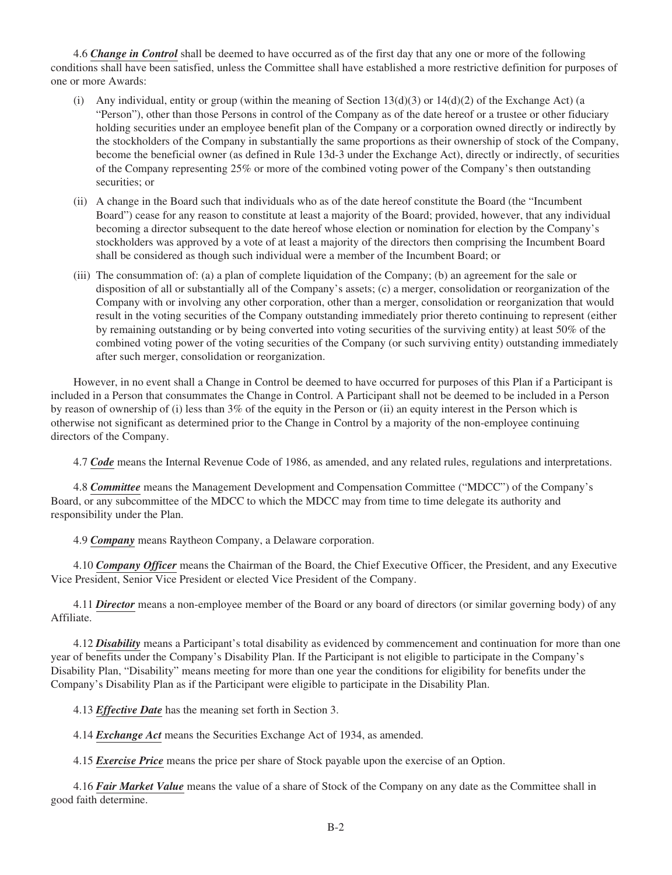4.6 *Change in Control* shall be deemed to have occurred as of the first day that any one or more of the following conditions shall have been satisfied, unless the Committee shall have established a more restrictive definition for purposes of one or more Awards:

- (i) Any individual, entity or group (within the meaning of Section  $13(d)(3)$  or  $14(d)(2)$  of the Exchange Act) (a "Person"), other than those Persons in control of the Company as of the date hereof or a trustee or other fiduciary holding securities under an employee benefit plan of the Company or a corporation owned directly or indirectly by the stockholders of the Company in substantially the same proportions as their ownership of stock of the Company, become the beneficial owner (as defined in Rule 13d-3 under the Exchange Act), directly or indirectly, of securities of the Company representing 25% or more of the combined voting power of the Company's then outstanding securities; or
- (ii) A change in the Board such that individuals who as of the date hereof constitute the Board (the "Incumbent Board") cease for any reason to constitute at least a majority of the Board; provided, however, that any individual becoming a director subsequent to the date hereof whose election or nomination for election by the Company's stockholders was approved by a vote of at least a majority of the directors then comprising the Incumbent Board shall be considered as though such individual were a member of the Incumbent Board; or
- (iii) The consummation of: (a) a plan of complete liquidation of the Company; (b) an agreement for the sale or disposition of all or substantially all of the Company's assets; (c) a merger, consolidation or reorganization of the Company with or involving any other corporation, other than a merger, consolidation or reorganization that would result in the voting securities of the Company outstanding immediately prior thereto continuing to represent (either by remaining outstanding or by being converted into voting securities of the surviving entity) at least 50% of the combined voting power of the voting securities of the Company (or such surviving entity) outstanding immediately after such merger, consolidation or reorganization.

However, in no event shall a Change in Control be deemed to have occurred for purposes of this Plan if a Participant is included in a Person that consummates the Change in Control. A Participant shall not be deemed to be included in a Person by reason of ownership of (i) less than 3% of the equity in the Person or (ii) an equity interest in the Person which is otherwise not significant as determined prior to the Change in Control by a majority of the non-employee continuing directors of the Company.

4.7 *Code* means the Internal Revenue Code of 1986, as amended, and any related rules, regulations and interpretations.

4.8 *Committee* means the Management Development and Compensation Committee ("MDCC") of the Company's Board, or any subcommittee of the MDCC to which the MDCC may from time to time delegate its authority and responsibility under the Plan.

4.9 *Company* means Raytheon Company, a Delaware corporation.

4.10 *Company Officer* means the Chairman of the Board, the Chief Executive Officer, the President, and any Executive Vice President, Senior Vice President or elected Vice President of the Company.

4.11 *Director* means a non-employee member of the Board or any board of directors (or similar governing body) of any Affiliate.

4.12 *Disability* means a Participant's total disability as evidenced by commencement and continuation for more than one year of benefits under the Company's Disability Plan. If the Participant is not eligible to participate in the Company's Disability Plan, "Disability" means meeting for more than one year the conditions for eligibility for benefits under the Company's Disability Plan as if the Participant were eligible to participate in the Disability Plan.

4.13 *Effective Date* has the meaning set forth in Section 3.

4.14 *Exchange Act* means the Securities Exchange Act of 1934, as amended.

4.15 *Exercise Price* means the price per share of Stock payable upon the exercise of an Option.

4.16 *Fair Market Value* means the value of a share of Stock of the Company on any date as the Committee shall in good faith determine.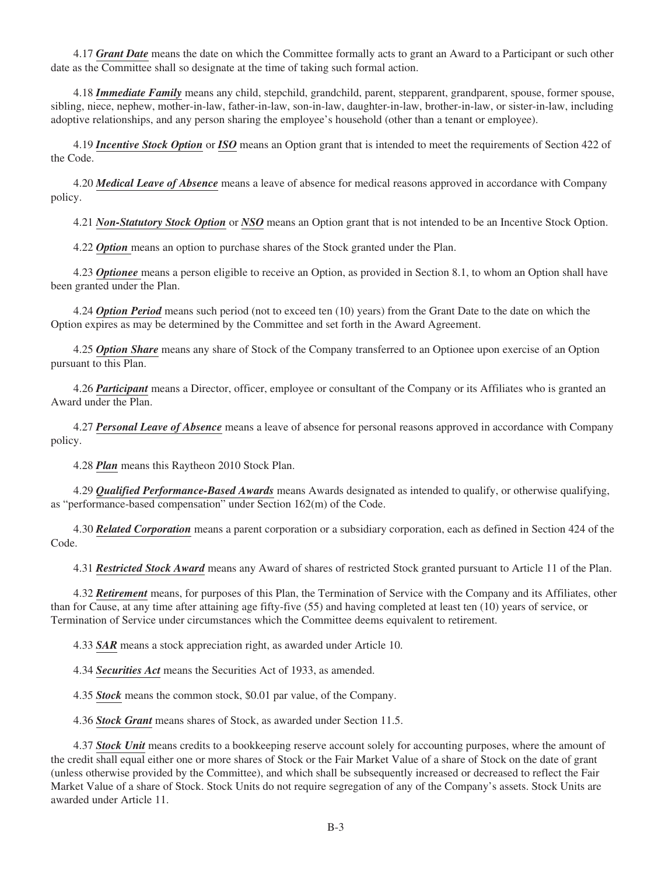4.17 *Grant Date* means the date on which the Committee formally acts to grant an Award to a Participant or such other date as the Committee shall so designate at the time of taking such formal action.

4.18 *Immediate Family* means any child, stepchild, grandchild, parent, stepparent, grandparent, spouse, former spouse, sibling, niece, nephew, mother-in-law, father-in-law, son-in-law, daughter-in-law, brother-in-law, or sister-in-law, including adoptive relationships, and any person sharing the employee's household (other than a tenant or employee).

4.19 *Incentive Stock Option* or *ISO* means an Option grant that is intended to meet the requirements of Section 422 of the Code.

4.20 *Medical Leave of Absence* means a leave of absence for medical reasons approved in accordance with Company policy.

4.21 *Non-Statutory Stock Option* or *NSO* means an Option grant that is not intended to be an Incentive Stock Option.

4.22 *Option* means an option to purchase shares of the Stock granted under the Plan.

4.23 *Optionee* means a person eligible to receive an Option, as provided in Section 8.1, to whom an Option shall have been granted under the Plan.

4.24 *Option Period* means such period (not to exceed ten (10) years) from the Grant Date to the date on which the Option expires as may be determined by the Committee and set forth in the Award Agreement.

4.25 *Option Share* means any share of Stock of the Company transferred to an Optionee upon exercise of an Option pursuant to this Plan.

4.26 *Participant* means a Director, officer, employee or consultant of the Company or its Affiliates who is granted an Award under the Plan.

4.27 *Personal Leave of Absence* means a leave of absence for personal reasons approved in accordance with Company policy.

4.28 *Plan* means this Raytheon 2010 Stock Plan.

4.29 *Qualified Performance-Based Awards* means Awards designated as intended to qualify, or otherwise qualifying, as "performance-based compensation" under Section 162(m) of the Code.

4.30 *Related Corporation* means a parent corporation or a subsidiary corporation, each as defined in Section 424 of the Code.

4.31 *Restricted Stock Award* means any Award of shares of restricted Stock granted pursuant to Article 11 of the Plan.

4.32 *Retirement* means, for purposes of this Plan, the Termination of Service with the Company and its Affiliates, other than for Cause, at any time after attaining age fifty-five (55) and having completed at least ten (10) years of service, or Termination of Service under circumstances which the Committee deems equivalent to retirement.

4.33 *SAR* means a stock appreciation right, as awarded under Article 10.

4.34 *Securities Act* means the Securities Act of 1933, as amended.

4.35 *Stock* means the common stock, \$0.01 par value, of the Company.

4.36 *Stock Grant* means shares of Stock, as awarded under Section 11.5.

4.37 *Stock Unit* means credits to a bookkeeping reserve account solely for accounting purposes, where the amount of the credit shall equal either one or more shares of Stock or the Fair Market Value of a share of Stock on the date of grant (unless otherwise provided by the Committee), and which shall be subsequently increased or decreased to reflect the Fair Market Value of a share of Stock. Stock Units do not require segregation of any of the Company's assets. Stock Units are awarded under Article 11.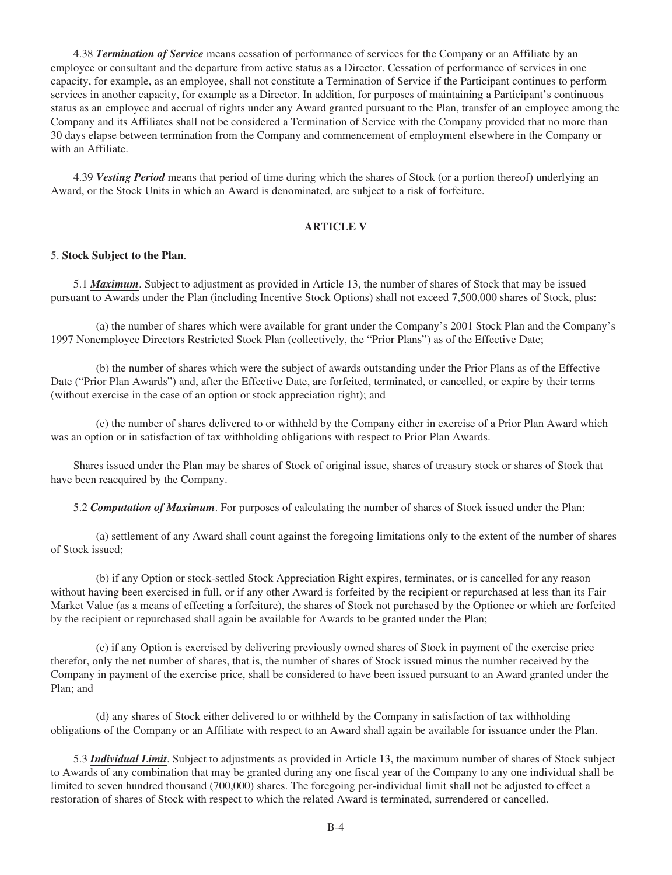4.38 *Termination of Service* means cessation of performance of services for the Company or an Affiliate by an employee or consultant and the departure from active status as a Director. Cessation of performance of services in one capacity, for example, as an employee, shall not constitute a Termination of Service if the Participant continues to perform services in another capacity, for example as a Director. In addition, for purposes of maintaining a Participant's continuous status as an employee and accrual of rights under any Award granted pursuant to the Plan, transfer of an employee among the Company and its Affiliates shall not be considered a Termination of Service with the Company provided that no more than 30 days elapse between termination from the Company and commencement of employment elsewhere in the Company or with an Affiliate.

4.39 *Vesting Period* means that period of time during which the shares of Stock (or a portion thereof) underlying an Award, or the Stock Units in which an Award is denominated, are subject to a risk of forfeiture.

## **ARTICLE V**

#### 5. **Stock Subject to the Plan**.

5.1 *Maximum*. Subject to adjustment as provided in Article 13, the number of shares of Stock that may be issued pursuant to Awards under the Plan (including Incentive Stock Options) shall not exceed 7,500,000 shares of Stock, plus:

(a) the number of shares which were available for grant under the Company's 2001 Stock Plan and the Company's 1997 Nonemployee Directors Restricted Stock Plan (collectively, the "Prior Plans") as of the Effective Date;

(b) the number of shares which were the subject of awards outstanding under the Prior Plans as of the Effective Date ("Prior Plan Awards") and, after the Effective Date, are forfeited, terminated, or cancelled, or expire by their terms (without exercise in the case of an option or stock appreciation right); and

(c) the number of shares delivered to or withheld by the Company either in exercise of a Prior Plan Award which was an option or in satisfaction of tax withholding obligations with respect to Prior Plan Awards.

Shares issued under the Plan may be shares of Stock of original issue, shares of treasury stock or shares of Stock that have been reacquired by the Company.

5.2 *Computation of Maximum*. For purposes of calculating the number of shares of Stock issued under the Plan:

(a) settlement of any Award shall count against the foregoing limitations only to the extent of the number of shares of Stock issued;

(b) if any Option or stock-settled Stock Appreciation Right expires, terminates, or is cancelled for any reason without having been exercised in full, or if any other Award is forfeited by the recipient or repurchased at less than its Fair Market Value (as a means of effecting a forfeiture), the shares of Stock not purchased by the Optionee or which are forfeited by the recipient or repurchased shall again be available for Awards to be granted under the Plan;

(c) if any Option is exercised by delivering previously owned shares of Stock in payment of the exercise price therefor, only the net number of shares, that is, the number of shares of Stock issued minus the number received by the Company in payment of the exercise price, shall be considered to have been issued pursuant to an Award granted under the Plan; and

(d) any shares of Stock either delivered to or withheld by the Company in satisfaction of tax withholding obligations of the Company or an Affiliate with respect to an Award shall again be available for issuance under the Plan.

5.3 *Individual Limit*. Subject to adjustments as provided in Article 13, the maximum number of shares of Stock subject to Awards of any combination that may be granted during any one fiscal year of the Company to any one individual shall be limited to seven hundred thousand (700,000) shares. The foregoing per-individual limit shall not be adjusted to effect a restoration of shares of Stock with respect to which the related Award is terminated, surrendered or cancelled.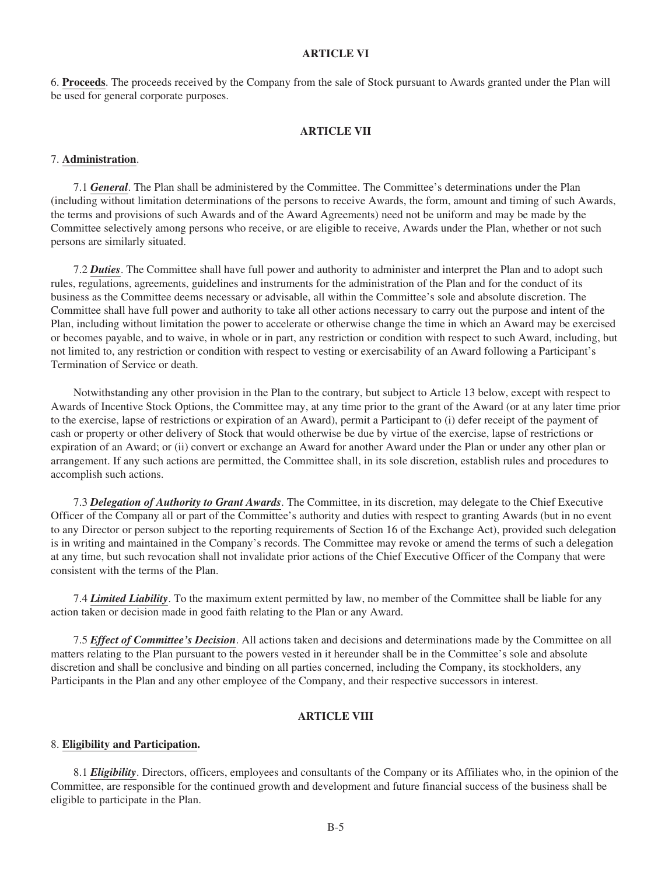## **ARTICLE VI**

6. **Proceeds**. The proceeds received by the Company from the sale of Stock pursuant to Awards granted under the Plan will be used for general corporate purposes.

## **ARTICLE VII**

### 7. **Administration**.

7.1 *General*. The Plan shall be administered by the Committee. The Committee's determinations under the Plan (including without limitation determinations of the persons to receive Awards, the form, amount and timing of such Awards, the terms and provisions of such Awards and of the Award Agreements) need not be uniform and may be made by the Committee selectively among persons who receive, or are eligible to receive, Awards under the Plan, whether or not such persons are similarly situated.

7.2 *Duties*. The Committee shall have full power and authority to administer and interpret the Plan and to adopt such rules, regulations, agreements, guidelines and instruments for the administration of the Plan and for the conduct of its business as the Committee deems necessary or advisable, all within the Committee's sole and absolute discretion. The Committee shall have full power and authority to take all other actions necessary to carry out the purpose and intent of the Plan, including without limitation the power to accelerate or otherwise change the time in which an Award may be exercised or becomes payable, and to waive, in whole or in part, any restriction or condition with respect to such Award, including, but not limited to, any restriction or condition with respect to vesting or exercisability of an Award following a Participant's Termination of Service or death.

Notwithstanding any other provision in the Plan to the contrary, but subject to Article 13 below, except with respect to Awards of Incentive Stock Options, the Committee may, at any time prior to the grant of the Award (or at any later time prior to the exercise, lapse of restrictions or expiration of an Award), permit a Participant to (i) defer receipt of the payment of cash or property or other delivery of Stock that would otherwise be due by virtue of the exercise, lapse of restrictions or expiration of an Award; or (ii) convert or exchange an Award for another Award under the Plan or under any other plan or arrangement. If any such actions are permitted, the Committee shall, in its sole discretion, establish rules and procedures to accomplish such actions.

7.3 *Delegation of Authority to Grant Awards*. The Committee, in its discretion, may delegate to the Chief Executive Officer of the Company all or part of the Committee's authority and duties with respect to granting Awards (but in no event to any Director or person subject to the reporting requirements of Section 16 of the Exchange Act), provided such delegation is in writing and maintained in the Company's records. The Committee may revoke or amend the terms of such a delegation at any time, but such revocation shall not invalidate prior actions of the Chief Executive Officer of the Company that were consistent with the terms of the Plan.

7.4 *Limited Liability*. To the maximum extent permitted by law, no member of the Committee shall be liable for any action taken or decision made in good faith relating to the Plan or any Award.

7.5 *Effect of Committee's Decision*. All actions taken and decisions and determinations made by the Committee on all matters relating to the Plan pursuant to the powers vested in it hereunder shall be in the Committee's sole and absolute discretion and shall be conclusive and binding on all parties concerned, including the Company, its stockholders, any Participants in the Plan and any other employee of the Company, and their respective successors in interest.

# **ARTICLE VIII**

## 8. **Eligibility and Participation.**

8.1 *Eligibility*. Directors, officers, employees and consultants of the Company or its Affiliates who, in the opinion of the Committee, are responsible for the continued growth and development and future financial success of the business shall be eligible to participate in the Plan.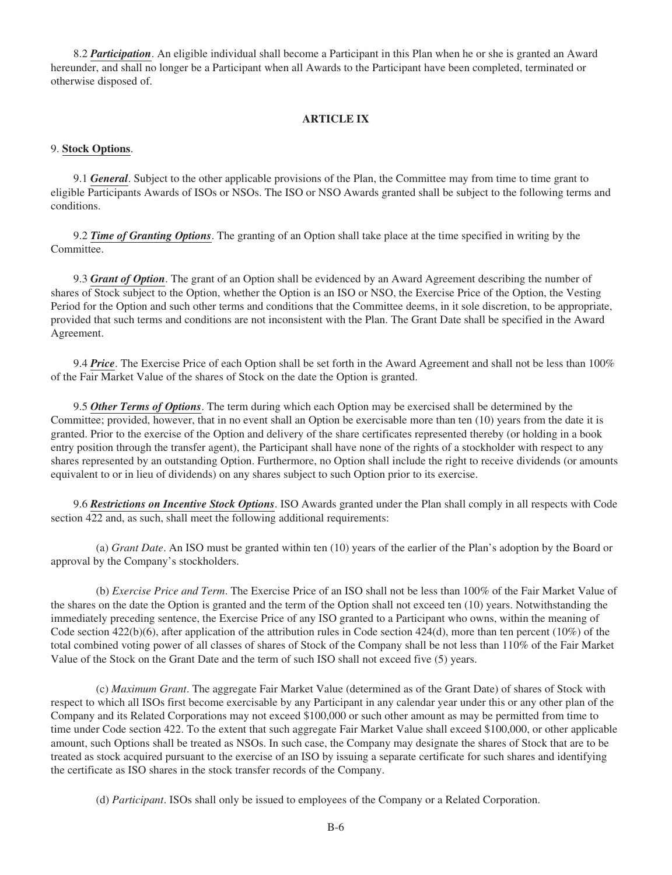8.2 *Participation*. An eligible individual shall become a Participant in this Plan when he or she is granted an Award hereunder, and shall no longer be a Participant when all Awards to the Participant have been completed, terminated or otherwise disposed of.

## **ARTICLE IX**

## 9. **Stock Options**.

9.1 *General*. Subject to the other applicable provisions of the Plan, the Committee may from time to time grant to eligible Participants Awards of ISOs or NSOs. The ISO or NSO Awards granted shall be subject to the following terms and conditions.

9.2 *Time of Granting Options*. The granting of an Option shall take place at the time specified in writing by the Committee.

9.3 *Grant of Option*. The grant of an Option shall be evidenced by an Award Agreement describing the number of shares of Stock subject to the Option, whether the Option is an ISO or NSO, the Exercise Price of the Option, the Vesting Period for the Option and such other terms and conditions that the Committee deems, in it sole discretion, to be appropriate, provided that such terms and conditions are not inconsistent with the Plan. The Grant Date shall be specified in the Award Agreement.

9.4 *Price*. The Exercise Price of each Option shall be set forth in the Award Agreement and shall not be less than 100% of the Fair Market Value of the shares of Stock on the date the Option is granted.

9.5 *Other Terms of Options*. The term during which each Option may be exercised shall be determined by the Committee; provided, however, that in no event shall an Option be exercisable more than ten (10) years from the date it is granted. Prior to the exercise of the Option and delivery of the share certificates represented thereby (or holding in a book entry position through the transfer agent), the Participant shall have none of the rights of a stockholder with respect to any shares represented by an outstanding Option. Furthermore, no Option shall include the right to receive dividends (or amounts equivalent to or in lieu of dividends) on any shares subject to such Option prior to its exercise.

9.6 *Restrictions on Incentive Stock Options*. ISO Awards granted under the Plan shall comply in all respects with Code section 422 and, as such, shall meet the following additional requirements:

(a) *Grant Date*. An ISO must be granted within ten (10) years of the earlier of the Plan's adoption by the Board or approval by the Company's stockholders.

(b) *Exercise Price and Term*. The Exercise Price of an ISO shall not be less than 100% of the Fair Market Value of the shares on the date the Option is granted and the term of the Option shall not exceed ten (10) years. Notwithstanding the immediately preceding sentence, the Exercise Price of any ISO granted to a Participant who owns, within the meaning of Code section  $422(b)(6)$ , after application of the attribution rules in Code section  $424(d)$ , more than ten percent (10%) of the total combined voting power of all classes of shares of Stock of the Company shall be not less than 110% of the Fair Market Value of the Stock on the Grant Date and the term of such ISO shall not exceed five (5) years.

(c) *Maximum Grant*. The aggregate Fair Market Value (determined as of the Grant Date) of shares of Stock with respect to which all ISOs first become exercisable by any Participant in any calendar year under this or any other plan of the Company and its Related Corporations may not exceed \$100,000 or such other amount as may be permitted from time to time under Code section 422. To the extent that such aggregate Fair Market Value shall exceed \$100,000, or other applicable amount, such Options shall be treated as NSOs. In such case, the Company may designate the shares of Stock that are to be treated as stock acquired pursuant to the exercise of an ISO by issuing a separate certificate for such shares and identifying the certificate as ISO shares in the stock transfer records of the Company.

(d) *Participant*. ISOs shall only be issued to employees of the Company or a Related Corporation.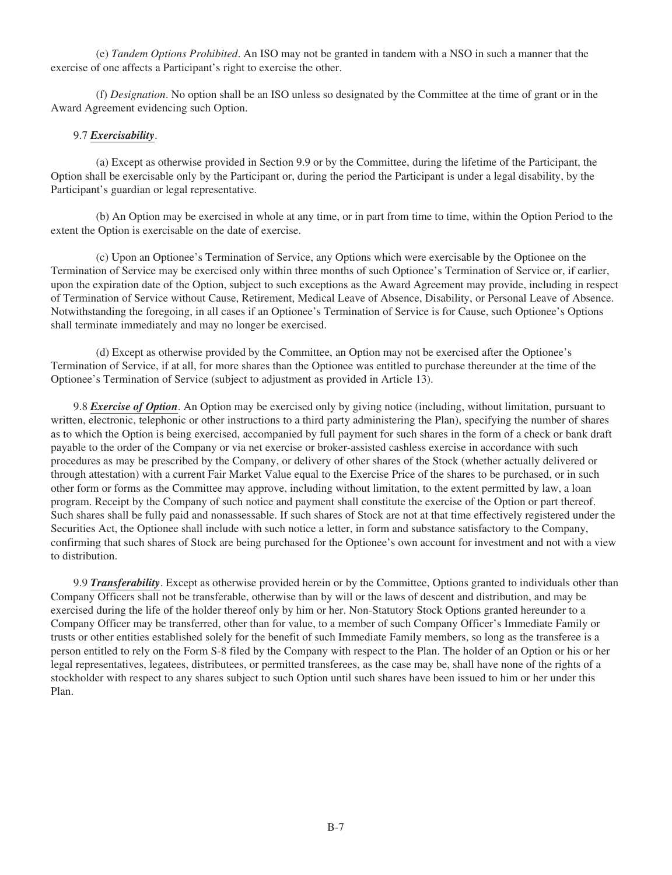(e) *Tandem Options Prohibited*. An ISO may not be granted in tandem with a NSO in such a manner that the exercise of one affects a Participant's right to exercise the other.

(f) *Designation*. No option shall be an ISO unless so designated by the Committee at the time of grant or in the Award Agreement evidencing such Option.

## 9.7 *Exercisability*.

(a) Except as otherwise provided in Section 9.9 or by the Committee, during the lifetime of the Participant, the Option shall be exercisable only by the Participant or, during the period the Participant is under a legal disability, by the Participant's guardian or legal representative.

(b) An Option may be exercised in whole at any time, or in part from time to time, within the Option Period to the extent the Option is exercisable on the date of exercise.

(c) Upon an Optionee's Termination of Service, any Options which were exercisable by the Optionee on the Termination of Service may be exercised only within three months of such Optionee's Termination of Service or, if earlier, upon the expiration date of the Option, subject to such exceptions as the Award Agreement may provide, including in respect of Termination of Service without Cause, Retirement, Medical Leave of Absence, Disability, or Personal Leave of Absence. Notwithstanding the foregoing, in all cases if an Optionee's Termination of Service is for Cause, such Optionee's Options shall terminate immediately and may no longer be exercised.

(d) Except as otherwise provided by the Committee, an Option may not be exercised after the Optionee's Termination of Service, if at all, for more shares than the Optionee was entitled to purchase thereunder at the time of the Optionee's Termination of Service (subject to adjustment as provided in Article 13).

9.8 *Exercise of Option*. An Option may be exercised only by giving notice (including, without limitation, pursuant to written, electronic, telephonic or other instructions to a third party administering the Plan), specifying the number of shares as to which the Option is being exercised, accompanied by full payment for such shares in the form of a check or bank draft payable to the order of the Company or via net exercise or broker-assisted cashless exercise in accordance with such procedures as may be prescribed by the Company, or delivery of other shares of the Stock (whether actually delivered or through attestation) with a current Fair Market Value equal to the Exercise Price of the shares to be purchased, or in such other form or forms as the Committee may approve, including without limitation, to the extent permitted by law, a loan program. Receipt by the Company of such notice and payment shall constitute the exercise of the Option or part thereof. Such shares shall be fully paid and nonassessable. If such shares of Stock are not at that time effectively registered under the Securities Act, the Optionee shall include with such notice a letter, in form and substance satisfactory to the Company, confirming that such shares of Stock are being purchased for the Optionee's own account for investment and not with a view to distribution.

9.9 *Transferability*. Except as otherwise provided herein or by the Committee, Options granted to individuals other than Company Officers shall not be transferable, otherwise than by will or the laws of descent and distribution, and may be exercised during the life of the holder thereof only by him or her. Non-Statutory Stock Options granted hereunder to a Company Officer may be transferred, other than for value, to a member of such Company Officer's Immediate Family or trusts or other entities established solely for the benefit of such Immediate Family members, so long as the transferee is a person entitled to rely on the Form S-8 filed by the Company with respect to the Plan. The holder of an Option or his or her legal representatives, legatees, distributees, or permitted transferees, as the case may be, shall have none of the rights of a stockholder with respect to any shares subject to such Option until such shares have been issued to him or her under this Plan.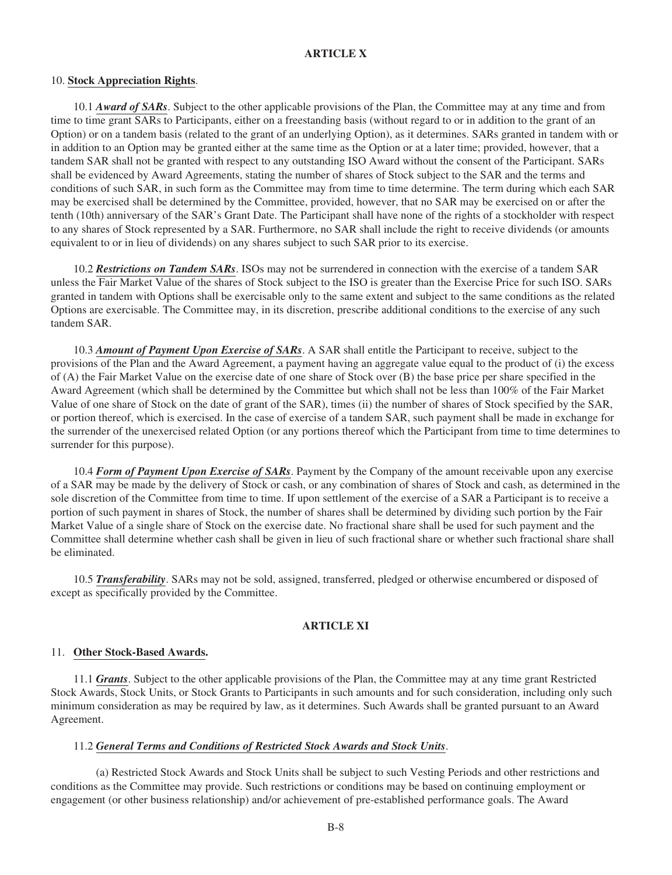# **ARTICLE X**

#### 10. **Stock Appreciation Rights**.

10.1 *Award of SARs*. Subject to the other applicable provisions of the Plan, the Committee may at any time and from time to time grant SARs to Participants, either on a freestanding basis (without regard to or in addition to the grant of an Option) or on a tandem basis (related to the grant of an underlying Option), as it determines. SARs granted in tandem with or in addition to an Option may be granted either at the same time as the Option or at a later time; provided, however, that a tandem SAR shall not be granted with respect to any outstanding ISO Award without the consent of the Participant. SARs shall be evidenced by Award Agreements, stating the number of shares of Stock subject to the SAR and the terms and conditions of such SAR, in such form as the Committee may from time to time determine. The term during which each SAR may be exercised shall be determined by the Committee, provided, however, that no SAR may be exercised on or after the tenth (10th) anniversary of the SAR's Grant Date. The Participant shall have none of the rights of a stockholder with respect to any shares of Stock represented by a SAR. Furthermore, no SAR shall include the right to receive dividends (or amounts equivalent to or in lieu of dividends) on any shares subject to such SAR prior to its exercise.

10.2 *Restrictions on Tandem SARs*. ISOs may not be surrendered in connection with the exercise of a tandem SAR unless the Fair Market Value of the shares of Stock subject to the ISO is greater than the Exercise Price for such ISO. SARs granted in tandem with Options shall be exercisable only to the same extent and subject to the same conditions as the related Options are exercisable. The Committee may, in its discretion, prescribe additional conditions to the exercise of any such tandem SAR.

10.3 *Amount of Payment Upon Exercise of SARs*. A SAR shall entitle the Participant to receive, subject to the provisions of the Plan and the Award Agreement, a payment having an aggregate value equal to the product of (i) the excess of (A) the Fair Market Value on the exercise date of one share of Stock over (B) the base price per share specified in the Award Agreement (which shall be determined by the Committee but which shall not be less than 100% of the Fair Market Value of one share of Stock on the date of grant of the SAR), times (ii) the number of shares of Stock specified by the SAR, or portion thereof, which is exercised. In the case of exercise of a tandem SAR, such payment shall be made in exchange for the surrender of the unexercised related Option (or any portions thereof which the Participant from time to time determines to surrender for this purpose).

10.4 *Form of Payment Upon Exercise of SARs*. Payment by the Company of the amount receivable upon any exercise of a SAR may be made by the delivery of Stock or cash, or any combination of shares of Stock and cash, as determined in the sole discretion of the Committee from time to time. If upon settlement of the exercise of a SAR a Participant is to receive a portion of such payment in shares of Stock, the number of shares shall be determined by dividing such portion by the Fair Market Value of a single share of Stock on the exercise date. No fractional share shall be used for such payment and the Committee shall determine whether cash shall be given in lieu of such fractional share or whether such fractional share shall be eliminated.

10.5 *Transferability*. SARs may not be sold, assigned, transferred, pledged or otherwise encumbered or disposed of except as specifically provided by the Committee.

# **ARTICLE XI**

#### 11. **Other Stock-Based Awards.**

11.1 *Grants*. Subject to the other applicable provisions of the Plan, the Committee may at any time grant Restricted Stock Awards, Stock Units, or Stock Grants to Participants in such amounts and for such consideration, including only such minimum consideration as may be required by law, as it determines. Such Awards shall be granted pursuant to an Award Agreement.

#### 11.2 *General Terms and Conditions of Restricted Stock Awards and Stock Units*.

(a) Restricted Stock Awards and Stock Units shall be subject to such Vesting Periods and other restrictions and conditions as the Committee may provide. Such restrictions or conditions may be based on continuing employment or engagement (or other business relationship) and/or achievement of pre-established performance goals. The Award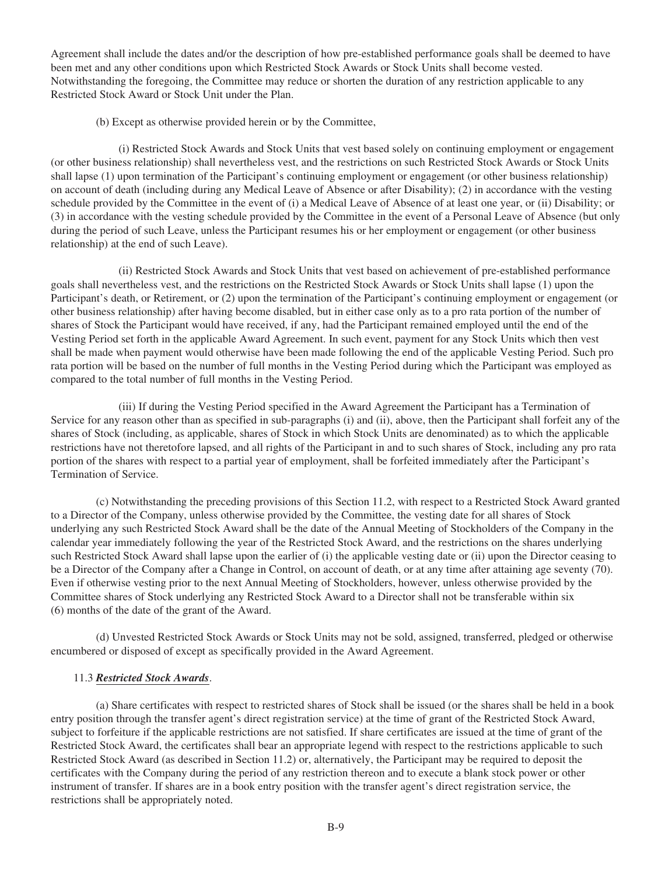Agreement shall include the dates and/or the description of how pre-established performance goals shall be deemed to have been met and any other conditions upon which Restricted Stock Awards or Stock Units shall become vested. Notwithstanding the foregoing, the Committee may reduce or shorten the duration of any restriction applicable to any Restricted Stock Award or Stock Unit under the Plan.

(b) Except as otherwise provided herein or by the Committee,

(i) Restricted Stock Awards and Stock Units that vest based solely on continuing employment or engagement (or other business relationship) shall nevertheless vest, and the restrictions on such Restricted Stock Awards or Stock Units shall lapse (1) upon termination of the Participant's continuing employment or engagement (or other business relationship) on account of death (including during any Medical Leave of Absence or after Disability); (2) in accordance with the vesting schedule provided by the Committee in the event of (i) a Medical Leave of Absence of at least one year, or (ii) Disability; or (3) in accordance with the vesting schedule provided by the Committee in the event of a Personal Leave of Absence (but only during the period of such Leave, unless the Participant resumes his or her employment or engagement (or other business relationship) at the end of such Leave).

(ii) Restricted Stock Awards and Stock Units that vest based on achievement of pre-established performance goals shall nevertheless vest, and the restrictions on the Restricted Stock Awards or Stock Units shall lapse (1) upon the Participant's death, or Retirement, or (2) upon the termination of the Participant's continuing employment or engagement (or other business relationship) after having become disabled, but in either case only as to a pro rata portion of the number of shares of Stock the Participant would have received, if any, had the Participant remained employed until the end of the Vesting Period set forth in the applicable Award Agreement. In such event, payment for any Stock Units which then vest shall be made when payment would otherwise have been made following the end of the applicable Vesting Period. Such pro rata portion will be based on the number of full months in the Vesting Period during which the Participant was employed as compared to the total number of full months in the Vesting Period.

(iii) If during the Vesting Period specified in the Award Agreement the Participant has a Termination of Service for any reason other than as specified in sub-paragraphs (i) and (ii), above, then the Participant shall forfeit any of the shares of Stock (including, as applicable, shares of Stock in which Stock Units are denominated) as to which the applicable restrictions have not theretofore lapsed, and all rights of the Participant in and to such shares of Stock, including any pro rata portion of the shares with respect to a partial year of employment, shall be forfeited immediately after the Participant's Termination of Service.

(c) Notwithstanding the preceding provisions of this Section 11.2, with respect to a Restricted Stock Award granted to a Director of the Company, unless otherwise provided by the Committee, the vesting date for all shares of Stock underlying any such Restricted Stock Award shall be the date of the Annual Meeting of Stockholders of the Company in the calendar year immediately following the year of the Restricted Stock Award, and the restrictions on the shares underlying such Restricted Stock Award shall lapse upon the earlier of (i) the applicable vesting date or (ii) upon the Director ceasing to be a Director of the Company after a Change in Control, on account of death, or at any time after attaining age seventy (70). Even if otherwise vesting prior to the next Annual Meeting of Stockholders, however, unless otherwise provided by the Committee shares of Stock underlying any Restricted Stock Award to a Director shall not be transferable within six (6) months of the date of the grant of the Award.

(d) Unvested Restricted Stock Awards or Stock Units may not be sold, assigned, transferred, pledged or otherwise encumbered or disposed of except as specifically provided in the Award Agreement.

## 11.3 *Restricted Stock Awards*.

(a) Share certificates with respect to restricted shares of Stock shall be issued (or the shares shall be held in a book entry position through the transfer agent's direct registration service) at the time of grant of the Restricted Stock Award, subject to forfeiture if the applicable restrictions are not satisfied. If share certificates are issued at the time of grant of the Restricted Stock Award, the certificates shall bear an appropriate legend with respect to the restrictions applicable to such Restricted Stock Award (as described in Section 11.2) or, alternatively, the Participant may be required to deposit the certificates with the Company during the period of any restriction thereon and to execute a blank stock power or other instrument of transfer. If shares are in a book entry position with the transfer agent's direct registration service, the restrictions shall be appropriately noted.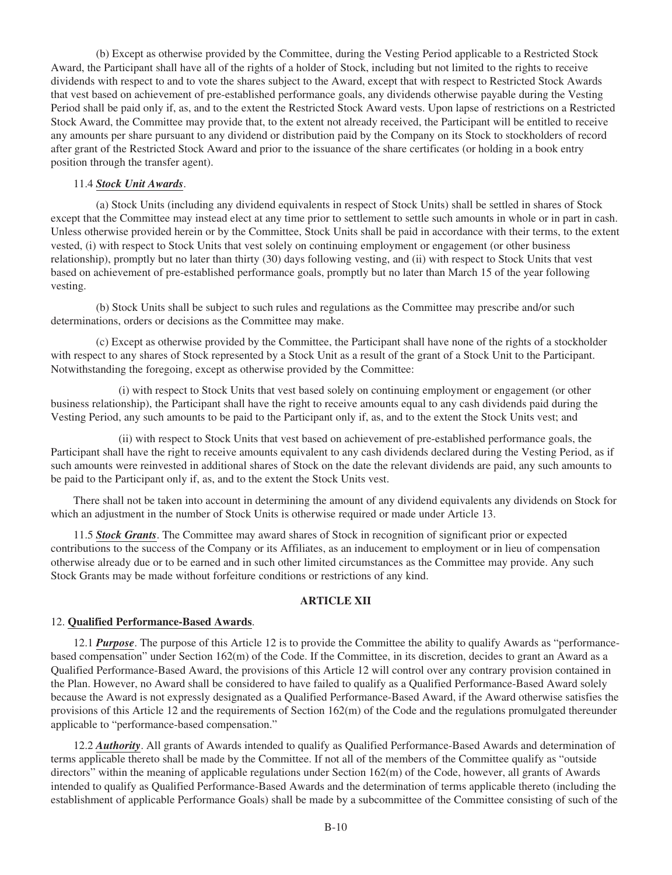(b) Except as otherwise provided by the Committee, during the Vesting Period applicable to a Restricted Stock Award, the Participant shall have all of the rights of a holder of Stock, including but not limited to the rights to receive dividends with respect to and to vote the shares subject to the Award, except that with respect to Restricted Stock Awards that vest based on achievement of pre-established performance goals, any dividends otherwise payable during the Vesting Period shall be paid only if, as, and to the extent the Restricted Stock Award vests. Upon lapse of restrictions on a Restricted Stock Award, the Committee may provide that, to the extent not already received, the Participant will be entitled to receive any amounts per share pursuant to any dividend or distribution paid by the Company on its Stock to stockholders of record after grant of the Restricted Stock Award and prior to the issuance of the share certificates (or holding in a book entry position through the transfer agent).

## 11.4 *Stock Unit Awards*.

(a) Stock Units (including any dividend equivalents in respect of Stock Units) shall be settled in shares of Stock except that the Committee may instead elect at any time prior to settlement to settle such amounts in whole or in part in cash. Unless otherwise provided herein or by the Committee, Stock Units shall be paid in accordance with their terms, to the extent vested, (i) with respect to Stock Units that vest solely on continuing employment or engagement (or other business relationship), promptly but no later than thirty (30) days following vesting, and (ii) with respect to Stock Units that vest based on achievement of pre-established performance goals, promptly but no later than March 15 of the year following vesting.

(b) Stock Units shall be subject to such rules and regulations as the Committee may prescribe and/or such determinations, orders or decisions as the Committee may make.

(c) Except as otherwise provided by the Committee, the Participant shall have none of the rights of a stockholder with respect to any shares of Stock represented by a Stock Unit as a result of the grant of a Stock Unit to the Participant. Notwithstanding the foregoing, except as otherwise provided by the Committee:

(i) with respect to Stock Units that vest based solely on continuing employment or engagement (or other business relationship), the Participant shall have the right to receive amounts equal to any cash dividends paid during the Vesting Period, any such amounts to be paid to the Participant only if, as, and to the extent the Stock Units vest; and

(ii) with respect to Stock Units that vest based on achievement of pre-established performance goals, the Participant shall have the right to receive amounts equivalent to any cash dividends declared during the Vesting Period, as if such amounts were reinvested in additional shares of Stock on the date the relevant dividends are paid, any such amounts to be paid to the Participant only if, as, and to the extent the Stock Units vest.

There shall not be taken into account in determining the amount of any dividend equivalents any dividends on Stock for which an adjustment in the number of Stock Units is otherwise required or made under Article 13.

11.5 *Stock Grants*. The Committee may award shares of Stock in recognition of significant prior or expected contributions to the success of the Company or its Affiliates, as an inducement to employment or in lieu of compensation otherwise already due or to be earned and in such other limited circumstances as the Committee may provide. Any such Stock Grants may be made without forfeiture conditions or restrictions of any kind.

#### **ARTICLE XII**

#### 12. **Qualified Performance-Based Awards**.

12.1 *Purpose*. The purpose of this Article 12 is to provide the Committee the ability to qualify Awards as "performancebased compensation" under Section 162(m) of the Code. If the Committee, in its discretion, decides to grant an Award as a Qualified Performance-Based Award, the provisions of this Article 12 will control over any contrary provision contained in the Plan. However, no Award shall be considered to have failed to qualify as a Qualified Performance-Based Award solely because the Award is not expressly designated as a Qualified Performance-Based Award, if the Award otherwise satisfies the provisions of this Article 12 and the requirements of Section 162(m) of the Code and the regulations promulgated thereunder applicable to "performance-based compensation."

12.2 *Authority*. All grants of Awards intended to qualify as Qualified Performance-Based Awards and determination of terms applicable thereto shall be made by the Committee. If not all of the members of the Committee qualify as "outside directors" within the meaning of applicable regulations under Section 162(m) of the Code, however, all grants of Awards intended to qualify as Qualified Performance-Based Awards and the determination of terms applicable thereto (including the establishment of applicable Performance Goals) shall be made by a subcommittee of the Committee consisting of such of the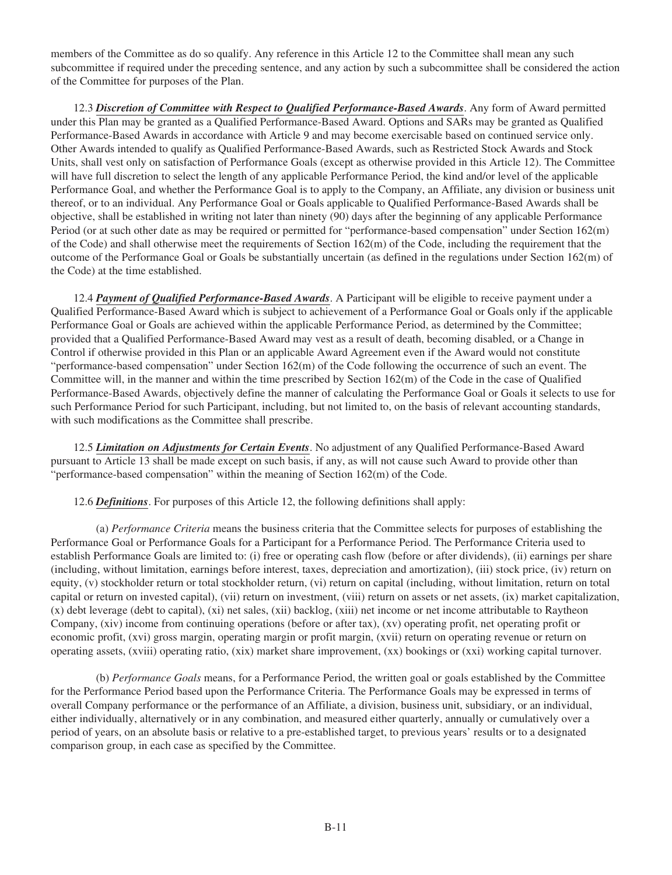members of the Committee as do so qualify. Any reference in this Article 12 to the Committee shall mean any such subcommittee if required under the preceding sentence, and any action by such a subcommittee shall be considered the action of the Committee for purposes of the Plan.

12.3 *Discretion of Committee with Respect to Qualified Performance-Based Awards*. Any form of Award permitted under this Plan may be granted as a Qualified Performance-Based Award. Options and SARs may be granted as Qualified Performance-Based Awards in accordance with Article 9 and may become exercisable based on continued service only. Other Awards intended to qualify as Qualified Performance-Based Awards, such as Restricted Stock Awards and Stock Units, shall vest only on satisfaction of Performance Goals (except as otherwise provided in this Article 12). The Committee will have full discretion to select the length of any applicable Performance Period, the kind and/or level of the applicable Performance Goal, and whether the Performance Goal is to apply to the Company, an Affiliate, any division or business unit thereof, or to an individual. Any Performance Goal or Goals applicable to Qualified Performance-Based Awards shall be objective, shall be established in writing not later than ninety (90) days after the beginning of any applicable Performance Period (or at such other date as may be required or permitted for "performance-based compensation" under Section 162(m) of the Code) and shall otherwise meet the requirements of Section 162(m) of the Code, including the requirement that the outcome of the Performance Goal or Goals be substantially uncertain (as defined in the regulations under Section 162(m) of the Code) at the time established.

12.4 *Payment of Qualified Performance-Based Awards*. A Participant will be eligible to receive payment under a Qualified Performance-Based Award which is subject to achievement of a Performance Goal or Goals only if the applicable Performance Goal or Goals are achieved within the applicable Performance Period, as determined by the Committee; provided that a Qualified Performance-Based Award may vest as a result of death, becoming disabled, or a Change in Control if otherwise provided in this Plan or an applicable Award Agreement even if the Award would not constitute "performance-based compensation" under Section 162(m) of the Code following the occurrence of such an event. The Committee will, in the manner and within the time prescribed by Section 162(m) of the Code in the case of Qualified Performance-Based Awards, objectively define the manner of calculating the Performance Goal or Goals it selects to use for such Performance Period for such Participant, including, but not limited to, on the basis of relevant accounting standards, with such modifications as the Committee shall prescribe.

12.5 *Limitation on Adjustments for Certain Events*. No adjustment of any Qualified Performance-Based Award pursuant to Article 13 shall be made except on such basis, if any, as will not cause such Award to provide other than "performance-based compensation" within the meaning of Section 162(m) of the Code.

12.6 *Definitions*. For purposes of this Article 12, the following definitions shall apply:

(a) *Performance Criteria* means the business criteria that the Committee selects for purposes of establishing the Performance Goal or Performance Goals for a Participant for a Performance Period. The Performance Criteria used to establish Performance Goals are limited to: (i) free or operating cash flow (before or after dividends), (ii) earnings per share (including, without limitation, earnings before interest, taxes, depreciation and amortization), (iii) stock price, (iv) return on equity, (v) stockholder return or total stockholder return, (vi) return on capital (including, without limitation, return on total capital or return on invested capital), (vii) return on investment, (viii) return on assets or net assets, (ix) market capitalization, (x) debt leverage (debt to capital), (xi) net sales, (xii) backlog, (xiii) net income or net income attributable to Raytheon Company, (xiv) income from continuing operations (before or after tax), (xv) operating profit, net operating profit or economic profit, (xvi) gross margin, operating margin or profit margin, (xvii) return on operating revenue or return on operating assets, (xviii) operating ratio, (xix) market share improvement, (xx) bookings or (xxi) working capital turnover.

(b) *Performance Goals* means, for a Performance Period, the written goal or goals established by the Committee for the Performance Period based upon the Performance Criteria. The Performance Goals may be expressed in terms of overall Company performance or the performance of an Affiliate, a division, business unit, subsidiary, or an individual, either individually, alternatively or in any combination, and measured either quarterly, annually or cumulatively over a period of years, on an absolute basis or relative to a pre-established target, to previous years' results or to a designated comparison group, in each case as specified by the Committee.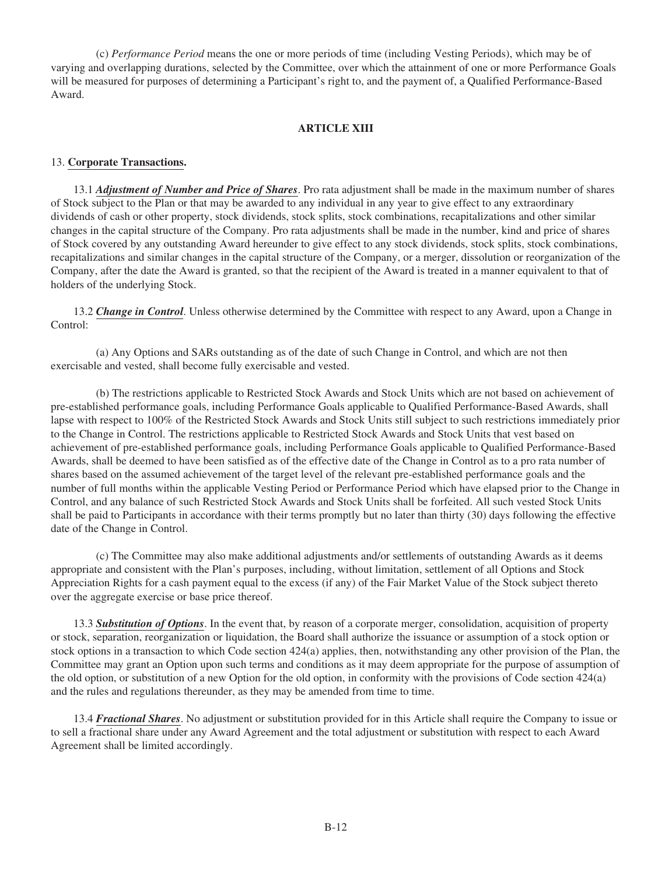(c) *Performance Period* means the one or more periods of time (including Vesting Periods), which may be of varying and overlapping durations, selected by the Committee, over which the attainment of one or more Performance Goals will be measured for purposes of determining a Participant's right to, and the payment of, a Qualified Performance-Based Award.

## **ARTICLE XIII**

## 13. **Corporate Transactions.**

13.1 *Adjustment of Number and Price of Shares*. Pro rata adjustment shall be made in the maximum number of shares of Stock subject to the Plan or that may be awarded to any individual in any year to give effect to any extraordinary dividends of cash or other property, stock dividends, stock splits, stock combinations, recapitalizations and other similar changes in the capital structure of the Company. Pro rata adjustments shall be made in the number, kind and price of shares of Stock covered by any outstanding Award hereunder to give effect to any stock dividends, stock splits, stock combinations, recapitalizations and similar changes in the capital structure of the Company, or a merger, dissolution or reorganization of the Company, after the date the Award is granted, so that the recipient of the Award is treated in a manner equivalent to that of holders of the underlying Stock.

13.2 *Change in Control*. Unless otherwise determined by the Committee with respect to any Award, upon a Change in Control:

(a) Any Options and SARs outstanding as of the date of such Change in Control, and which are not then exercisable and vested, shall become fully exercisable and vested.

(b) The restrictions applicable to Restricted Stock Awards and Stock Units which are not based on achievement of pre-established performance goals, including Performance Goals applicable to Qualified Performance-Based Awards, shall lapse with respect to 100% of the Restricted Stock Awards and Stock Units still subject to such restrictions immediately prior to the Change in Control. The restrictions applicable to Restricted Stock Awards and Stock Units that vest based on achievement of pre-established performance goals, including Performance Goals applicable to Qualified Performance-Based Awards, shall be deemed to have been satisfied as of the effective date of the Change in Control as to a pro rata number of shares based on the assumed achievement of the target level of the relevant pre-established performance goals and the number of full months within the applicable Vesting Period or Performance Period which have elapsed prior to the Change in Control, and any balance of such Restricted Stock Awards and Stock Units shall be forfeited. All such vested Stock Units shall be paid to Participants in accordance with their terms promptly but no later than thirty (30) days following the effective date of the Change in Control.

(c) The Committee may also make additional adjustments and/or settlements of outstanding Awards as it deems appropriate and consistent with the Plan's purposes, including, without limitation, settlement of all Options and Stock Appreciation Rights for a cash payment equal to the excess (if any) of the Fair Market Value of the Stock subject thereto over the aggregate exercise or base price thereof.

13.3 *Substitution of Options*. In the event that, by reason of a corporate merger, consolidation, acquisition of property or stock, separation, reorganization or liquidation, the Board shall authorize the issuance or assumption of a stock option or stock options in a transaction to which Code section 424(a) applies, then, notwithstanding any other provision of the Plan, the Committee may grant an Option upon such terms and conditions as it may deem appropriate for the purpose of assumption of the old option, or substitution of a new Option for the old option, in conformity with the provisions of Code section 424(a) and the rules and regulations thereunder, as they may be amended from time to time.

13.4 *Fractional Shares*. No adjustment or substitution provided for in this Article shall require the Company to issue or to sell a fractional share under any Award Agreement and the total adjustment or substitution with respect to each Award Agreement shall be limited accordingly.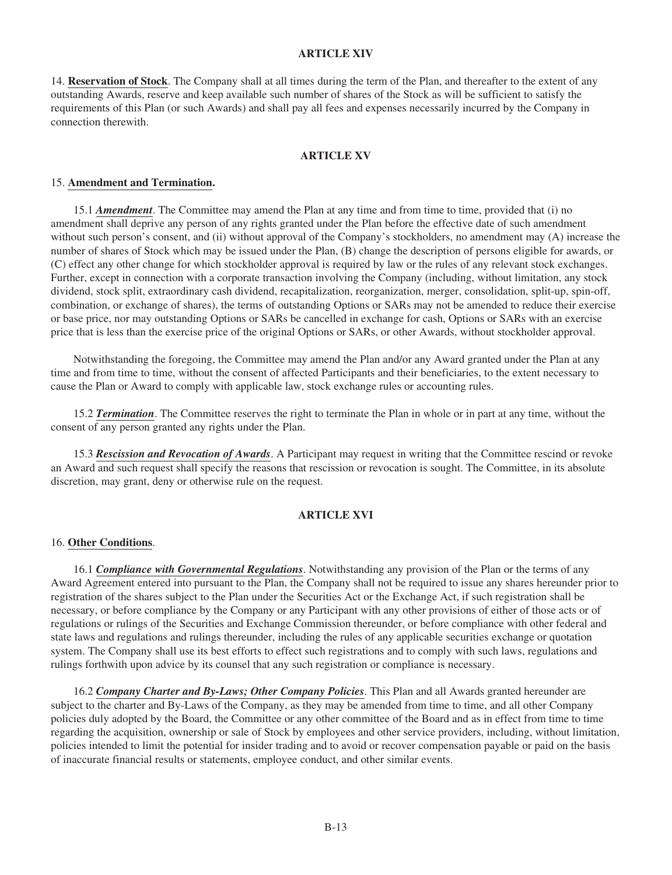# **ARTICLE XIV**

14. **Reservation of Stock**. The Company shall at all times during the term of the Plan, and thereafter to the extent of any outstanding Awards, reserve and keep available such number of shares of the Stock as will be sufficient to satisfy the requirements of this Plan (or such Awards) and shall pay all fees and expenses necessarily incurred by the Company in connection therewith.

## **ARTICLE XV**

#### 15. **Amendment and Termination.**

15.1 *Amendment*. The Committee may amend the Plan at any time and from time to time, provided that (i) no amendment shall deprive any person of any rights granted under the Plan before the effective date of such amendment without such person's consent, and (ii) without approval of the Company's stockholders, no amendment may (A) increase the number of shares of Stock which may be issued under the Plan, (B) change the description of persons eligible for awards, or (C) effect any other change for which stockholder approval is required by law or the rules of any relevant stock exchanges. Further, except in connection with a corporate transaction involving the Company (including, without limitation, any stock dividend, stock split, extraordinary cash dividend, recapitalization, reorganization, merger, consolidation, split-up, spin-off, combination, or exchange of shares), the terms of outstanding Options or SARs may not be amended to reduce their exercise or base price, nor may outstanding Options or SARs be cancelled in exchange for cash, Options or SARs with an exercise price that is less than the exercise price of the original Options or SARs, or other Awards, without stockholder approval.

Notwithstanding the foregoing, the Committee may amend the Plan and/or any Award granted under the Plan at any time and from time to time, without the consent of affected Participants and their beneficiaries, to the extent necessary to cause the Plan or Award to comply with applicable law, stock exchange rules or accounting rules.

15.2 *Termination*. The Committee reserves the right to terminate the Plan in whole or in part at any time, without the consent of any person granted any rights under the Plan.

15.3 *Rescission and Revocation of Awards*. A Participant may request in writing that the Committee rescind or revoke an Award and such request shall specify the reasons that rescission or revocation is sought. The Committee, in its absolute discretion, may grant, deny or otherwise rule on the request.

#### **ARTICLE XVI**

#### 16. **Other Conditions**.

16.1 *Compliance with Governmental Regulations*. Notwithstanding any provision of the Plan or the terms of any Award Agreement entered into pursuant to the Plan, the Company shall not be required to issue any shares hereunder prior to registration of the shares subject to the Plan under the Securities Act or the Exchange Act, if such registration shall be necessary, or before compliance by the Company or any Participant with any other provisions of either of those acts or of regulations or rulings of the Securities and Exchange Commission thereunder, or before compliance with other federal and state laws and regulations and rulings thereunder, including the rules of any applicable securities exchange or quotation system. The Company shall use its best efforts to effect such registrations and to comply with such laws, regulations and rulings forthwith upon advice by its counsel that any such registration or compliance is necessary.

16.2 *Company Charter and By-Laws; Other Company Policies*. This Plan and all Awards granted hereunder are subject to the charter and By-Laws of the Company, as they may be amended from time to time, and all other Company policies duly adopted by the Board, the Committee or any other committee of the Board and as in effect from time to time regarding the acquisition, ownership or sale of Stock by employees and other service providers, including, without limitation, policies intended to limit the potential for insider trading and to avoid or recover compensation payable or paid on the basis of inaccurate financial results or statements, employee conduct, and other similar events.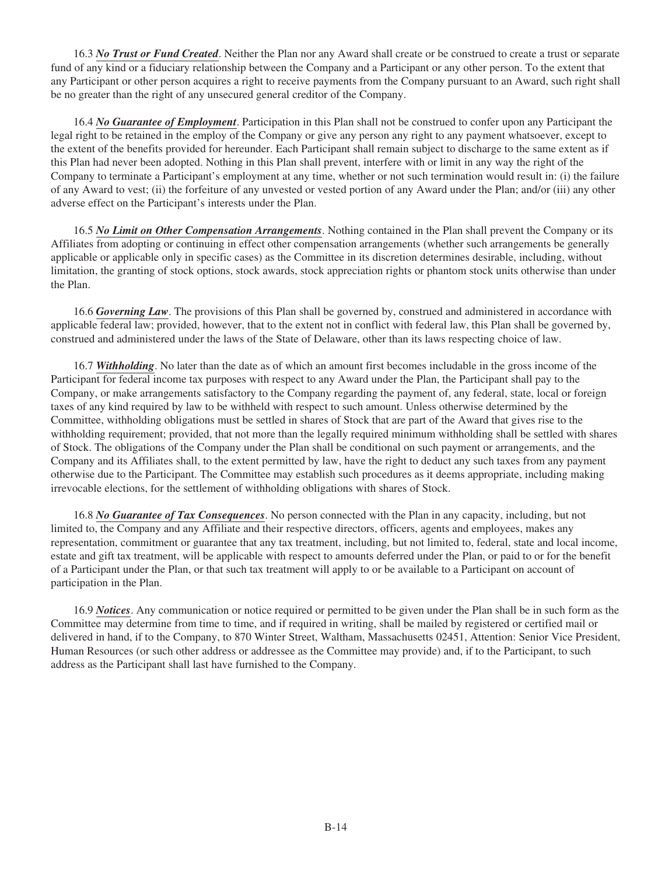16.3 *No Trust or Fund Created*. Neither the Plan nor any Award shall create or be construed to create a trust or separate fund of any kind or a fiduciary relationship between the Company and a Participant or any other person. To the extent that any Participant or other person acquires a right to receive payments from the Company pursuant to an Award, such right shall be no greater than the right of any unsecured general creditor of the Company.

16.4 *No Guarantee of Employment*. Participation in this Plan shall not be construed to confer upon any Participant the legal right to be retained in the employ of the Company or give any person any right to any payment whatsoever, except to the extent of the benefits provided for hereunder. Each Participant shall remain subject to discharge to the same extent as if this Plan had never been adopted. Nothing in this Plan shall prevent, interfere with or limit in any way the right of the Company to terminate a Participant's employment at any time, whether or not such termination would result in: (i) the failure of any Award to vest; (ii) the forfeiture of any unvested or vested portion of any Award under the Plan; and/or (iii) any other adverse effect on the Participant's interests under the Plan.

16.5 *No Limit on Other Compensation Arrangements*. Nothing contained in the Plan shall prevent the Company or its Affiliates from adopting or continuing in effect other compensation arrangements (whether such arrangements be generally applicable or applicable only in specific cases) as the Committee in its discretion determines desirable, including, without limitation, the granting of stock options, stock awards, stock appreciation rights or phantom stock units otherwise than under the Plan.

16.6 *Governing Law*. The provisions of this Plan shall be governed by, construed and administered in accordance with applicable federal law; provided, however, that to the extent not in conflict with federal law, this Plan shall be governed by, construed and administered under the laws of the State of Delaware, other than its laws respecting choice of law.

16.7 *Withholding*. No later than the date as of which an amount first becomes includable in the gross income of the Participant for federal income tax purposes with respect to any Award under the Plan, the Participant shall pay to the Company, or make arrangements satisfactory to the Company regarding the payment of, any federal, state, local or foreign taxes of any kind required by law to be withheld with respect to such amount. Unless otherwise determined by the Committee, withholding obligations must be settled in shares of Stock that are part of the Award that gives rise to the withholding requirement; provided, that not more than the legally required minimum withholding shall be settled with shares of Stock. The obligations of the Company under the Plan shall be conditional on such payment or arrangements, and the Company and its Affiliates shall, to the extent permitted by law, have the right to deduct any such taxes from any payment otherwise due to the Participant. The Committee may establish such procedures as it deems appropriate, including making irrevocable elections, for the settlement of withholding obligations with shares of Stock.

16.8 *No Guarantee of Tax Consequences*. No person connected with the Plan in any capacity, including, but not limited to, the Company and any Affiliate and their respective directors, officers, agents and employees, makes any representation, commitment or guarantee that any tax treatment, including, but not limited to, federal, state and local income, estate and gift tax treatment, will be applicable with respect to amounts deferred under the Plan, or paid to or for the benefit of a Participant under the Plan, or that such tax treatment will apply to or be available to a Participant on account of participation in the Plan.

16.9 *Notices*. Any communication or notice required or permitted to be given under the Plan shall be in such form as the Committee may determine from time to time, and if required in writing, shall be mailed by registered or certified mail or delivered in hand, if to the Company, to 870 Winter Street, Waltham, Massachusetts 02451, Attention: Senior Vice President, Human Resources (or such other address or addressee as the Committee may provide) and, if to the Participant, to such address as the Participant shall last have furnished to the Company.